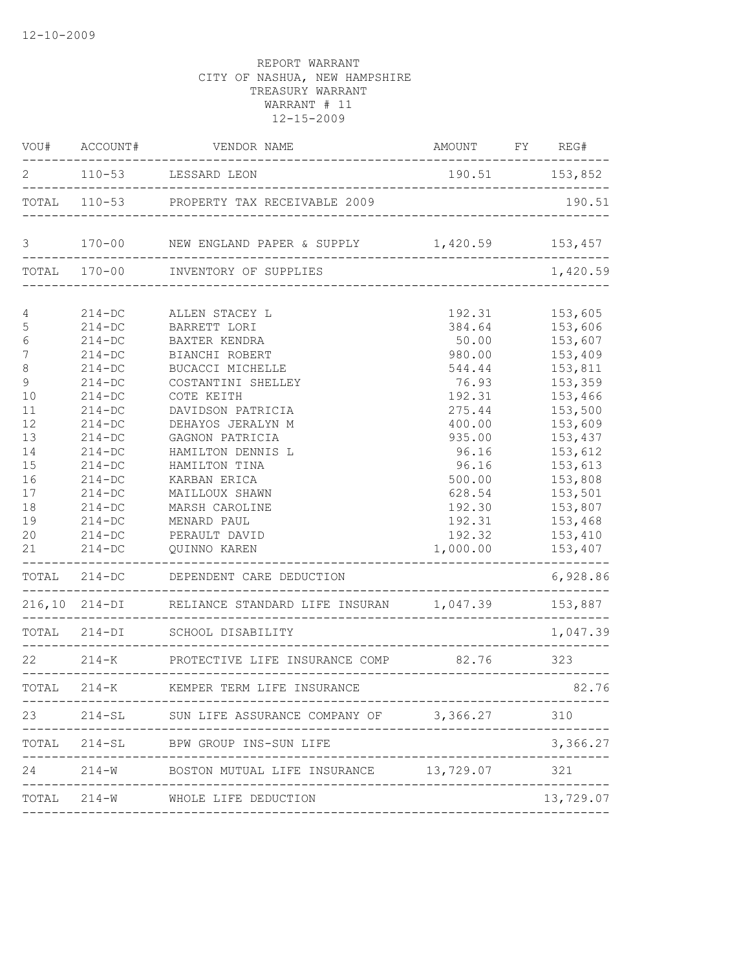|                  |             | VOU# ACCOUNT# VENDOR NAME                                                     | AMOUNT FY REG#               |                |
|------------------|-------------|-------------------------------------------------------------------------------|------------------------------|----------------|
|                  |             | 2 110-53 LESSARD LEON                                                         | $190.51$ 153,852             |                |
|                  |             | TOTAL 110-53 PROPERTY TAX RECEIVABLE 2009                                     |                              |                |
| $\mathcal{S}$    |             | 170-00 NEW ENGLAND PAPER & SUPPLY 1,420.59 153,457                            |                              |                |
|                  |             | TOTAL 170-00 INVENTORY OF SUPPLIES                                            |                              | 1,420.59       |
| $\overline{4}$   |             | 214-DC ALLEN STACEY L                                                         | 192.31                       | 153,605        |
| 5                | $214-DC$    | BARRETT LORI                                                                  | 384.64                       | 153,606        |
| $\epsilon$       | $214-DC$    | BAXTER KENDRA                                                                 |                              | 50.00 153,607  |
| $\boldsymbol{7}$ | $214 - DC$  | BIANCHI ROBERT                                                                |                              | 980.00 153,409 |
| $\,8\,$          | $214-DC$    | BUCACCI MICHELLE                                                              | 544.44                       | 153,811        |
| $\mathcal{G}$    | $214-DC$    | COSTANTINI SHELLEY                                                            | 76.93                        | 153,359        |
| 10               | $214-DC$    | COTE KEITH                                                                    | 192.31                       | 153,466        |
| 11               | $214-DC$    | DAVIDSON PATRICIA                                                             | 275.44                       | 153,500        |
| 12               | $214-DC$    | DEHAYOS JERALYN M                                                             | 400.00                       | 153,609        |
| 13               | $214-DC$    | GAGNON PATRICIA                                                               | 935.00                       | 153,437        |
| 14               | $214 - DC$  | HAMILTON DENNIS L                                                             | 96.16                        | 153,612        |
| 15               | $214-DC$    | HAMILTON TINA                                                                 | 96.16                        | 153,613        |
| 16               | $214-DC$    | KARBAN ERICA                                                                  | 500.00                       | 153,808        |
| 17               | $214 - DC$  | MAILLOUX SHAWN                                                                | 628.54                       | 153,501        |
| 18               | $214 - DC$  | MARSH CAROLINE                                                                |                              | 192.30 153,807 |
| 19               | $214 - DC$  | MENARD PAUL                                                                   | 192.31                       | 153,468        |
| 20               | $214-DC$    | PERAULT DAVID                                                                 | 192.32                       | 153,410        |
| 21               | $214 - DC$  | QUINNO KAREN                                                                  | 1,000.00                     | 153,407        |
|                  |             | TOTAL 214-DC DEPENDENT CARE DEDUCTION<br>------------------------------------ |                              | 6,928.86       |
|                  |             | 216,10 214-DI RELIANCE STANDARD LIFE INSURAN 1,047.39 153,887                 |                              |                |
|                  |             |                                                                               |                              | 1,047.39       |
|                  |             | 22 214-K PROTECTIVE LIFE INSURANCE COMP 82.76 323                             | ---------------------------- |                |
|                  | TOTAL 214-K | KEMPER TERM LIFE INSURANCE                                                    |                              | 82.76          |
|                  | ----------  | 23 214-SL SUN LIFE ASSURANCE COMPANY OF 3,366.27                              |                              | 310            |
|                  |             | TOTAL 214-SL BPW GROUP INS-SUN LIFE                                           |                              | 3,366.27       |
|                  |             | 24 214-W BOSTON MUTUAL LIFE INSURANCE 13,729.07 321<br>---------              |                              |                |
|                  |             | TOTAL 214-W WHOLE LIFE DEDUCTION<br>------------------                        |                              | 13,729.07      |
|                  |             |                                                                               |                              |                |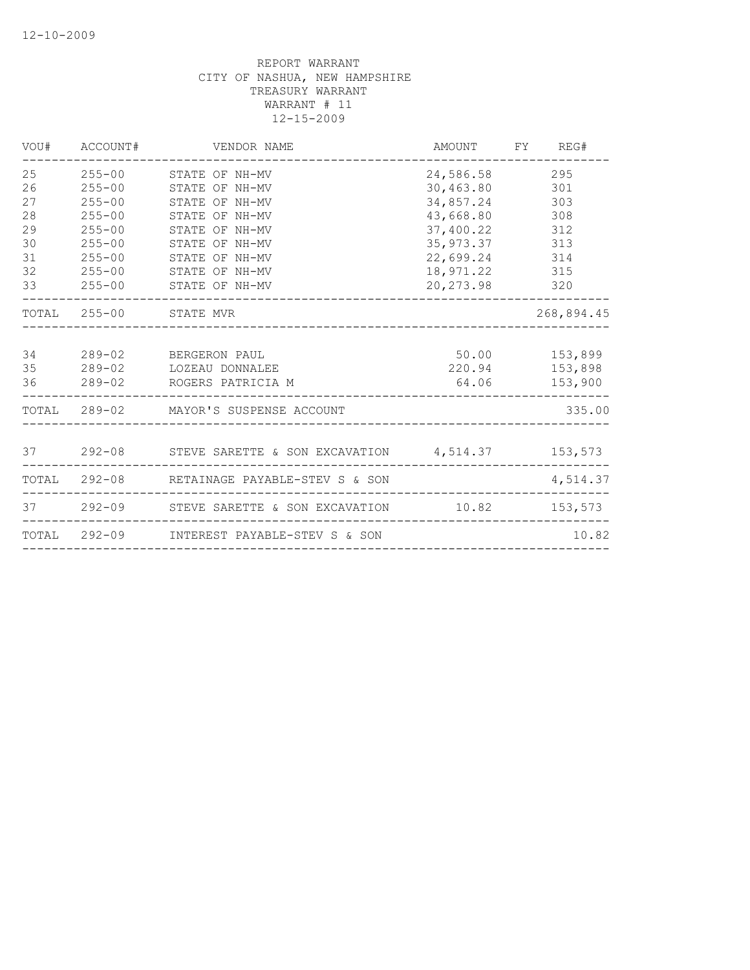|                                                    | VOU# ACCOUNT#                                                                                                | VENDOR NAME                                                                                                                                                           |                                                                                                                                             | AMOUNT FY REG#                    |
|----------------------------------------------------|--------------------------------------------------------------------------------------------------------------|-----------------------------------------------------------------------------------------------------------------------------------------------------------------------|---------------------------------------------------------------------------------------------------------------------------------------------|-----------------------------------|
| 25<br>26<br>27<br>28<br>29<br>30<br>31<br>32<br>33 | $255 - 00$<br>$255 - 00$<br>$255 - 00$<br>$255 - 00$<br>$255 - 00$<br>$255 - 00$<br>$255 - 00$<br>$255 - 00$ | 255-00 STATE OF NH-MV<br>STATE OF NH-MV<br>STATE OF NH-MV<br>STATE OF NH-MV<br>STATE OF NH-MV<br>STATE OF NH-MV<br>STATE OF NH-MV<br>STATE OF NH-MV<br>STATE OF NH-MV | 24,586.58<br>30,463.80 301<br>34,857.24 303<br>43,668.80<br>37,400.22<br>35, 973.37 313<br>22,699.24 314<br>18,971.22 315<br>20, 273.98 320 | 295<br>308<br>312                 |
|                                                    | TOTAL 255-00 STATE MVR                                                                                       |                                                                                                                                                                       |                                                                                                                                             | 268,894.45                        |
| 34<br>35<br>36                                     |                                                                                                              | 289-02 BERGERON PAUL<br>289-02 LOZEAU DONNALEE<br>289-02 ROGERS PATRICIA M                                                                                            | 220.94 153,898                                                                                                                              | 50.00    153,899<br>64.06 153,900 |
|                                                    |                                                                                                              | TOTAL 289-02 MAYOR'S SUSPENSE ACCOUNT                                                                                                                                 |                                                                                                                                             | 335.00                            |
|                                                    |                                                                                                              | 37   292-08   STEVE SARETTE & SON EXCAVATION   4,514.37   153,573                                                                                                     |                                                                                                                                             |                                   |
|                                                    |                                                                                                              | TOTAL 292-08 RETAINAGE PAYABLE-STEV S & SON                                                                                                                           |                                                                                                                                             | 4,514.37                          |
|                                                    |                                                                                                              | 37   292-09   STEVE SARETTE & SON EXCAVATION   10.82   153,573                                                                                                        |                                                                                                                                             |                                   |
|                                                    |                                                                                                              | TOTAL 292-09 INTEREST PAYABLE-STEV S & SON                                                                                                                            |                                                                                                                                             | 10.82                             |
|                                                    |                                                                                                              |                                                                                                                                                                       |                                                                                                                                             |                                   |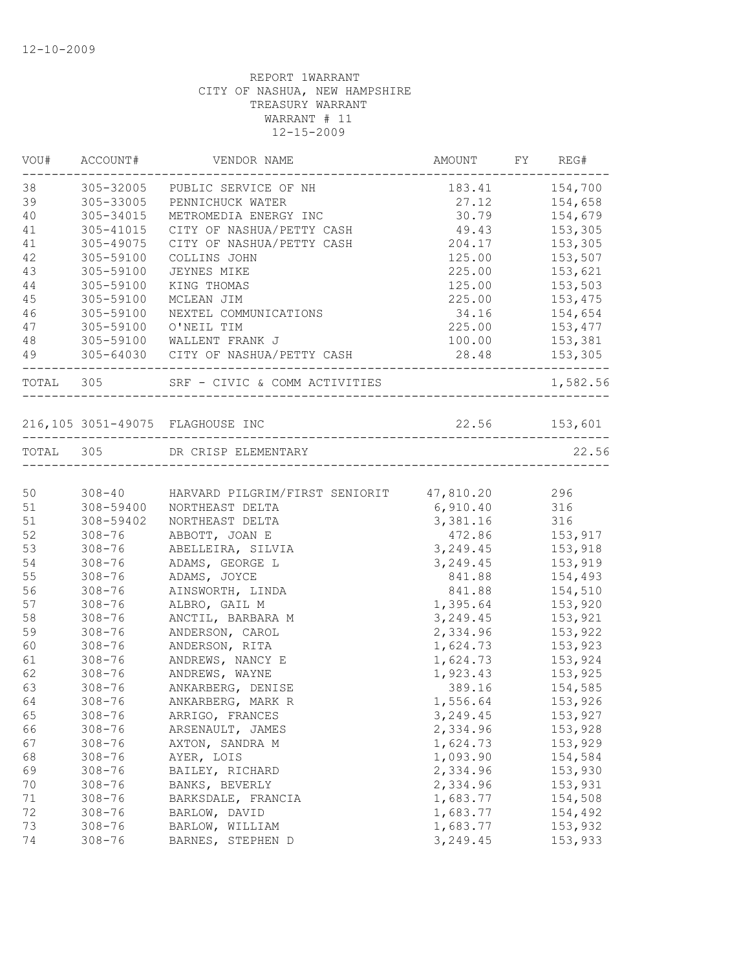|           | VOU# ACCOUNT# | VENDOR NAME                                     | AMOUNT FY REG# |                |
|-----------|---------------|-------------------------------------------------|----------------|----------------|
| 38        | 305-32005     | PUBLIC SERVICE OF NH                            |                | 183.41 154,700 |
| 39        | 305-33005     | PENNICHUCK WATER                                | 27.12          | 154,658        |
| 40        | 305-34015     | METROMEDIA ENERGY INC                           | 30.79          | 154,679        |
| 41        | 305-41015     | CITY OF NASHUA/PETTY CASH                       | 49.43          | 153,305        |
| 41        | 305-49075     | CITY OF NASHUA/PETTY CASH                       | 204.17         | 153,305        |
| 42        | 305-59100     | COLLINS JOHN                                    | 125.00         | 153,507        |
| 43        | 305-59100     | JEYNES MIKE                                     | 225.00         | 153,621        |
| 44        | 305-59100     | KING THOMAS                                     | 125.00         | 153,503        |
| 45        | 305-59100     | MCLEAN JIM                                      | 225.00         | 153,475        |
| 46        | 305-59100     | NEXTEL COMMUNICATIONS                           | 34.16          | 154,654        |
| 47        | 305-59100     | O'NEIL TIM                                      | 225.00         | 153,477        |
| 48        |               | 305-59100 WALLENT FRANK J                       | 100.00         | 153,381        |
| 49        |               | 305-64030 CITY OF NASHUA/PETTY CASH             | 28.48 153,305  |                |
| TOTAL 305 |               | SRF - CIVIC & COMM ACTIVITIES                   |                | 1,582.56       |
|           |               |                                                 | 22.56 153,601  |                |
|           |               |                                                 |                |                |
|           |               | TOTAL 305 DR CRISP ELEMENTARY                   |                | 22.56          |
| 50        |               | 308-40 HARVARD PILGRIM/FIRST SENIORIT 47,810.20 |                | 296            |
| 51        | 308-59400     | NORTHEAST DELTA                                 | 6,910.40       | 316            |
| 51        | 308-59402     | NORTHEAST DELTA                                 | 3,381.16       | 316            |
| 52        | $308 - 76$    | ABBOTT, JOAN E                                  | 472.86         | 153,917        |
| 53        | $308 - 76$    | ABELLEIRA, SILVIA                               | 3, 249.45      | 153,918        |
| 54        | $308 - 76$    | ADAMS, GEORGE L                                 | 3, 249.45      | 153,919        |
| 55        | $308 - 76$    | ADAMS, JOYCE                                    | 841.88         | 154,493        |
| 56        | $308 - 76$    | AINSWORTH, LINDA                                | 841.88         | 154,510        |
| 57        | $308 - 76$    | ALBRO, GAIL M                                   | 1,395.64       | 153,920        |
| 58        | $308 - 76$    | ANCTIL, BARBARA M                               | 3, 249.45      | 153,921        |
| 59        | $308 - 76$    | ANDERSON, CAROL                                 | 2,334.96       | 153,922        |
| 60        | $308 - 76$    | ANDERSON, RITA                                  | 1,624.73       | 153,923        |
| 61        | $308 - 76$    | ANDREWS, NANCY E                                | 1,624.73       | 153,924        |
| 62        | $308 - 76$    | ANDREWS, WAYNE                                  | 1,923.43       | 153,925        |
| 63        | $308 - 76$    | ANKARBERG, DENISE                               |                | 389.16 154,585 |
| 64        | $308 - 76$    |                                                 | 1,556.64       |                |
|           |               | ANKARBERG, MARK R                               |                | 153,926        |
| 65        | $308 - 76$    | ARRIGO, FRANCES                                 | 3,249.45       | 153,927        |
| 66        | $308 - 76$    | ARSENAULT, JAMES                                | 2,334.96       | 153,928        |
| 67        | $308 - 76$    | AXTON, SANDRA M                                 | 1,624.73       | 153,929        |
| 68        | $308 - 76$    | AYER, LOIS                                      | 1,093.90       | 154,584        |
| 69        | $308 - 76$    | BAILEY, RICHARD                                 | 2,334.96       | 153,930        |
| 70        | $308 - 76$    | BANKS, BEVERLY                                  | 2,334.96       | 153,931        |
| 71        | $308 - 76$    | BARKSDALE, FRANCIA                              | 1,683.77       | 154,508        |
| 72        | $308 - 76$    | BARLOW, DAVID                                   | 1,683.77       | 154,492        |
| 73        | $308 - 76$    | BARLOW, WILLIAM                                 | 1,683.77       | 153,932        |
| 74        | $308 - 76$    | BARNES, STEPHEN D                               | 3,249.45       | 153,933        |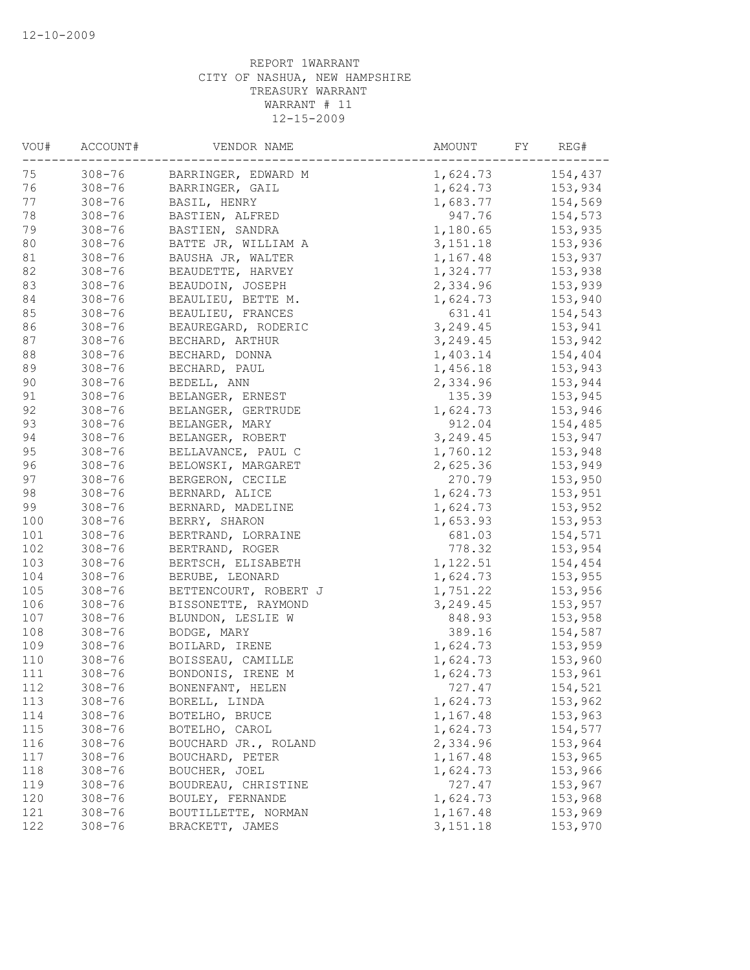| 75<br>$308 - 76$<br>154,437<br>BARRINGER, EDWARD M<br>1,624.73<br>76<br>$308 - 76$<br>1,624.73<br>153,934<br>BARRINGER, GAIL<br>77<br>$308 - 76$<br>1,683.77<br>154,569<br>BASIL, HENRY<br>78<br>$308 - 76$<br>947.76<br>154,573<br>BASTIEN, ALFRED<br>79<br>$308 - 76$<br>BASTIEN, SANDRA<br>1,180.65<br>153,935<br>80<br>$308 - 76$<br>3,151.18<br>153,936<br>BATTE JR, WILLIAM A<br>81<br>$308 - 76$<br>1,167.48<br>153,937<br>BAUSHA JR, WALTER<br>82<br>1,324.77<br>153,938<br>$308 - 76$<br>BEAUDETTE, HARVEY<br>83<br>2,334.96<br>$308 - 76$<br>BEAUDOIN, JOSEPH<br>153,939<br>84<br>$308 - 76$<br>BEAULIEU, BETTE M.<br>1,624.73<br>153,940<br>85<br>$308 - 76$<br>631.41<br>BEAULIEU, FRANCES<br>154,543<br>86<br>3, 249.45<br>$308 - 76$<br>153,941<br>BEAUREGARD, RODERIC<br>87<br>$308 - 76$<br>3,249.45<br>153,942<br>BECHARD, ARTHUR<br>88<br>$308 - 76$<br>1,403.14<br>154,404<br>BECHARD, DONNA<br>89<br>$308 - 76$<br>BECHARD, PAUL<br>1,456.18<br>153,943<br>90<br>$308 - 76$<br>BEDELL, ANN<br>2,334.96<br>153,944<br>91<br>135.39<br>153,945<br>$308 - 76$<br>BELANGER, ERNEST<br>92<br>1,624.73<br>$308 - 76$<br>153,946<br>BELANGER, GERTRUDE<br>93<br>$308 - 76$<br>BELANGER, MARY<br>912.04<br>154,485<br>$308 - 76$<br>3,249.45<br>94<br>BELANGER, ROBERT<br>153,947<br>95<br>$308 - 76$<br>1,760.12<br>153,948<br>BELLAVANCE, PAUL C<br>96<br>$308 - 76$<br>2,625.36<br>153,949<br>BELOWSKI, MARGARET<br>97<br>$308 - 76$<br>270.79<br>153,950<br>BERGERON, CECILE<br>98<br>$308 - 76$<br>BERNARD, ALICE<br>1,624.73<br>153,951<br>99<br>$308 - 76$<br>1,624.73<br>153,952<br>BERNARD, MADELINE<br>$308 - 76$<br>1,653.93<br>BERRY, SHARON<br>153,953<br>$308 - 76$<br>681.03<br>154,571<br>BERTRAND, LORRAINE<br>$308 - 76$<br>778.32<br>BERTRAND, ROGER<br>153,954<br>$308 - 76$<br>1,122.51<br>BERTSCH, ELISABETH<br>154,454<br>$308 - 76$<br>1,624.73<br>BERUBE, LEONARD<br>153,955<br>$308 - 76$<br>BETTENCOURT, ROBERT J<br>1,751.22<br>153,956<br>$308 - 76$<br>3, 249.45<br>153,957<br>BISSONETTE, RAYMOND<br>$308 - 76$<br>848.93<br>153,958<br>BLUNDON, LESLIE W<br>$308 - 76$<br>389.16<br>154,587<br>BODGE, MARY<br>$308 - 76$<br>1,624.73<br>153,959<br>BOILARD, IRENE<br>$308 - 76$<br>BOISSEAU, CAMILLE<br>1,624.73<br>153,960<br>$308 - 76$<br>BONDONIS, IRENE M<br>1,624.73<br>153,961<br>$308 - 76$<br>154,521<br>BONENFANT, HELEN<br>727.47<br>113<br>$308 - 76$<br>1,624.73<br>153,962<br>BORELL, LINDA<br>114<br>$308 - 76$<br>1,167.48<br>BOTELHO, BRUCE<br>153,963<br>115<br>$308 - 76$<br>1,624.73<br>BOTELHO, CAROL<br>154,577<br>2,334.96<br>116<br>$308 - 76$<br>153,964<br>BOUCHARD JR., ROLAND<br>1,167.48<br>$308 - 76$<br>BOUCHARD, PETER<br>153,965<br>BOUCHER, JOEL<br>1,624.73<br>153,966<br>$308 - 76$<br>119<br>BOUDREAU, CHRISTINE<br>727.47<br>$308 - 76$<br>153,967<br>120<br>1,624.73<br>$308 - 76$<br>BOULEY, FERNANDE<br>153,968<br>121<br>1,167.48<br>$308 - 76$<br>BOUTILLETTE, NORMAN<br>153,969<br>122<br>3, 151. 18<br>$308 - 76$<br>BRACKETT, JAMES<br>153,970 | VOU# | ACCOUNT# | VENDOR NAME | AMOUNT<br>FY | REG# |
|------------------------------------------------------------------------------------------------------------------------------------------------------------------------------------------------------------------------------------------------------------------------------------------------------------------------------------------------------------------------------------------------------------------------------------------------------------------------------------------------------------------------------------------------------------------------------------------------------------------------------------------------------------------------------------------------------------------------------------------------------------------------------------------------------------------------------------------------------------------------------------------------------------------------------------------------------------------------------------------------------------------------------------------------------------------------------------------------------------------------------------------------------------------------------------------------------------------------------------------------------------------------------------------------------------------------------------------------------------------------------------------------------------------------------------------------------------------------------------------------------------------------------------------------------------------------------------------------------------------------------------------------------------------------------------------------------------------------------------------------------------------------------------------------------------------------------------------------------------------------------------------------------------------------------------------------------------------------------------------------------------------------------------------------------------------------------------------------------------------------------------------------------------------------------------------------------------------------------------------------------------------------------------------------------------------------------------------------------------------------------------------------------------------------------------------------------------------------------------------------------------------------------------------------------------------------------------------------------------------------------------------------------------------------------------------------------------------------------------------------------------------------------------------------------------------------------------------------------------------------------------------------------------------------------------------------------------------------------------------------------------------------------------------|------|----------|-------------|--------------|------|
|                                                                                                                                                                                                                                                                                                                                                                                                                                                                                                                                                                                                                                                                                                                                                                                                                                                                                                                                                                                                                                                                                                                                                                                                                                                                                                                                                                                                                                                                                                                                                                                                                                                                                                                                                                                                                                                                                                                                                                                                                                                                                                                                                                                                                                                                                                                                                                                                                                                                                                                                                                                                                                                                                                                                                                                                                                                                                                                                                                                                                                          |      |          |             |              |      |
|                                                                                                                                                                                                                                                                                                                                                                                                                                                                                                                                                                                                                                                                                                                                                                                                                                                                                                                                                                                                                                                                                                                                                                                                                                                                                                                                                                                                                                                                                                                                                                                                                                                                                                                                                                                                                                                                                                                                                                                                                                                                                                                                                                                                                                                                                                                                                                                                                                                                                                                                                                                                                                                                                                                                                                                                                                                                                                                                                                                                                                          |      |          |             |              |      |
|                                                                                                                                                                                                                                                                                                                                                                                                                                                                                                                                                                                                                                                                                                                                                                                                                                                                                                                                                                                                                                                                                                                                                                                                                                                                                                                                                                                                                                                                                                                                                                                                                                                                                                                                                                                                                                                                                                                                                                                                                                                                                                                                                                                                                                                                                                                                                                                                                                                                                                                                                                                                                                                                                                                                                                                                                                                                                                                                                                                                                                          |      |          |             |              |      |
|                                                                                                                                                                                                                                                                                                                                                                                                                                                                                                                                                                                                                                                                                                                                                                                                                                                                                                                                                                                                                                                                                                                                                                                                                                                                                                                                                                                                                                                                                                                                                                                                                                                                                                                                                                                                                                                                                                                                                                                                                                                                                                                                                                                                                                                                                                                                                                                                                                                                                                                                                                                                                                                                                                                                                                                                                                                                                                                                                                                                                                          |      |          |             |              |      |
|                                                                                                                                                                                                                                                                                                                                                                                                                                                                                                                                                                                                                                                                                                                                                                                                                                                                                                                                                                                                                                                                                                                                                                                                                                                                                                                                                                                                                                                                                                                                                                                                                                                                                                                                                                                                                                                                                                                                                                                                                                                                                                                                                                                                                                                                                                                                                                                                                                                                                                                                                                                                                                                                                                                                                                                                                                                                                                                                                                                                                                          |      |          |             |              |      |
|                                                                                                                                                                                                                                                                                                                                                                                                                                                                                                                                                                                                                                                                                                                                                                                                                                                                                                                                                                                                                                                                                                                                                                                                                                                                                                                                                                                                                                                                                                                                                                                                                                                                                                                                                                                                                                                                                                                                                                                                                                                                                                                                                                                                                                                                                                                                                                                                                                                                                                                                                                                                                                                                                                                                                                                                                                                                                                                                                                                                                                          |      |          |             |              |      |
|                                                                                                                                                                                                                                                                                                                                                                                                                                                                                                                                                                                                                                                                                                                                                                                                                                                                                                                                                                                                                                                                                                                                                                                                                                                                                                                                                                                                                                                                                                                                                                                                                                                                                                                                                                                                                                                                                                                                                                                                                                                                                                                                                                                                                                                                                                                                                                                                                                                                                                                                                                                                                                                                                                                                                                                                                                                                                                                                                                                                                                          |      |          |             |              |      |
|                                                                                                                                                                                                                                                                                                                                                                                                                                                                                                                                                                                                                                                                                                                                                                                                                                                                                                                                                                                                                                                                                                                                                                                                                                                                                                                                                                                                                                                                                                                                                                                                                                                                                                                                                                                                                                                                                                                                                                                                                                                                                                                                                                                                                                                                                                                                                                                                                                                                                                                                                                                                                                                                                                                                                                                                                                                                                                                                                                                                                                          |      |          |             |              |      |
|                                                                                                                                                                                                                                                                                                                                                                                                                                                                                                                                                                                                                                                                                                                                                                                                                                                                                                                                                                                                                                                                                                                                                                                                                                                                                                                                                                                                                                                                                                                                                                                                                                                                                                                                                                                                                                                                                                                                                                                                                                                                                                                                                                                                                                                                                                                                                                                                                                                                                                                                                                                                                                                                                                                                                                                                                                                                                                                                                                                                                                          |      |          |             |              |      |
|                                                                                                                                                                                                                                                                                                                                                                                                                                                                                                                                                                                                                                                                                                                                                                                                                                                                                                                                                                                                                                                                                                                                                                                                                                                                                                                                                                                                                                                                                                                                                                                                                                                                                                                                                                                                                                                                                                                                                                                                                                                                                                                                                                                                                                                                                                                                                                                                                                                                                                                                                                                                                                                                                                                                                                                                                                                                                                                                                                                                                                          |      |          |             |              |      |
|                                                                                                                                                                                                                                                                                                                                                                                                                                                                                                                                                                                                                                                                                                                                                                                                                                                                                                                                                                                                                                                                                                                                                                                                                                                                                                                                                                                                                                                                                                                                                                                                                                                                                                                                                                                                                                                                                                                                                                                                                                                                                                                                                                                                                                                                                                                                                                                                                                                                                                                                                                                                                                                                                                                                                                                                                                                                                                                                                                                                                                          |      |          |             |              |      |
|                                                                                                                                                                                                                                                                                                                                                                                                                                                                                                                                                                                                                                                                                                                                                                                                                                                                                                                                                                                                                                                                                                                                                                                                                                                                                                                                                                                                                                                                                                                                                                                                                                                                                                                                                                                                                                                                                                                                                                                                                                                                                                                                                                                                                                                                                                                                                                                                                                                                                                                                                                                                                                                                                                                                                                                                                                                                                                                                                                                                                                          |      |          |             |              |      |
|                                                                                                                                                                                                                                                                                                                                                                                                                                                                                                                                                                                                                                                                                                                                                                                                                                                                                                                                                                                                                                                                                                                                                                                                                                                                                                                                                                                                                                                                                                                                                                                                                                                                                                                                                                                                                                                                                                                                                                                                                                                                                                                                                                                                                                                                                                                                                                                                                                                                                                                                                                                                                                                                                                                                                                                                                                                                                                                                                                                                                                          |      |          |             |              |      |
|                                                                                                                                                                                                                                                                                                                                                                                                                                                                                                                                                                                                                                                                                                                                                                                                                                                                                                                                                                                                                                                                                                                                                                                                                                                                                                                                                                                                                                                                                                                                                                                                                                                                                                                                                                                                                                                                                                                                                                                                                                                                                                                                                                                                                                                                                                                                                                                                                                                                                                                                                                                                                                                                                                                                                                                                                                                                                                                                                                                                                                          |      |          |             |              |      |
|                                                                                                                                                                                                                                                                                                                                                                                                                                                                                                                                                                                                                                                                                                                                                                                                                                                                                                                                                                                                                                                                                                                                                                                                                                                                                                                                                                                                                                                                                                                                                                                                                                                                                                                                                                                                                                                                                                                                                                                                                                                                                                                                                                                                                                                                                                                                                                                                                                                                                                                                                                                                                                                                                                                                                                                                                                                                                                                                                                                                                                          |      |          |             |              |      |
|                                                                                                                                                                                                                                                                                                                                                                                                                                                                                                                                                                                                                                                                                                                                                                                                                                                                                                                                                                                                                                                                                                                                                                                                                                                                                                                                                                                                                                                                                                                                                                                                                                                                                                                                                                                                                                                                                                                                                                                                                                                                                                                                                                                                                                                                                                                                                                                                                                                                                                                                                                                                                                                                                                                                                                                                                                                                                                                                                                                                                                          |      |          |             |              |      |
|                                                                                                                                                                                                                                                                                                                                                                                                                                                                                                                                                                                                                                                                                                                                                                                                                                                                                                                                                                                                                                                                                                                                                                                                                                                                                                                                                                                                                                                                                                                                                                                                                                                                                                                                                                                                                                                                                                                                                                                                                                                                                                                                                                                                                                                                                                                                                                                                                                                                                                                                                                                                                                                                                                                                                                                                                                                                                                                                                                                                                                          |      |          |             |              |      |
|                                                                                                                                                                                                                                                                                                                                                                                                                                                                                                                                                                                                                                                                                                                                                                                                                                                                                                                                                                                                                                                                                                                                                                                                                                                                                                                                                                                                                                                                                                                                                                                                                                                                                                                                                                                                                                                                                                                                                                                                                                                                                                                                                                                                                                                                                                                                                                                                                                                                                                                                                                                                                                                                                                                                                                                                                                                                                                                                                                                                                                          |      |          |             |              |      |
|                                                                                                                                                                                                                                                                                                                                                                                                                                                                                                                                                                                                                                                                                                                                                                                                                                                                                                                                                                                                                                                                                                                                                                                                                                                                                                                                                                                                                                                                                                                                                                                                                                                                                                                                                                                                                                                                                                                                                                                                                                                                                                                                                                                                                                                                                                                                                                                                                                                                                                                                                                                                                                                                                                                                                                                                                                                                                                                                                                                                                                          |      |          |             |              |      |
|                                                                                                                                                                                                                                                                                                                                                                                                                                                                                                                                                                                                                                                                                                                                                                                                                                                                                                                                                                                                                                                                                                                                                                                                                                                                                                                                                                                                                                                                                                                                                                                                                                                                                                                                                                                                                                                                                                                                                                                                                                                                                                                                                                                                                                                                                                                                                                                                                                                                                                                                                                                                                                                                                                                                                                                                                                                                                                                                                                                                                                          |      |          |             |              |      |
|                                                                                                                                                                                                                                                                                                                                                                                                                                                                                                                                                                                                                                                                                                                                                                                                                                                                                                                                                                                                                                                                                                                                                                                                                                                                                                                                                                                                                                                                                                                                                                                                                                                                                                                                                                                                                                                                                                                                                                                                                                                                                                                                                                                                                                                                                                                                                                                                                                                                                                                                                                                                                                                                                                                                                                                                                                                                                                                                                                                                                                          |      |          |             |              |      |
|                                                                                                                                                                                                                                                                                                                                                                                                                                                                                                                                                                                                                                                                                                                                                                                                                                                                                                                                                                                                                                                                                                                                                                                                                                                                                                                                                                                                                                                                                                                                                                                                                                                                                                                                                                                                                                                                                                                                                                                                                                                                                                                                                                                                                                                                                                                                                                                                                                                                                                                                                                                                                                                                                                                                                                                                                                                                                                                                                                                                                                          |      |          |             |              |      |
|                                                                                                                                                                                                                                                                                                                                                                                                                                                                                                                                                                                                                                                                                                                                                                                                                                                                                                                                                                                                                                                                                                                                                                                                                                                                                                                                                                                                                                                                                                                                                                                                                                                                                                                                                                                                                                                                                                                                                                                                                                                                                                                                                                                                                                                                                                                                                                                                                                                                                                                                                                                                                                                                                                                                                                                                                                                                                                                                                                                                                                          |      |          |             |              |      |
|                                                                                                                                                                                                                                                                                                                                                                                                                                                                                                                                                                                                                                                                                                                                                                                                                                                                                                                                                                                                                                                                                                                                                                                                                                                                                                                                                                                                                                                                                                                                                                                                                                                                                                                                                                                                                                                                                                                                                                                                                                                                                                                                                                                                                                                                                                                                                                                                                                                                                                                                                                                                                                                                                                                                                                                                                                                                                                                                                                                                                                          |      |          |             |              |      |
|                                                                                                                                                                                                                                                                                                                                                                                                                                                                                                                                                                                                                                                                                                                                                                                                                                                                                                                                                                                                                                                                                                                                                                                                                                                                                                                                                                                                                                                                                                                                                                                                                                                                                                                                                                                                                                                                                                                                                                                                                                                                                                                                                                                                                                                                                                                                                                                                                                                                                                                                                                                                                                                                                                                                                                                                                                                                                                                                                                                                                                          |      |          |             |              |      |
|                                                                                                                                                                                                                                                                                                                                                                                                                                                                                                                                                                                                                                                                                                                                                                                                                                                                                                                                                                                                                                                                                                                                                                                                                                                                                                                                                                                                                                                                                                                                                                                                                                                                                                                                                                                                                                                                                                                                                                                                                                                                                                                                                                                                                                                                                                                                                                                                                                                                                                                                                                                                                                                                                                                                                                                                                                                                                                                                                                                                                                          | 100  |          |             |              |      |
|                                                                                                                                                                                                                                                                                                                                                                                                                                                                                                                                                                                                                                                                                                                                                                                                                                                                                                                                                                                                                                                                                                                                                                                                                                                                                                                                                                                                                                                                                                                                                                                                                                                                                                                                                                                                                                                                                                                                                                                                                                                                                                                                                                                                                                                                                                                                                                                                                                                                                                                                                                                                                                                                                                                                                                                                                                                                                                                                                                                                                                          | 101  |          |             |              |      |
|                                                                                                                                                                                                                                                                                                                                                                                                                                                                                                                                                                                                                                                                                                                                                                                                                                                                                                                                                                                                                                                                                                                                                                                                                                                                                                                                                                                                                                                                                                                                                                                                                                                                                                                                                                                                                                                                                                                                                                                                                                                                                                                                                                                                                                                                                                                                                                                                                                                                                                                                                                                                                                                                                                                                                                                                                                                                                                                                                                                                                                          | 102  |          |             |              |      |
|                                                                                                                                                                                                                                                                                                                                                                                                                                                                                                                                                                                                                                                                                                                                                                                                                                                                                                                                                                                                                                                                                                                                                                                                                                                                                                                                                                                                                                                                                                                                                                                                                                                                                                                                                                                                                                                                                                                                                                                                                                                                                                                                                                                                                                                                                                                                                                                                                                                                                                                                                                                                                                                                                                                                                                                                                                                                                                                                                                                                                                          | 103  |          |             |              |      |
|                                                                                                                                                                                                                                                                                                                                                                                                                                                                                                                                                                                                                                                                                                                                                                                                                                                                                                                                                                                                                                                                                                                                                                                                                                                                                                                                                                                                                                                                                                                                                                                                                                                                                                                                                                                                                                                                                                                                                                                                                                                                                                                                                                                                                                                                                                                                                                                                                                                                                                                                                                                                                                                                                                                                                                                                                                                                                                                                                                                                                                          | 104  |          |             |              |      |
|                                                                                                                                                                                                                                                                                                                                                                                                                                                                                                                                                                                                                                                                                                                                                                                                                                                                                                                                                                                                                                                                                                                                                                                                                                                                                                                                                                                                                                                                                                                                                                                                                                                                                                                                                                                                                                                                                                                                                                                                                                                                                                                                                                                                                                                                                                                                                                                                                                                                                                                                                                                                                                                                                                                                                                                                                                                                                                                                                                                                                                          | 105  |          |             |              |      |
|                                                                                                                                                                                                                                                                                                                                                                                                                                                                                                                                                                                                                                                                                                                                                                                                                                                                                                                                                                                                                                                                                                                                                                                                                                                                                                                                                                                                                                                                                                                                                                                                                                                                                                                                                                                                                                                                                                                                                                                                                                                                                                                                                                                                                                                                                                                                                                                                                                                                                                                                                                                                                                                                                                                                                                                                                                                                                                                                                                                                                                          | 106  |          |             |              |      |
|                                                                                                                                                                                                                                                                                                                                                                                                                                                                                                                                                                                                                                                                                                                                                                                                                                                                                                                                                                                                                                                                                                                                                                                                                                                                                                                                                                                                                                                                                                                                                                                                                                                                                                                                                                                                                                                                                                                                                                                                                                                                                                                                                                                                                                                                                                                                                                                                                                                                                                                                                                                                                                                                                                                                                                                                                                                                                                                                                                                                                                          | 107  |          |             |              |      |
|                                                                                                                                                                                                                                                                                                                                                                                                                                                                                                                                                                                                                                                                                                                                                                                                                                                                                                                                                                                                                                                                                                                                                                                                                                                                                                                                                                                                                                                                                                                                                                                                                                                                                                                                                                                                                                                                                                                                                                                                                                                                                                                                                                                                                                                                                                                                                                                                                                                                                                                                                                                                                                                                                                                                                                                                                                                                                                                                                                                                                                          | 108  |          |             |              |      |
|                                                                                                                                                                                                                                                                                                                                                                                                                                                                                                                                                                                                                                                                                                                                                                                                                                                                                                                                                                                                                                                                                                                                                                                                                                                                                                                                                                                                                                                                                                                                                                                                                                                                                                                                                                                                                                                                                                                                                                                                                                                                                                                                                                                                                                                                                                                                                                                                                                                                                                                                                                                                                                                                                                                                                                                                                                                                                                                                                                                                                                          | 109  |          |             |              |      |
|                                                                                                                                                                                                                                                                                                                                                                                                                                                                                                                                                                                                                                                                                                                                                                                                                                                                                                                                                                                                                                                                                                                                                                                                                                                                                                                                                                                                                                                                                                                                                                                                                                                                                                                                                                                                                                                                                                                                                                                                                                                                                                                                                                                                                                                                                                                                                                                                                                                                                                                                                                                                                                                                                                                                                                                                                                                                                                                                                                                                                                          | 110  |          |             |              |      |
|                                                                                                                                                                                                                                                                                                                                                                                                                                                                                                                                                                                                                                                                                                                                                                                                                                                                                                                                                                                                                                                                                                                                                                                                                                                                                                                                                                                                                                                                                                                                                                                                                                                                                                                                                                                                                                                                                                                                                                                                                                                                                                                                                                                                                                                                                                                                                                                                                                                                                                                                                                                                                                                                                                                                                                                                                                                                                                                                                                                                                                          | 111  |          |             |              |      |
|                                                                                                                                                                                                                                                                                                                                                                                                                                                                                                                                                                                                                                                                                                                                                                                                                                                                                                                                                                                                                                                                                                                                                                                                                                                                                                                                                                                                                                                                                                                                                                                                                                                                                                                                                                                                                                                                                                                                                                                                                                                                                                                                                                                                                                                                                                                                                                                                                                                                                                                                                                                                                                                                                                                                                                                                                                                                                                                                                                                                                                          | 112  |          |             |              |      |
|                                                                                                                                                                                                                                                                                                                                                                                                                                                                                                                                                                                                                                                                                                                                                                                                                                                                                                                                                                                                                                                                                                                                                                                                                                                                                                                                                                                                                                                                                                                                                                                                                                                                                                                                                                                                                                                                                                                                                                                                                                                                                                                                                                                                                                                                                                                                                                                                                                                                                                                                                                                                                                                                                                                                                                                                                                                                                                                                                                                                                                          |      |          |             |              |      |
|                                                                                                                                                                                                                                                                                                                                                                                                                                                                                                                                                                                                                                                                                                                                                                                                                                                                                                                                                                                                                                                                                                                                                                                                                                                                                                                                                                                                                                                                                                                                                                                                                                                                                                                                                                                                                                                                                                                                                                                                                                                                                                                                                                                                                                                                                                                                                                                                                                                                                                                                                                                                                                                                                                                                                                                                                                                                                                                                                                                                                                          |      |          |             |              |      |
|                                                                                                                                                                                                                                                                                                                                                                                                                                                                                                                                                                                                                                                                                                                                                                                                                                                                                                                                                                                                                                                                                                                                                                                                                                                                                                                                                                                                                                                                                                                                                                                                                                                                                                                                                                                                                                                                                                                                                                                                                                                                                                                                                                                                                                                                                                                                                                                                                                                                                                                                                                                                                                                                                                                                                                                                                                                                                                                                                                                                                                          |      |          |             |              |      |
|                                                                                                                                                                                                                                                                                                                                                                                                                                                                                                                                                                                                                                                                                                                                                                                                                                                                                                                                                                                                                                                                                                                                                                                                                                                                                                                                                                                                                                                                                                                                                                                                                                                                                                                                                                                                                                                                                                                                                                                                                                                                                                                                                                                                                                                                                                                                                                                                                                                                                                                                                                                                                                                                                                                                                                                                                                                                                                                                                                                                                                          |      |          |             |              |      |
|                                                                                                                                                                                                                                                                                                                                                                                                                                                                                                                                                                                                                                                                                                                                                                                                                                                                                                                                                                                                                                                                                                                                                                                                                                                                                                                                                                                                                                                                                                                                                                                                                                                                                                                                                                                                                                                                                                                                                                                                                                                                                                                                                                                                                                                                                                                                                                                                                                                                                                                                                                                                                                                                                                                                                                                                                                                                                                                                                                                                                                          | 117  |          |             |              |      |
|                                                                                                                                                                                                                                                                                                                                                                                                                                                                                                                                                                                                                                                                                                                                                                                                                                                                                                                                                                                                                                                                                                                                                                                                                                                                                                                                                                                                                                                                                                                                                                                                                                                                                                                                                                                                                                                                                                                                                                                                                                                                                                                                                                                                                                                                                                                                                                                                                                                                                                                                                                                                                                                                                                                                                                                                                                                                                                                                                                                                                                          | 118  |          |             |              |      |
|                                                                                                                                                                                                                                                                                                                                                                                                                                                                                                                                                                                                                                                                                                                                                                                                                                                                                                                                                                                                                                                                                                                                                                                                                                                                                                                                                                                                                                                                                                                                                                                                                                                                                                                                                                                                                                                                                                                                                                                                                                                                                                                                                                                                                                                                                                                                                                                                                                                                                                                                                                                                                                                                                                                                                                                                                                                                                                                                                                                                                                          |      |          |             |              |      |
|                                                                                                                                                                                                                                                                                                                                                                                                                                                                                                                                                                                                                                                                                                                                                                                                                                                                                                                                                                                                                                                                                                                                                                                                                                                                                                                                                                                                                                                                                                                                                                                                                                                                                                                                                                                                                                                                                                                                                                                                                                                                                                                                                                                                                                                                                                                                                                                                                                                                                                                                                                                                                                                                                                                                                                                                                                                                                                                                                                                                                                          |      |          |             |              |      |
|                                                                                                                                                                                                                                                                                                                                                                                                                                                                                                                                                                                                                                                                                                                                                                                                                                                                                                                                                                                                                                                                                                                                                                                                                                                                                                                                                                                                                                                                                                                                                                                                                                                                                                                                                                                                                                                                                                                                                                                                                                                                                                                                                                                                                                                                                                                                                                                                                                                                                                                                                                                                                                                                                                                                                                                                                                                                                                                                                                                                                                          |      |          |             |              |      |
|                                                                                                                                                                                                                                                                                                                                                                                                                                                                                                                                                                                                                                                                                                                                                                                                                                                                                                                                                                                                                                                                                                                                                                                                                                                                                                                                                                                                                                                                                                                                                                                                                                                                                                                                                                                                                                                                                                                                                                                                                                                                                                                                                                                                                                                                                                                                                                                                                                                                                                                                                                                                                                                                                                                                                                                                                                                                                                                                                                                                                                          |      |          |             |              |      |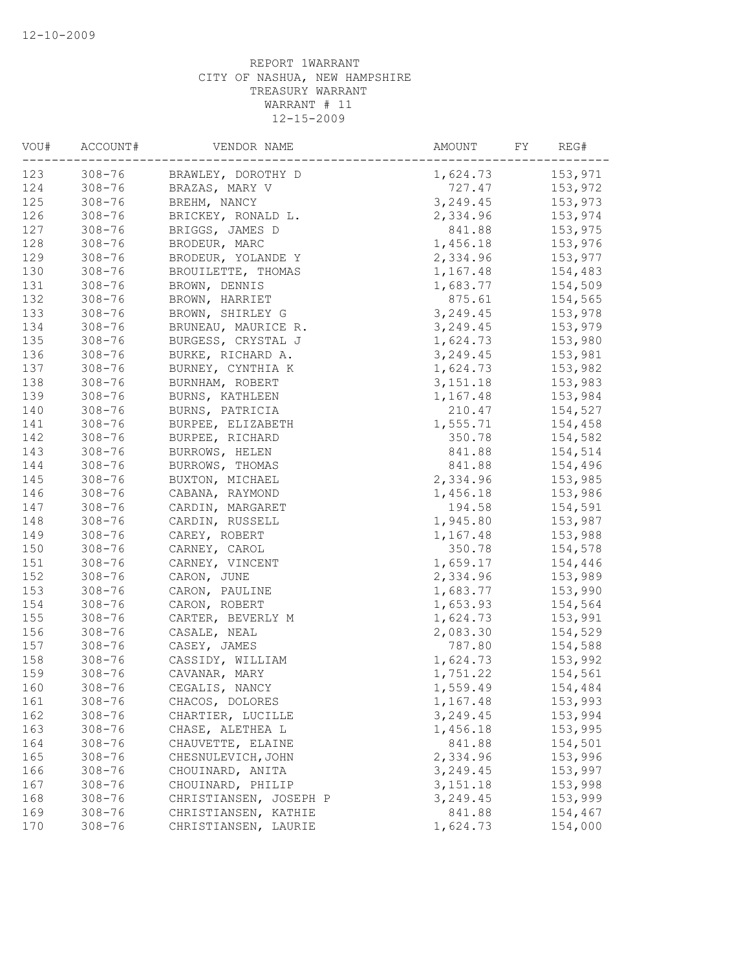| VOU#       | ACCOUNT#   | VENDOR NAME            | AMOUNT                 | FY<br>REG# |
|------------|------------|------------------------|------------------------|------------|
| 123        | $308 - 76$ | BRAWLEY, DOROTHY D     | 1,624.73               | 153,971    |
| 124        | $308 - 76$ | BRAZAS, MARY V         | 727.47                 | 153,972    |
| 125        | $308 - 76$ | BREHM, NANCY           | 3, 249.45              | 153,973    |
| 126        | $308 - 76$ | BRICKEY, RONALD L.     | 2,334.96               | 153,974    |
| 127        | $308 - 76$ | BRIGGS, JAMES D        | 841.88                 | 153,975    |
| 128        | $308 - 76$ | BRODEUR, MARC          | 1,456.18               | 153,976    |
| 129        | $308 - 76$ | BRODEUR, YOLANDE Y     | 2,334.96               | 153,977    |
| 130        | $308 - 76$ | BROUILETTE, THOMAS     | 1,167.48               | 154,483    |
| 131        | $308 - 76$ | BROWN, DENNIS          | 1,683.77               | 154,509    |
| 132        | $308 - 76$ | BROWN, HARRIET         | 875.61                 | 154,565    |
| 133        | $308 - 76$ | BROWN, SHIRLEY G       | 3, 249.45              | 153,978    |
| 134        | $308 - 76$ | BRUNEAU, MAURICE R.    | 3,249.45               | 153,979    |
| 135        | $308 - 76$ | BURGESS, CRYSTAL J     | 1,624.73               | 153,980    |
| 136        | $308 - 76$ | BURKE, RICHARD A.      | 3,249.45               | 153,981    |
| 137        | $308 - 76$ | BURNEY, CYNTHIA K      | 1,624.73               | 153,982    |
| 138        | $308 - 76$ | BURNHAM, ROBERT        | 3,151.18               | 153,983    |
| 139        | $308 - 76$ | BURNS, KATHLEEN        | 1,167.48               | 153,984    |
| 140        | $308 - 76$ | BURNS, PATRICIA        | 210.47                 | 154,527    |
| 141        | $308 - 76$ | BURPEE, ELIZABETH      | 1,555.71               | 154,458    |
| 142        | $308 - 76$ | BURPEE, RICHARD        | 350.78                 | 154,582    |
| 143        | $308 - 76$ | BURROWS, HELEN         | 841.88                 | 154,514    |
| 144        | $308 - 76$ | BURROWS, THOMAS        | 841.88                 | 154,496    |
| 145        | $308 - 76$ | BUXTON, MICHAEL        | 2,334.96               | 153,985    |
| 146        | $308 - 76$ | CABANA, RAYMOND        | 1,456.18               | 153,986    |
| 147        | $308 - 76$ | CARDIN, MARGARET       | 194.58                 | 154,591    |
| 148        | $308 - 76$ | CARDIN, RUSSELL        | 1,945.80               | 153,987    |
| 149        | $308 - 76$ | CAREY, ROBERT          | 1,167.48               | 153,988    |
| 150        | $308 - 76$ | CARNEY, CAROL          | 350.78                 | 154,578    |
| 151        | $308 - 76$ | CARNEY, VINCENT        | 1,659.17               | 154,446    |
| 152        | $308 - 76$ | CARON, JUNE            | 2,334.96               | 153,989    |
| 153        | $308 - 76$ | CARON, PAULINE         | 1,683.77               | 153,990    |
| 154        | $308 - 76$ | CARON, ROBERT          | 1,653.93               | 154,564    |
| 155        | $308 - 76$ | CARTER, BEVERLY M      | 1,624.73               | 153,991    |
| 156        | $308 - 76$ | CASALE, NEAL           | 2,083.30               | 154,529    |
| 157        | $308 - 76$ | CASEY, JAMES           | 787.80                 | 154,588    |
| 158        | $308 - 76$ | CASSIDY, WILLIAM       | 1,624.73               | 153,992    |
| 159        | $308 - 76$ | CAVANAR, MARY          | 1,751.22               | 154,561    |
| 160        | $308 - 76$ | CEGALIS, NANCY         | 1,559.49               | 154,484    |
| 161        | $308 - 76$ | CHACOS, DOLORES        | 1,167.48               | 153,993    |
| 162        | $308 - 76$ | CHARTIER, LUCILLE      | 3,249.45               | 153,994    |
| 163        | $308 - 76$ | CHASE, ALETHEA L       | 1,456.18               | 153,995    |
| 164        | $308 - 76$ | CHAUVETTE, ELAINE      | 841.88                 | 154,501    |
| 165        | $308 - 76$ | CHESNULEVICH, JOHN     | 2,334.96               | 153,996    |
|            | $308 - 76$ |                        |                        |            |
| 166        |            | CHOUINARD, ANITA       | 3,249.45               | 153,997    |
| 167        | $308 - 76$ | CHOUINARD, PHILIP      | 3, 151. 18<br>3,249.45 | 153,998    |
| 168        | $308 - 76$ | CHRISTIANSEN, JOSEPH P | 841.88                 | 153,999    |
| 169<br>170 | $308 - 76$ | CHRISTIANSEN, KATHIE   |                        | 154,467    |
|            | $308 - 76$ | CHRISTIANSEN, LAURIE   | 1,624.73               | 154,000    |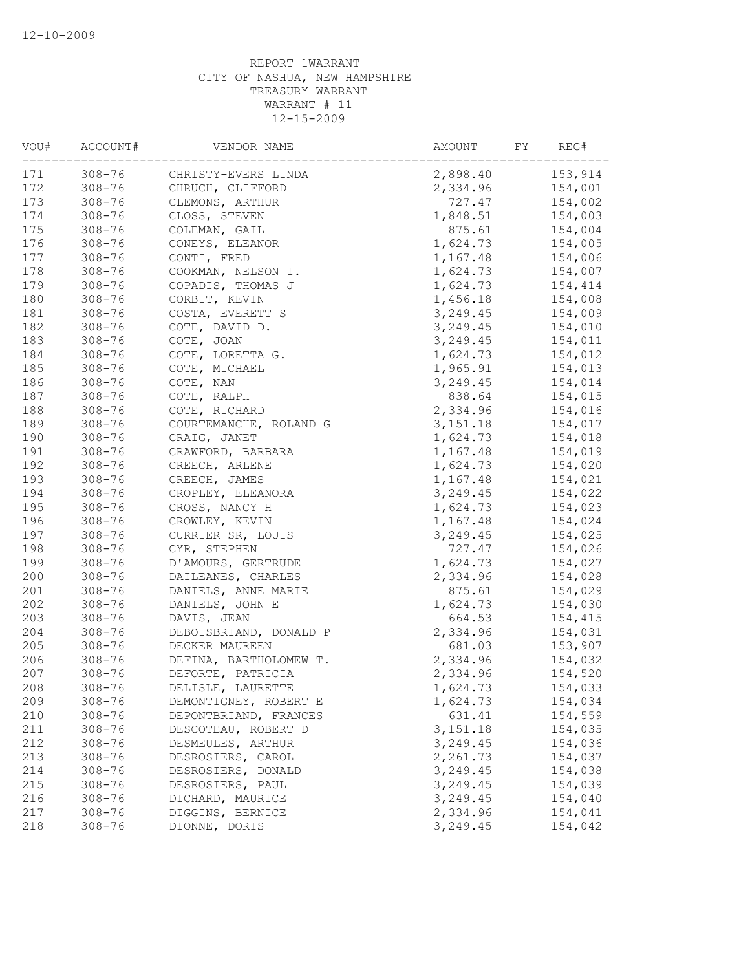| VOU#       | ACCOUNT#   | VENDOR NAME            | AMOUNT               | FY<br>REG# |
|------------|------------|------------------------|----------------------|------------|
| 171        | $308 - 76$ | CHRISTY-EVERS LINDA    | 2,898.40             | 153,914    |
| 172        | $308 - 76$ | CHRUCH, CLIFFORD       | 2,334.96             | 154,001    |
| 173        | $308 - 76$ | CLEMONS, ARTHUR        | 727.47               | 154,002    |
| 174        | $308 - 76$ | CLOSS, STEVEN          | 1,848.51             | 154,003    |
| 175        | $308 - 76$ | COLEMAN, GAIL          | 875.61               | 154,004    |
| 176        | $308 - 76$ | CONEYS, ELEANOR        | 1,624.73             | 154,005    |
| 177        | $308 - 76$ | CONTI, FRED            | 1,167.48             | 154,006    |
| 178        | $308 - 76$ | COOKMAN, NELSON I.     | 1,624.73             | 154,007    |
| 179        | $308 - 76$ | COPADIS, THOMAS J      | 1,624.73             | 154,414    |
| 180        | $308 - 76$ | CORBIT, KEVIN          | 1,456.18             | 154,008    |
| 181        | $308 - 76$ | COSTA, EVERETT S       | 3, 249.45            | 154,009    |
| 182        | $308 - 76$ | COTE, DAVID D.         | 3, 249.45            | 154,010    |
| 183        | $308 - 76$ | COTE, JOAN             | 3, 249.45            | 154,011    |
| 184        | $308 - 76$ | COTE, LORETTA G.       | 1,624.73             | 154,012    |
| 185        | $308 - 76$ | COTE, MICHAEL          | 1,965.91             | 154,013    |
| 186        | $308 - 76$ | COTE, NAN              | 3, 249.45            | 154,014    |
| 187        | $308 - 76$ | COTE, RALPH            | 838.64               | 154,015    |
| 188        | $308 - 76$ | COTE, RICHARD          | 2,334.96             | 154,016    |
| 189        | $308 - 76$ | COURTEMANCHE, ROLAND G | 3,151.18             | 154,017    |
| 190        | $308 - 76$ | CRAIG, JANET           | 1,624.73             | 154,018    |
| 191        | $308 - 76$ | CRAWFORD, BARBARA      | 1,167.48             | 154,019    |
| 192        | $308 - 76$ | CREECH, ARLENE         | 1,624.73             | 154,020    |
| 193        | $308 - 76$ | CREECH, JAMES          | 1,167.48             | 154,021    |
| 194        | $308 - 76$ | CROPLEY, ELEANORA      | 3, 249.45            | 154,022    |
| 195        | $308 - 76$ | CROSS, NANCY H         | 1,624.73             | 154,023    |
| 196        | $308 - 76$ | CROWLEY, KEVIN         | 1,167.48             | 154,024    |
| 197        | $308 - 76$ | CURRIER SR, LOUIS      | 3,249.45             | 154,025    |
| 198        | $308 - 76$ | CYR, STEPHEN           | 727.47               | 154,026    |
| 199        | $308 - 76$ | D'AMOURS, GERTRUDE     | 1,624.73             | 154,027    |
| 200        | $308 - 76$ | DAILEANES, CHARLES     | 2,334.96             | 154,028    |
| 201        | $308 - 76$ | DANIELS, ANNE MARIE    | 875.61               | 154,029    |
| 202        | $308 - 76$ | DANIELS, JOHN E        | 1,624.73             | 154,030    |
| 203        | $308 - 76$ | DAVIS, JEAN            | 664.53               | 154,415    |
| 204        | $308 - 76$ | DEBOISBRIAND, DONALD P | 2,334.96             | 154,031    |
| 205        | $308 - 76$ | DECKER MAUREEN         | 681.03               | 153,907    |
| 206        | $308 - 76$ | DEFINA, BARTHOLOMEW T. | 2,334.96             | 154,032    |
| 207        | $308 - 76$ | DEFORTE, PATRICIA      | 2,334.96             | 154,520    |
| 208        | $308 - 76$ | DELISLE, LAURETTE      | 1,624.73             | 154,033    |
| 209        | $308 - 76$ | DEMONTIGNEY, ROBERT E  |                      |            |
|            | $308 - 76$ |                        | 1,624.73             | 154,034    |
| 210        |            | DEPONTBRIAND, FRANCES  | 631.41               | 154,559    |
| 211<br>212 | $308 - 76$ | DESCOTEAU, ROBERT D    | 3, 151. 18           | 154,035    |
|            | $308 - 76$ | DESMEULES, ARTHUR      | 3,249.45<br>2,261.73 | 154,036    |
| 213        | $308 - 76$ | DESROSIERS, CAROL      |                      | 154,037    |
| 214        | $308 - 76$ | DESROSIERS, DONALD     | 3,249.45             | 154,038    |
| 215        | $308 - 76$ | DESROSIERS, PAUL       | 3,249.45             | 154,039    |
| 216        | $308 - 76$ | DICHARD, MAURICE       | 3,249.45             | 154,040    |
| 217        | $308 - 76$ | DIGGINS, BERNICE       | 2,334.96             | 154,041    |
| 218        | $308 - 76$ | DIONNE, DORIS          | 3,249.45             | 154,042    |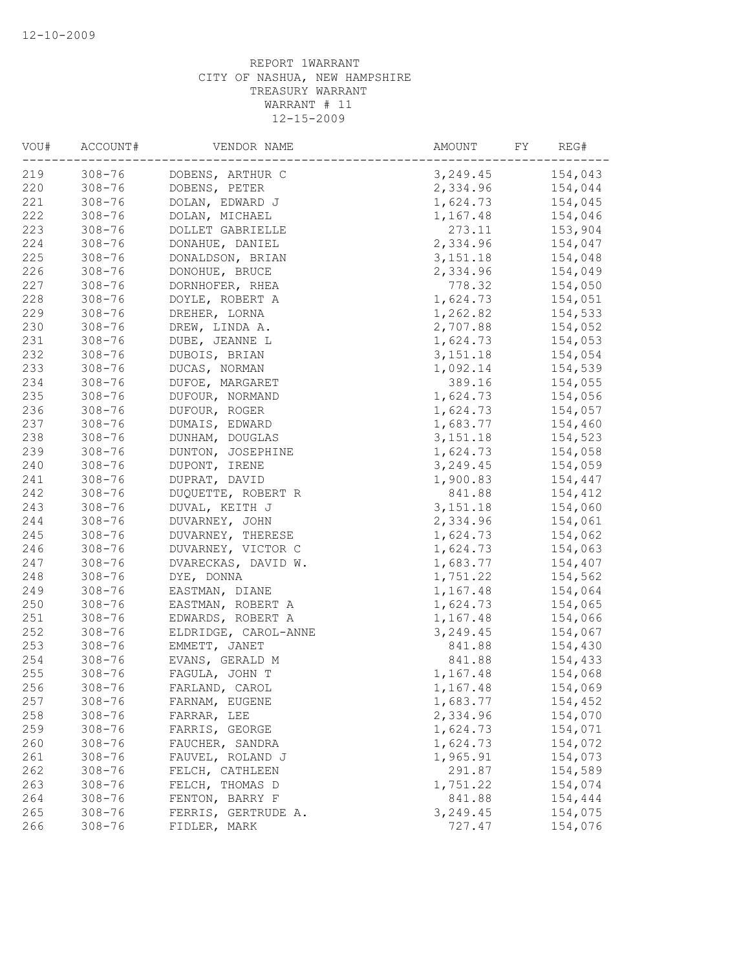| VOU# | ACCOUNT#   | VENDOR NAME          | AMOUNT<br>FY | REG#    |
|------|------------|----------------------|--------------|---------|
| 219  | $308 - 76$ | DOBENS, ARTHUR C     | 3,249.45     | 154,043 |
| 220  | $308 - 76$ | DOBENS, PETER        | 2,334.96     | 154,044 |
| 221  | $308 - 76$ | DOLAN, EDWARD J      | 1,624.73     | 154,045 |
| 222  | $308 - 76$ | DOLAN, MICHAEL       | 1,167.48     | 154,046 |
| 223  | $308 - 76$ | DOLLET GABRIELLE     | 273.11       | 153,904 |
| 224  | $308 - 76$ | DONAHUE, DANIEL      | 2,334.96     | 154,047 |
| 225  | $308 - 76$ | DONALDSON, BRIAN     | 3,151.18     | 154,048 |
| 226  | $308 - 76$ | DONOHUE, BRUCE       | 2,334.96     | 154,049 |
| 227  | $308 - 76$ | DORNHOFER, RHEA      | 778.32       | 154,050 |
| 228  | $308 - 76$ | DOYLE, ROBERT A      | 1,624.73     | 154,051 |
| 229  | $308 - 76$ | DREHER, LORNA        | 1,262.82     | 154,533 |
| 230  | $308 - 76$ | DREW, LINDA A.       | 2,707.88     | 154,052 |
| 231  | $308 - 76$ | DUBE, JEANNE L       | 1,624.73     | 154,053 |
| 232  | $308 - 76$ | DUBOIS, BRIAN        | 3,151.18     | 154,054 |
| 233  | $308 - 76$ | DUCAS, NORMAN        | 1,092.14     | 154,539 |
| 234  | $308 - 76$ | DUFOE, MARGARET      | 389.16       | 154,055 |
| 235  | $308 - 76$ | DUFOUR, NORMAND      | 1,624.73     | 154,056 |
| 236  | $308 - 76$ | DUFOUR, ROGER        | 1,624.73     | 154,057 |
| 237  | $308 - 76$ | DUMAIS, EDWARD       | 1,683.77     | 154,460 |
| 238  | $308 - 76$ | DUNHAM, DOUGLAS      | 3,151.18     | 154,523 |
| 239  | $308 - 76$ | DUNTON, JOSEPHINE    | 1,624.73     | 154,058 |
| 240  | $308 - 76$ | DUPONT, IRENE        | 3,249.45     | 154,059 |
| 241  | $308 - 76$ | DUPRAT, DAVID        | 1,900.83     | 154,447 |
| 242  | $308 - 76$ | DUQUETTE, ROBERT R   | 841.88       | 154,412 |
| 243  | $308 - 76$ | DUVAL, KEITH J       | 3,151.18     | 154,060 |
| 244  | $308 - 76$ | DUVARNEY, JOHN       | 2,334.96     | 154,061 |
| 245  | $308 - 76$ | DUVARNEY, THERESE    | 1,624.73     | 154,062 |
| 246  | $308 - 76$ | DUVARNEY, VICTOR C   | 1,624.73     | 154,063 |
| 247  | $308 - 76$ | DVARECKAS, DAVID W.  | 1,683.77     | 154,407 |
| 248  | $308 - 76$ | DYE, DONNA           | 1,751.22     | 154,562 |
| 249  | $308 - 76$ | EASTMAN, DIANE       | 1,167.48     | 154,064 |
| 250  | $308 - 76$ | EASTMAN, ROBERT A    | 1,624.73     | 154,065 |
| 251  | $308 - 76$ | EDWARDS, ROBERT A    | 1,167.48     | 154,066 |
| 252  | $308 - 76$ | ELDRIDGE, CAROL-ANNE | 3,249.45     | 154,067 |
| 253  | $308 - 76$ | EMMETT, JANET        | 841.88       | 154,430 |
| 254  | $308 - 76$ | EVANS, GERALD M      | 841.88       | 154,433 |
| 255  |            |                      |              |         |
| 256  | $308 - 76$ | FAGULA, JOHN T       | 1,167.48     | 154,068 |
|      | $308 - 76$ | FARLAND, CAROL       | 1,167.48     | 154,069 |
| 257  | $308 - 76$ | FARNAM, EUGENE       | 1,683.77     | 154,452 |
| 258  | $308 - 76$ | FARRAR, LEE          | 2,334.96     | 154,070 |
| 259  | $308 - 76$ | FARRIS, GEORGE       | 1,624.73     | 154,071 |
| 260  | $308 - 76$ | FAUCHER, SANDRA      | 1,624.73     | 154,072 |
| 261  | $308 - 76$ | FAUVEL, ROLAND J     | 1,965.91     | 154,073 |
| 262  | $308 - 76$ | FELCH, CATHLEEN      | 291.87       | 154,589 |
| 263  | $308 - 76$ | FELCH, THOMAS D      | 1,751.22     | 154,074 |
| 264  | $308 - 76$ | FENTON, BARRY F      | 841.88       | 154,444 |
| 265  | $308 - 76$ | FERRIS, GERTRUDE A.  | 3,249.45     | 154,075 |
| 266  | $308 - 76$ | FIDLER, MARK         | 727.47       | 154,076 |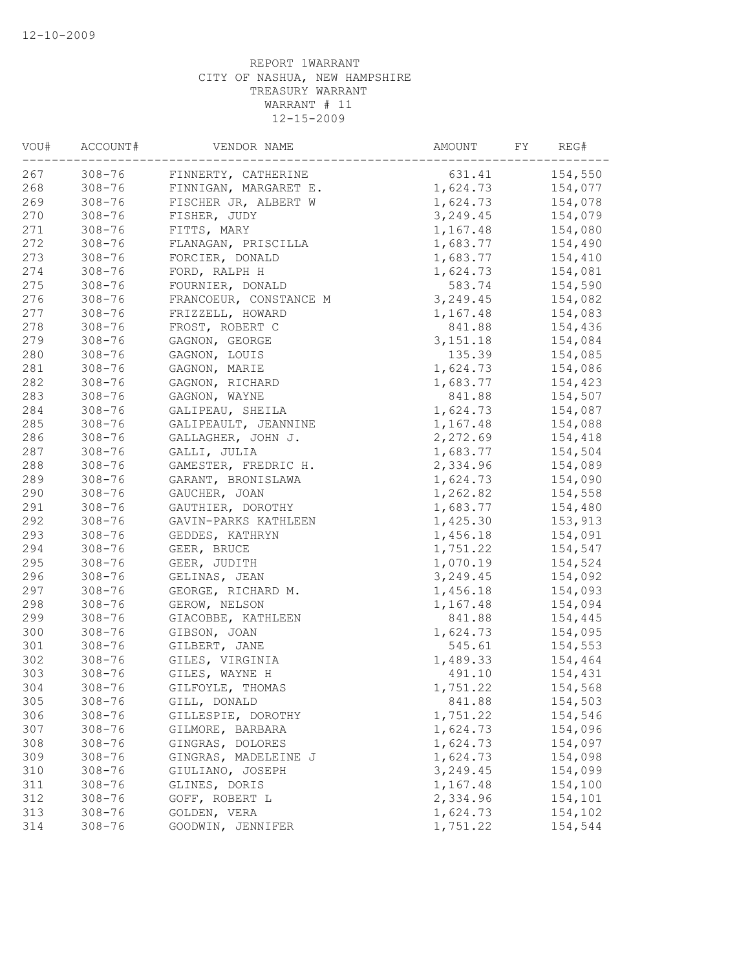| VOU# | ACCOUNT#   | VENDOR NAME            | AMOUNT<br>FY | REG#    |
|------|------------|------------------------|--------------|---------|
| 267  | $308 - 76$ | FINNERTY, CATHERINE    | 631.41       | 154,550 |
| 268  | $308 - 76$ | FINNIGAN, MARGARET E.  | 1,624.73     | 154,077 |
| 269  | $308 - 76$ | FISCHER JR, ALBERT W   | 1,624.73     | 154,078 |
| 270  | $308 - 76$ | FISHER, JUDY           | 3, 249.45    | 154,079 |
| 271  | $308 - 76$ | FITTS, MARY            | 1,167.48     | 154,080 |
| 272  | $308 - 76$ | FLANAGAN, PRISCILLA    | 1,683.77     | 154,490 |
| 273  | $308 - 76$ | FORCIER, DONALD        | 1,683.77     | 154,410 |
| 274  | $308 - 76$ | FORD, RALPH H          | 1,624.73     | 154,081 |
| 275  | $308 - 76$ | FOURNIER, DONALD       | 583.74       | 154,590 |
| 276  | $308 - 76$ | FRANCOEUR, CONSTANCE M | 3, 249.45    | 154,082 |
| 277  | $308 - 76$ | FRIZZELL, HOWARD       | 1,167.48     | 154,083 |
| 278  | $308 - 76$ | FROST, ROBERT C        | 841.88       | 154,436 |
| 279  | $308 - 76$ | GAGNON, GEORGE         | 3,151.18     | 154,084 |
| 280  | $308 - 76$ | GAGNON, LOUIS          | 135.39       | 154,085 |
| 281  | $308 - 76$ | GAGNON, MARIE          | 1,624.73     | 154,086 |
| 282  | $308 - 76$ | GAGNON, RICHARD        | 1,683.77     | 154,423 |
| 283  | $308 - 76$ | GAGNON, WAYNE          | 841.88       | 154,507 |
| 284  | $308 - 76$ | GALIPEAU, SHEILA       | 1,624.73     | 154,087 |
| 285  | $308 - 76$ | GALIPEAULT, JEANNINE   | 1,167.48     | 154,088 |
| 286  | $308 - 76$ | GALLAGHER, JOHN J.     | 2,272.69     | 154,418 |
| 287  | $308 - 76$ | GALLI, JULIA           | 1,683.77     | 154,504 |
| 288  | $308 - 76$ | GAMESTER, FREDRIC H.   | 2,334.96     | 154,089 |
| 289  | $308 - 76$ | GARANT, BRONISLAWA     | 1,624.73     | 154,090 |
| 290  | $308 - 76$ | GAUCHER, JOAN          | 1,262.82     | 154,558 |
| 291  | $308 - 76$ | GAUTHIER, DOROTHY      | 1,683.77     | 154,480 |
| 292  | $308 - 76$ | GAVIN-PARKS KATHLEEN   | 1,425.30     | 153,913 |
| 293  | $308 - 76$ | GEDDES, KATHRYN        | 1,456.18     | 154,091 |
| 294  | $308 - 76$ | GEER, BRUCE            | 1,751.22     | 154,547 |
| 295  | $308 - 76$ | GEER, JUDITH           | 1,070.19     | 154,524 |
| 296  | $308 - 76$ | GELINAS, JEAN          | 3, 249.45    | 154,092 |
| 297  | $308 - 76$ | GEORGE, RICHARD M.     | 1,456.18     | 154,093 |
| 298  | $308 - 76$ | GEROW, NELSON          | 1,167.48     | 154,094 |
| 299  | $308 - 76$ | GIACOBBE, KATHLEEN     | 841.88       | 154,445 |
| 300  | $308 - 76$ | GIBSON, JOAN           | 1,624.73     | 154,095 |
| 301  | $308 - 76$ | GILBERT, JANE          | 545.61       | 154,553 |
| 302  | $308 - 76$ | GILES, VIRGINIA        | 1,489.33     | 154,464 |
| 303  | $308 - 76$ | GILES, WAYNE H         | 491.10       | 154,431 |
| 304  | $308 - 76$ | GILFOYLE, THOMAS       | 1,751.22     | 154,568 |
| 305  | $308 - 76$ | GILL, DONALD           | 841.88       | 154,503 |
| 306  | $308 - 76$ | GILLESPIE, DOROTHY     | 1,751.22     | 154,546 |
| 307  | $308 - 76$ | GILMORE, BARBARA       | 1,624.73     | 154,096 |
| 308  | $308 - 76$ | GINGRAS, DOLORES       | 1,624.73     | 154,097 |
| 309  | $308 - 76$ | GINGRAS, MADELEINE J   | 1,624.73     | 154,098 |
| 310  | $308 - 76$ | GIULIANO, JOSEPH       | 3,249.45     | 154,099 |
| 311  | $308 - 76$ | GLINES, DORIS          | 1,167.48     | 154,100 |
| 312  | $308 - 76$ | GOFF, ROBERT L         | 2,334.96     |         |
| 313  | $308 - 76$ | GOLDEN, VERA           | 1,624.73     | 154,101 |
|      |            |                        |              | 154,102 |
| 314  | $308 - 76$ | GOODWIN, JENNIFER      | 1,751.22     | 154,544 |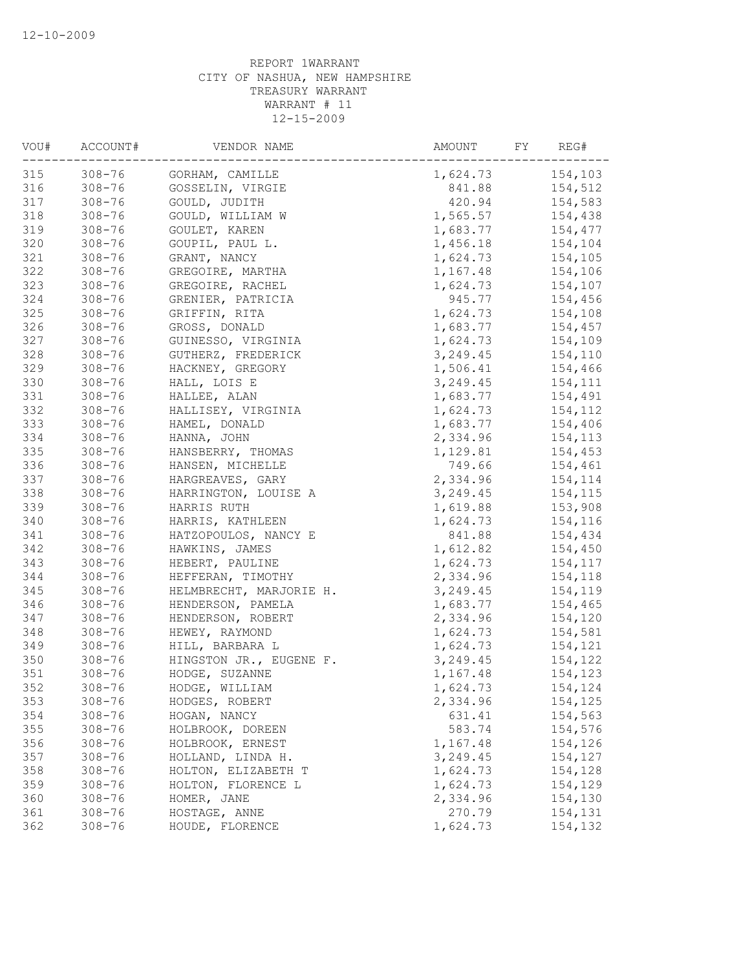| VOU# | ACCOUNT#   | VENDOR NAME             | AMOUNT<br>FY | REG#    |
|------|------------|-------------------------|--------------|---------|
| 315  | $308 - 76$ | GORHAM, CAMILLE         | 1,624.73     | 154,103 |
| 316  | $308 - 76$ | GOSSELIN, VIRGIE        | 841.88       | 154,512 |
| 317  | $308 - 76$ | GOULD, JUDITH           | 420.94       | 154,583 |
| 318  | $308 - 76$ | GOULD, WILLIAM W        | 1,565.57     | 154,438 |
| 319  | $308 - 76$ | GOULET, KAREN           | 1,683.77     | 154,477 |
| 320  | $308 - 76$ | GOUPIL, PAUL L.         | 1,456.18     | 154,104 |
| 321  | $308 - 76$ | GRANT, NANCY            | 1,624.73     | 154,105 |
| 322  | $308 - 76$ | GREGOIRE, MARTHA        | 1,167.48     | 154,106 |
| 323  | $308 - 76$ | GREGOIRE, RACHEL        | 1,624.73     | 154,107 |
| 324  | $308 - 76$ | GRENIER, PATRICIA       | 945.77       | 154,456 |
| 325  | $308 - 76$ | GRIFFIN, RITA           | 1,624.73     | 154,108 |
| 326  | $308 - 76$ | GROSS, DONALD           | 1,683.77     | 154,457 |
| 327  | $308 - 76$ | GUINESSO, VIRGINIA      | 1,624.73     | 154,109 |
| 328  | $308 - 76$ | GUTHERZ, FREDERICK      | 3,249.45     | 154,110 |
| 329  | $308 - 76$ | HACKNEY, GREGORY        | 1,506.41     | 154,466 |
| 330  | $308 - 76$ | HALL, LOIS E            | 3,249.45     | 154,111 |
| 331  | $308 - 76$ | HALLEE, ALAN            | 1,683.77     | 154,491 |
| 332  | $308 - 76$ | HALLISEY, VIRGINIA      | 1,624.73     | 154,112 |
| 333  | $308 - 76$ | HAMEL, DONALD           | 1,683.77     | 154,406 |
| 334  | $308 - 76$ | HANNA, JOHN             | 2,334.96     | 154,113 |
| 335  | $308 - 76$ | HANSBERRY, THOMAS       | 1,129.81     | 154,453 |
| 336  | $308 - 76$ | HANSEN, MICHELLE        | 749.66       | 154,461 |
| 337  | $308 - 76$ | HARGREAVES, GARY        | 2,334.96     | 154,114 |
| 338  | $308 - 76$ | HARRINGTON, LOUISE A    | 3,249.45     | 154,115 |
| 339  | $308 - 76$ | HARRIS RUTH             | 1,619.88     | 153,908 |
| 340  | $308 - 76$ | HARRIS, KATHLEEN        | 1,624.73     | 154,116 |
| 341  | $308 - 76$ | HATZOPOULOS, NANCY E    | 841.88       | 154,434 |
| 342  | $308 - 76$ | HAWKINS, JAMES          | 1,612.82     | 154,450 |
| 343  | $308 - 76$ | HEBERT, PAULINE         | 1,624.73     | 154,117 |
| 344  | $308 - 76$ | HEFFERAN, TIMOTHY       | 2,334.96     | 154,118 |
| 345  | $308 - 76$ | HELMBRECHT, MARJORIE H. | 3,249.45     | 154,119 |
| 346  | $308 - 76$ | HENDERSON, PAMELA       | 1,683.77     | 154,465 |
| 347  | $308 - 76$ | HENDERSON, ROBERT       | 2,334.96     | 154,120 |
| 348  | $308 - 76$ | HEWEY, RAYMOND          | 1,624.73     | 154,581 |
| 349  | $308 - 76$ | HILL, BARBARA L         | 1,624.73     | 154,121 |
| 350  | $308 - 76$ | HINGSTON JR., EUGENE F. | 3,249.45     | 154,122 |
| 351  | $308 - 76$ | HODGE, SUZANNE          | 1,167.48     | 154,123 |
| 352  | $308 - 76$ | HODGE, WILLIAM          | 1,624.73     | 154,124 |
| 353  | $308 - 76$ |                         |              |         |
|      |            | HODGES, ROBERT          | 2,334.96     | 154,125 |
| 354  | $308 - 76$ | HOGAN, NANCY            | 631.41       | 154,563 |
| 355  | $308 - 76$ | HOLBROOK, DOREEN        | 583.74       | 154,576 |
| 356  | $308 - 76$ | HOLBROOK, ERNEST        | 1,167.48     | 154,126 |
| 357  | $308 - 76$ | HOLLAND, LINDA H.       | 3,249.45     | 154,127 |
| 358  | $308 - 76$ | HOLTON, ELIZABETH T     | 1,624.73     | 154,128 |
| 359  | $308 - 76$ | HOLTON, FLORENCE L      | 1,624.73     | 154,129 |
| 360  | $308 - 76$ | HOMER, JANE             | 2,334.96     | 154,130 |
| 361  | $308 - 76$ | HOSTAGE, ANNE           | 270.79       | 154,131 |
| 362  | $308 - 76$ | HOUDE, FLORENCE         | 1,624.73     | 154,132 |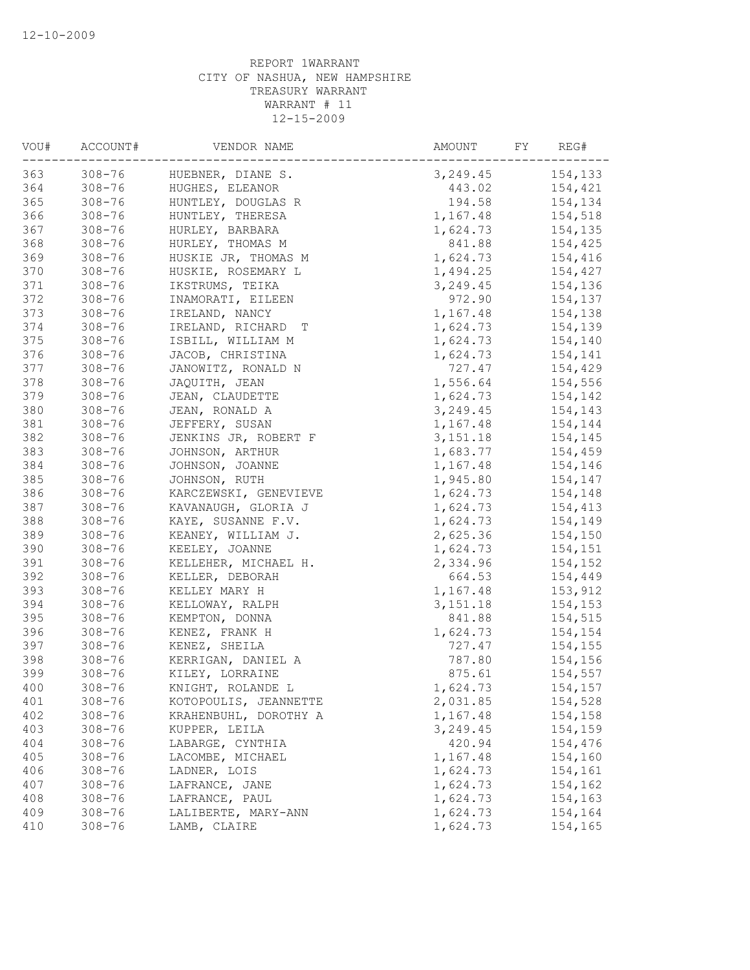| VOU# | ACCOUNT#   | VENDOR NAME           | AMOUNT<br>FY | REG#    |
|------|------------|-----------------------|--------------|---------|
| 363  | $308 - 76$ | HUEBNER, DIANE S.     | 3,249.45     | 154,133 |
| 364  | $308 - 76$ | HUGHES, ELEANOR       | 443.02       | 154,421 |
| 365  | $308 - 76$ | HUNTLEY, DOUGLAS R    | 194.58       | 154,134 |
| 366  | $308 - 76$ | HUNTLEY, THERESA      | 1,167.48     | 154,518 |
| 367  | $308 - 76$ | HURLEY, BARBARA       | 1,624.73     | 154,135 |
| 368  | $308 - 76$ | HURLEY, THOMAS M      | 841.88       | 154,425 |
| 369  | $308 - 76$ | HUSKIE JR, THOMAS M   | 1,624.73     | 154,416 |
| 370  | $308 - 76$ | HUSKIE, ROSEMARY L    | 1,494.25     | 154,427 |
| 371  | $308 - 76$ | IKSTRUMS, TEIKA       | 3, 249.45    | 154,136 |
| 372  | $308 - 76$ | INAMORATI, EILEEN     | 972.90       | 154,137 |
| 373  | $308 - 76$ | IRELAND, NANCY        | 1,167.48     | 154,138 |
| 374  | $308 - 76$ | IRELAND, RICHARD T    | 1,624.73     | 154,139 |
| 375  | $308 - 76$ | ISBILL, WILLIAM M     | 1,624.73     | 154,140 |
| 376  | $308 - 76$ | JACOB, CHRISTINA      | 1,624.73     | 154,141 |
| 377  | $308 - 76$ | JANOWITZ, RONALD N    | 727.47       | 154,429 |
| 378  | $308 - 76$ | JAQUITH, JEAN         | 1,556.64     | 154,556 |
| 379  | $308 - 76$ | JEAN, CLAUDETTE       | 1,624.73     | 154,142 |
| 380  | $308 - 76$ | JEAN, RONALD A        | 3, 249.45    | 154,143 |
| 381  | $308 - 76$ | JEFFERY, SUSAN        | 1,167.48     | 154,144 |
| 382  | $308 - 76$ | JENKINS JR, ROBERT F  | 3, 151. 18   | 154,145 |
| 383  | $308 - 76$ | JOHNSON, ARTHUR       | 1,683.77     | 154,459 |
| 384  | $308 - 76$ | JOHNSON, JOANNE       | 1,167.48     | 154,146 |
| 385  | $308 - 76$ | JOHNSON, RUTH         | 1,945.80     | 154,147 |
| 386  | $308 - 76$ | KARCZEWSKI, GENEVIEVE | 1,624.73     | 154,148 |
| 387  | $308 - 76$ | KAVANAUGH, GLORIA J   | 1,624.73     | 154,413 |
| 388  | $308 - 76$ | KAYE, SUSANNE F.V.    | 1,624.73     | 154,149 |
| 389  | $308 - 76$ | KEANEY, WILLIAM J.    | 2,625.36     | 154,150 |
| 390  | $308 - 76$ | KEELEY, JOANNE        | 1,624.73     | 154,151 |
| 391  | $308 - 76$ | KELLEHER, MICHAEL H.  | 2,334.96     | 154,152 |
| 392  | $308 - 76$ | KELLER, DEBORAH       | 664.53       | 154,449 |
| 393  | $308 - 76$ | KELLEY MARY H         | 1,167.48     | 153,912 |
| 394  | $308 - 76$ | KELLOWAY, RALPH       | 3,151.18     | 154,153 |
| 395  | $308 - 76$ | KEMPTON, DONNA        | 841.88       | 154,515 |
| 396  | $308 - 76$ | KENEZ, FRANK H        | 1,624.73     | 154,154 |
| 397  | $308 - 76$ | KENEZ, SHEILA         | 727.47       | 154,155 |
| 398  | $308 - 76$ | KERRIGAN, DANIEL A    | 787.80       | 154,156 |
| 399  | $308 - 76$ | KILEY, LORRAINE       | 875.61       | 154,557 |
| 400  | $308 - 76$ | KNIGHT, ROLANDE L     | 1,624.73     | 154,157 |
| 401  | $308 - 76$ | KOTOPOULIS, JEANNETTE | 2,031.85     | 154,528 |
| 402  | $308 - 76$ | KRAHENBUHL, DOROTHY A | 1,167.48     | 154,158 |
| 403  | $308 - 76$ | KUPPER, LEILA         | 3,249.45     | 154,159 |
| 404  | $308 - 76$ | LABARGE, CYNTHIA      | 420.94       | 154,476 |
| 405  | $308 - 76$ | LACOMBE, MICHAEL      | 1,167.48     | 154,160 |
| 406  | $308 - 76$ | LADNER, LOIS          | 1,624.73     | 154,161 |
| 407  | $308 - 76$ | LAFRANCE, JANE        | 1,624.73     | 154,162 |
| 408  | $308 - 76$ | LAFRANCE, PAUL        | 1,624.73     | 154,163 |
| 409  | $308 - 76$ | LALIBERTE, MARY-ANN   | 1,624.73     | 154,164 |
| 410  | $308 - 76$ | LAMB, CLAIRE          | 1,624.73     | 154,165 |
|      |            |                       |              |         |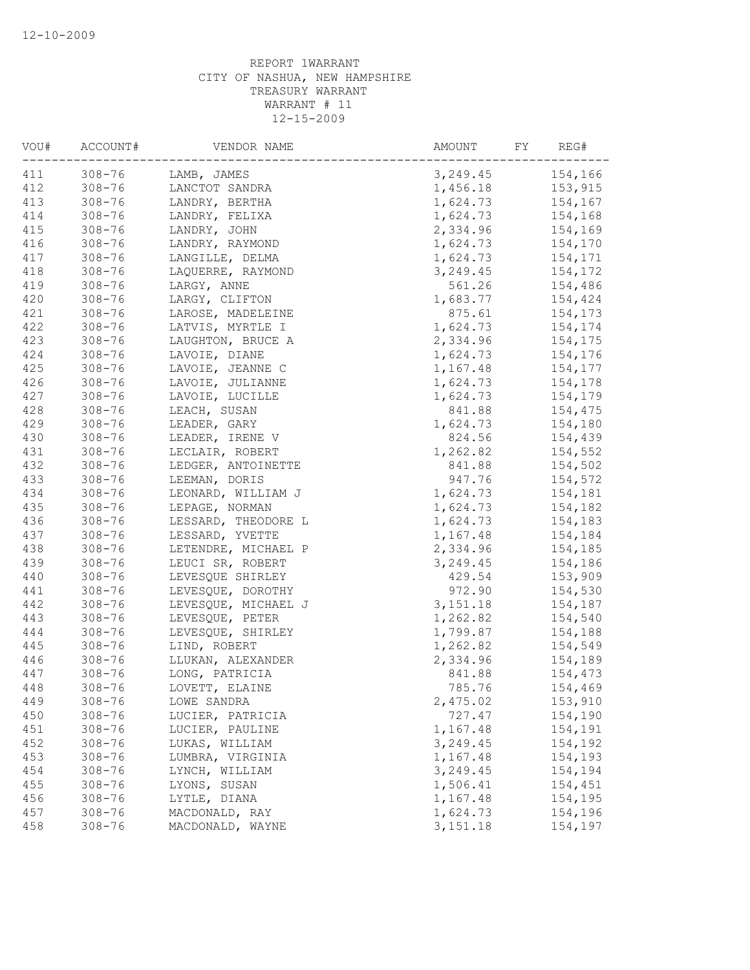| VOU# | ACCOUNT#   | VENDOR NAME         | AMOUNT<br>FY | REG#    |
|------|------------|---------------------|--------------|---------|
| 411  | $308 - 76$ | LAMB, JAMES         | 3,249.45     | 154,166 |
| 412  | $308 - 76$ | LANCTOT SANDRA      | 1,456.18     | 153,915 |
| 413  | $308 - 76$ | LANDRY, BERTHA      | 1,624.73     | 154,167 |
| 414  | $308 - 76$ | LANDRY, FELIXA      | 1,624.73     | 154,168 |
| 415  | $308 - 76$ | LANDRY, JOHN        | 2,334.96     | 154,169 |
| 416  | $308 - 76$ | LANDRY, RAYMOND     | 1,624.73     | 154,170 |
| 417  | $308 - 76$ | LANGILLE, DELMA     | 1,624.73     | 154,171 |
| 418  | $308 - 76$ | LAQUERRE, RAYMOND   | 3,249.45     | 154,172 |
| 419  | $308 - 76$ | LARGY, ANNE         | 561.26       | 154,486 |
| 420  | $308 - 76$ | LARGY, CLIFTON      | 1,683.77     | 154,424 |
| 421  | $308 - 76$ | LAROSE, MADELEINE   | 875.61       | 154,173 |
| 422  | $308 - 76$ | LATVIS, MYRTLE I    | 1,624.73     | 154,174 |
| 423  | $308 - 76$ | LAUGHTON, BRUCE A   | 2,334.96     | 154,175 |
| 424  | $308 - 76$ | LAVOIE, DIANE       | 1,624.73     | 154,176 |
| 425  | $308 - 76$ | LAVOIE, JEANNE C    | 1,167.48     | 154,177 |
| 426  | $308 - 76$ | LAVOIE, JULIANNE    | 1,624.73     | 154,178 |
| 427  | $308 - 76$ | LAVOIE, LUCILLE     | 1,624.73     | 154,179 |
| 428  | $308 - 76$ | LEACH, SUSAN        | 841.88       | 154,475 |
| 429  | $308 - 76$ | LEADER, GARY        | 1,624.73     | 154,180 |
| 430  | $308 - 76$ | LEADER, IRENE V     | 824.56       | 154,439 |
| 431  | $308 - 76$ | LECLAIR, ROBERT     | 1,262.82     | 154,552 |
| 432  | $308 - 76$ | LEDGER, ANTOINETTE  | 841.88       | 154,502 |
| 433  | $308 - 76$ | LEEMAN, DORIS       | 947.76       | 154,572 |
| 434  | $308 - 76$ | LEONARD, WILLIAM J  | 1,624.73     | 154,181 |
| 435  | $308 - 76$ | LEPAGE, NORMAN      | 1,624.73     | 154,182 |
| 436  | $308 - 76$ | LESSARD, THEODORE L | 1,624.73     | 154,183 |
| 437  | $308 - 76$ | LESSARD, YVETTE     | 1,167.48     | 154,184 |
| 438  | $308 - 76$ | LETENDRE, MICHAEL P | 2,334.96     | 154,185 |
| 439  | $308 - 76$ | LEUCI SR, ROBERT    | 3, 249.45    | 154,186 |
| 440  | $308 - 76$ | LEVESQUE SHIRLEY    | 429.54       | 153,909 |
| 441  | $308 - 76$ | LEVESQUE, DOROTHY   | 972.90       | 154,530 |
| 442  | $308 - 76$ | LEVESQUE, MICHAEL J | 3,151.18     | 154,187 |
| 443  | $308 - 76$ | LEVESQUE, PETER     | 1,262.82     | 154,540 |
| 444  | $308 - 76$ | LEVESQUE, SHIRLEY   | 1,799.87     | 154,188 |
| 445  | $308 - 76$ | LIND, ROBERT        | 1,262.82     | 154,549 |
| 446  |            |                     |              | 154,189 |
|      | $308 - 76$ | LLUKAN, ALEXANDER   | 2,334.96     |         |
| 447  | $308 - 76$ | LONG, PATRICIA      | 841.88       | 154,473 |
| 448  | $308 - 76$ | LOVETT, ELAINE      | 785.76       | 154,469 |
| 449  | $308 - 76$ | LOWE SANDRA         | 2,475.02     | 153,910 |
| 450  | $308 - 76$ | LUCIER, PATRICIA    | 727.47       | 154,190 |
| 451  | $308 - 76$ | LUCIER, PAULINE     | 1,167.48     | 154,191 |
| 452  | $308 - 76$ | LUKAS, WILLIAM      | 3,249.45     | 154,192 |
| 453  | $308 - 76$ | LUMBRA, VIRGINIA    | 1,167.48     | 154,193 |
| 454  | $308 - 76$ | LYNCH, WILLIAM      | 3,249.45     | 154,194 |
| 455  | $308 - 76$ | LYONS, SUSAN        | 1,506.41     | 154,451 |
| 456  | $308 - 76$ | LYTLE, DIANA        | 1,167.48     | 154,195 |
| 457  | $308 - 76$ | MACDONALD, RAY      | 1,624.73     | 154,196 |
| 458  | $308 - 76$ | MACDONALD, WAYNE    | 3, 151. 18   | 154,197 |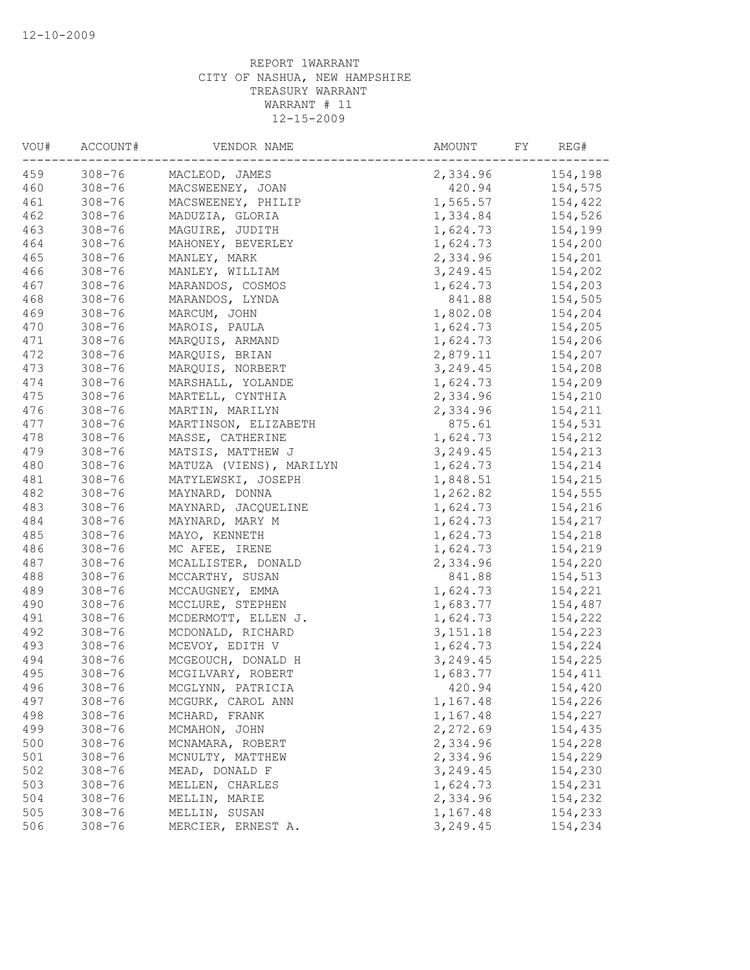| VOU# | ACCOUNT#   | VENDOR NAME             | AMOUNT    | FY<br>REG# |
|------|------------|-------------------------|-----------|------------|
| 459  | $308 - 76$ | MACLEOD, JAMES          | 2,334.96  | 154,198    |
| 460  | $308 - 76$ | MACSWEENEY, JOAN        | 420.94    | 154,575    |
| 461  | $308 - 76$ | MACSWEENEY, PHILIP      | 1,565.57  | 154,422    |
| 462  | $308 - 76$ | MADUZIA, GLORIA         | 1,334.84  | 154,526    |
| 463  | $308 - 76$ | MAGUIRE, JUDITH         | 1,624.73  | 154,199    |
| 464  | $308 - 76$ | MAHONEY, BEVERLEY       | 1,624.73  | 154,200    |
| 465  | $308 - 76$ | MANLEY, MARK            | 2,334.96  | 154,201    |
| 466  | $308 - 76$ | MANLEY, WILLIAM         | 3,249.45  | 154,202    |
| 467  | $308 - 76$ | MARANDOS, COSMOS        | 1,624.73  | 154,203    |
| 468  | $308 - 76$ | MARANDOS, LYNDA         | 841.88    | 154,505    |
| 469  | $308 - 76$ | MARCUM, JOHN            | 1,802.08  | 154,204    |
| 470  | $308 - 76$ | MAROIS, PAULA           | 1,624.73  | 154,205    |
| 471  | $308 - 76$ | MARQUIS, ARMAND         | 1,624.73  | 154,206    |
| 472  | $308 - 76$ | MARQUIS, BRIAN          | 2,879.11  | 154,207    |
| 473  | $308 - 76$ | MARQUIS, NORBERT        | 3,249.45  | 154,208    |
| 474  | $308 - 76$ | MARSHALL, YOLANDE       | 1,624.73  | 154,209    |
| 475  | $308 - 76$ | MARTELL, CYNTHIA        | 2,334.96  | 154,210    |
| 476  | $308 - 76$ | MARTIN, MARILYN         | 2,334.96  | 154,211    |
| 477  | $308 - 76$ | MARTINSON, ELIZABETH    | 875.61    | 154,531    |
| 478  | $308 - 76$ | MASSE, CATHERINE        | 1,624.73  | 154,212    |
| 479  | $308 - 76$ | MATSIS, MATTHEW J       | 3,249.45  | 154,213    |
| 480  | $308 - 76$ | MATUZA (VIENS), MARILYN | 1,624.73  | 154,214    |
| 481  | $308 - 76$ | MATYLEWSKI, JOSEPH      | 1,848.51  | 154,215    |
| 482  | $308 - 76$ | MAYNARD, DONNA          | 1,262.82  | 154,555    |
| 483  | $308 - 76$ | MAYNARD, JACQUELINE     | 1,624.73  | 154,216    |
| 484  | $308 - 76$ | MAYNARD, MARY M         | 1,624.73  | 154,217    |
| 485  | $308 - 76$ | MAYO, KENNETH           | 1,624.73  | 154,218    |
| 486  | $308 - 76$ | MC AFEE, IRENE          | 1,624.73  | 154,219    |
| 487  | $308 - 76$ | MCALLISTER, DONALD      | 2,334.96  | 154,220    |
| 488  | $308 - 76$ | MCCARTHY, SUSAN         | 841.88    | 154,513    |
| 489  | $308 - 76$ | MCCAUGNEY, EMMA         | 1,624.73  | 154,221    |
| 490  | $308 - 76$ | MCCLURE, STEPHEN        | 1,683.77  | 154,487    |
| 491  | $308 - 76$ | MCDERMOTT, ELLEN J.     | 1,624.73  | 154,222    |
| 492  | $308 - 76$ |                         | 3, 151.18 |            |
|      |            | MCDONALD, RICHARD       |           | 154,223    |
| 493  | $308 - 76$ | MCEVOY, EDITH V         | 1,624.73  | 154,224    |
| 494  | $308 - 76$ | MCGEOUCH, DONALD H      | 3,249.45  | 154,225    |
| 495  | $308 - 76$ | MCGILVARY, ROBERT       | 1,683.77  | 154,411    |
| 496  | $308 - 76$ | MCGLYNN, PATRICIA       | 420.94    | 154,420    |
| 497  | $308 - 76$ | MCGURK, CAROL ANN       | 1,167.48  | 154,226    |
| 498  | $308 - 76$ | MCHARD, FRANK           | 1,167.48  | 154,227    |
| 499  | $308 - 76$ | MCMAHON, JOHN           | 2,272.69  | 154,435    |
| 500  | $308 - 76$ | MCNAMARA, ROBERT        | 2,334.96  | 154,228    |
| 501  | $308 - 76$ | MCNULTY, MATTHEW        | 2,334.96  | 154,229    |
| 502  | $308 - 76$ | MEAD, DONALD F          | 3,249.45  | 154,230    |
| 503  | $308 - 76$ | MELLEN, CHARLES         | 1,624.73  | 154,231    |
| 504  | $308 - 76$ | MELLIN, MARIE           | 2,334.96  | 154,232    |
| 505  | $308 - 76$ | MELLIN, SUSAN           | 1,167.48  | 154,233    |
| 506  | $308 - 76$ | MERCIER, ERNEST A.      | 3,249.45  | 154,234    |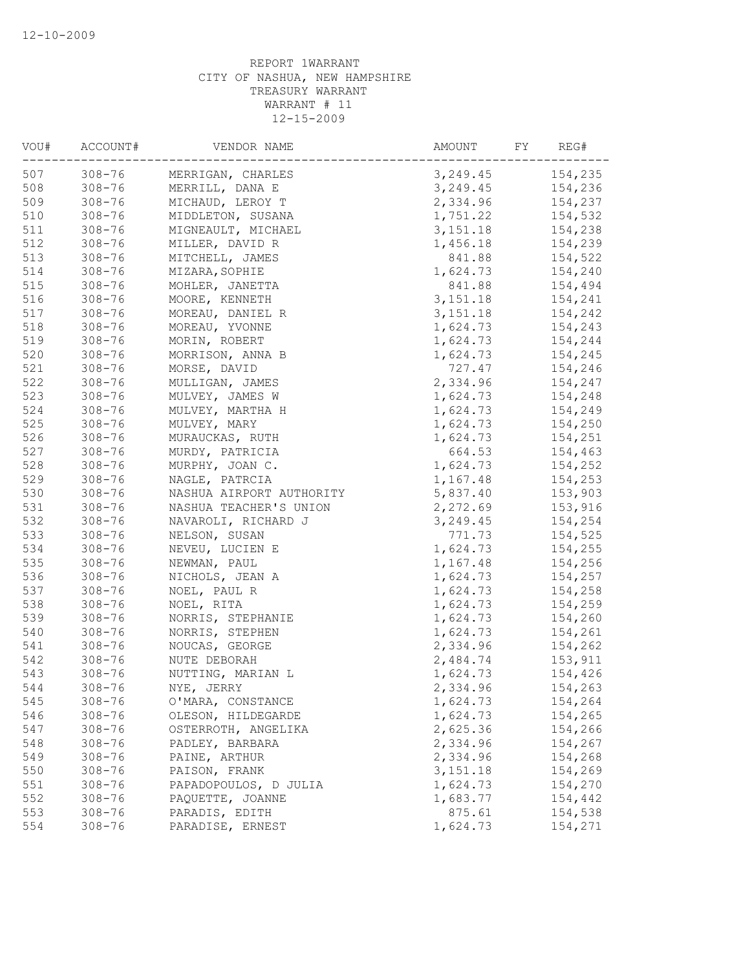| VOU# | ACCOUNT#                 | VENDOR NAME              | AMOUNT     | FY<br>REG# |
|------|--------------------------|--------------------------|------------|------------|
| 507  | $308 - 76$               | MERRIGAN, CHARLES        | 3,249.45   | 154,235    |
| 508  | $308 - 76$               | MERRILL, DANA E          | 3,249.45   | 154,236    |
| 509  | $308 - 76$               | MICHAUD, LEROY T         | 2,334.96   | 154,237    |
| 510  | $308 - 76$               | MIDDLETON, SUSANA        | 1,751.22   | 154,532    |
| 511  | $308 - 76$               | MIGNEAULT, MICHAEL       | 3,151.18   | 154,238    |
| 512  | $308 - 76$               | MILLER, DAVID R          | 1,456.18   | 154,239    |
| 513  | $308 - 76$               | MITCHELL, JAMES          | 841.88     | 154,522    |
| 514  | $308 - 76$               | MIZARA, SOPHIE           | 1,624.73   | 154,240    |
| 515  | $308 - 76$               | MOHLER, JANETTA          | 841.88     | 154,494    |
| 516  | $308 - 76$               | MOORE, KENNETH           | 3, 151. 18 | 154,241    |
| 517  | $308 - 76$               | MOREAU, DANIEL R         | 3, 151. 18 | 154,242    |
| 518  | $308 - 76$               | MOREAU, YVONNE           | 1,624.73   | 154,243    |
| 519  | $308 - 76$               | MORIN, ROBERT            | 1,624.73   | 154,244    |
| 520  | $308 - 76$               | MORRISON, ANNA B         | 1,624.73   | 154,245    |
| 521  | $308 - 76$               | MORSE, DAVID             | 727.47     | 154,246    |
| 522  | $308 - 76$               | MULLIGAN, JAMES          | 2,334.96   | 154,247    |
| 523  | $308 - 76$               | MULVEY, JAMES W          | 1,624.73   | 154,248    |
| 524  | $308 - 76$               | MULVEY, MARTHA H         | 1,624.73   | 154,249    |
| 525  | $308 - 76$               | MULVEY, MARY             | 1,624.73   | 154,250    |
| 526  | $308 - 76$               | MURAUCKAS, RUTH          | 1,624.73   | 154,251    |
| 527  | $308 - 76$               | MURDY, PATRICIA          | 664.53     | 154,463    |
| 528  | $308 - 76$               | MURPHY, JOAN C.          | 1,624.73   | 154,252    |
| 529  | $308 - 76$               | NAGLE, PATRCIA           | 1,167.48   | 154,253    |
| 530  | $308 - 76$               | NASHUA AIRPORT AUTHORITY | 5,837.40   | 153,903    |
| 531  | $308 - 76$               | NASHUA TEACHER'S UNION   | 2,272.69   | 153,916    |
| 532  | $308 - 76$               | NAVAROLI, RICHARD J      | 3,249.45   | 154,254    |
| 533  | $308 - 76$               | NELSON, SUSAN            | 771.73     | 154,525    |
| 534  | $308 - 76$               | NEVEU, LUCIEN E          | 1,624.73   | 154,255    |
| 535  | $308 - 76$               | NEWMAN, PAUL             | 1,167.48   | 154,256    |
| 536  |                          |                          | 1,624.73   |            |
| 537  | $308 - 76$               | NICHOLS, JEAN A          |            | 154,257    |
| 538  | $308 - 76$               | NOEL, PAUL R             | 1,624.73   | 154,258    |
|      | $308 - 76$<br>$308 - 76$ | NOEL, RITA               | 1,624.73   | 154,259    |
| 539  |                          | NORRIS, STEPHANIE        | 1,624.73   | 154,260    |
| 540  | $308 - 76$               | NORRIS, STEPHEN          | 1,624.73   | 154,261    |
| 541  | $308 - 76$               | NOUCAS, GEORGE           | 2,334.96   | 154,262    |
| 542  | $308 - 76$               | NUTE DEBORAH             | 2,484.74   | 153,911    |
| 543  | $308 - 76$               | NUTTING, MARIAN L        | 1,624.73   | 154,426    |
| 544  | $308 - 76$               | NYE, JERRY               | 2,334.96   | 154,263    |
| 545  | $308 - 76$               | O'MARA, CONSTANCE        | 1,624.73   | 154,264    |
| 546  | $308 - 76$               | OLESON, HILDEGARDE       | 1,624.73   | 154,265    |
| 547  | $308 - 76$               | OSTERROTH, ANGELIKA      | 2,625.36   | 154,266    |
| 548  | $308 - 76$               | PADLEY, BARBARA          | 2,334.96   | 154,267    |
| 549  | $308 - 76$               | PAINE, ARTHUR            | 2,334.96   | 154,268    |
| 550  | $308 - 76$               | PAISON, FRANK            | 3, 151. 18 | 154,269    |
| 551  | $308 - 76$               | PAPADOPOULOS, D JULIA    | 1,624.73   | 154,270    |
| 552  | $308 - 76$               | PAQUETTE, JOANNE         | 1,683.77   | 154,442    |
| 553  | $308 - 76$               | PARADIS, EDITH           | 875.61     | 154,538    |
| 554  | $308 - 76$               | PARADISE, ERNEST         | 1,624.73   | 154,271    |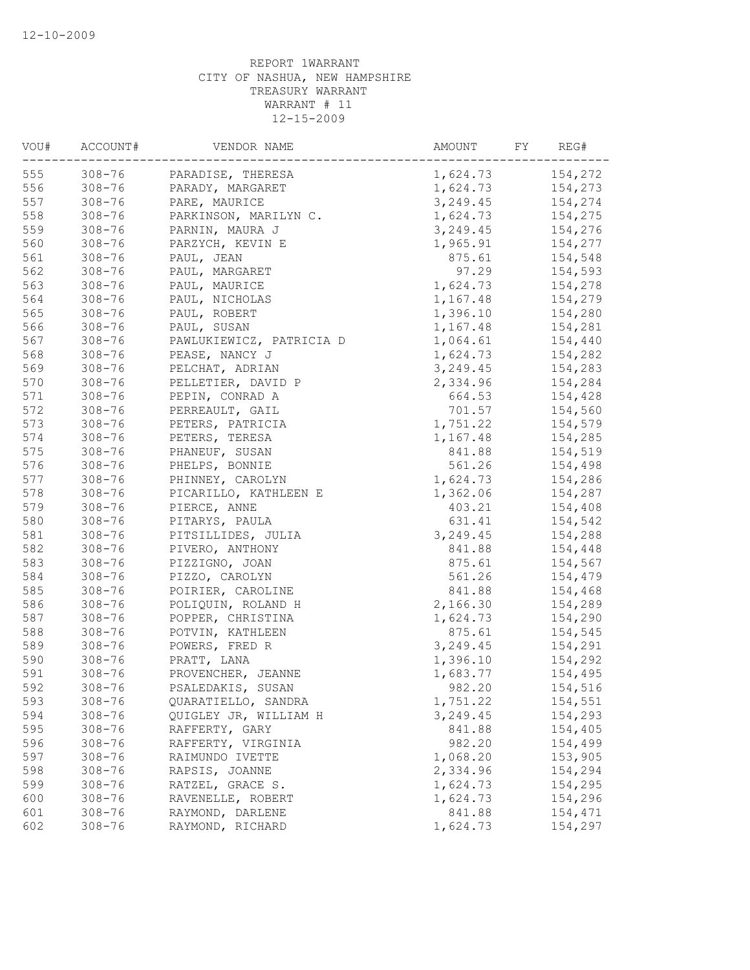| VOU# | ACCOUNT#   | VENDOR NAME              | AMOUNT<br>FY | REG#    |
|------|------------|--------------------------|--------------|---------|
| 555  | $308 - 76$ | PARADISE, THERESA        | 1,624.73     | 154,272 |
| 556  | $308 - 76$ | PARADY, MARGARET         | 1,624.73     | 154,273 |
| 557  | $308 - 76$ | PARE, MAURICE            | 3, 249.45    | 154,274 |
| 558  | $308 - 76$ | PARKINSON, MARILYN C.    | 1,624.73     | 154,275 |
| 559  | $308 - 76$ | PARNIN, MAURA J          | 3,249.45     | 154,276 |
| 560  | $308 - 76$ | PARZYCH, KEVIN E         | 1,965.91     | 154,277 |
| 561  | $308 - 76$ | PAUL, JEAN               | 875.61       | 154,548 |
| 562  | $308 - 76$ | PAUL, MARGARET           | 97.29        | 154,593 |
| 563  | $308 - 76$ | PAUL, MAURICE            | 1,624.73     | 154,278 |
| 564  | $308 - 76$ | PAUL, NICHOLAS           | 1,167.48     | 154,279 |
| 565  | $308 - 76$ | PAUL, ROBERT             | 1,396.10     | 154,280 |
| 566  | $308 - 76$ | PAUL, SUSAN              | 1,167.48     | 154,281 |
| 567  | $308 - 76$ | PAWLUKIEWICZ, PATRICIA D | 1,064.61     | 154,440 |
| 568  | $308 - 76$ | PEASE, NANCY J           | 1,624.73     | 154,282 |
| 569  | $308 - 76$ | PELCHAT, ADRIAN          | 3,249.45     | 154,283 |
| 570  | $308 - 76$ | PELLETIER, DAVID P       | 2,334.96     | 154,284 |
| 571  | $308 - 76$ | PEPIN, CONRAD A          | 664.53       | 154,428 |
| 572  | $308 - 76$ | PERREAULT, GAIL          | 701.57       | 154,560 |
| 573  | $308 - 76$ | PETERS, PATRICIA         | 1,751.22     | 154,579 |
| 574  | $308 - 76$ | PETERS, TERESA           | 1,167.48     | 154,285 |
| 575  | $308 - 76$ | PHANEUF, SUSAN           | 841.88       | 154,519 |
| 576  | $308 - 76$ | PHELPS, BONNIE           | 561.26       | 154,498 |
| 577  | $308 - 76$ | PHINNEY, CAROLYN         | 1,624.73     | 154,286 |
| 578  | $308 - 76$ | PICARILLO, KATHLEEN E    | 1,362.06     | 154,287 |
| 579  | $308 - 76$ | PIERCE, ANNE             | 403.21       | 154,408 |
| 580  | $308 - 76$ | PITARYS, PAULA           | 631.41       | 154,542 |
| 581  | $308 - 76$ | PITSILLIDES, JULIA       | 3, 249.45    | 154,288 |
| 582  | $308 - 76$ | PIVERO, ANTHONY          | 841.88       | 154,448 |
| 583  | $308 - 76$ |                          |              |         |
| 584  |            | PIZZIGNO, JOAN           | 875.61       | 154,567 |
|      | $308 - 76$ | PIZZO, CAROLYN           | 561.26       | 154,479 |
| 585  | $308 - 76$ | POIRIER, CAROLINE        | 841.88       | 154,468 |
| 586  | $308 - 76$ | POLIQUIN, ROLAND H       | 2,166.30     | 154,289 |
| 587  | $308 - 76$ | POPPER, CHRISTINA        | 1,624.73     | 154,290 |
| 588  | $308 - 76$ | POTVIN, KATHLEEN         | 875.61       | 154,545 |
| 589  | $308 - 76$ | POWERS, FRED R           | 3, 249.45    | 154,291 |
| 590  | $308 - 76$ | PRATT, LANA              | 1,396.10     | 154,292 |
| 591  | $308 - 76$ | PROVENCHER, JEANNE       | 1,683.77     | 154,495 |
| 592  | $308 - 76$ | PSALEDAKIS, SUSAN        | 982.20       | 154,516 |
| 593  | $308 - 76$ | QUARATIELLO, SANDRA      | 1,751.22     | 154,551 |
| 594  | $308 - 76$ | QUIGLEY JR, WILLIAM H    | 3,249.45     | 154,293 |
| 595  | $308 - 76$ | RAFFERTY, GARY           | 841.88       | 154,405 |
| 596  | $308 - 76$ | RAFFERTY, VIRGINIA       | 982.20       | 154,499 |
| 597  | $308 - 76$ | RAIMUNDO IVETTE          | 1,068.20     | 153,905 |
| 598  | $308 - 76$ | RAPSIS, JOANNE           | 2,334.96     | 154,294 |
| 599  | $308 - 76$ | RATZEL, GRACE S.         | 1,624.73     | 154,295 |
| 600  | $308 - 76$ | RAVENELLE, ROBERT        | 1,624.73     | 154,296 |
| 601  | $308 - 76$ | RAYMOND, DARLENE         | 841.88       | 154,471 |
| 602  | $308 - 76$ | RAYMOND, RICHARD         | 1,624.73     | 154,297 |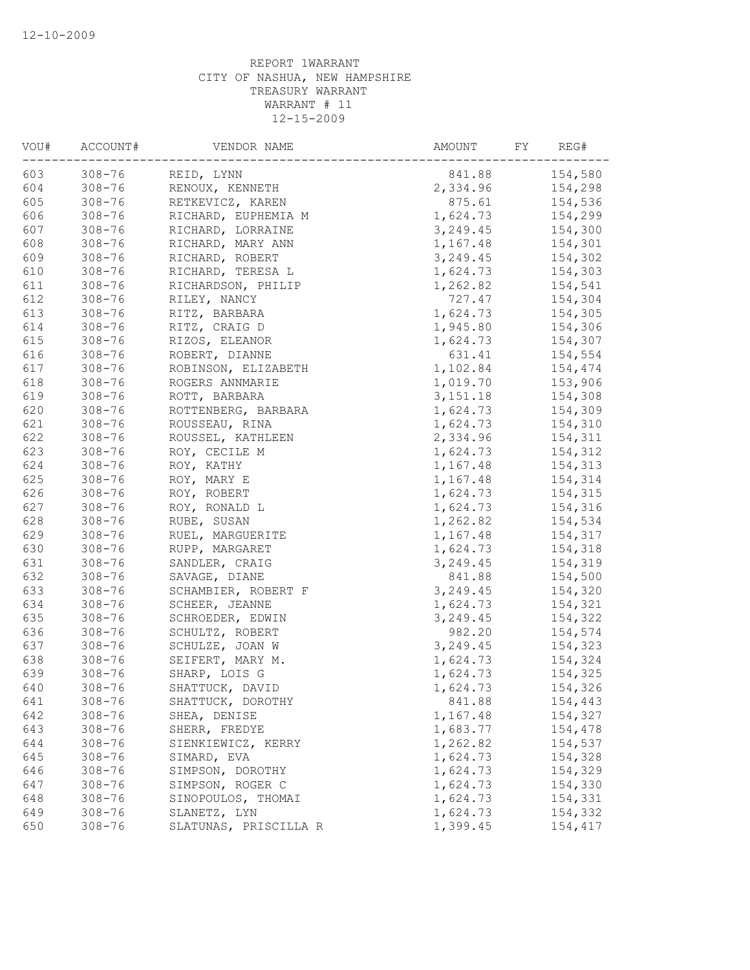| VOU# | ACCOUNT#   | VENDOR NAME                        | AMOUNT<br>FY | REG#    |
|------|------------|------------------------------------|--------------|---------|
| 603  | $308 - 76$ | REID, LYNN                         | 841.88       | 154,580 |
| 604  | $308 - 76$ | RENOUX, KENNETH                    | 2,334.96     | 154,298 |
| 605  | $308 - 76$ | RETKEVICZ, KAREN                   | 875.61       | 154,536 |
| 606  | $308 - 76$ | RICHARD, EUPHEMIA M                | 1,624.73     | 154,299 |
| 607  | $308 - 76$ | RICHARD, LORRAINE                  | 3,249.45     | 154,300 |
| 608  | $308 - 76$ | RICHARD, MARY ANN                  | 1,167.48     | 154,301 |
| 609  | $308 - 76$ | RICHARD, ROBERT                    | 3, 249.45    | 154,302 |
| 610  | $308 - 76$ | RICHARD, TERESA L                  | 1,624.73     | 154,303 |
| 611  | $308 - 76$ | RICHARDSON, PHILIP                 | 1,262.82     | 154,541 |
| 612  | $308 - 76$ | RILEY, NANCY                       | 727.47       | 154,304 |
| 613  | $308 - 76$ | RITZ, BARBARA                      | 1,624.73     | 154,305 |
| 614  | $308 - 76$ | RITZ, CRAIG D                      | 1,945.80     | 154,306 |
| 615  | $308 - 76$ | RIZOS, ELEANOR                     | 1,624.73     | 154,307 |
| 616  | $308 - 76$ | ROBERT, DIANNE                     | 631.41       | 154,554 |
| 617  | $308 - 76$ | ROBINSON, ELIZABETH                | 1,102.84     | 154,474 |
| 618  | $308 - 76$ | ROGERS ANNMARIE                    | 1,019.70     | 153,906 |
| 619  | $308 - 76$ | ROTT, BARBARA                      | 3,151.18     | 154,308 |
| 620  | $308 - 76$ | ROTTENBERG, BARBARA                | 1,624.73     | 154,309 |
| 621  | $308 - 76$ | ROUSSEAU, RINA                     | 1,624.73     | 154,310 |
| 622  | $308 - 76$ | ROUSSEL, KATHLEEN                  | 2,334.96     | 154,311 |
| 623  | $308 - 76$ | ROY, CECILE M                      | 1,624.73     | 154,312 |
| 624  | $308 - 76$ | ROY, KATHY                         | 1,167.48     | 154,313 |
| 625  | $308 - 76$ | ROY, MARY E                        | 1,167.48     | 154,314 |
| 626  | $308 - 76$ | ROY, ROBERT                        | 1,624.73     | 154,315 |
| 627  | $308 - 76$ | ROY, RONALD L                      | 1,624.73     | 154,316 |
| 628  | $308 - 76$ | RUBE, SUSAN                        | 1,262.82     | 154,534 |
| 629  | $308 - 76$ | RUEL, MARGUERITE                   | 1,167.48     | 154,317 |
| 630  | $308 - 76$ | RUPP, MARGARET                     | 1,624.73     | 154,318 |
| 631  | $308 - 76$ | SANDLER, CRAIG                     | 3, 249.45    | 154,319 |
| 632  | $308 - 76$ | SAVAGE, DIANE                      | 841.88       | 154,500 |
| 633  | $308 - 76$ | SCHAMBIER, ROBERT F                | 3,249.45     | 154,320 |
| 634  | $308 - 76$ | SCHEER, JEANNE                     | 1,624.73     | 154,321 |
| 635  | $308 - 76$ | SCHROEDER, EDWIN                   | 3,249.45     | 154,322 |
|      | $308 - 76$ |                                    | 982.20       |         |
| 636  |            | SCHULTZ, ROBERT<br>SCHULZE, JOAN W | 3,249.45     | 154,574 |
| 637  | $308 - 76$ |                                    |              | 154,323 |
| 638  | $308 - 76$ | SEIFERT, MARY M.                   | 1,624.73     | 154,324 |
| 639  | $308 - 76$ | SHARP, LOIS G                      | 1,624.73     | 154,325 |
| 640  | $308 - 76$ | SHATTUCK, DAVID                    | 1,624.73     | 154,326 |
| 641  | $308 - 76$ | SHATTUCK, DOROTHY                  | 841.88       | 154,443 |
| 642  | $308 - 76$ | SHEA, DENISE                       | 1,167.48     | 154,327 |
| 643  | $308 - 76$ | SHERR, FREDYE                      | 1,683.77     | 154,478 |
| 644  | $308 - 76$ | SIENKIEWICZ, KERRY                 | 1,262.82     | 154,537 |
| 645  | $308 - 76$ | SIMARD, EVA                        | 1,624.73     | 154,328 |
| 646  | $308 - 76$ | SIMPSON, DOROTHY                   | 1,624.73     | 154,329 |
| 647  | $308 - 76$ | SIMPSON, ROGER C                   | 1,624.73     | 154,330 |
| 648  | $308 - 76$ | SINOPOULOS, THOMAI                 | 1,624.73     | 154,331 |
| 649  | $308 - 76$ | SLANETZ, LYN                       | 1,624.73     | 154,332 |
| 650  | $308 - 76$ | SLATUNAS, PRISCILLA R              | 1,399.45     | 154,417 |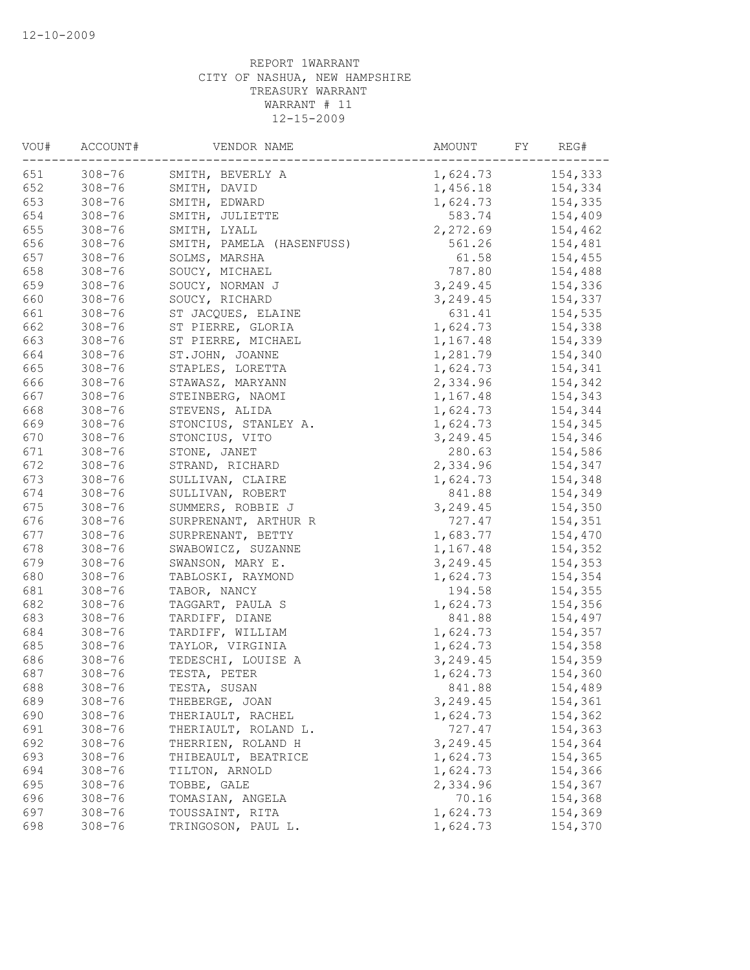| VOU# | ACCOUNT#   | VENDOR NAME               | AMOUNT<br>FY | REG#    |
|------|------------|---------------------------|--------------|---------|
| 651  | $308 - 76$ | SMITH, BEVERLY A          | 1,624.73     | 154,333 |
| 652  | $308 - 76$ | SMITH, DAVID              | 1,456.18     | 154,334 |
| 653  | $308 - 76$ | SMITH, EDWARD             | 1,624.73     | 154,335 |
| 654  | $308 - 76$ | SMITH, JULIETTE           | 583.74       | 154,409 |
| 655  | $308 - 76$ | SMITH, LYALL              | 2,272.69     | 154,462 |
| 656  | $308 - 76$ | SMITH, PAMELA (HASENFUSS) | 561.26       | 154,481 |
| 657  | $308 - 76$ | SOLMS, MARSHA             | 61.58        | 154,455 |
| 658  | $308 - 76$ | SOUCY, MICHAEL            | 787.80       | 154,488 |
| 659  | $308 - 76$ | SOUCY, NORMAN J           | 3,249.45     | 154,336 |
| 660  | $308 - 76$ | SOUCY, RICHARD            | 3,249.45     | 154,337 |
| 661  | $308 - 76$ | ST JACQUES, ELAINE        | 631.41       | 154,535 |
| 662  | $308 - 76$ | ST PIERRE, GLORIA         | 1,624.73     | 154,338 |
| 663  | $308 - 76$ | ST PIERRE, MICHAEL        | 1,167.48     | 154,339 |
| 664  | $308 - 76$ | ST.JOHN, JOANNE           | 1,281.79     | 154,340 |
| 665  | $308 - 76$ | STAPLES, LORETTA          | 1,624.73     | 154,341 |
| 666  | $308 - 76$ | STAWASZ, MARYANN          | 2,334.96     | 154,342 |
| 667  | $308 - 76$ | STEINBERG, NAOMI          | 1,167.48     | 154,343 |
| 668  | $308 - 76$ | STEVENS, ALIDA            | 1,624.73     | 154,344 |
| 669  | $308 - 76$ | STONCIUS, STANLEY A.      | 1,624.73     | 154,345 |
| 670  | $308 - 76$ | STONCIUS, VITO            | 3, 249.45    | 154,346 |
| 671  | $308 - 76$ | STONE, JANET              | 280.63       | 154,586 |
| 672  | $308 - 76$ | STRAND, RICHARD           | 2,334.96     | 154,347 |
| 673  | $308 - 76$ | SULLIVAN, CLAIRE          | 1,624.73     | 154,348 |
| 674  | $308 - 76$ | SULLIVAN, ROBERT          | 841.88       | 154,349 |
| 675  | $308 - 76$ | SUMMERS, ROBBIE J         | 3,249.45     | 154,350 |
| 676  | $308 - 76$ | SURPRENANT, ARTHUR R      | 727.47       | 154,351 |
| 677  | $308 - 76$ | SURPRENANT, BETTY         | 1,683.77     | 154,470 |
| 678  | $308 - 76$ | SWABOWICZ, SUZANNE        | 1,167.48     | 154,352 |
| 679  | $308 - 76$ | SWANSON, MARY E.          | 3,249.45     | 154,353 |
| 680  | $308 - 76$ | TABLOSKI, RAYMOND         | 1,624.73     | 154,354 |
| 681  | $308 - 76$ | TABOR, NANCY              | 194.58       | 154,355 |
| 682  | $308 - 76$ | TAGGART, PAULA S          | 1,624.73     | 154,356 |
| 683  | $308 - 76$ | TARDIFF, DIANE            | 841.88       | 154,497 |
| 684  | $308 - 76$ | TARDIFF, WILLIAM          | 1,624.73     | 154,357 |
| 685  | $308 - 76$ | TAYLOR, VIRGINIA          | 1,624.73     | 154,358 |
| 686  | $308 - 76$ | TEDESCHI, LOUISE A        | 3,249.45     | 154,359 |
| 687  | $308 - 76$ | TESTA, PETER              | 1,624.73     | 154,360 |
| 688  | $308 - 76$ | TESTA, SUSAN              | 841.88       | 154,489 |
| 689  | $308 - 76$ | THEBERGE, JOAN            | 3,249.45     | 154,361 |
| 690  | $308 - 76$ | THERIAULT, RACHEL         | 1,624.73     | 154,362 |
| 691  | $308 - 76$ | THERIAULT, ROLAND L.      | 727.47       | 154,363 |
| 692  | $308 - 76$ | THERRIEN, ROLAND H        | 3,249.45     | 154,364 |
| 693  | $308 - 76$ | THIBEAULT, BEATRICE       | 1,624.73     | 154,365 |
| 694  | $308 - 76$ | TILTON, ARNOLD            | 1,624.73     | 154,366 |
| 695  | $308 - 76$ | TOBBE, GALE               | 2,334.96     | 154,367 |
| 696  | $308 - 76$ | TOMASIAN, ANGELA          | 70.16        | 154,368 |
| 697  | $308 - 76$ | TOUSSAINT, RITA           | 1,624.73     | 154,369 |
| 698  | $308 - 76$ | TRINGOSON, PAUL L.        | 1,624.73     | 154,370 |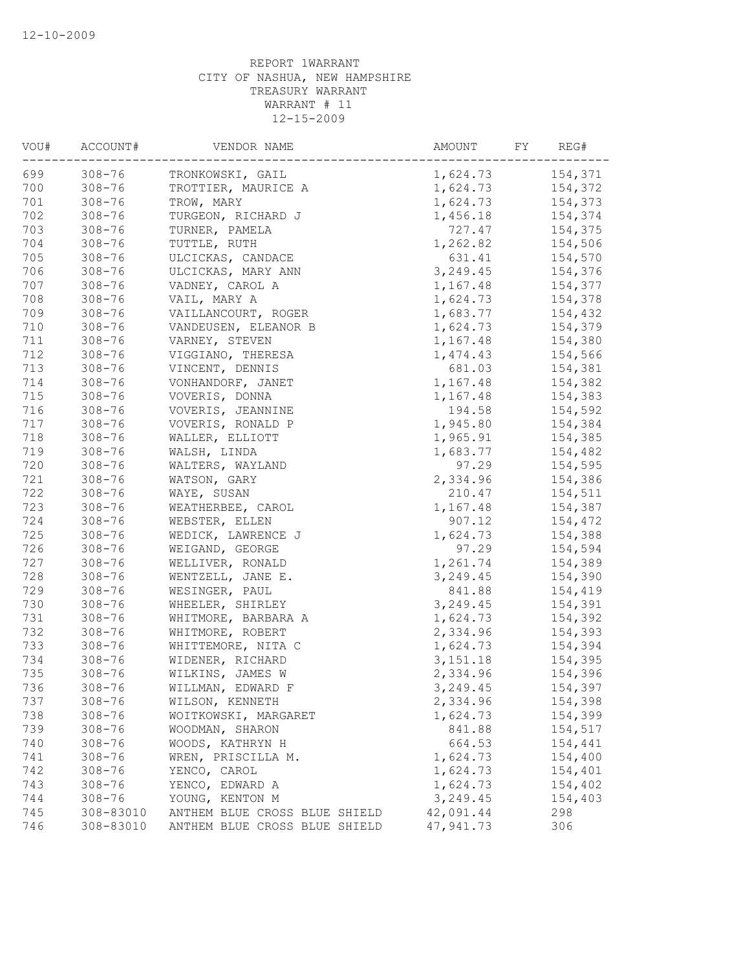| VOU# | ACCOUNT#   | VENDOR NAME                   | AMOUNT    | FY | REG#    |
|------|------------|-------------------------------|-----------|----|---------|
| 699  | $308 - 76$ | TRONKOWSKI, GAIL              | 1,624.73  |    | 154,371 |
| 700  | $308 - 76$ | TROTTIER, MAURICE A           | 1,624.73  |    | 154,372 |
| 701  | $308 - 76$ | TROW, MARY                    | 1,624.73  |    | 154,373 |
| 702  | $308 - 76$ | TURGEON, RICHARD J            | 1,456.18  |    | 154,374 |
| 703  | $308 - 76$ | TURNER, PAMELA                | 727.47    |    | 154,375 |
| 704  | $308 - 76$ | TUTTLE, RUTH                  | 1,262.82  |    | 154,506 |
| 705  | $308 - 76$ | ULCICKAS, CANDACE             | 631.41    |    | 154,570 |
| 706  | $308 - 76$ | ULCICKAS, MARY ANN            | 3, 249.45 |    | 154,376 |
| 707  | $308 - 76$ | VADNEY, CAROL A               | 1,167.48  |    | 154,377 |
| 708  | $308 - 76$ | VAIL, MARY A                  | 1,624.73  |    | 154,378 |
| 709  | $308 - 76$ | VAILLANCOURT, ROGER           | 1,683.77  |    | 154,432 |
| 710  | $308 - 76$ | VANDEUSEN, ELEANOR B          | 1,624.73  |    | 154,379 |
| 711  | $308 - 76$ | VARNEY, STEVEN                | 1,167.48  |    | 154,380 |
| 712  | $308 - 76$ | VIGGIANO, THERESA             | 1,474.43  |    | 154,566 |
| 713  | $308 - 76$ | VINCENT, DENNIS               | 681.03    |    | 154,381 |
| 714  | $308 - 76$ | VONHANDORF, JANET             | 1,167.48  |    | 154,382 |
| 715  | $308 - 76$ | VOVERIS, DONNA                | 1,167.48  |    | 154,383 |
| 716  | $308 - 76$ | VOVERIS, JEANNINE             | 194.58    |    | 154,592 |
| 717  | $308 - 76$ | VOVERIS, RONALD P             | 1,945.80  |    | 154,384 |
| 718  | $308 - 76$ | WALLER, ELLIOTT               | 1,965.91  |    | 154,385 |
| 719  | $308 - 76$ | WALSH, LINDA                  | 1,683.77  |    | 154,482 |
| 720  | $308 - 76$ | WALTERS, WAYLAND              | 97.29     |    | 154,595 |
| 721  | $308 - 76$ | WATSON, GARY                  | 2,334.96  |    | 154,386 |
| 722  | $308 - 76$ | WAYE, SUSAN                   | 210.47    |    | 154,511 |
| 723  | $308 - 76$ | WEATHERBEE, CAROL             | 1,167.48  |    | 154,387 |
| 724  | $308 - 76$ | WEBSTER, ELLEN                | 907.12    |    | 154,472 |
| 725  | $308 - 76$ | WEDICK, LAWRENCE J            | 1,624.73  |    | 154,388 |
| 726  | $308 - 76$ | WEIGAND, GEORGE               | 97.29     |    | 154,594 |
| 727  | $308 - 76$ | WELLIVER, RONALD              | 1,261.74  |    | 154,389 |
| 728  | $308 - 76$ | WENTZELL, JANE E.             | 3,249.45  |    | 154,390 |
| 729  | $308 - 76$ | WESINGER, PAUL                | 841.88    |    | 154,419 |
| 730  | $308 - 76$ | WHEELER, SHIRLEY              | 3,249.45  |    | 154,391 |
| 731  | $308 - 76$ | WHITMORE, BARBARA A           | 1,624.73  |    | 154,392 |
| 732  | $308 - 76$ | WHITMORE, ROBERT              | 2,334.96  |    | 154,393 |
| 733  | $308 - 76$ | WHITTEMORE, NITA C            | 1,624.73  |    | 154,394 |
| 734  | $308 - 76$ | WIDENER, RICHARD              | 3,151.18  |    | 154,395 |
| 735  | $308 - 76$ | WILKINS, JAMES W              | 2,334.96  |    | 154,396 |
| 736  | $308 - 76$ | WILLMAN, EDWARD F             | 3,249.45  |    | 154,397 |
| 737  | $308 - 76$ | WILSON, KENNETH               | 2,334.96  |    | 154,398 |
| 738  | $308 - 76$ | WOITKOWSKI, MARGARET          | 1,624.73  |    | 154,399 |
| 739  | $308 - 76$ | WOODMAN, SHARON               | 841.88    |    | 154,517 |
| 740  | $308 - 76$ | WOODS, KATHRYN H              | 664.53    |    | 154,441 |
| 741  | $308 - 76$ | WREN, PRISCILLA M.            | 1,624.73  |    | 154,400 |
| 742  | $308 - 76$ | YENCO, CAROL                  | 1,624.73  |    | 154,401 |
| 743  | $308 - 76$ | YENCO, EDWARD A               | 1,624.73  |    | 154,402 |
| 744  | $308 - 76$ | YOUNG, KENTON M               | 3,249.45  |    | 154,403 |
| 745  | 308-83010  | ANTHEM BLUE CROSS BLUE SHIELD | 42,091.44 |    | 298     |
| 746  | 308-83010  | ANTHEM BLUE CROSS BLUE SHIELD | 47,941.73 |    | 306     |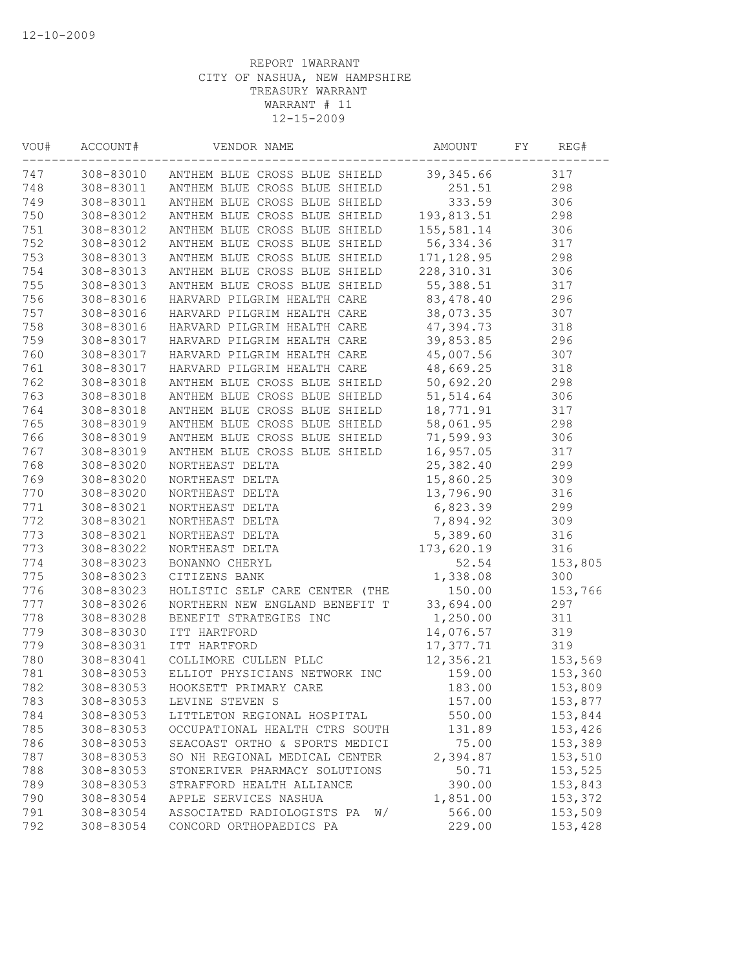| 747<br>308-83010 ANTHEM BLUE CROSS BLUE SHIELD<br>39,345.66      | 317     |
|------------------------------------------------------------------|---------|
|                                                                  |         |
| 308-83011 ANTHEM BLUE CROSS BLUE SHIELD<br>748<br>251.51         | 298     |
| 749<br>333.59<br>308-83011 ANTHEM BLUE CROSS BLUE SHIELD         | 306     |
| 750<br>308-83012<br>ANTHEM BLUE CROSS BLUE SHIELD<br>193,813.51  | 298     |
| 751<br>ANTHEM BLUE CROSS BLUE SHIELD<br>155,581.14<br>308-83012  | 306     |
| 752<br>308-83012<br>ANTHEM BLUE CROSS BLUE SHIELD<br>56,334.36   | 317     |
| 753<br>308-83013<br>ANTHEM BLUE CROSS BLUE SHIELD<br>171, 128.95 | 298     |
| 754<br>308-83013<br>ANTHEM BLUE CROSS BLUE SHIELD<br>228, 310.31 | 306     |
| 755<br>ANTHEM BLUE CROSS BLUE SHIELD<br>55,388.51<br>308-83013   | 317     |
| 83, 478. 40<br>756<br>308-83016<br>HARVARD PILGRIM HEALTH CARE   | 296     |
| 38,073.35<br>757<br>308-83016<br>HARVARD PILGRIM HEALTH CARE     | 307     |
| 47,394.73<br>758<br>308-83016<br>HARVARD PILGRIM HEALTH CARE     | 318     |
| 759<br>39,853.85<br>308-83017<br>HARVARD PILGRIM HEALTH CARE     | 296     |
| 760<br>45,007.56<br>308-83017<br>HARVARD PILGRIM HEALTH CARE     | 307     |
| 761<br>308-83017<br>48,669.25<br>HARVARD PILGRIM HEALTH CARE     | 318     |
| 762<br>308-83018<br>50,692.20<br>ANTHEM BLUE CROSS BLUE SHIELD   | 298     |
| 763<br>51, 514.64<br>308-83018<br>ANTHEM BLUE CROSS BLUE SHIELD  | 306     |
| 764<br>ANTHEM BLUE CROSS BLUE SHIELD<br>18,771.91<br>308-83018   | 317     |
| 58,061.95<br>765<br>308-83019<br>ANTHEM BLUE CROSS BLUE SHIELD   | 298     |
| 71,599.93<br>766<br>308-83019<br>ANTHEM BLUE CROSS BLUE SHIELD   | 306     |
| ANTHEM BLUE CROSS BLUE SHIELD 16,957.05<br>767<br>308-83019      | 317     |
| 768<br>308-83020<br>25,382.40<br>NORTHEAST DELTA                 | 299     |
| 769<br>15,860.25<br>308-83020<br>NORTHEAST DELTA                 | 309     |
| 770<br>308-83020<br>13,796.90<br>NORTHEAST DELTA                 | 316     |
| 771<br>6,823.39<br>308-83021<br>NORTHEAST DELTA                  | 299     |
| 772<br>308-83021<br>7,894.92<br>NORTHEAST DELTA                  | 309     |
| 773<br>5,389.60<br>308-83021<br>NORTHEAST DELTA                  | 316     |
| 773<br>173,620.19<br>308-83022<br>NORTHEAST DELTA                | 316     |
| 774<br>308-83023<br>BONANNO CHERYL<br>52.54                      | 153,805 |
| 775<br>308-83023<br>1,338.08<br>CITIZENS BANK                    | 300     |
| 776<br>150.00<br>308-83023<br>HOLISTIC SELF CARE CENTER (THE     | 153,766 |
| 777<br>NORTHERN NEW ENGLAND BENEFIT T 33,694.00<br>308-83026     | 297     |
| 778<br>1,250.00<br>308-83028<br>BENEFIT STRATEGIES INC           | 311     |
| 779<br>308-83030<br>14,076.57<br>ITT HARTFORD                    | 319     |
| 779<br>308-83031<br>17,377.71<br>ITT HARTFORD                    | 319     |
| 780<br>308-83041<br>COLLIMORE CULLEN PLLC<br>12,356.21           | 153,569 |
| 781<br>308-83053<br>ELLIOT PHYSICIANS NETWORK INC<br>159.00      | 153,360 |
| 782<br>308-83053<br>183.00<br>HOOKSETT PRIMARY CARE              | 153,809 |
| 783<br>308-83053<br>LEVINE STEVEN S<br>157.00                    | 153,877 |
| 784<br>308-83053<br>550.00<br>LITTLETON REGIONAL HOSPITAL        | 153,844 |
| 785<br>308-83053<br>OCCUPATIONAL HEALTH CTRS SOUTH<br>131.89     | 153,426 |
| 786<br>308-83053<br>SEACOAST ORTHO & SPORTS MEDICI<br>75.00      | 153,389 |
| 787<br>308-83053<br>SO NH REGIONAL MEDICAL CENTER<br>2,394.87    | 153,510 |
| 788<br>50.71<br>308-83053<br>STONERIVER PHARMACY SOLUTIONS       | 153,525 |
| 789<br>308-83053<br>STRAFFORD HEALTH ALLIANCE<br>390.00          | 153,843 |
| 790<br>308-83054<br>APPLE SERVICES NASHUA<br>1,851.00            | 153,372 |
| 791<br>308-83054<br>ASSOCIATED RADIOLOGISTS PA<br>566.00<br>W/   | 153,509 |
| 792<br>CONCORD ORTHOPAEDICS PA<br>229.00<br>308-83054            | 153,428 |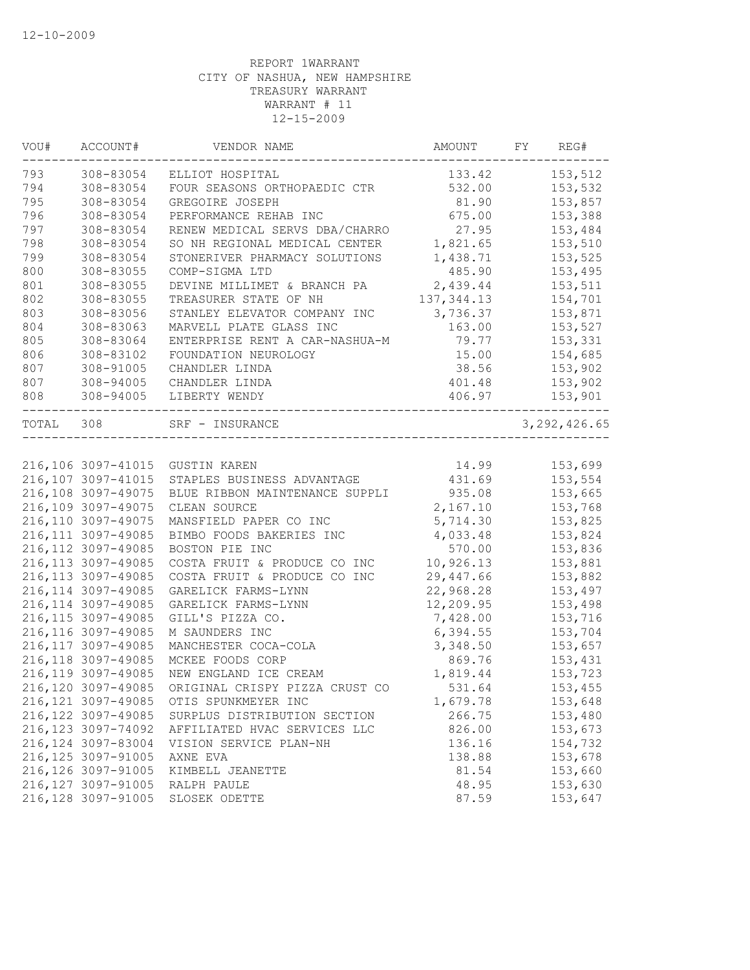| 153,512<br>308-83054<br>ELLIOT HOSPITAL<br>133.42<br>153,532<br>308-83054<br>532.00<br>FOUR SEASONS ORTHOPAEDIC CTR<br>308-83054<br>81.90<br>153,857<br>GREGOIRE JOSEPH<br>308-83054<br>675.00<br>153,388<br>PERFORMANCE REHAB INC<br>RENEW MEDICAL SERVS DBA/CHARRO<br>27.95<br>308-83054<br>153,484<br>308-83054<br>SO NH REGIONAL MEDICAL CENTER<br>1,821.65<br>153,510<br>308-83054<br>153,525<br>STONERIVER PHARMACY SOLUTIONS<br>1,438.71<br>153,495<br>308-83055<br>COMP-SIGMA LTD<br>485.90<br>2,439.44<br>153,511<br>308-83055<br>DEVINE MILLIMET & BRANCH PA<br>137, 344.13<br>308-83055<br>154,701<br>TREASURER STATE OF NH<br>308-83056<br>3,736.37<br>153,871<br>STANLEY ELEVATOR COMPANY INC<br>153,527<br>308-83063<br>MARVELL PLATE GLASS INC<br>163.00<br>308-83064<br>ENTERPRISE RENT A CAR-NASHUA-M<br>153,331<br>79.77<br>15.00<br>154,685<br>308-83102<br>FOUNDATION NEUROLOGY<br>308-91005<br>38.56<br>153,902<br>CHANDLER LINDA<br>308-94005<br>401.48<br>153,902<br>CHANDLER LINDA<br>308-94005<br>406.97<br>LIBERTY WENDY<br>153,901<br>TOTAL 308<br>3, 292, 426.65<br>SRF - INSURANCE<br>153,699<br>216,106 3097-41015<br>14.99<br>GUSTIN KAREN<br>431.69<br>153,554<br>216,107 3097-41015<br>STAPLES BUSINESS ADVANTAGE<br>216,108 3097-49075<br>935.08<br>153,665<br>BLUE RIBBON MAINTENANCE SUPPLI<br>216,109 3097-49075<br>2,167.10<br>153,768<br>CLEAN SOURCE<br>216,110 3097-49075<br>5,714.30<br>153,825<br>MANSFIELD PAPER CO INC<br>216, 111 3097-49085<br>4,033.48<br>BIMBO FOODS BAKERIES INC<br>153,824<br>216, 112 3097-49085<br>570.00<br>BOSTON PIE INC<br>153,836<br>10,926.13<br>216, 113 3097-49085<br>COSTA FRUIT & PRODUCE CO INC<br>153,881<br>216, 113 3097-49085<br>29,447.66<br>153,882<br>COSTA FRUIT & PRODUCE CO INC<br>216, 114 3097-49085<br>22,968.28<br>GARELICK FARMS-LYNN<br>153,497<br>216, 114 3097-49085<br>12,209.95<br>GARELICK FARMS-LYNN<br>153,498<br>216, 115 3097-49085<br>7,428.00<br>GILL'S PIZZA CO.<br>153,716<br>216, 116 3097-49085<br>6, 394.55<br>153,704<br>M SAUNDERS INC<br>216, 117 3097-49085<br>153,657<br>MANCHESTER COCA-COLA<br>3,348.50<br>216, 118 3097-49085<br>MCKEE FOODS CORP<br>869.76<br>153,431<br>216, 119 3097-49085<br>NEW ENGLAND ICE CREAM<br>1,819.44<br>153,723<br>531.64<br>153,455<br>216,120 3097-49085<br>ORIGINAL CRISPY PIZZA CRUST CO<br>216, 121 3097-49085<br>153,648<br>OTIS SPUNKMEYER INC<br>1,679.78<br>216, 122 3097-49085<br>266.75<br>153,480<br>SURPLUS DISTRIBUTION SECTION<br>216, 123 3097-74092<br>AFFILIATED HVAC SERVICES LLC<br>826.00<br>153,673<br>216, 124 3097-83004<br>VISION SERVICE PLAN-NH<br>136.16<br>154,732<br>216, 125 3097-91005<br>AXNE EVA<br>138.88<br>153,678<br>216, 126 3097-91005<br>81.54<br>153,660<br>KIMBELL JEANETTE<br>216, 127 3097-91005<br>48.95<br>153,630<br>RALPH PAULE<br>216, 128 3097-91005<br>87.59<br>SLOSEK ODETTE<br>153,647 | VOU# | ACCOUNT# | VENDOR NAME | AMOUNT | FY | REG# |
|----------------------------------------------------------------------------------------------------------------------------------------------------------------------------------------------------------------------------------------------------------------------------------------------------------------------------------------------------------------------------------------------------------------------------------------------------------------------------------------------------------------------------------------------------------------------------------------------------------------------------------------------------------------------------------------------------------------------------------------------------------------------------------------------------------------------------------------------------------------------------------------------------------------------------------------------------------------------------------------------------------------------------------------------------------------------------------------------------------------------------------------------------------------------------------------------------------------------------------------------------------------------------------------------------------------------------------------------------------------------------------------------------------------------------------------------------------------------------------------------------------------------------------------------------------------------------------------------------------------------------------------------------------------------------------------------------------------------------------------------------------------------------------------------------------------------------------------------------------------------------------------------------------------------------------------------------------------------------------------------------------------------------------------------------------------------------------------------------------------------------------------------------------------------------------------------------------------------------------------------------------------------------------------------------------------------------------------------------------------------------------------------------------------------------------------------------------------------------------------------------------------------------------------------------------------------------------------------------------------------------------------------------------------------------------------------------------------------------------------------------------------------------------------------------------------------------------------------------------------------------------------------------|------|----------|-------------|--------|----|------|
|                                                                                                                                                                                                                                                                                                                                                                                                                                                                                                                                                                                                                                                                                                                                                                                                                                                                                                                                                                                                                                                                                                                                                                                                                                                                                                                                                                                                                                                                                                                                                                                                                                                                                                                                                                                                                                                                                                                                                                                                                                                                                                                                                                                                                                                                                                                                                                                                                                                                                                                                                                                                                                                                                                                                                                                                                                                                                                    | 793  |          |             |        |    |      |
|                                                                                                                                                                                                                                                                                                                                                                                                                                                                                                                                                                                                                                                                                                                                                                                                                                                                                                                                                                                                                                                                                                                                                                                                                                                                                                                                                                                                                                                                                                                                                                                                                                                                                                                                                                                                                                                                                                                                                                                                                                                                                                                                                                                                                                                                                                                                                                                                                                                                                                                                                                                                                                                                                                                                                                                                                                                                                                    | 794  |          |             |        |    |      |
|                                                                                                                                                                                                                                                                                                                                                                                                                                                                                                                                                                                                                                                                                                                                                                                                                                                                                                                                                                                                                                                                                                                                                                                                                                                                                                                                                                                                                                                                                                                                                                                                                                                                                                                                                                                                                                                                                                                                                                                                                                                                                                                                                                                                                                                                                                                                                                                                                                                                                                                                                                                                                                                                                                                                                                                                                                                                                                    | 795  |          |             |        |    |      |
|                                                                                                                                                                                                                                                                                                                                                                                                                                                                                                                                                                                                                                                                                                                                                                                                                                                                                                                                                                                                                                                                                                                                                                                                                                                                                                                                                                                                                                                                                                                                                                                                                                                                                                                                                                                                                                                                                                                                                                                                                                                                                                                                                                                                                                                                                                                                                                                                                                                                                                                                                                                                                                                                                                                                                                                                                                                                                                    | 796  |          |             |        |    |      |
|                                                                                                                                                                                                                                                                                                                                                                                                                                                                                                                                                                                                                                                                                                                                                                                                                                                                                                                                                                                                                                                                                                                                                                                                                                                                                                                                                                                                                                                                                                                                                                                                                                                                                                                                                                                                                                                                                                                                                                                                                                                                                                                                                                                                                                                                                                                                                                                                                                                                                                                                                                                                                                                                                                                                                                                                                                                                                                    | 797  |          |             |        |    |      |
|                                                                                                                                                                                                                                                                                                                                                                                                                                                                                                                                                                                                                                                                                                                                                                                                                                                                                                                                                                                                                                                                                                                                                                                                                                                                                                                                                                                                                                                                                                                                                                                                                                                                                                                                                                                                                                                                                                                                                                                                                                                                                                                                                                                                                                                                                                                                                                                                                                                                                                                                                                                                                                                                                                                                                                                                                                                                                                    | 798  |          |             |        |    |      |
|                                                                                                                                                                                                                                                                                                                                                                                                                                                                                                                                                                                                                                                                                                                                                                                                                                                                                                                                                                                                                                                                                                                                                                                                                                                                                                                                                                                                                                                                                                                                                                                                                                                                                                                                                                                                                                                                                                                                                                                                                                                                                                                                                                                                                                                                                                                                                                                                                                                                                                                                                                                                                                                                                                                                                                                                                                                                                                    | 799  |          |             |        |    |      |
|                                                                                                                                                                                                                                                                                                                                                                                                                                                                                                                                                                                                                                                                                                                                                                                                                                                                                                                                                                                                                                                                                                                                                                                                                                                                                                                                                                                                                                                                                                                                                                                                                                                                                                                                                                                                                                                                                                                                                                                                                                                                                                                                                                                                                                                                                                                                                                                                                                                                                                                                                                                                                                                                                                                                                                                                                                                                                                    | 800  |          |             |        |    |      |
|                                                                                                                                                                                                                                                                                                                                                                                                                                                                                                                                                                                                                                                                                                                                                                                                                                                                                                                                                                                                                                                                                                                                                                                                                                                                                                                                                                                                                                                                                                                                                                                                                                                                                                                                                                                                                                                                                                                                                                                                                                                                                                                                                                                                                                                                                                                                                                                                                                                                                                                                                                                                                                                                                                                                                                                                                                                                                                    | 801  |          |             |        |    |      |
|                                                                                                                                                                                                                                                                                                                                                                                                                                                                                                                                                                                                                                                                                                                                                                                                                                                                                                                                                                                                                                                                                                                                                                                                                                                                                                                                                                                                                                                                                                                                                                                                                                                                                                                                                                                                                                                                                                                                                                                                                                                                                                                                                                                                                                                                                                                                                                                                                                                                                                                                                                                                                                                                                                                                                                                                                                                                                                    | 802  |          |             |        |    |      |
|                                                                                                                                                                                                                                                                                                                                                                                                                                                                                                                                                                                                                                                                                                                                                                                                                                                                                                                                                                                                                                                                                                                                                                                                                                                                                                                                                                                                                                                                                                                                                                                                                                                                                                                                                                                                                                                                                                                                                                                                                                                                                                                                                                                                                                                                                                                                                                                                                                                                                                                                                                                                                                                                                                                                                                                                                                                                                                    | 803  |          |             |        |    |      |
|                                                                                                                                                                                                                                                                                                                                                                                                                                                                                                                                                                                                                                                                                                                                                                                                                                                                                                                                                                                                                                                                                                                                                                                                                                                                                                                                                                                                                                                                                                                                                                                                                                                                                                                                                                                                                                                                                                                                                                                                                                                                                                                                                                                                                                                                                                                                                                                                                                                                                                                                                                                                                                                                                                                                                                                                                                                                                                    | 804  |          |             |        |    |      |
|                                                                                                                                                                                                                                                                                                                                                                                                                                                                                                                                                                                                                                                                                                                                                                                                                                                                                                                                                                                                                                                                                                                                                                                                                                                                                                                                                                                                                                                                                                                                                                                                                                                                                                                                                                                                                                                                                                                                                                                                                                                                                                                                                                                                                                                                                                                                                                                                                                                                                                                                                                                                                                                                                                                                                                                                                                                                                                    | 805  |          |             |        |    |      |
|                                                                                                                                                                                                                                                                                                                                                                                                                                                                                                                                                                                                                                                                                                                                                                                                                                                                                                                                                                                                                                                                                                                                                                                                                                                                                                                                                                                                                                                                                                                                                                                                                                                                                                                                                                                                                                                                                                                                                                                                                                                                                                                                                                                                                                                                                                                                                                                                                                                                                                                                                                                                                                                                                                                                                                                                                                                                                                    | 806  |          |             |        |    |      |
|                                                                                                                                                                                                                                                                                                                                                                                                                                                                                                                                                                                                                                                                                                                                                                                                                                                                                                                                                                                                                                                                                                                                                                                                                                                                                                                                                                                                                                                                                                                                                                                                                                                                                                                                                                                                                                                                                                                                                                                                                                                                                                                                                                                                                                                                                                                                                                                                                                                                                                                                                                                                                                                                                                                                                                                                                                                                                                    | 807  |          |             |        |    |      |
|                                                                                                                                                                                                                                                                                                                                                                                                                                                                                                                                                                                                                                                                                                                                                                                                                                                                                                                                                                                                                                                                                                                                                                                                                                                                                                                                                                                                                                                                                                                                                                                                                                                                                                                                                                                                                                                                                                                                                                                                                                                                                                                                                                                                                                                                                                                                                                                                                                                                                                                                                                                                                                                                                                                                                                                                                                                                                                    | 807  |          |             |        |    |      |
|                                                                                                                                                                                                                                                                                                                                                                                                                                                                                                                                                                                                                                                                                                                                                                                                                                                                                                                                                                                                                                                                                                                                                                                                                                                                                                                                                                                                                                                                                                                                                                                                                                                                                                                                                                                                                                                                                                                                                                                                                                                                                                                                                                                                                                                                                                                                                                                                                                                                                                                                                                                                                                                                                                                                                                                                                                                                                                    | 808  |          |             |        |    |      |
|                                                                                                                                                                                                                                                                                                                                                                                                                                                                                                                                                                                                                                                                                                                                                                                                                                                                                                                                                                                                                                                                                                                                                                                                                                                                                                                                                                                                                                                                                                                                                                                                                                                                                                                                                                                                                                                                                                                                                                                                                                                                                                                                                                                                                                                                                                                                                                                                                                                                                                                                                                                                                                                                                                                                                                                                                                                                                                    |      |          |             |        |    |      |
|                                                                                                                                                                                                                                                                                                                                                                                                                                                                                                                                                                                                                                                                                                                                                                                                                                                                                                                                                                                                                                                                                                                                                                                                                                                                                                                                                                                                                                                                                                                                                                                                                                                                                                                                                                                                                                                                                                                                                                                                                                                                                                                                                                                                                                                                                                                                                                                                                                                                                                                                                                                                                                                                                                                                                                                                                                                                                                    |      |          |             |        |    |      |
|                                                                                                                                                                                                                                                                                                                                                                                                                                                                                                                                                                                                                                                                                                                                                                                                                                                                                                                                                                                                                                                                                                                                                                                                                                                                                                                                                                                                                                                                                                                                                                                                                                                                                                                                                                                                                                                                                                                                                                                                                                                                                                                                                                                                                                                                                                                                                                                                                                                                                                                                                                                                                                                                                                                                                                                                                                                                                                    |      |          |             |        |    |      |
|                                                                                                                                                                                                                                                                                                                                                                                                                                                                                                                                                                                                                                                                                                                                                                                                                                                                                                                                                                                                                                                                                                                                                                                                                                                                                                                                                                                                                                                                                                                                                                                                                                                                                                                                                                                                                                                                                                                                                                                                                                                                                                                                                                                                                                                                                                                                                                                                                                                                                                                                                                                                                                                                                                                                                                                                                                                                                                    |      |          |             |        |    |      |
|                                                                                                                                                                                                                                                                                                                                                                                                                                                                                                                                                                                                                                                                                                                                                                                                                                                                                                                                                                                                                                                                                                                                                                                                                                                                                                                                                                                                                                                                                                                                                                                                                                                                                                                                                                                                                                                                                                                                                                                                                                                                                                                                                                                                                                                                                                                                                                                                                                                                                                                                                                                                                                                                                                                                                                                                                                                                                                    |      |          |             |        |    |      |
|                                                                                                                                                                                                                                                                                                                                                                                                                                                                                                                                                                                                                                                                                                                                                                                                                                                                                                                                                                                                                                                                                                                                                                                                                                                                                                                                                                                                                                                                                                                                                                                                                                                                                                                                                                                                                                                                                                                                                                                                                                                                                                                                                                                                                                                                                                                                                                                                                                                                                                                                                                                                                                                                                                                                                                                                                                                                                                    |      |          |             |        |    |      |
|                                                                                                                                                                                                                                                                                                                                                                                                                                                                                                                                                                                                                                                                                                                                                                                                                                                                                                                                                                                                                                                                                                                                                                                                                                                                                                                                                                                                                                                                                                                                                                                                                                                                                                                                                                                                                                                                                                                                                                                                                                                                                                                                                                                                                                                                                                                                                                                                                                                                                                                                                                                                                                                                                                                                                                                                                                                                                                    |      |          |             |        |    |      |
|                                                                                                                                                                                                                                                                                                                                                                                                                                                                                                                                                                                                                                                                                                                                                                                                                                                                                                                                                                                                                                                                                                                                                                                                                                                                                                                                                                                                                                                                                                                                                                                                                                                                                                                                                                                                                                                                                                                                                                                                                                                                                                                                                                                                                                                                                                                                                                                                                                                                                                                                                                                                                                                                                                                                                                                                                                                                                                    |      |          |             |        |    |      |
|                                                                                                                                                                                                                                                                                                                                                                                                                                                                                                                                                                                                                                                                                                                                                                                                                                                                                                                                                                                                                                                                                                                                                                                                                                                                                                                                                                                                                                                                                                                                                                                                                                                                                                                                                                                                                                                                                                                                                                                                                                                                                                                                                                                                                                                                                                                                                                                                                                                                                                                                                                                                                                                                                                                                                                                                                                                                                                    |      |          |             |        |    |      |
|                                                                                                                                                                                                                                                                                                                                                                                                                                                                                                                                                                                                                                                                                                                                                                                                                                                                                                                                                                                                                                                                                                                                                                                                                                                                                                                                                                                                                                                                                                                                                                                                                                                                                                                                                                                                                                                                                                                                                                                                                                                                                                                                                                                                                                                                                                                                                                                                                                                                                                                                                                                                                                                                                                                                                                                                                                                                                                    |      |          |             |        |    |      |
|                                                                                                                                                                                                                                                                                                                                                                                                                                                                                                                                                                                                                                                                                                                                                                                                                                                                                                                                                                                                                                                                                                                                                                                                                                                                                                                                                                                                                                                                                                                                                                                                                                                                                                                                                                                                                                                                                                                                                                                                                                                                                                                                                                                                                                                                                                                                                                                                                                                                                                                                                                                                                                                                                                                                                                                                                                                                                                    |      |          |             |        |    |      |
|                                                                                                                                                                                                                                                                                                                                                                                                                                                                                                                                                                                                                                                                                                                                                                                                                                                                                                                                                                                                                                                                                                                                                                                                                                                                                                                                                                                                                                                                                                                                                                                                                                                                                                                                                                                                                                                                                                                                                                                                                                                                                                                                                                                                                                                                                                                                                                                                                                                                                                                                                                                                                                                                                                                                                                                                                                                                                                    |      |          |             |        |    |      |
|                                                                                                                                                                                                                                                                                                                                                                                                                                                                                                                                                                                                                                                                                                                                                                                                                                                                                                                                                                                                                                                                                                                                                                                                                                                                                                                                                                                                                                                                                                                                                                                                                                                                                                                                                                                                                                                                                                                                                                                                                                                                                                                                                                                                                                                                                                                                                                                                                                                                                                                                                                                                                                                                                                                                                                                                                                                                                                    |      |          |             |        |    |      |
|                                                                                                                                                                                                                                                                                                                                                                                                                                                                                                                                                                                                                                                                                                                                                                                                                                                                                                                                                                                                                                                                                                                                                                                                                                                                                                                                                                                                                                                                                                                                                                                                                                                                                                                                                                                                                                                                                                                                                                                                                                                                                                                                                                                                                                                                                                                                                                                                                                                                                                                                                                                                                                                                                                                                                                                                                                                                                                    |      |          |             |        |    |      |
|                                                                                                                                                                                                                                                                                                                                                                                                                                                                                                                                                                                                                                                                                                                                                                                                                                                                                                                                                                                                                                                                                                                                                                                                                                                                                                                                                                                                                                                                                                                                                                                                                                                                                                                                                                                                                                                                                                                                                                                                                                                                                                                                                                                                                                                                                                                                                                                                                                                                                                                                                                                                                                                                                                                                                                                                                                                                                                    |      |          |             |        |    |      |
|                                                                                                                                                                                                                                                                                                                                                                                                                                                                                                                                                                                                                                                                                                                                                                                                                                                                                                                                                                                                                                                                                                                                                                                                                                                                                                                                                                                                                                                                                                                                                                                                                                                                                                                                                                                                                                                                                                                                                                                                                                                                                                                                                                                                                                                                                                                                                                                                                                                                                                                                                                                                                                                                                                                                                                                                                                                                                                    |      |          |             |        |    |      |
|                                                                                                                                                                                                                                                                                                                                                                                                                                                                                                                                                                                                                                                                                                                                                                                                                                                                                                                                                                                                                                                                                                                                                                                                                                                                                                                                                                                                                                                                                                                                                                                                                                                                                                                                                                                                                                                                                                                                                                                                                                                                                                                                                                                                                                                                                                                                                                                                                                                                                                                                                                                                                                                                                                                                                                                                                                                                                                    |      |          |             |        |    |      |
|                                                                                                                                                                                                                                                                                                                                                                                                                                                                                                                                                                                                                                                                                                                                                                                                                                                                                                                                                                                                                                                                                                                                                                                                                                                                                                                                                                                                                                                                                                                                                                                                                                                                                                                                                                                                                                                                                                                                                                                                                                                                                                                                                                                                                                                                                                                                                                                                                                                                                                                                                                                                                                                                                                                                                                                                                                                                                                    |      |          |             |        |    |      |
|                                                                                                                                                                                                                                                                                                                                                                                                                                                                                                                                                                                                                                                                                                                                                                                                                                                                                                                                                                                                                                                                                                                                                                                                                                                                                                                                                                                                                                                                                                                                                                                                                                                                                                                                                                                                                                                                                                                                                                                                                                                                                                                                                                                                                                                                                                                                                                                                                                                                                                                                                                                                                                                                                                                                                                                                                                                                                                    |      |          |             |        |    |      |
|                                                                                                                                                                                                                                                                                                                                                                                                                                                                                                                                                                                                                                                                                                                                                                                                                                                                                                                                                                                                                                                                                                                                                                                                                                                                                                                                                                                                                                                                                                                                                                                                                                                                                                                                                                                                                                                                                                                                                                                                                                                                                                                                                                                                                                                                                                                                                                                                                                                                                                                                                                                                                                                                                                                                                                                                                                                                                                    |      |          |             |        |    |      |
|                                                                                                                                                                                                                                                                                                                                                                                                                                                                                                                                                                                                                                                                                                                                                                                                                                                                                                                                                                                                                                                                                                                                                                                                                                                                                                                                                                                                                                                                                                                                                                                                                                                                                                                                                                                                                                                                                                                                                                                                                                                                                                                                                                                                                                                                                                                                                                                                                                                                                                                                                                                                                                                                                                                                                                                                                                                                                                    |      |          |             |        |    |      |
|                                                                                                                                                                                                                                                                                                                                                                                                                                                                                                                                                                                                                                                                                                                                                                                                                                                                                                                                                                                                                                                                                                                                                                                                                                                                                                                                                                                                                                                                                                                                                                                                                                                                                                                                                                                                                                                                                                                                                                                                                                                                                                                                                                                                                                                                                                                                                                                                                                                                                                                                                                                                                                                                                                                                                                                                                                                                                                    |      |          |             |        |    |      |
|                                                                                                                                                                                                                                                                                                                                                                                                                                                                                                                                                                                                                                                                                                                                                                                                                                                                                                                                                                                                                                                                                                                                                                                                                                                                                                                                                                                                                                                                                                                                                                                                                                                                                                                                                                                                                                                                                                                                                                                                                                                                                                                                                                                                                                                                                                                                                                                                                                                                                                                                                                                                                                                                                                                                                                                                                                                                                                    |      |          |             |        |    |      |
|                                                                                                                                                                                                                                                                                                                                                                                                                                                                                                                                                                                                                                                                                                                                                                                                                                                                                                                                                                                                                                                                                                                                                                                                                                                                                                                                                                                                                                                                                                                                                                                                                                                                                                                                                                                                                                                                                                                                                                                                                                                                                                                                                                                                                                                                                                                                                                                                                                                                                                                                                                                                                                                                                                                                                                                                                                                                                                    |      |          |             |        |    |      |
|                                                                                                                                                                                                                                                                                                                                                                                                                                                                                                                                                                                                                                                                                                                                                                                                                                                                                                                                                                                                                                                                                                                                                                                                                                                                                                                                                                                                                                                                                                                                                                                                                                                                                                                                                                                                                                                                                                                                                                                                                                                                                                                                                                                                                                                                                                                                                                                                                                                                                                                                                                                                                                                                                                                                                                                                                                                                                                    |      |          |             |        |    |      |
|                                                                                                                                                                                                                                                                                                                                                                                                                                                                                                                                                                                                                                                                                                                                                                                                                                                                                                                                                                                                                                                                                                                                                                                                                                                                                                                                                                                                                                                                                                                                                                                                                                                                                                                                                                                                                                                                                                                                                                                                                                                                                                                                                                                                                                                                                                                                                                                                                                                                                                                                                                                                                                                                                                                                                                                                                                                                                                    |      |          |             |        |    |      |
|                                                                                                                                                                                                                                                                                                                                                                                                                                                                                                                                                                                                                                                                                                                                                                                                                                                                                                                                                                                                                                                                                                                                                                                                                                                                                                                                                                                                                                                                                                                                                                                                                                                                                                                                                                                                                                                                                                                                                                                                                                                                                                                                                                                                                                                                                                                                                                                                                                                                                                                                                                                                                                                                                                                                                                                                                                                                                                    |      |          |             |        |    |      |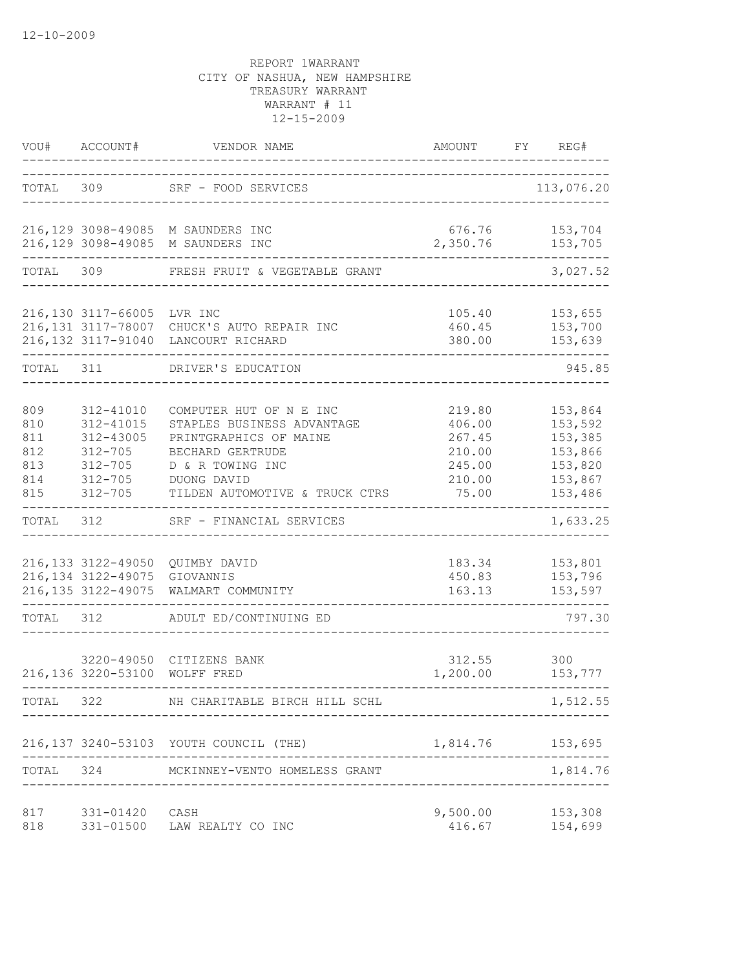| VOU#                                          | ACCOUNT#                                                                                        | VENDOR NAME                                                                                                                                                              | AMOUNT                                                            | FY | REG#                                                                      |
|-----------------------------------------------|-------------------------------------------------------------------------------------------------|--------------------------------------------------------------------------------------------------------------------------------------------------------------------------|-------------------------------------------------------------------|----|---------------------------------------------------------------------------|
| TOTAL 309                                     |                                                                                                 | SRF - FOOD SERVICES<br>___________________                                                                                                                               |                                                                   |    | 113,076.20                                                                |
|                                               |                                                                                                 | 216,129 3098-49085 M SAUNDERS INC<br>216,129 3098-49085 M SAUNDERS INC                                                                                                   | 676.76<br>2,350.76                                                |    | 153,704<br>153,705                                                        |
| TOTAL                                         | 309                                                                                             | FRESH FRUIT & VEGETABLE GRANT                                                                                                                                            |                                                                   |    | 3,027.52                                                                  |
|                                               | 216,130 3117-66005 LVR INC                                                                      | 216,131 3117-78007 CHUCK'S AUTO REPAIR INC<br>216,132 3117-91040 LANCOURT RICHARD                                                                                        | 105.40<br>460.45<br>380.00                                        |    | 153,655<br>153,700<br>153,639                                             |
| TOTAL                                         | 311                                                                                             | DRIVER'S EDUCATION                                                                                                                                                       |                                                                   |    | 945.85                                                                    |
| 809<br>810<br>811<br>812<br>813<br>814<br>815 | 312-41010<br>312-41015<br>312-43005<br>$312 - 705$<br>$312 - 705$<br>$312 - 705$<br>$312 - 705$ | COMPUTER HUT OF N E INC<br>STAPLES BUSINESS ADVANTAGE<br>PRINTGRAPHICS OF MAINE<br>BECHARD GERTRUDE<br>D & R TOWING INC<br>DUONG DAVID<br>TILDEN AUTOMOTIVE & TRUCK CTRS | 219.80<br>406.00<br>267.45<br>210.00<br>245.00<br>210.00<br>75.00 |    | 153,864<br>153,592<br>153,385<br>153,866<br>153,820<br>153,867<br>153,486 |
| TOTAL                                         | 312                                                                                             | SRF - FINANCIAL SERVICES                                                                                                                                                 |                                                                   |    | 1,633.25                                                                  |
|                                               | 216,134 3122-49075 GIOVANNIS<br>216, 135 3122-49075                                             | 216,133 3122-49050 QUIMBY DAVID<br>WALMART COMMUNITY                                                                                                                     | 183.34<br>450.83<br>163.13                                        |    | 153,801<br>153,796<br>153,597                                             |
| TOTAL                                         | 312                                                                                             | ADULT ED/CONTINUING ED                                                                                                                                                   |                                                                   |    | 797.30                                                                    |
|                                               | 216,136 3220-53100 WOLFF FRED<br>------------------------                                       | 3220-49050 CITIZENS BANK                                                                                                                                                 | 312.55<br>1,200.00                                                |    | 300<br>153,777<br>.                                                       |
| TOTAL                                         | 322                                                                                             | NH CHARITABLE BIRCH HILL SCHL                                                                                                                                            |                                                                   |    | 1,512.55                                                                  |
|                                               |                                                                                                 | 216,137 3240-53103 YOUTH COUNCIL (THE)                                                                                                                                   | 1,814.76 153,695                                                  |    |                                                                           |
| TOTAL                                         | 324                                                                                             | MCKINNEY-VENTO HOMELESS GRANT                                                                                                                                            |                                                                   |    | 1,814.76                                                                  |
| 817<br>818                                    | 331-01420 CASH<br>331-01500                                                                     | LAW REALTY CO INC                                                                                                                                                        | 9,500.00<br>416.67                                                |    | 153,308<br>154,699                                                        |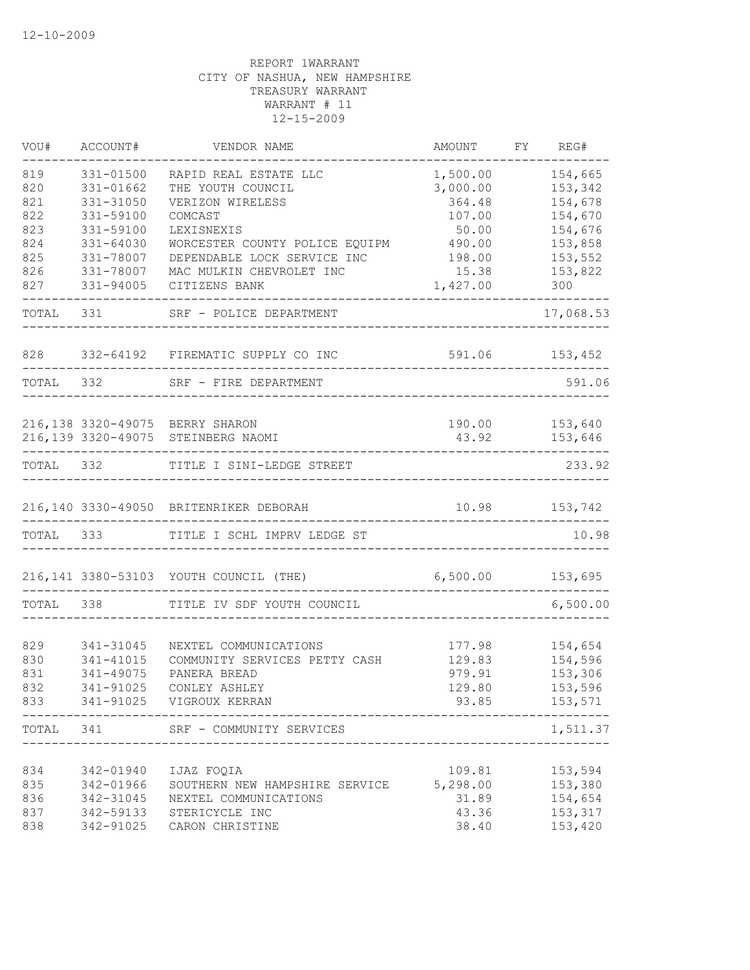| VOU#              | ACCOUNT#                            | VENDOR NAME                                                    | AMOUNT                         | FY | REG#                          |
|-------------------|-------------------------------------|----------------------------------------------------------------|--------------------------------|----|-------------------------------|
| 819<br>820<br>821 | 331-01500<br>331-01662<br>331-31050 | RAPID REAL ESTATE LLC<br>THE YOUTH COUNCIL<br>VERIZON WIRELESS | 1,500.00<br>3,000.00<br>364.48 |    | 154,665<br>153,342<br>154,678 |
| 822               | 331-59100                           | COMCAST                                                        | 107.00                         |    | 154,670                       |
| 823               | 331-59100                           | LEXISNEXIS                                                     | 50.00                          |    | 154,676                       |
| 824               | 331-64030                           | WORCESTER COUNTY POLICE EQUIPM                                 | 490.00                         |    | 153,858                       |
| 825<br>826        | 331-78007<br>331-78007              | DEPENDABLE LOCK SERVICE INC<br>MAC MULKIN CHEVROLET INC        | 198.00<br>15.38                |    | 153,552<br>153,822            |
| 827               | 331-94005                           | CITIZENS BANK                                                  | 1,427.00                       |    | 300                           |
| TOTAL             | 331                                 | SRF - POLICE DEPARTMENT                                        |                                |    | 17,068.53                     |
| 828               |                                     | 332-64192 FIREMATIC SUPPLY CO INC                              |                                |    | 591.06 153,452                |
| TOTAL 332         |                                     | SRF - FIRE DEPARTMENT                                          |                                |    | 591.06                        |
|                   |                                     | 216,138 3320-49075 BERRY SHARON                                |                                |    | 190.00 153,640                |
|                   |                                     | 216,139 3320-49075 STEINBERG NAOMI                             | 43.92                          |    | 153,646                       |
| TOTAL             | 332                                 | TITLE I SINI-LEDGE STREET                                      |                                |    | 233.92                        |
|                   |                                     | 216,140 3330-49050 BRITENRIKER DEBORAH                         |                                |    | 10.98 153,742                 |
| TOTAL             | 333                                 | TITLE I SCHL IMPRV LEDGE ST                                    |                                |    | 10.98                         |
|                   |                                     | 216,141 3380-53103 YOUTH COUNCIL (THE)                         | 6,500.00 153,695               |    |                               |
| TOTAL             | 338                                 | TITLE IV SDF YOUTH COUNCIL                                     |                                |    | 6,500.00                      |
|                   |                                     |                                                                |                                |    |                               |
| 829               | 341-31045                           | NEXTEL COMMUNICATIONS                                          | 177.98                         |    | 154,654                       |
| 830               | 341-41015                           | COMMUNITY SERVICES PETTY CASH                                  | 129.83                         |    | 154,596                       |
| 831               | 341-49075                           | PANERA BREAD                                                   | 979.91                         |    | 153,306                       |
| 832               | 341-91025                           | CONLEY ASHLEY                                                  | 129.80                         |    | 153,596                       |
| 833               |                                     | 341-91025 VIGROUX KERRAN                                       | 93.85                          |    | 153,571                       |
| TOTAL             | 341                                 | SRF - COMMUNITY SERVICES                                       |                                |    | 1,511.37                      |
| 834               | 342-01940                           | IJAZ FOOIA                                                     | 109.81                         |    | 153,594                       |
| 835               | 342-01966                           | SOUTHERN NEW HAMPSHIRE SERVICE                                 | 5,298.00                       |    | 153,380                       |
| 836               | 342-31045                           | NEXTEL COMMUNICATIONS                                          | 31.89                          |    | 154,654                       |
| 837               | 342-59133                           | STERICYCLE INC                                                 | 43.36                          |    | 153,317                       |
| 838               | 342-91025                           | CARON CHRISTINE                                                | 38.40                          |    | 153,420                       |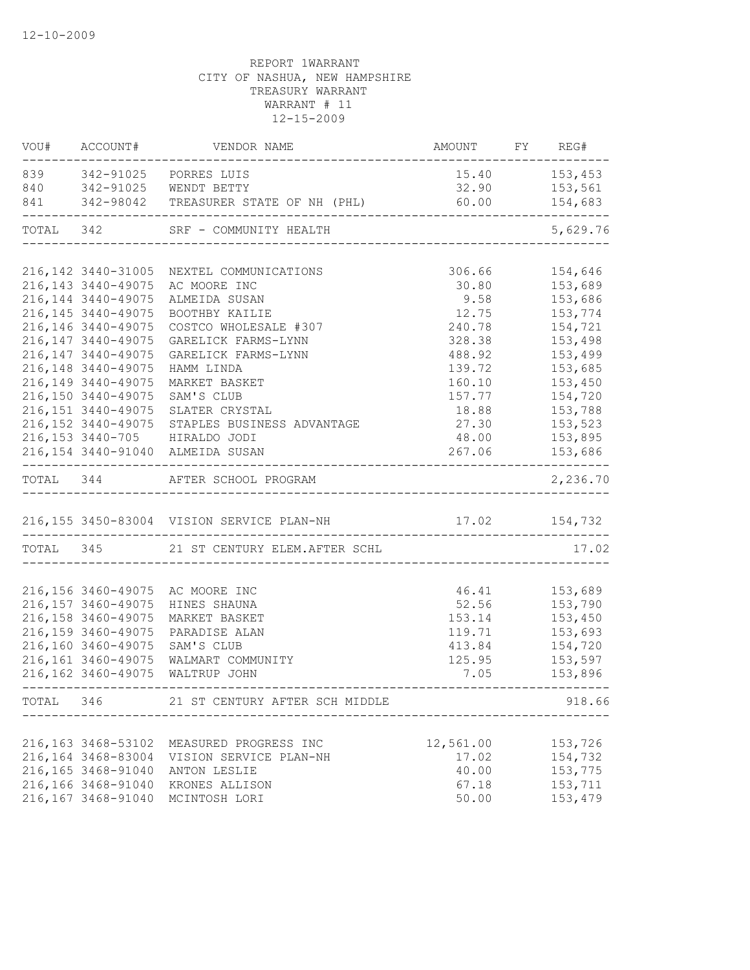| VOU# ACCOUNT#       | VENDOR NAME                                                                                                           | AMOUNT FY REG#            | $---$                              |
|---------------------|-----------------------------------------------------------------------------------------------------------------------|---------------------------|------------------------------------|
|                     |                                                                                                                       |                           | $15.40$ $153,453$                  |
|                     |                                                                                                                       |                           | 153,561                            |
|                     | 839 342-91025 PORRES LUIS 15.40<br>840 342-91025 WENDT BETTY 32.90<br>841 342-98042 TREASURER STATE OF NH (PHL) 60.00 |                           | 154,683<br>.<br>__________________ |
|                     | TOTAL 342 SRF - COMMUNITY HEALTH                                                                                      |                           | 5,629.76                           |
|                     |                                                                                                                       |                           |                                    |
|                     | 216,142 3440-31005 NEXTEL COMMUNICATIONS                                                                              | 306.66                    | 154,646                            |
| 216, 143 3440-49075 | AC MOORE INC                                                                                                          | 30.80                     | 153,689                            |
| 216, 144 3440-49075 | ALMEIDA SUSAN                                                                                                         | 9.58                      | 153,686                            |
| 216, 145 3440-49075 | BOOTHBY KAILIE                                                                                                        | 12.75                     | 153,774                            |
| 216, 146 3440-49075 | COSTCO WHOLESALE #307                                                                                                 | 240.78                    | 154,721                            |
| 216, 147 3440-49075 | GARELICK FARMS-LYNN                                                                                                   | 328.38                    | 153,498                            |
| 216, 147 3440-49075 | GARELICK FARMS-LYNN                                                                                                   | 488.92                    | 153,499                            |
| 216, 148 3440-49075 | HAMM LINDA                                                                                                            | 139.72                    | 153,685                            |
| 216, 149 3440-49075 | MARKET BASKET                                                                                                         | 160.10                    | 153,450                            |
| 216,150 3440-49075  | SAM'S CLUB                                                                                                            | 157.77                    | 154,720                            |
| 216, 151 3440-49075 | SLATER CRYSTAL                                                                                                        | 18.88                     | 153,788                            |
|                     | 216,152 3440-49075 STAPLES BUSINESS ADVANTAGE                                                                         | 27.30                     | 153,523                            |
|                     | 216,153 3440-705 HIRALDO JODI                                                                                         | 48.00                     | 153,895                            |
|                     | 216,154 3440-91040 ALMEIDA SUSAN                                                                                      | 267.06                    | 153,686<br>.<br>_________________  |
|                     | TOTAL 344 AFTER SCHOOL PROGRAM                                                                                        |                           | 2,236.70                           |
|                     | 216,155 3450-83004 VISION SERVICE PLAN-NH 17.02 154,732                                                               |                           |                                    |
|                     | TOTAL 345 21 ST CENTURY ELEM. AFTER SCHL                                                                              |                           | 17.02                              |
|                     |                                                                                                                       |                           |                                    |
|                     | 216,156 3460-49075 AC MOORE INC                                                                                       | 46.41 153,689             |                                    |
| 216, 157 3460-49075 | HINES SHAUNA                                                                                                          | 52.56 153,790             |                                    |
| 216,158 3460-49075  | MARKET BASKET                                                                                                         |                           | 153.14 153,450                     |
| 216,159 3460-49075  | PARADISE ALAN                                                                                                         |                           | 119.71 153,693                     |
| 216,160 3460-49075  | SAM'S CLUB                                                                                                            |                           | 413.84 154,720                     |
| 216, 161 3460-49075 | WALMART COMMUNITY                                                                                                     | 125.95                    | 153,597                            |
| 216, 162 3460-49075 | WALTRUP JOHN                                                                                                          | 7.05                      | 153,896                            |
|                     | TOTAL 346 21 ST CENTURY AFTER SCH MIDDLE                                                                              |                           | 918.66                             |
|                     |                                                                                                                       | ------------------------- |                                    |
| 216, 163 3468-53102 | MEASURED PROGRESS INC                                                                                                 | 12,561.00                 | 153,726                            |
| 216,164 3468-83004  | VISION SERVICE PLAN-NH                                                                                                | 17.02                     | 154,732                            |
| 216, 165 3468-91040 | ANTON LESLIE                                                                                                          | 40.00                     | 153,775                            |
| 216,166 3468-91040  | KRONES ALLISON                                                                                                        | 67.18                     | 153,711                            |
|                     | 216,167 3468-91040 MCINTOSH LORI                                                                                      | 50.00                     | 153,479                            |
|                     |                                                                                                                       |                           |                                    |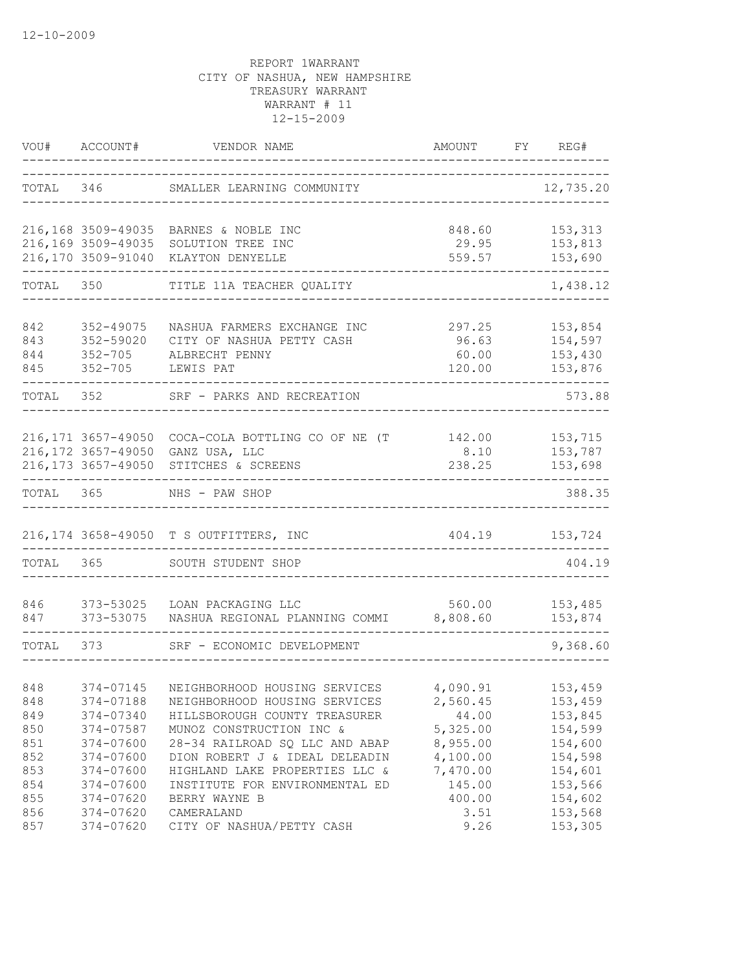| VOU#  | ACCOUNT#                                   | VENDOR NAME                                              | AMOUNT         | FY | REG#               |
|-------|--------------------------------------------|----------------------------------------------------------|----------------|----|--------------------|
| TOTAL | 346                                        | SMALLER LEARNING COMMUNITY                               |                |    | 12,735.20          |
|       |                                            | 216,168 3509-49035 BARNES & NOBLE INC                    | 848.60         |    | 153,313            |
|       | 216,169 3509-49035                         | SOLUTION TREE INC                                        | 29.95          |    | 153,813            |
|       | 216,170 3509-91040                         | KLAYTON DENYELLE                                         | 559.57         |    | 153,690            |
| TOTAL | 350                                        | TITLE 11A TEACHER QUALITY                                |                |    | 1,438.12           |
| 842   | 352-49075                                  | NASHUA FARMERS EXCHANGE INC                              | 297.25         |    | 153,854            |
| 843   | 352-59020                                  | CITY OF NASHUA PETTY CASH                                | 96.63          |    | 154,597            |
| 844   | $352 - 705$                                | ALBRECHT PENNY                                           | 60.00          |    | 153,430            |
| 845   | $352 - 705$                                | LEWIS PAT                                                | 120.00         |    | 153,876            |
| TOTAL | 352                                        | SRF - PARKS AND RECREATION                               |                |    | 573.88             |
|       |                                            |                                                          |                |    |                    |
|       | 216, 171 3657-49050                        | COCA-COLA BOTTLING CO OF NE (T                           |                |    | 142.00   153,715   |
|       | 216, 172 3657-49050<br>216, 173 3657-49050 | GANZ USA, LLC<br>STITCHES & SCREENS                      | 8.10<br>238.25 |    | 153,787<br>153,698 |
|       |                                            |                                                          |                |    |                    |
| TOTAL | 365                                        | NHS - PAW SHOP                                           |                |    | 388.35             |
|       |                                            | 216,174 3658-49050 T S OUTFITTERS, INC                   | 404.19         |    | 153,724            |
| TOTAL | 365                                        | SOUTH STUDENT SHOP                                       |                |    | 404.19             |
| 846   | 373-53025                                  | LOAN PACKAGING LLC                                       | 560.00         |    | 153,485            |
| 847   | 373-53075                                  | NASHUA REGIONAL PLANNING COMMI 8,808.60                  |                |    | 153,874            |
| TOTAL | 373                                        | SRF - ECONOMIC DEVELOPMENT                               |                |    | 9,368.60           |
|       |                                            |                                                          |                |    |                    |
| 848   |                                            | 374-07145 NEIGHBORHOOD HOUSING SERVICES 4,090.91 153,459 |                |    |                    |
| 848   | 374-07188                                  | NEIGHBORHOOD HOUSING SERVICES                            | 2,560.45       |    | 153,459            |
| 849   | 374-07340                                  | HILLSBOROUGH COUNTY TREASURER                            | 44.00          |    | 153,845            |
| 850   | 374-07587                                  | MUNOZ CONSTRUCTION INC &                                 | 5,325.00       |    | 154,599            |
| 851   | 374-07600                                  | 28-34 RAILROAD SQ LLC AND ABAP                           | 8,955.00       |    | 154,600            |
| 852   | 374-07600                                  | DION ROBERT J & IDEAL DELEADIN                           | 4,100.00       |    | 154,598            |
| 853   | 374-07600                                  | HIGHLAND LAKE PROPERTIES LLC &                           | 7,470.00       |    | 154,601            |
| 854   | 374-07600                                  | INSTITUTE FOR ENVIRONMENTAL ED                           | 145.00         |    | 153,566            |
| 855   | 374-07620                                  | BERRY WAYNE B                                            | 400.00         |    | 154,602            |
| 856   | 374-07620                                  | CAMERALAND                                               | 3.51           |    | 153,568            |
| 857   | 374-07620                                  | CITY OF NASHUA/PETTY CASH                                | 9.26           |    | 153,305            |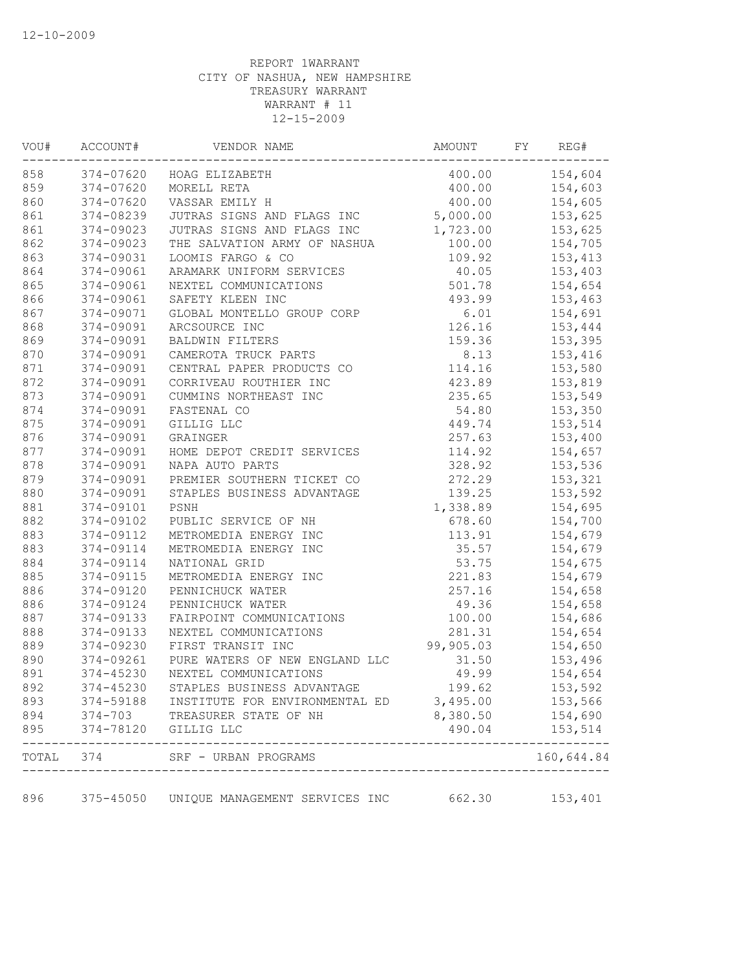| VOU#       | ACCOUNT#             | VENDOR NAME                                                        | AMOUNT    | FY | REG#                   |
|------------|----------------------|--------------------------------------------------------------------|-----------|----|------------------------|
| 858        |                      | 374-07620 HOAG ELIZABETH                                           | 400.00    |    | 154,604                |
| 859        | 374-07620            | MORELL RETA                                                        | 400.00    |    | 154,603                |
| 860        | 374-07620            | VASSAR EMILY H                                                     | 400.00    |    | 154,605                |
| 861        | 374-08239            | JUTRAS SIGNS AND FLAGS INC                                         | 5,000.00  |    | 153,625                |
| 861        | 374-09023            | JUTRAS SIGNS AND FLAGS INC                                         | 1,723.00  |    | 153,625                |
| 862        | 374-09023            | THE SALVATION ARMY OF NASHUA                                       | 100.00    |    | 154,705                |
| 863        | 374-09031            | LOOMIS FARGO & CO                                                  | 109.92    |    | 153,413                |
| 864        | 374-09061            | ARAMARK UNIFORM SERVICES                                           | 40.05     |    | 153,403                |
| 865        | 374-09061            | NEXTEL COMMUNICATIONS                                              | 501.78    |    | 154,654                |
| 866        | 374-09061            | SAFETY KLEEN INC                                                   | 493.99    |    | 153,463                |
| 867        | 374-09071            | GLOBAL MONTELLO GROUP CORP                                         | 6.01      |    | 154,691                |
| 868        | 374-09091            | ARCSOURCE INC                                                      | 126.16    |    | 153,444                |
| 869        | 374-09091            | BALDWIN FILTERS                                                    | 159.36    |    | 153,395                |
| 870        | 374-09091            | CAMEROTA TRUCK PARTS                                               | 8.13      |    | 153,416                |
| 871        | 374-09091            | CENTRAL PAPER PRODUCTS CO                                          | 114.16    |    | 153,580                |
| 872        | 374-09091            | CORRIVEAU ROUTHIER INC                                             | 423.89    |    | 153,819                |
| 873        | 374-09091            | CUMMINS NORTHEAST INC                                              | 235.65    |    | 153,549                |
| 874        | 374-09091            | FASTENAL CO                                                        | 54.80     |    | 153,350                |
| 875        | 374-09091            | GILLIG LLC                                                         | 449.74    |    | 153,514                |
| 876        | 374-09091            | GRAINGER                                                           | 257.63    |    | 153,400                |
| 877        | 374-09091            | HOME DEPOT CREDIT SERVICES                                         | 114.92    |    | 154,657                |
| 878        | 374-09091            | NAPA AUTO PARTS                                                    | 328.92    |    | 153,536                |
| 879        | 374-09091            | PREMIER SOUTHERN TICKET CO                                         | 272.29    |    | 153,321                |
| 880        | 374-09091            | STAPLES BUSINESS ADVANTAGE                                         | 139.25    |    | 153,592                |
| 881        | 374-09101            | PSNH                                                               | 1,338.89  |    | 154,695                |
| 882        | 374-09102            | PUBLIC SERVICE OF NH                                               | 678.60    |    | 154,700                |
| 883        | 374-09112            | METROMEDIA ENERGY INC                                              | 113.91    |    | 154,679                |
| 883        | 374-09114            | METROMEDIA ENERGY INC                                              | 35.57     |    | 154,679                |
| 884        | 374-09114            | NATIONAL GRID                                                      | 53.75     |    | 154,675                |
| 885        | 374-09115            | METROMEDIA ENERGY INC                                              | 221.83    |    | 154,679                |
| 886        | 374-09120            | PENNICHUCK WATER                                                   | 257.16    |    | 154,658                |
| 886        | 374-09124            | PENNICHUCK WATER                                                   | 49.36     |    | 154,658                |
| 887        | 374-09133            | FAIRPOINT COMMUNICATIONS                                           | 100.00    |    | 154,686                |
| 888        | 374-09133            | NEXTEL COMMUNICATIONS                                              | 281.31    |    | 154,654                |
| 889        | 374-09230            | FIRST TRANSIT INC                                                  | 99,905.03 |    | 154,650                |
| 890        | 374-09261            | PURE WATERS OF NEW ENGLAND LLC                                     | 31.50     |    | 153,496                |
| 891        | 374-45230            | NEXTEL COMMUNICATIONS                                              | 49.99     |    | 154,654                |
| 892        | 374-45230            | STAPLES BUSINESS ADVANTAGE                                         | 199.62    |    | 153,592                |
|            |                      |                                                                    |           |    |                        |
| 893        |                      | 374-59188 INSTITUTE FOR ENVIRONMENTAL ED 3,495.00                  | 8,380.50  |    | 153,566                |
| 894<br>895 | 374-78120 GILLIG LLC | 374-703 TREASURER STATE OF NH                                      | 490.04    |    | 154,690<br>153,514     |
|            | TOTAL 374            | SRF - URBAN PROGRAMS                                               |           |    | --------<br>160,644.84 |
| 896        |                      | ----------------------<br>375-45050 UNIQUE MANAGEMENT SERVICES INC | 662.30    |    | 153,401                |
|            |                      |                                                                    |           |    |                        |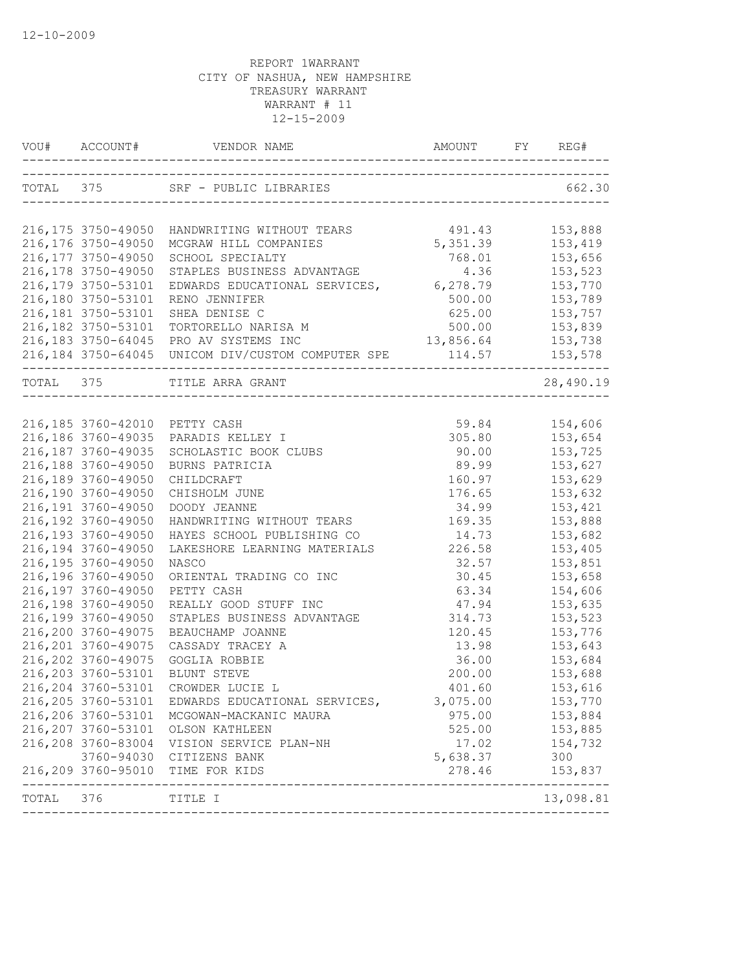|                  | 216, 176 3750-49050<br>216, 177 3750-49050<br>216,178 3750-49050<br>216,179 3750-53101 | 216,175 3750-49050 HANDWRITING WITHOUT TEARS 491.43<br>MCGRAW HILL COMPANIES<br>SCHOOL SPECIALTY                           | 5, 351.39      |                |
|------------------|----------------------------------------------------------------------------------------|----------------------------------------------------------------------------------------------------------------------------|----------------|----------------|
|                  |                                                                                        |                                                                                                                            |                |                |
|                  |                                                                                        |                                                                                                                            |                | 153,888        |
|                  |                                                                                        |                                                                                                                            |                | 153,419        |
|                  |                                                                                        |                                                                                                                            | 768.01         | 153,656        |
|                  |                                                                                        |                                                                                                                            |                | 153,523        |
|                  |                                                                                        | STAPLES BUSINESS ADVANTAGE 4.36<br>EDWARDS EDUCATIONAL SERVICES, 6,278.79                                                  |                | 153,770        |
|                  | 216,180 3750-53101                                                                     | RENO JENNIFER                                                                                                              | 500.00         | 153,789        |
|                  | 216, 181 3750-53101                                                                    | SHEA DENISE C                                                                                                              | 625.00         | 153,757        |
|                  | 216,182 3750-53101                                                                     | TORTORELLO NARISA M                                                                                                        |                | 500.00 153,839 |
|                  |                                                                                        | 216,183 3750-64045 PRO AV SYSTEMS INC                                                                                      | 13,856.64      | 153,738        |
|                  |                                                                                        | 216,184 3750-64045 UNICOM DIV/CUSTOM COMPUTER SPE                                                                          | 114.57 153,578 |                |
| ---------------- |                                                                                        | TOTAL 375 TITLE ARRA GRANT                                                                                                 |                | 28,490.19      |
|                  |                                                                                        |                                                                                                                            |                |                |
|                  |                                                                                        | AAADIS KELLEY I<br>SCHOLASTIC BOOK CLUBS<br>BURNS PATRICIA<br>CHILDCRAFT<br>CHISHOLM JUNE<br>216,185 3760-42010 PETTY CASH | 59.84          | 154,606        |
|                  |                                                                                        | 216,186 3760-49035 PARADIS KELLEY I                                                                                        | 305.80         | 153,654        |
|                  | 216, 187 3760-49035                                                                    |                                                                                                                            | 90.00          | 153,725        |
|                  | 216,188 3760-49050                                                                     |                                                                                                                            | 89.99          | 153,627        |
|                  | 216,189 3760-49050                                                                     |                                                                                                                            | 160.97         | 153,629        |
|                  | 216,190 3760-49050                                                                     |                                                                                                                            | 176.65         | 153,632        |
|                  | 216, 191 3760-49050                                                                    | DOODY JEANNE                                                                                                               | 34.99          | 153,421        |
|                  | 216, 192 3760-49050                                                                    | HANDWRITING WITHOUT TEARS                                                                                                  | 169.35         | 153,888        |
|                  | 216,193 3760-49050                                                                     | HAYES SCHOOL PUBLISHING CO                                                                                                 | 14.73          | 153,682        |
|                  | 216,194 3760-49050                                                                     | LAKESHORE LEARNING MATERIALS                                                                                               | 226.58         | 153,405        |
|                  | 216,195 3760-49050                                                                     | NASCO                                                                                                                      | 32.57          | 153,851        |
|                  | 216,196 3760-49050                                                                     | ORIENTAL TRADING CO INC                                                                                                    | 30.45          | 153,658        |
|                  | 216, 197 3760-49050                                                                    | PETTY CASH                                                                                                                 | 63.34          | 154,606        |
|                  | 216,198 3760-49050                                                                     | REALLY GOOD STUFF INC                                                                                                      | 47.94          | 153,635        |
|                  | 216,199 3760-49050                                                                     | STAPLES BUSINESS ADVANTAGE                                                                                                 | 314.73         | 153,523        |
|                  | 216,200 3760-49075                                                                     | BEAUCHAMP JOANNE                                                                                                           | 120.45         | 153,776        |
|                  | 216, 201 3760-49075                                                                    | CASSADY TRACEY A                                                                                                           | 13.98          | 153,643        |
|                  | 216,202 3760-49075                                                                     | GOGLIA ROBBIE                                                                                                              | 36.00          | 153,684        |
|                  | 216,203 3760-53101                                                                     | BLUNT STEVE                                                                                                                | 200.00         | 153,688        |
|                  |                                                                                        | 216, 204 3760-53101 CROWDER LUCIE L                                                                                        | 401.60         | 153,616        |
|                  |                                                                                        | 216,205 3760-53101 EDWARDS EDUCATIONAL SERVICES,                                                                           | 3,075.00       | 153,770        |
|                  | 216,206 3760-53101                                                                     | MCGOWAN-MACKANIC MAURA                                                                                                     | 975.00         | 153,884        |
|                  | 216,207 3760-53101                                                                     | OLSON KATHLEEN                                                                                                             | 525.00         | 153,885        |
|                  |                                                                                        | 216,208 3760-83004 VISION SERVICE PLAN-NH                                                                                  | 17.02          | 154,732        |
|                  | 3760-94030                                                                             | CITIZENS BANK                                                                                                              | 5,638.37       | 300            |
|                  |                                                                                        | 216,209 3760-95010 TIME FOR KIDS<br>-----------<br>---------------------------                                             | 278.46         | 153,837        |
| TOTAL 376        |                                                                                        | TITLE I                                                                                                                    |                | 13,098.81      |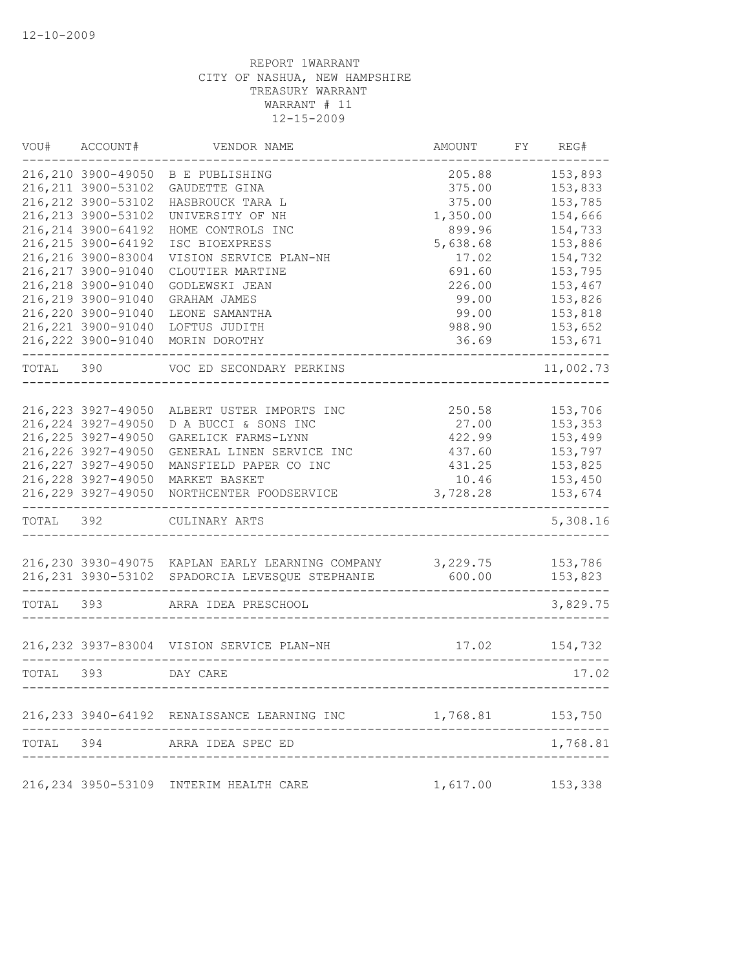| VOU#      | ACCOUNT#                                                                                                                                                                                                                                                                                           | VENDOR NAME                                                                                                                                                                                                                                               | AMOUNT                                                                                                                         | FY | REG#                                                                                                                                        |
|-----------|----------------------------------------------------------------------------------------------------------------------------------------------------------------------------------------------------------------------------------------------------------------------------------------------------|-----------------------------------------------------------------------------------------------------------------------------------------------------------------------------------------------------------------------------------------------------------|--------------------------------------------------------------------------------------------------------------------------------|----|---------------------------------------------------------------------------------------------------------------------------------------------|
|           | 216,210 3900-49050<br>216, 211 3900-53102<br>216, 212 3900-53102<br>216, 213 3900-53102<br>216, 214 3900-64192<br>216, 215 3900-64192<br>216,216 3900-83004<br>216, 217 3900-91040<br>216,218 3900-91040<br>216,219 3900-91040<br>216,220 3900-91040<br>216, 221 3900-91040<br>216, 222 3900-91040 | <b>B E PUBLISHING</b><br>GAUDETTE GINA<br>HASBROUCK TARA L<br>UNIVERSITY OF NH<br>HOME CONTROLS INC<br>ISC BIOEXPRESS<br>VISION SERVICE PLAN-NH<br>CLOUTIER MARTINE<br>GODLEWSKI JEAN<br>GRAHAM JAMES<br>LEONE SAMANTHA<br>LOFTUS JUDITH<br>MORIN DOROTHY | 205.88<br>375.00<br>375.00<br>1,350.00<br>899.96<br>5,638.68<br>17.02<br>691.60<br>226.00<br>99.00<br>99.00<br>988.90<br>36.69 |    | 153,893<br>153,833<br>153,785<br>154,666<br>154,733<br>153,886<br>154,732<br>153,795<br>153,467<br>153,826<br>153,818<br>153,652<br>153,671 |
|           |                                                                                                                                                                                                                                                                                                    |                                                                                                                                                                                                                                                           |                                                                                                                                |    |                                                                                                                                             |
| TOTAL     | 390                                                                                                                                                                                                                                                                                                | VOC ED SECONDARY PERKINS                                                                                                                                                                                                                                  |                                                                                                                                |    | 11,002.73                                                                                                                                   |
|           | 216, 223 3927-49050<br>216, 224 3927-49050<br>216, 225 3927-49050<br>216, 226 3927-49050<br>216, 227 3927-49050<br>216, 228 3927-49050<br>216,229 3927-49050                                                                                                                                       | ALBERT USTER IMPORTS INC<br>D A BUCCI & SONS INC<br>GARELICK FARMS-LYNN<br>GENERAL LINEN SERVICE INC<br>MANSFIELD PAPER CO INC<br>MARKET BASKET<br>NORTHCENTER FOODSERVICE                                                                                | 250.58<br>27.00<br>422.99<br>437.60<br>431.25<br>10.46<br>3,728.28                                                             |    | 153,706<br>153,353<br>153,499<br>153,797<br>153,825<br>153,450<br>153,674                                                                   |
| TOTAL 392 |                                                                                                                                                                                                                                                                                                    | CULINARY ARTS                                                                                                                                                                                                                                             |                                                                                                                                |    | 5,308.16                                                                                                                                    |
|           |                                                                                                                                                                                                                                                                                                    | 216,230 3930-49075 KAPLAN EARLY LEARNING COMPANY 3,229.75<br>216, 231 3930-53102 SPADORCIA LEVESQUE STEPHANIE                                                                                                                                             | 600.00                                                                                                                         |    | 153,786<br>153,823                                                                                                                          |
| TOTAL     | 393                                                                                                                                                                                                                                                                                                | ARRA IDEA PRESCHOOL                                                                                                                                                                                                                                       |                                                                                                                                |    | 3,829.75                                                                                                                                    |
|           |                                                                                                                                                                                                                                                                                                    | 216, 232 3937-83004 VISION SERVICE PLAN-NH                                                                                                                                                                                                                | 17.02                                                                                                                          |    | 154,732                                                                                                                                     |
| TOTAL 393 |                                                                                                                                                                                                                                                                                                    | DAY CARE                                                                                                                                                                                                                                                  |                                                                                                                                |    | 17.02                                                                                                                                       |
|           |                                                                                                                                                                                                                                                                                                    | 216, 233 3940-64192 RENAISSANCE LEARNING INC                                                                                                                                                                                                              | 1,768.81                                                                                                                       |    | 153,750                                                                                                                                     |
| TOTAL     | 394                                                                                                                                                                                                                                                                                                | ARRA IDEA SPEC ED                                                                                                                                                                                                                                         |                                                                                                                                |    | 1,768.81                                                                                                                                    |
|           |                                                                                                                                                                                                                                                                                                    | 216, 234 3950-53109 INTERIM HEALTH CARE                                                                                                                                                                                                                   | 1,617.00                                                                                                                       |    | 153,338                                                                                                                                     |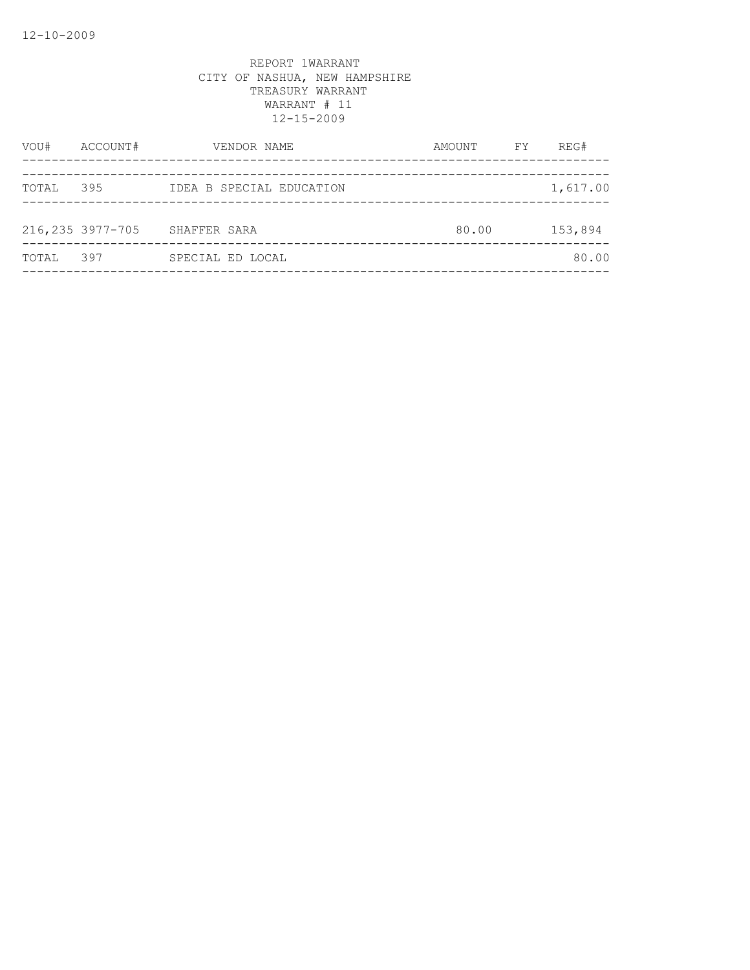| VOU#  | ACCOUNT#         | VENDOR NAME              | AMOUNT | FY | REG#     |
|-------|------------------|--------------------------|--------|----|----------|
| TOTAL | 395              | IDEA B SPECIAL EDUCATION |        |    | 1,617.00 |
|       | 216,235 3977-705 | SHAFFER SARA             | 80.00  |    | 153,894  |
| TOTAL | 397              | SPECIAL ED LOCAL         |        |    | 80.00    |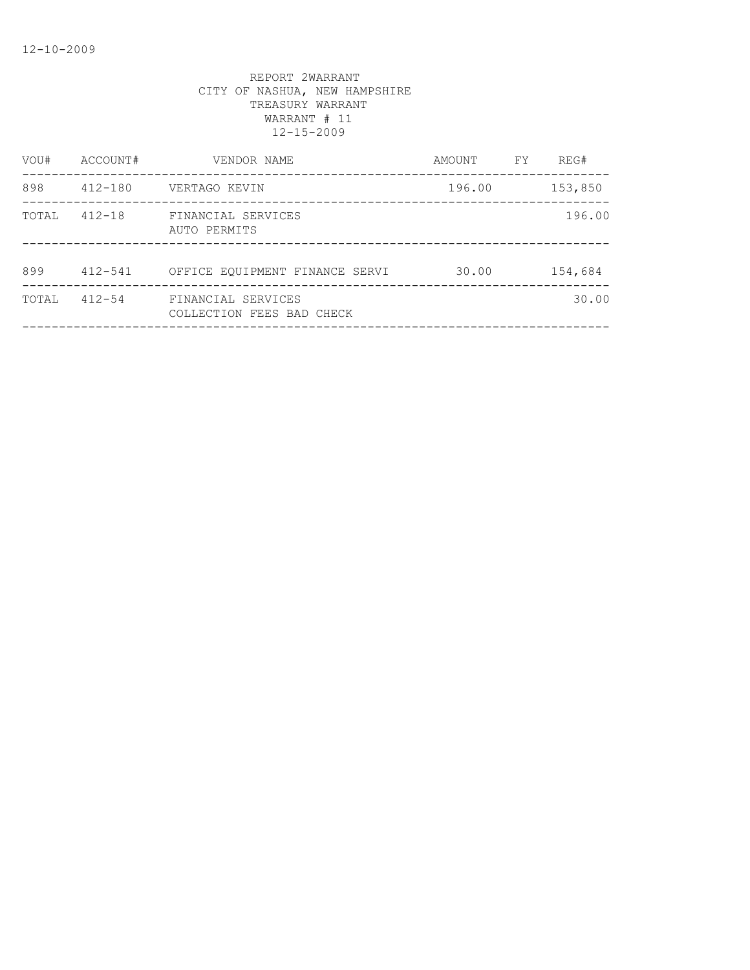| ACCOUNT#    | VENDOR NAME                                     | AMOUNT | FY. | REG#    |
|-------------|-------------------------------------------------|--------|-----|---------|
| $412 - 180$ | VERTAGO KEVIN                                   | 196.00 |     | 153,850 |
| $412 - 18$  | FINANCIAL SERVICES<br>AUTO PERMITS              |        |     | 196.00  |
| $412 - 541$ | OFFICE EQUIPMENT FINANCE SERVI                  | 30.00  |     | 154,684 |
| $412 - 54$  | FINANCIAL SERVICES<br>COLLECTION FEES BAD CHECK |        |     | 30.00   |
|             |                                                 |        |     |         |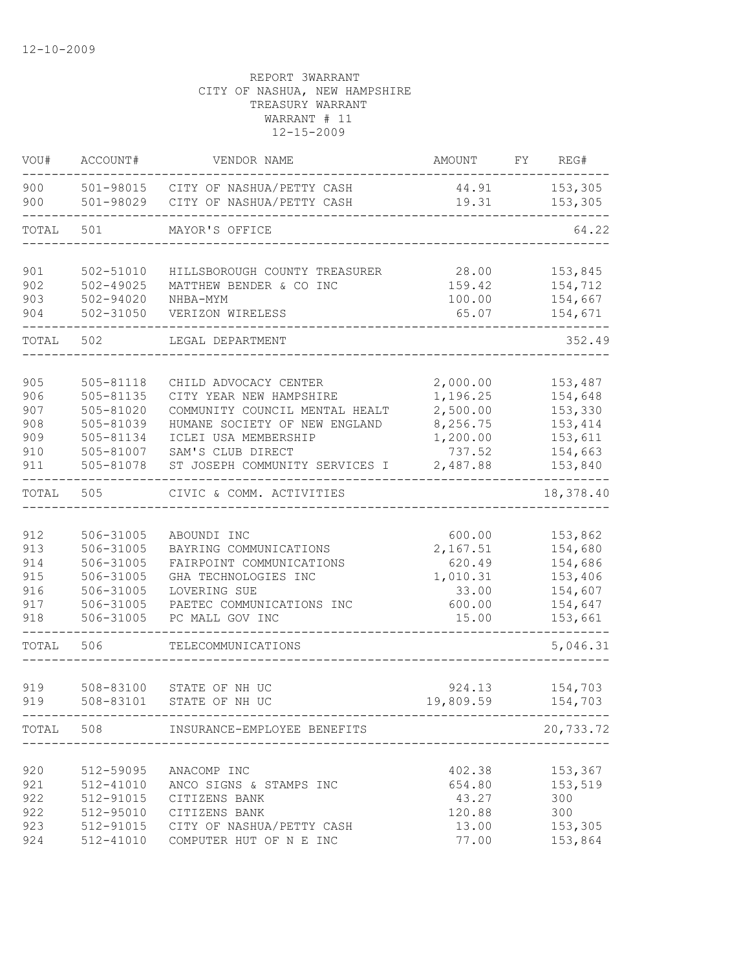| VOU#                                          | ACCOUNT#                                                                                    | VENDOR NAME                                                                                                                                                                                        | AMOUNT                                                                         | FY | REG#                                                                       |
|-----------------------------------------------|---------------------------------------------------------------------------------------------|----------------------------------------------------------------------------------------------------------------------------------------------------------------------------------------------------|--------------------------------------------------------------------------------|----|----------------------------------------------------------------------------|
| 900<br>900                                    | 501-98029                                                                                   | 501-98015 CITY OF NASHUA/PETTY CASH<br>CITY OF NASHUA/PETTY CASH                                                                                                                                   | 44.91<br>19.31                                                                 |    | 153,305<br>153,305                                                         |
| TOTAL                                         | 501                                                                                         | MAYOR'S OFFICE                                                                                                                                                                                     |                                                                                |    | 64.22                                                                      |
| 901<br>902<br>903<br>904                      | 502-51010<br>$502 - 49025$<br>502-94020<br>$502 - 31050$                                    | HILLSBOROUGH COUNTY TREASURER<br>MATTHEW BENDER & CO INC<br>NHBA-MYM<br>VERIZON WIRELESS                                                                                                           | 28.00<br>159.42<br>100.00<br>65.07                                             |    | 153,845<br>154,712<br>154,667<br>154,671                                   |
| TOTAL                                         | 502                                                                                         | LEGAL DEPARTMENT                                                                                                                                                                                   |                                                                                |    | 352.49                                                                     |
| 905<br>906<br>907<br>908<br>909<br>910<br>911 | $505 - 81118$<br>505-81135<br>505-81020<br>505-81039<br>505-81134<br>505-81007<br>505-81078 | CHILD ADVOCACY CENTER<br>CITY YEAR NEW HAMPSHIRE<br>COMMUNITY COUNCIL MENTAL HEALT<br>HUMANE SOCIETY OF NEW ENGLAND<br>ICLEI USA MEMBERSHIP<br>SAM'S CLUB DIRECT<br>ST JOSEPH COMMUNITY SERVICES I | 2,000.00<br>1,196.25<br>2,500.00<br>8,256.75<br>1,200.00<br>737.52<br>2,487.88 |    | 153,487<br>154,648<br>153,330<br>153, 414<br>153,611<br>154,663<br>153,840 |
| TOTAL                                         | 505                                                                                         | CIVIC & COMM. ACTIVITIES                                                                                                                                                                           |                                                                                |    | 18,378.40                                                                  |
| 912<br>913<br>914<br>915<br>916<br>917<br>918 | 506-31005<br>506-31005<br>506-31005<br>506-31005<br>506-31005<br>506-31005<br>506-31005     | ABOUNDI INC<br>BAYRING COMMUNICATIONS<br>FAIRPOINT COMMUNICATIONS<br>GHA TECHNOLOGIES INC<br>LOVERING SUE<br>PAETEC COMMUNICATIONS INC<br>PC MALL GOV INC                                          | 600.00<br>2,167.51<br>620.49<br>1,010.31<br>33.00<br>600.00<br>15.00           |    | 153,862<br>154,680<br>154,686<br>153,406<br>154,607<br>154,647<br>153,661  |
| TOTAL                                         | 506                                                                                         | TELECOMMUNICATIONS                                                                                                                                                                                 |                                                                                |    | 5,046.31                                                                   |
| 919<br>919                                    | 508-83100<br>508-83101                                                                      | STATE OF NH UC<br>STATE OF NH UC                                                                                                                                                                   | 924.13<br>19,809.59                                                            |    | 154,703<br>154,703                                                         |
|                                               | TOTAL 508                                                                                   | INSURANCE-EMPLOYEE BENEFITS                                                                                                                                                                        |                                                                                |    | 20,733.72                                                                  |
| 920<br>921<br>922<br>922<br>923<br>924        | 512-59095<br>512-41010<br>512-91015<br>512-95010<br>512-91015<br>512-41010                  | ANACOMP INC<br>ANCO SIGNS & STAMPS INC<br>CITIZENS BANK<br>CITIZENS BANK<br>CITY OF NASHUA/PETTY CASH<br>COMPUTER HUT OF N E INC                                                                   | 402.38<br>654.80<br>43.27<br>120.88<br>13.00<br>77.00                          |    | 153,367<br>153,519<br>300<br>300<br>153,305<br>153,864                     |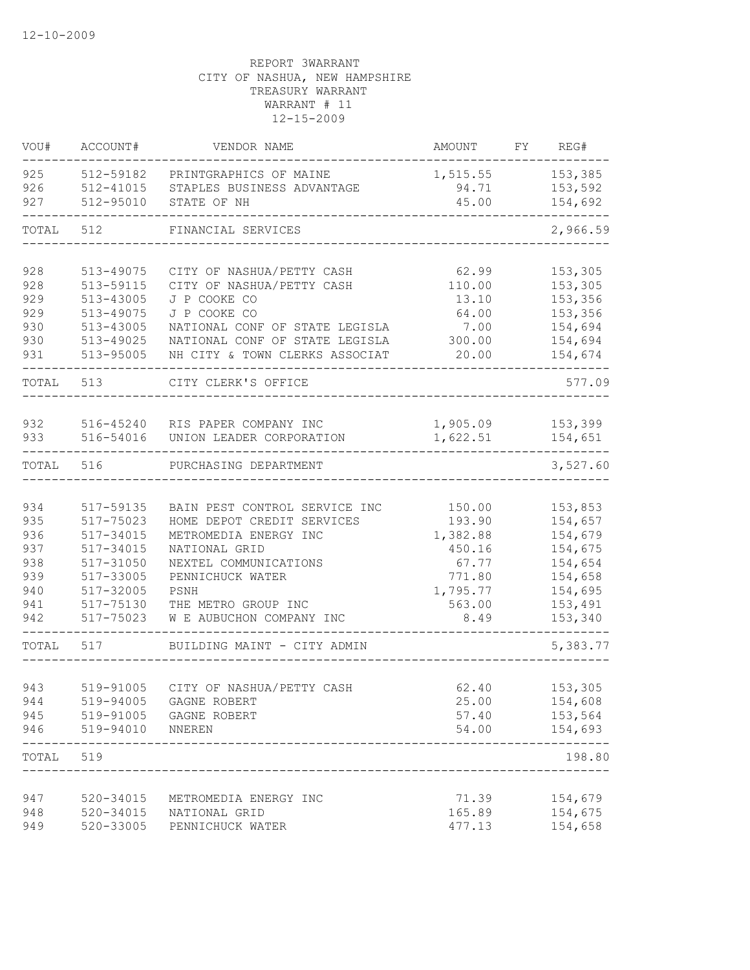| VOU#  | ACCOUNT#         | VENDOR NAME                         | AMOUNT   | FY | REG#     |
|-------|------------------|-------------------------------------|----------|----|----------|
| 925   | 512-59182        | PRINTGRAPHICS OF MAINE              | 1,515.55 |    | 153,385  |
| 926   | 512-41015        | STAPLES BUSINESS ADVANTAGE          | 94.71    |    | 153,592  |
| 927   | 512-95010        | STATE OF NH                         | 45.00    |    | 154,692  |
| TOTAL | 512              | FINANCIAL SERVICES                  |          |    | 2,966.59 |
| 928   | 513-49075        | CITY OF NASHUA/PETTY CASH           | 62.99    |    | 153,305  |
| 928   | 513-59115        | CITY OF NASHUA/PETTY CASH           | 110.00   |    | 153,305  |
| 929   | 513-43005        | J P COOKE CO                        | 13.10    |    | 153,356  |
| 929   | 513-49075        | J P COOKE CO                        | 64.00    |    | 153,356  |
| 930   | 513-43005        | NATIONAL CONF OF STATE LEGISLA      | 7.00     |    | 154,694  |
| 930   | 513-49025        | NATIONAL CONF OF STATE LEGISLA      | 300.00   |    | 154,694  |
| 931   | 513-95005        | NH CITY & TOWN CLERKS ASSOCIAT      | 20.00    |    | 154,674  |
| TOTAL | 513              | CITY CLERK'S OFFICE                 |          |    | 577.09   |
| 932   | 516-45240        | RIS PAPER COMPANY INC               | 1,905.09 |    | 153,399  |
| 933   | 516-54016        | UNION LEADER CORPORATION            | 1,622.51 |    | 154,651  |
| TOTAL | 516              | PURCHASING DEPARTMENT               |          |    | 3,527.60 |
|       |                  |                                     |          |    |          |
| 934   | 517-59135        | BAIN PEST CONTROL SERVICE INC       | 150.00   |    | 153,853  |
| 935   | 517-75023        | HOME DEPOT CREDIT SERVICES          | 193.90   |    | 154,657  |
| 936   | 517-34015        | METROMEDIA ENERGY INC               | 1,382.88 |    | 154,679  |
| 937   | 517-34015        | NATIONAL GRID                       | 450.16   |    | 154,675  |
| 938   | 517-31050        | NEXTEL COMMUNICATIONS               | 67.77    |    | 154,654  |
| 939   | 517-33005        | PENNICHUCK WATER                    | 771.80   |    | 154,658  |
| 940   | 517-32005        | PSNH                                | 1,795.77 |    | 154,695  |
| 941   | 517-75130        | THE METRO GROUP INC                 | 563.00   |    | 153,491  |
| 942   | 517-75023        | W E AUBUCHON COMPANY INC            | 8.49     |    | 153,340  |
| TOTAL | 517              | BUILDING MAINT - CITY ADMIN         |          |    | 5,383.77 |
| 943   |                  | 519-91005 CITY OF NASHUA/PETTY CASH | 62.40    |    | 153,305  |
| 944   |                  | 519-94005 GAGNE ROBERT              | 25.00    |    | 154,608  |
| 945   |                  | 519-91005 GAGNE ROBERT              | 57.40    |    | 153,564  |
| 946   | 519-94010 NNEREN |                                     | 54.00    |    | 154,693  |
| TOTAL | 519              |                                     |          |    | 198.80   |
|       |                  |                                     |          |    |          |
| 947   | 520-34015        | METROMEDIA ENERGY INC               | 71.39    |    | 154,679  |
| 948   | 520-34015        | NATIONAL GRID                       | 165.89   |    | 154,675  |
| 949   | 520-33005        | PENNICHUCK WATER                    | 477.13   |    | 154,658  |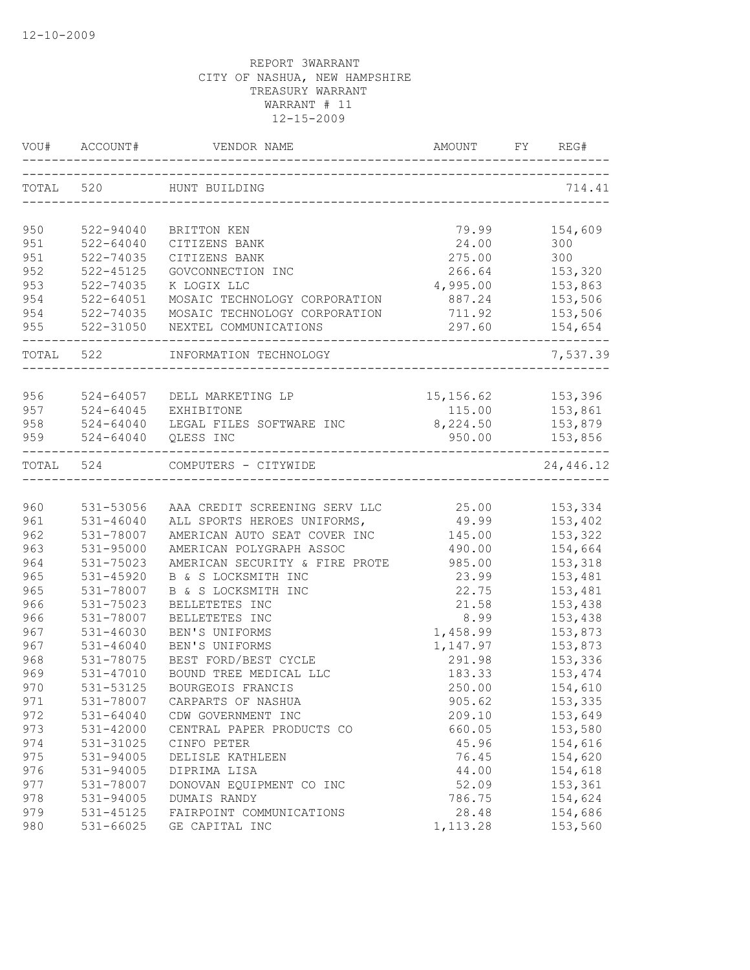| VOU#       | ACCOUNT#                       | VENDOR NAME                                     | AMOUNT<br>------------------------- | FY | REG#               |
|------------|--------------------------------|-------------------------------------------------|-------------------------------------|----|--------------------|
| TOTAL 520  |                                | HUNT BUILDING                                   |                                     |    | 714.41             |
|            |                                |                                                 |                                     |    |                    |
| 950        | 522-94040                      | BRITTON KEN                                     | 79.99                               |    | 154,609            |
| 951<br>951 | $522 - 64040$<br>522-74035     | CITIZENS BANK<br>CITIZENS BANK                  | 24.00<br>275.00                     |    | 300<br>300         |
| 952        | $522 - 45125$                  | GOVCONNECTION INC                               | 266.64                              |    | 153,320            |
| 953        | 522-74035                      | K LOGIX LLC                                     | 4,995.00                            |    | 153,863            |
| 954        | $522 - 64051$                  | MOSAIC TECHNOLOGY CORPORATION                   | 887.24                              |    | 153,506            |
| 954        | 522-74035                      | MOSAIC TECHNOLOGY CORPORATION                   | 711.92                              |    | 153,506            |
| 955        | 522-31050                      | NEXTEL COMMUNICATIONS                           | 297.60                              |    | 154,654            |
| TOTAL 522  |                                | INFORMATION TECHNOLOGY                          |                                     |    | 7,537.39           |
|            |                                |                                                 |                                     |    |                    |
| 956        | 524-64057                      | DELL MARKETING LP                               | 15,156.62                           |    | 153,396            |
| 957        | $524 - 64045$                  | EXHIBITONE                                      | 115.00                              |    | 153,861            |
| 958        | $524 - 64040$                  | LEGAL FILES SOFTWARE INC                        | 8,224.50                            |    | 153,879            |
| 959        | $524 - 64040$                  | QLESS INC                                       | 950.00                              |    | 153,856            |
| TOTAL      | 524                            | COMPUTERS - CITYWIDE                            |                                     |    | 24,446.12          |
|            |                                |                                                 |                                     |    |                    |
| 960        | 531-53056                      | AAA CREDIT SCREENING SERV LLC                   | 25.00                               |    | 153,334            |
| 961        | 531-46040                      | ALL SPORTS HEROES UNIFORMS,                     | 49.99                               |    | 153,402            |
| 962        | 531-78007                      | AMERICAN AUTO SEAT COVER INC                    | 145.00                              |    | 153,322            |
| 963        | 531-95000                      | AMERICAN POLYGRAPH ASSOC                        | 490.00                              |    | 154,664            |
| 964        | 531-75023                      | AMERICAN SECURITY & FIRE PROTE                  | 985.00                              |    | 153,318            |
| 965        | 531-45920                      | B & S LOCKSMITH INC                             | 23.99                               |    | 153,481            |
| 965        | 531-78007                      | B & S LOCKSMITH INC                             | 22.75                               |    | 153,481            |
| 966        | 531-75023                      | BELLETETES INC                                  | 21.58                               |    | 153,438            |
| 966        | 531-78007                      | BELLETETES INC                                  | 8.99                                |    | 153,438            |
| 967        | $531 - 46030$<br>$531 - 46040$ | BEN'S UNIFORMS                                  | 1,458.99                            |    | 153,873            |
| 967        |                                | BEN'S UNIFORMS<br>BEST FORD/BEST CYCLE          | 1,147.97                            |    | 153,873            |
| 968<br>969 | 531-78075<br>531-47010         | BOUND TREE MEDICAL LLC                          | 291.98<br>183.33                    |    | 153,336<br>153,474 |
| 970        | 531-53125                      | BOURGEOIS FRANCIS                               |                                     |    | 154,610            |
| 971        |                                | CARPARTS OF NASHUA                              | 250.00<br>905.62                    |    |                    |
| 972        | 531-78007<br>$531 - 64040$     |                                                 |                                     |    | 153,335<br>153,649 |
|            |                                | CDW GOVERNMENT INC<br>CENTRAL PAPER PRODUCTS CO | 209.10<br>660.05                    |    |                    |
| 973<br>974 | 531-42000<br>531-31025         | CINFO PETER                                     | 45.96                               |    | 153,580<br>154,616 |
| 975        | 531-94005                      | DELISLE KATHLEEN                                | 76.45                               |    | 154,620            |
| 976        | 531-94005                      | DIPRIMA LISA                                    | 44.00                               |    | 154,618            |
| 977        | 531-78007                      | DONOVAN EQUIPMENT CO INC                        | 52.09                               |    | 153,361            |
| 978        | 531-94005                      | DUMAIS RANDY                                    | 786.75                              |    | 154,624            |
| 979        | 531-45125                      | FAIRPOINT COMMUNICATIONS                        | 28.48                               |    | 154,686            |
| 980        | 531-66025                      | GE CAPITAL INC                                  | 1, 113.28                           |    | 153,560            |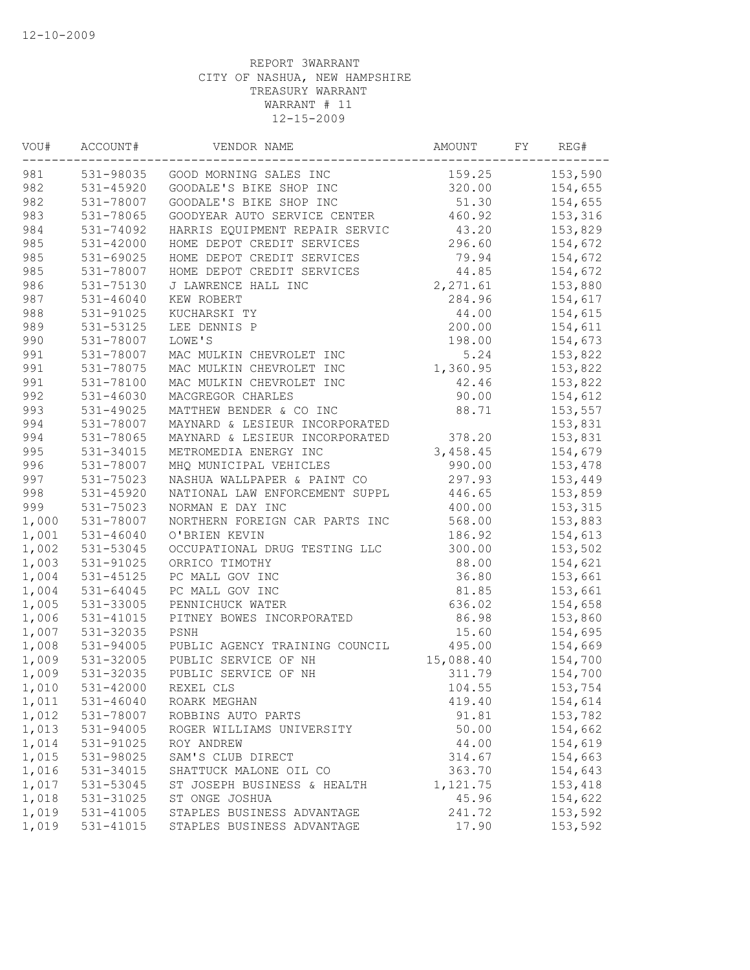| VOU#  | ACCOUNT#      | VENDOR NAME                    | AMOUNT    | FY | REG#    |
|-------|---------------|--------------------------------|-----------|----|---------|
| 981   | 531-98035     | GOOD MORNING SALES INC         | 159.25    |    | 153,590 |
| 982   | 531-45920     | GOODALE'S BIKE SHOP INC        | 320.00    |    | 154,655 |
| 982   | 531-78007     | GOODALE'S BIKE SHOP INC        | 51.30     |    | 154,655 |
| 983   | 531-78065     | GOODYEAR AUTO SERVICE CENTER   | 460.92    |    | 153,316 |
| 984   | 531-74092     | HARRIS EQUIPMENT REPAIR SERVIC | 43.20     |    | 153,829 |
| 985   | $531 - 42000$ | HOME DEPOT CREDIT SERVICES     | 296.60    |    | 154,672 |
| 985   | 531-69025     | HOME DEPOT CREDIT SERVICES     | 79.94     |    | 154,672 |
| 985   | 531-78007     | HOME DEPOT CREDIT SERVICES     | 44.85     |    | 154,672 |
| 986   | 531-75130     | J LAWRENCE HALL INC            | 2,271.61  |    | 153,880 |
| 987   | $531 - 46040$ | KEW ROBERT                     | 284.96    |    | 154,617 |
| 988   | 531-91025     | KUCHARSKI TY                   | 44.00     |    | 154,615 |
| 989   | 531-53125     | LEE DENNIS P                   | 200.00    |    | 154,611 |
| 990   | 531-78007     | LOWE'S                         | 198.00    |    | 154,673 |
| 991   | 531-78007     | MAC MULKIN CHEVROLET INC       | 5.24      |    | 153,822 |
| 991   | 531-78075     | MAC MULKIN CHEVROLET INC       | 1,360.95  |    | 153,822 |
| 991   | 531-78100     | MAC MULKIN CHEVROLET INC       | 42.46     |    | 153,822 |
| 992   | $531 - 46030$ | MACGREGOR CHARLES              | 90.00     |    | 154,612 |
| 993   | 531-49025     | MATTHEW BENDER & CO INC        | 88.71     |    | 153,557 |
| 994   | 531-78007     | MAYNARD & LESIEUR INCORPORATED |           |    | 153,831 |
| 994   | 531-78065     | MAYNARD & LESIEUR INCORPORATED | 378.20    |    | 153,831 |
| 995   | 531-34015     | METROMEDIA ENERGY INC          | 3,458.45  |    | 154,679 |
| 996   | 531-78007     | MHQ MUNICIPAL VEHICLES         | 990.00    |    | 153,478 |
| 997   | 531-75023     | NASHUA WALLPAPER & PAINT CO    | 297.93    |    | 153,449 |
| 998   | 531-45920     | NATIONAL LAW ENFORCEMENT SUPPL | 446.65    |    | 153,859 |
| 999   | 531-75023     | NORMAN E DAY INC               | 400.00    |    | 153,315 |
| 1,000 | 531-78007     | NORTHERN FOREIGN CAR PARTS INC | 568.00    |    | 153,883 |
| 1,001 | 531-46040     | O'BRIEN KEVIN                  | 186.92    |    | 154,613 |
| 1,002 | 531-53045     | OCCUPATIONAL DRUG TESTING LLC  | 300.00    |    | 153,502 |
| 1,003 | 531-91025     | ORRICO TIMOTHY                 | 88.00     |    | 154,621 |
| 1,004 | 531-45125     | PC MALL GOV INC                | 36.80     |    | 153,661 |
| 1,004 | 531-64045     | PC MALL GOV INC                | 81.85     |    | 153,661 |
| 1,005 | 531-33005     | PENNICHUCK WATER               | 636.02    |    | 154,658 |
| 1,006 | 531-41015     | PITNEY BOWES INCORPORATED      | 86.98     |    | 153,860 |
| 1,007 | 531-32035     | PSNH                           | 15.60     |    | 154,695 |
| 1,008 | 531-94005     | PUBLIC AGENCY TRAINING COUNCIL | 495.00    |    | 154,669 |
| 1,009 | 531-32005     | PUBLIC SERVICE OF NH           | 15,088.40 |    | 154,700 |
| 1,009 | 531-32035     | PUBLIC SERVICE OF NH           | 311.79    |    | 154,700 |
| 1,010 | 531-42000     | REXEL CLS                      | 104.55    |    | 153,754 |
| 1,011 | 531-46040     | ROARK MEGHAN                   | 419.40    |    | 154,614 |
| 1,012 | 531-78007     | ROBBINS AUTO PARTS             | 91.81     |    | 153,782 |
| 1,013 | 531-94005     | ROGER WILLIAMS UNIVERSITY      | 50.00     |    | 154,662 |
| 1,014 | 531-91025     | ROY ANDREW                     | 44.00     |    | 154,619 |
| 1,015 | 531-98025     | SAM'S CLUB DIRECT              | 314.67    |    | 154,663 |
| 1,016 | 531-34015     | SHATTUCK MALONE OIL CO         | 363.70    |    | 154,643 |
| 1,017 | 531-53045     | ST JOSEPH BUSINESS & HEALTH    | 1,121.75  |    | 153,418 |
| 1,018 | 531-31025     | ST ONGE JOSHUA                 | 45.96     |    | 154,622 |
| 1,019 | 531-41005     | STAPLES BUSINESS ADVANTAGE     | 241.72    |    | 153,592 |
| 1,019 | 531-41015     | STAPLES BUSINESS ADVANTAGE     | 17.90     |    | 153,592 |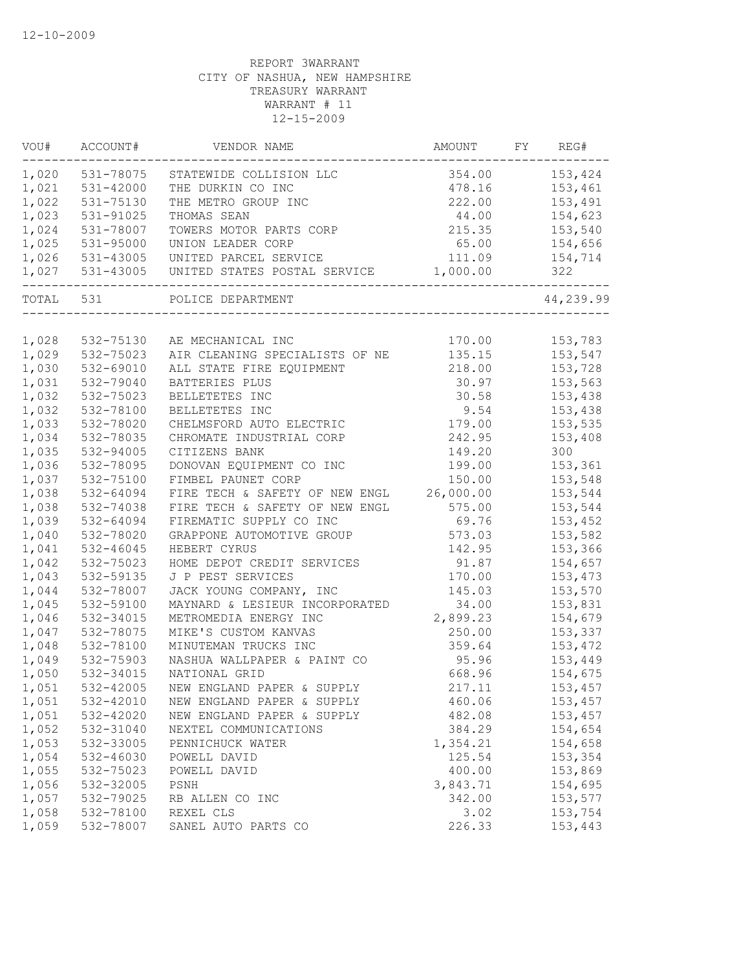| VOU#  | ACCOUNT#        | VENDOR NAME                    | AMOUNT    | FY | REG#      |
|-------|-----------------|--------------------------------|-----------|----|-----------|
|       | 1,020 531-78075 | STATEWIDE COLLISION LLC        | 354.00    |    | 153,424   |
| 1,021 | 531-42000       | THE DURKIN CO INC              | 478.16    |    | 153,461   |
| 1,022 | 531-75130       | THE METRO GROUP INC            | 222.00    |    | 153,491   |
| 1,023 | 531-91025       | THOMAS SEAN                    | 44.00     |    | 154,623   |
| 1,024 | 531-78007       | TOWERS MOTOR PARTS CORP        | 215.35    |    | 153,540   |
| 1,025 | 531-95000       | UNION LEADER CORP              | 65.00     |    | 154,656   |
| 1,026 | 531-43005       | UNITED PARCEL SERVICE          | 111.09    |    | 154,714   |
|       | 1,027 531-43005 | UNITED STATES POSTAL SERVICE   | 1,000.00  |    | 322       |
|       |                 | TOTAL 531 POLICE DEPARTMENT    |           |    | 44,239.99 |
|       |                 |                                |           |    |           |
| 1,028 | 532-75130       | AE MECHANICAL INC              | 170.00    |    | 153,783   |
| 1,029 | 532-75023       | AIR CLEANING SPECIALISTS OF NE | 135.15    |    | 153,547   |
| 1,030 | 532-69010       | ALL STATE FIRE EQUIPMENT       | 218.00    |    | 153,728   |
| 1,031 | 532-79040       | BATTERIES PLUS                 | 30.97     |    | 153,563   |
| 1,032 | 532-75023       | BELLETETES INC                 | 30.58     |    | 153,438   |
| 1,032 | 532-78100       | BELLETETES INC                 | 9.54      |    | 153,438   |
| 1,033 | 532-78020       | CHELMSFORD AUTO ELECTRIC       | 179.00    |    | 153,535   |
| 1,034 | 532-78035       | CHROMATE INDUSTRIAL CORP       | 242.95    |    | 153,408   |
| 1,035 | 532-94005       | CITIZENS BANK                  | 149.20    |    | 300       |
| 1,036 | 532-78095       | DONOVAN EQUIPMENT CO INC       | 199.00    |    | 153,361   |
| 1,037 | 532-75100       | FIMBEL PAUNET CORP             | 150.00    |    | 153,548   |
| 1,038 | 532-64094       | FIRE TECH & SAFETY OF NEW ENGL | 26,000.00 |    | 153,544   |
| 1,038 | 532-74038       | FIRE TECH & SAFETY OF NEW ENGL | 575.00    |    | 153,544   |
| 1,039 | 532-64094       | FIREMATIC SUPPLY CO INC        | 69.76     |    | 153,452   |
| 1,040 | 532-78020       | GRAPPONE AUTOMOTIVE GROUP      | 573.03    |    | 153,582   |
| 1,041 | 532-46045       | HEBERT CYRUS                   | 142.95    |    | 153,366   |
| 1,042 | 532-75023       | HOME DEPOT CREDIT SERVICES     | 91.87     |    | 154,657   |
| 1,043 | 532-59135       | J P PEST SERVICES              | 170.00    |    | 153,473   |
| 1,044 | 532-78007       | JACK YOUNG COMPANY, INC        | 145.03    |    | 153,570   |
| 1,045 | 532-59100       | MAYNARD & LESIEUR INCORPORATED | 34.00     |    | 153,831   |
| 1,046 | 532-34015       | METROMEDIA ENERGY INC          | 2,899.23  |    | 154,679   |
| 1,047 | 532-78075       | MIKE'S CUSTOM KANVAS           | 250.00    |    | 153,337   |
| 1,048 | 532-78100       | MINUTEMAN TRUCKS INC           | 359.64    |    | 153,472   |
| 1,049 | 532-75903       | NASHUA WALLPAPER & PAINT CO    | 95.96     |    | 153,449   |
| 1,050 | 532-34015       | NATIONAL GRID                  | 668.96    |    | 154,675   |
| 1,051 | 532-42005       | NEW ENGLAND PAPER & SUPPLY     | 217.11    |    | 153,457   |
| 1,051 | 532-42010       | NEW ENGLAND PAPER & SUPPLY     | 460.06    |    | 153,457   |
| 1,051 | 532-42020       | NEW ENGLAND PAPER & SUPPLY     | 482.08    |    | 153,457   |
| 1,052 | 532-31040       | NEXTEL COMMUNICATIONS          | 384.29    |    | 154,654   |
| 1,053 | 532-33005       | PENNICHUCK WATER               | 1,354.21  |    | 154,658   |
| 1,054 | 532-46030       | POWELL DAVID                   | 125.54    |    | 153,354   |
| 1,055 | 532-75023       | POWELL DAVID                   | 400.00    |    | 153,869   |
| 1,056 | 532-32005       | PSNH                           | 3,843.71  |    | 154,695   |
| 1,057 |                 |                                |           |    | 153,577   |
|       | 532-79025       | RB ALLEN CO INC                | 342.00    |    |           |
| 1,058 | 532-78100       | REXEL CLS                      | 3.02      |    | 153,754   |
| 1,059 | 532-78007       | SANEL AUTO PARTS CO            | 226.33    |    | 153,443   |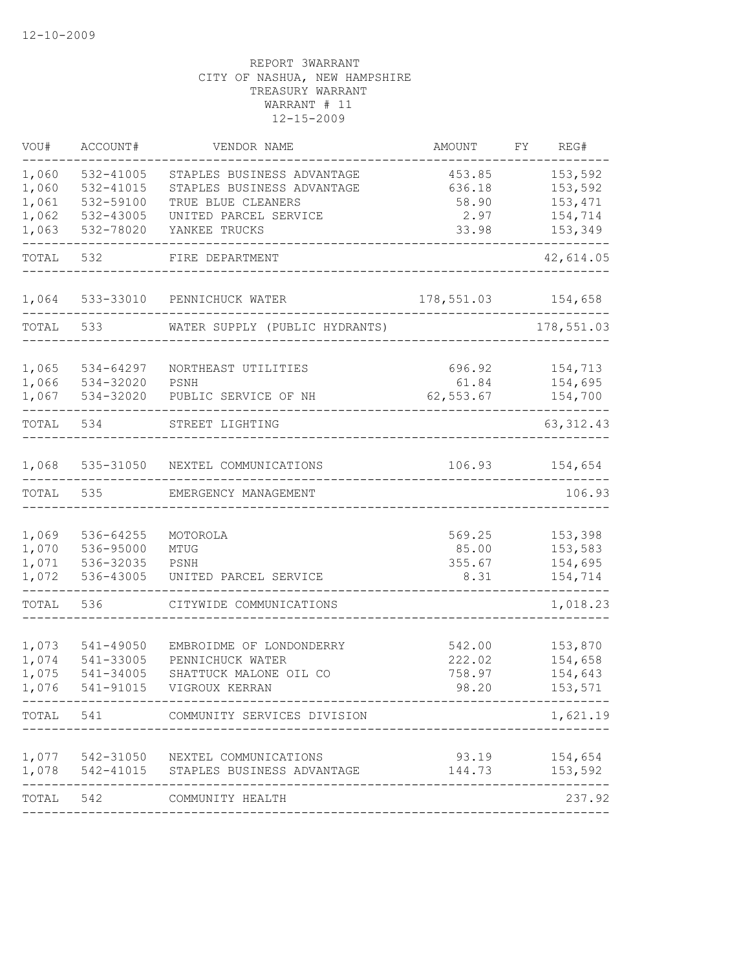| VOU#  | ACCOUNT#  | VENDOR NAME                                                                   | AMOUNT             | FY | REG#               |
|-------|-----------|-------------------------------------------------------------------------------|--------------------|----|--------------------|
| 1,060 | 532-41005 | STAPLES BUSINESS ADVANTAGE                                                    | 453.85             |    | 153,592            |
| 1,060 | 532-41015 | STAPLES BUSINESS ADVANTAGE                                                    | 636.18             |    | 153,592            |
| 1,061 | 532-59100 | TRUE BLUE CLEANERS                                                            | 58.90              |    | 153,471            |
| 1,062 | 532-43005 | UNITED PARCEL SERVICE                                                         | 2.97               |    | 154,714            |
| 1,063 | 532-78020 | YANKEE TRUCKS                                                                 | 33.98              |    | 153,349            |
| TOTAL | 532       | FIRE DEPARTMENT                                                               |                    |    | 42,614.05          |
| 1,064 |           | 533-33010 PENNICHUCK WATER                                                    | 178,551.03 154,658 |    |                    |
| TOTAL | 533       | WATER SUPPLY (PUBLIC HYDRANTS)                                                |                    |    | 178,551.03         |
| 1,065 | 534-64297 | NORTHEAST UTILITIES                                                           | 696.92             |    | 154,713            |
| 1,066 | 534-32020 | PSNH                                                                          | 61.84              |    | 154,695            |
| 1,067 | 534-32020 | PUBLIC SERVICE OF NH                                                          | 62,553.67          |    | 154,700            |
| TOTAL | 534       | STREET LIGHTING                                                               |                    |    | 63, 312.43         |
| 1,068 |           | 535-31050 NEXTEL COMMUNICATIONS                                               | 106.93             |    | 154,654            |
| TOTAL | 535       | EMERGENCY MANAGEMENT                                                          |                    |    | 106.93             |
|       |           |                                                                               |                    |    |                    |
| 1,069 | 536-64255 | MOTOROLA                                                                      | 569.25             |    | 153,398            |
| 1,070 | 536-95000 | MTUG                                                                          | 85.00              |    | 153,583            |
| 1,071 | 536-32035 | PSNH                                                                          | 355.67             |    | 154,695            |
| 1,072 | 536-43005 | UNITED PARCEL SERVICE                                                         | 8.31               |    | 154,714            |
| TOTAL | 536       | CITYWIDE COMMUNICATIONS                                                       |                    |    | 1,018.23           |
| 1,073 | 541-49050 | EMBROIDME OF LONDONDERRY                                                      | 542.00             |    | 153,870            |
| 1,074 | 541-33005 | PENNICHUCK WATER                                                              | 222.02             |    | 154,658            |
| 1,075 | 541-34005 | SHATTUCK MALONE OIL CO                                                        | 758.97             |    | 154,643            |
| 1,076 | 541-91015 | VIGROUX KERRAN                                                                | 98.20              |    | 153,571            |
|       |           | TOTAL 541 COMMUNITY SERVICES DIVISION                                         |                    |    | 1,621.19           |
|       |           |                                                                               |                    |    |                    |
| 1,078 |           | 1,077 542-31050 NEXTEL COMMUNICATIONS<br>542-41015 STAPLES BUSINESS ADVANTAGE | 93.19<br>144.73    |    | 154,654<br>153,592 |
|       |           |                                                                               |                    |    |                    |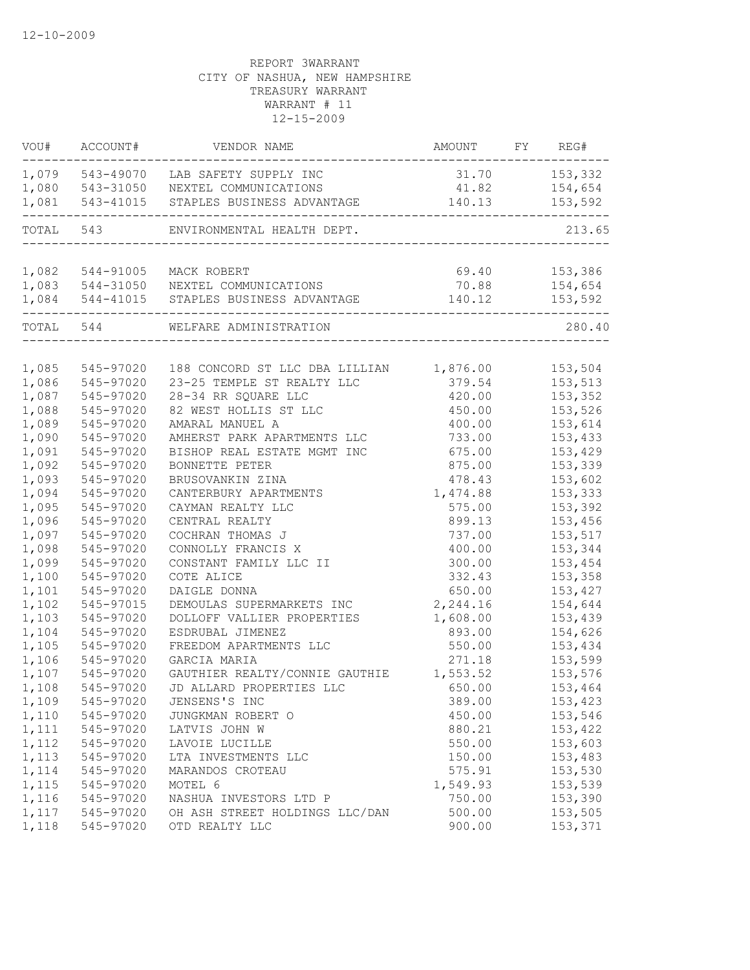| VOU#      | ACCOUNT#        | VENDOR NAME                                                    | AMOUNT FY REG# |                |
|-----------|-----------------|----------------------------------------------------------------|----------------|----------------|
|           |                 | 1,079 543-49070 LAB SAFETY SUPPLY INC                          | 31.70 153,332  |                |
| 1,080     |                 | 543-31050 NEXTEL COMMUNICATIONS                                |                | 41.82 154,654  |
| 1,081     |                 | 543-41015 STAPLES BUSINESS ADVANTAGE                           |                | 140.13 153,592 |
| TOTAL 543 |                 | ENVIRONMENTAL HEALTH DEPT.                                     |                | 213.65         |
|           |                 |                                                                |                |                |
|           | 1,082 544-91005 | MACK ROBERT                                                    | 69.40          | 153,386        |
|           |                 | 1,083 544-31050 NEXTEL COMMUNICATIONS                          | 70.88          | 154,654        |
|           |                 | 1,084 544-41015 STAPLES BUSINESS ADVANTAGE<br>---------------- | 140.12         | 153,592        |
| TOTAL 544 |                 | WELFARE ADMINISTRATION                                         |                | 280.40         |
|           |                 |                                                                |                |                |
| 1,085     | 545-97020       | 188 CONCORD ST LLC DBA LILLIAN 1,876.00                        |                | 153,504        |
| 1,086     | 545-97020       | 23-25 TEMPLE ST REALTY LLC                                     | 379.54         | 153,513        |
| 1,087     | 545-97020       | 28-34 RR SQUARE LLC                                            | 420.00         | 153,352        |
| 1,088     | 545-97020       | 82 WEST HOLLIS ST LLC                                          | 450.00         | 153,526        |
| 1,089     | 545-97020       | AMARAL MANUEL A                                                | 400.00         | 153,614        |
| 1,090     | 545-97020       | AMHERST PARK APARTMENTS LLC                                    | 733.00         | 153,433        |
| 1,091     | 545-97020       | BISHOP REAL ESTATE MGMT INC                                    | 675.00         | 153,429        |
| 1,092     | 545-97020       | BONNETTE PETER                                                 | 875.00         | 153,339        |
| 1,093     | 545-97020       | BRUSOVANKIN ZINA                                               | 478.43         | 153,602        |
| 1,094     | 545-97020       | CANTERBURY APARTMENTS                                          | 1,474.88       | 153,333        |
| 1,095     | 545-97020       | CAYMAN REALTY LLC                                              | 575.00         | 153,392        |
| 1,096     | 545-97020       | CENTRAL REALTY                                                 | 899.13         | 153,456        |
| 1,097     | 545-97020       | COCHRAN THOMAS J                                               | 737.00         | 153,517        |
| 1,098     | 545-97020       | CONNOLLY FRANCIS X                                             | 400.00         | 153,344        |
| 1,099     | 545-97020       | CONSTANT FAMILY LLC II                                         | 300.00         | 153,454        |
| 1,100     | 545-97020       | COTE ALICE                                                     | 332.43         | 153,358        |
| 1,101     | 545-97020       | DAIGLE DONNA                                                   | 650.00         | 153,427        |
| 1,102     | 545-97015       | DEMOULAS SUPERMARKETS INC                                      | 2,244.16       | 154,644        |
| 1,103     | 545-97020       | DOLLOFF VALLIER PROPERTIES                                     | 1,608.00       | 153,439        |
| 1,104     | 545-97020       | ESDRUBAL JIMENEZ                                               | 893.00         | 154,626        |
| 1,105     | 545-97020       | FREEDOM APARTMENTS LLC                                         | 550.00         | 153,434        |
| 1,106     | 545-97020       | GARCIA MARIA                                                   | 271.18         | 153,599        |
| 1,107     | 545-97020       | GAUTHIER REALTY/CONNIE GAUTHIE                                 | 1,553.52       | 153,576        |
| 1,108     | 545-97020       | JD ALLARD PROPERTIES LLC                                       | 650.00         | 153,464        |
| 1,109     | 545-97020       | JENSENS'S INC                                                  | 389.00         | 153,423        |
| 1,110     | 545-97020       | JUNGKMAN ROBERT O                                              | 450.00         | 153,546        |
| 1,111     | 545-97020       | LATVIS JOHN W                                                  | 880.21         | 153,422        |
| 1,112     | 545-97020       | LAVOIE LUCILLE                                                 | 550.00         | 153,603        |
| 1,113     | 545-97020       | LTA INVESTMENTS LLC                                            | 150.00         | 153,483        |
| 1,114     | 545-97020       | MARANDOS CROTEAU                                               | 575.91         | 153,530        |
| 1,115     | 545-97020       | MOTEL 6                                                        | 1,549.93       | 153,539        |
| 1,116     | 545-97020       | NASHUA INVESTORS LTD P                                         | 750.00         | 153,390        |
| 1,117     | 545-97020       | OH ASH STREET HOLDINGS LLC/DAN                                 | 500.00         | 153,505        |
| 1,118     | 545-97020       | OTD REALTY LLC                                                 | 900.00         | 153,371        |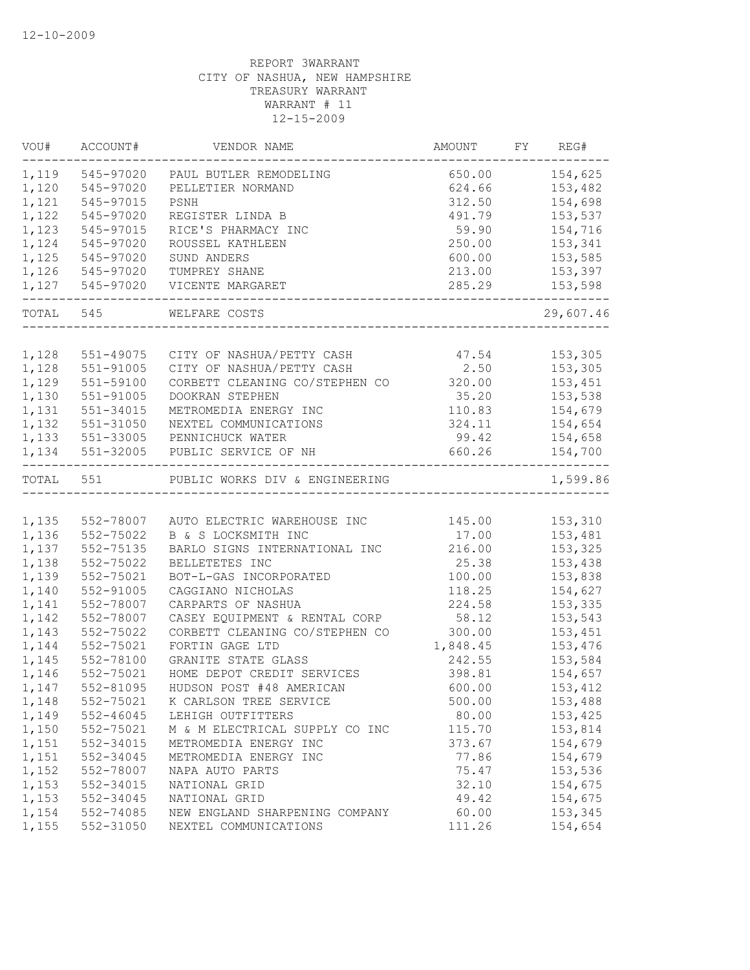| VOU#      | ACCOUNT#                              | VENDOR NAME                            | AMOUNT   | FY REG#   |
|-----------|---------------------------------------|----------------------------------------|----------|-----------|
|           | 1,119 545-97020                       | PAUL BUTLER REMODELING                 | 650.00   | 154,625   |
| 1,120     | 545-97020                             | PELLETIER NORMAND                      | 624.66   | 153,482   |
| 1,121     | 545-97015                             | PSNH                                   | 312.50   | 154,698   |
| 1,122     | 545-97020                             | REGISTER LINDA B                       | 491.79   | 153,537   |
| 1,123     | 545-97015                             | RICE'S PHARMACY INC                    | 59.90    | 154,716   |
| 1,124     | 545-97020                             | ROUSSEL KATHLEEN                       | 250.00   | 153,341   |
| 1,125     | 545-97020                             | SUND ANDERS                            | 600.00   | 153,585   |
| 1,126     | 545-97020                             | TUMPREY SHANE                          | 213.00   | 153,397   |
|           | 1,127 545-97020<br>__________________ | VICENTE MARGARET<br>__________________ | 285.29   | 153,598   |
|           | TOTAL 545                             | WELFARE COSTS                          |          | 29,607.46 |
|           |                                       |                                        |          |           |
| 1,128     | 551-49075                             | CITY OF NASHUA/PETTY CASH              | 47.54    | 153,305   |
| 1,128     | 551-91005                             | CITY OF NASHUA/PETTY CASH              | 2.50     | 153,305   |
| 1,129     | 551-59100                             | CORBETT CLEANING CO/STEPHEN CO         | 320.00   | 153,451   |
| 1,130     | 551-91005                             | DOOKRAN STEPHEN                        | 35.20    | 153,538   |
| 1,131     | 551-34015                             | METROMEDIA ENERGY INC                  | 110.83   | 154,679   |
| 1,132     | 551-31050                             | NEXTEL COMMUNICATIONS                  | 324.11   | 154,654   |
| 1,133     | 551-33005                             | PENNICHUCK WATER                       | 99.42    | 154,658   |
| 1,134     | 551-32005                             | PUBLIC SERVICE OF NH                   | 660.26   | 154,700   |
| TOTAL 551 |                                       | PUBLIC WORKS DIV & ENGINEERING         |          | 1,599.86  |
|           |                                       |                                        |          |           |
| 1,135     | 552-78007                             | AUTO ELECTRIC WAREHOUSE INC            | 145.00   | 153,310   |
| 1,136     | 552-75022                             | B & S LOCKSMITH INC                    | 17.00    | 153,481   |
| 1,137     | 552-75135                             | BARLO SIGNS INTERNATIONAL INC          | 216.00   | 153,325   |
| 1,138     | 552-75022                             | BELLETETES INC                         | 25.38    | 153,438   |
| 1,139     | 552-75021                             | BOT-L-GAS INCORPORATED                 | 100.00   | 153,838   |
| 1,140     | 552-91005                             | CAGGIANO NICHOLAS                      | 118.25   | 154,627   |
| 1,141     | 552-78007                             | CARPARTS OF NASHUA                     | 224.58   | 153,335   |
| 1,142     | 552-78007                             | CASEY EQUIPMENT & RENTAL CORP          | 58.12    | 153,543   |
| 1,143     | 552-75022                             | CORBETT CLEANING CO/STEPHEN CO         | 300.00   | 153,451   |
| 1,144     | 552-75021                             | FORTIN GAGE LTD                        | 1,848.45 | 153,476   |
| 1,145     | 552-78100                             | GRANITE STATE GLASS                    | 242.55   | 153,584   |
| 1,146     | 552-75021                             | HOME DEPOT CREDIT SERVICES             | 398.81   | 154,657   |
| 1,147     | 552-81095                             | HUDSON POST #48 AMERICAN               | 600.00   | 153,412   |
| 1,148     | 552-75021                             | K CARLSON TREE SERVICE                 | 500.00   | 153,488   |
| 1,149     | 552-46045                             | LEHIGH OUTFITTERS                      | 80.00    | 153,425   |
| 1,150     | 552-75021                             | M & M ELECTRICAL SUPPLY CO INC         | 115.70   | 153,814   |
| 1,151     | 552-34015                             | METROMEDIA ENERGY INC                  | 373.67   | 154,679   |
| 1,151     | 552-34045                             | METROMEDIA ENERGY INC                  | 77.86    | 154,679   |
| 1,152     | 552-78007                             | NAPA AUTO PARTS                        | 75.47    | 153,536   |
| 1,153     | 552-34015                             | NATIONAL GRID                          | 32.10    | 154,675   |
| 1,153     | 552-34045                             | NATIONAL GRID                          | 49.42    | 154,675   |
| 1,154     | 552-74085                             | NEW ENGLAND SHARPENING COMPANY         | 60.00    | 153,345   |
| 1,155     | 552-31050                             | NEXTEL COMMUNICATIONS                  | 111.26   | 154,654   |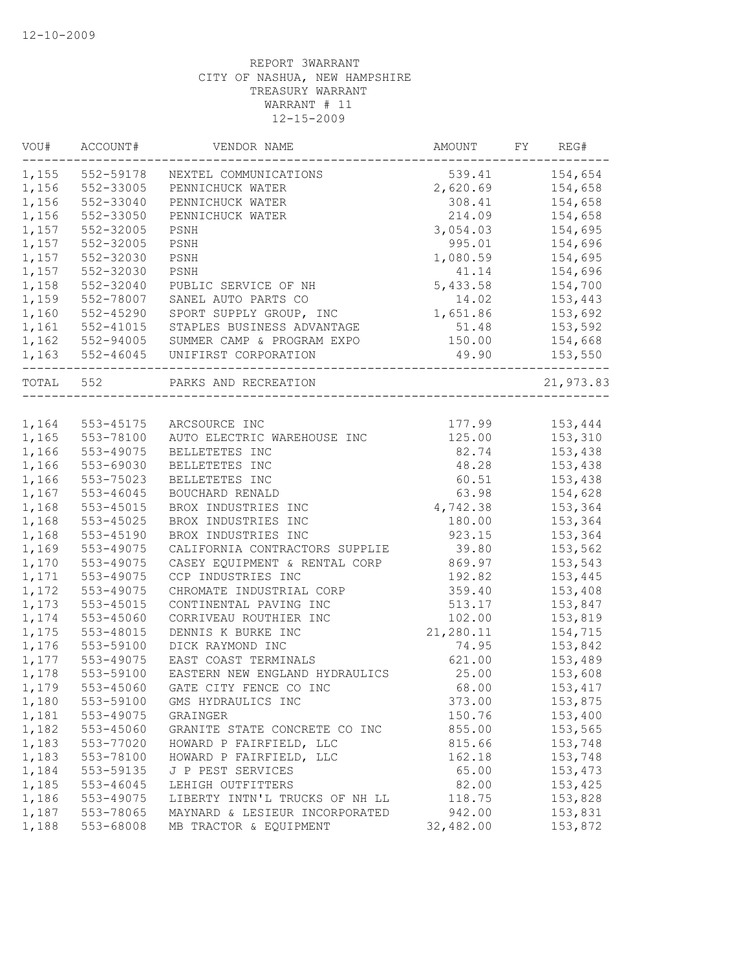| VOU#      | ACCOUNT#  | VENDOR NAME                    | AMOUNT    | FY | REG#      |
|-----------|-----------|--------------------------------|-----------|----|-----------|
| 1,155     | 552-59178 | NEXTEL COMMUNICATIONS          | 539.41    |    | 154,654   |
| 1,156     | 552-33005 | PENNICHUCK WATER               | 2,620.69  |    | 154,658   |
| 1,156     | 552-33040 | PENNICHUCK WATER               | 308.41    |    | 154,658   |
| 1,156     | 552-33050 | PENNICHUCK WATER               | 214.09    |    | 154,658   |
| 1,157     | 552-32005 | PSNH                           | 3,054.03  |    | 154,695   |
| 1,157     | 552-32005 | PSNH                           | 995.01    |    | 154,696   |
| 1,157     | 552-32030 | PSNH                           | 1,080.59  |    | 154,695   |
| 1,157     | 552-32030 | PSNH                           | 41.14     |    | 154,696   |
| 1,158     | 552-32040 | PUBLIC SERVICE OF NH           | 5,433.58  |    | 154,700   |
| 1,159     | 552-78007 | SANEL AUTO PARTS CO            | 14.02     |    | 153,443   |
| 1,160     | 552-45290 | SPORT SUPPLY GROUP, INC        | 1,651.86  |    | 153,692   |
| 1,161     | 552-41015 | STAPLES BUSINESS ADVANTAGE     | 51.48     |    | 153,592   |
| 1,162     | 552-94005 | SUMMER CAMP & PROGRAM EXPO     | 150.00    |    | 154,668   |
| 1,163     |           | 552-46045 UNIFIRST CORPORATION | 49.90     |    | 153,550   |
| TOTAL 552 |           | PARKS AND RECREATION           |           |    | 21,973.83 |
|           |           |                                |           |    |           |
| 1,164     | 553-45175 | ARCSOURCE INC                  | 177.99    |    | 153,444   |
| 1,165     | 553-78100 | AUTO ELECTRIC WAREHOUSE INC    | 125.00    |    | 153,310   |
| 1,166     | 553-49075 | BELLETETES INC                 | 82.74     |    | 153,438   |
| 1,166     | 553-69030 | BELLETETES INC                 | 48.28     |    | 153,438   |
| 1,166     | 553-75023 | BELLETETES INC                 | 60.51     |    | 153,438   |
| 1,167     | 553-46045 | BOUCHARD RENALD                | 63.98     |    | 154,628   |
| 1,168     | 553-45015 | BROX INDUSTRIES INC            | 4,742.38  |    | 153,364   |
| 1,168     | 553-45025 | BROX INDUSTRIES INC            | 180.00    |    | 153,364   |
| 1,168     | 553-45190 | BROX INDUSTRIES INC            | 923.15    |    | 153,364   |
| 1,169     | 553-49075 | CALIFORNIA CONTRACTORS SUPPLIE | 39.80     |    | 153,562   |
| 1,170     | 553-49075 | CASEY EQUIPMENT & RENTAL CORP  | 869.97    |    | 153,543   |
| 1,171     | 553-49075 | CCP INDUSTRIES INC             | 192.82    |    | 153,445   |
| 1,172     | 553-49075 | CHROMATE INDUSTRIAL CORP       | 359.40    |    | 153,408   |
| 1,173     | 553-45015 | CONTINENTAL PAVING INC         | 513.17    |    | 153,847   |
| 1,174     | 553-45060 | CORRIVEAU ROUTHIER INC         | 102.00    |    | 153,819   |
| 1,175     | 553-48015 | DENNIS K BURKE INC             | 21,280.11 |    | 154,715   |
| 1,176     | 553-59100 | DICK RAYMOND INC               | 74.95     |    | 153,842   |
| 1,177     | 553-49075 | EAST COAST TERMINALS           | 621.00    |    | 153,489   |
| 1,178     | 553-59100 | EASTERN NEW ENGLAND HYDRAULICS | 25.00     |    | 153,608   |
| 1,179     | 553-45060 | GATE CITY FENCE CO INC         | 68.00     |    | 153,417   |
| 1,180     | 553-59100 | GMS HYDRAULICS INC             | 373.00    |    | 153,875   |
| 1,181     | 553-49075 | GRAINGER                       | 150.76    |    | 153,400   |
| 1,182     | 553-45060 | GRANITE STATE CONCRETE CO INC  | 855.00    |    | 153,565   |
| 1,183     | 553-77020 | HOWARD P FAIRFIELD, LLC        | 815.66    |    | 153,748   |
| 1,183     | 553-78100 | HOWARD P FAIRFIELD, LLC        | 162.18    |    | 153,748   |
| 1,184     | 553-59135 | J P PEST SERVICES              | 65.00     |    | 153,473   |
| 1,185     | 553-46045 | LEHIGH OUTFITTERS              | 82.00     |    | 153,425   |
| 1,186     | 553-49075 | LIBERTY INTN'L TRUCKS OF NH LL | 118.75    |    | 153,828   |
| 1,187     | 553-78065 | MAYNARD & LESIEUR INCORPORATED | 942.00    |    | 153,831   |
| 1,188     | 553-68008 | MB TRACTOR & EQUIPMENT         | 32,482.00 |    | 153,872   |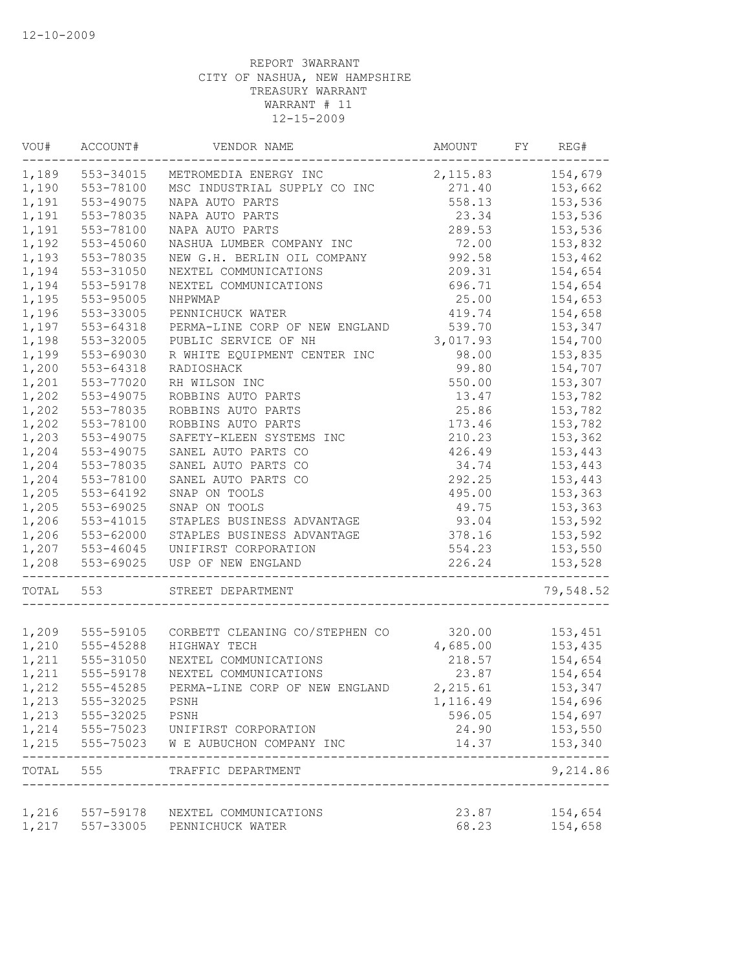| VOU#  | ACCOUNT#        | VENDOR NAME                           | AMOUNT   | FY | REG#                      |
|-------|-----------------|---------------------------------------|----------|----|---------------------------|
|       | 1,189 553-34015 | METROMEDIA ENERGY INC                 | 2,115.83 |    | 154,679                   |
| 1,190 | 553-78100       | MSC INDUSTRIAL SUPPLY CO INC          | 271.40   |    | 153,662                   |
| 1,191 | 553-49075       | NAPA AUTO PARTS                       | 558.13   |    | 153,536                   |
| 1,191 | 553-78035       | NAPA AUTO PARTS                       | 23.34    |    | 153,536                   |
| 1,191 | 553-78100       | NAPA AUTO PARTS                       | 289.53   |    | 153,536                   |
| 1,192 | 553-45060       | NASHUA LUMBER COMPANY INC             | 72.00    |    | 153,832                   |
| 1,193 | 553-78035       | NEW G.H. BERLIN OIL COMPANY           | 992.58   |    | 153,462                   |
| 1,194 | 553-31050       | NEXTEL COMMUNICATIONS                 | 209.31   |    | 154,654                   |
| 1,194 | 553-59178       | NEXTEL COMMUNICATIONS                 | 696.71   |    | 154,654                   |
| 1,195 | 553-95005       | NHPWMAP                               | 25.00    |    | 154,653                   |
| 1,196 | 553-33005       | PENNICHUCK WATER                      | 419.74   |    | 154,658                   |
| 1,197 | 553-64318       | PERMA-LINE CORP OF NEW ENGLAND        | 539.70   |    | 153,347                   |
| 1,198 | 553-32005       | PUBLIC SERVICE OF NH                  | 3,017.93 |    | 154,700                   |
| 1,199 | 553-69030       | R WHITE EQUIPMENT CENTER INC          | 98.00    |    | 153,835                   |
| 1,200 | 553-64318       | RADIOSHACK                            | 99.80    |    | 154,707                   |
| 1,201 | 553-77020       | RH WILSON INC                         | 550.00   |    | 153,307                   |
| 1,202 | 553-49075       | ROBBINS AUTO PARTS                    | 13.47    |    | 153,782                   |
| 1,202 | 553-78035       | ROBBINS AUTO PARTS                    | 25.86    |    | 153,782                   |
| 1,202 | 553-78100       | ROBBINS AUTO PARTS                    | 173.46   |    | 153,782                   |
| 1,203 | 553-49075       | SAFETY-KLEEN SYSTEMS INC              | 210.23   |    | 153,362                   |
| 1,204 | 553-49075       | SANEL AUTO PARTS CO                   | 426.49   |    | 153,443                   |
| 1,204 | 553-78035       | SANEL AUTO PARTS CO                   | 34.74    |    | 153,443                   |
| 1,204 | 553-78100       | SANEL AUTO PARTS CO                   | 292.25   |    | 153,443                   |
| 1,205 | 553-64192       | SNAP ON TOOLS                         | 495.00   |    | 153,363                   |
| 1,205 | 553-69025       | SNAP ON TOOLS                         | 49.75    |    | 153,363                   |
|       |                 |                                       |          |    |                           |
| 1,206 | 553-41015       | STAPLES BUSINESS ADVANTAGE            | 93.04    |    | 153,592                   |
| 1,206 | 553-62000       | STAPLES BUSINESS ADVANTAGE            | 378.16   |    | 153,592                   |
| 1,207 | 553-46045       | UNIFIRST CORPORATION                  | 554.23   |    | 153,550                   |
|       | 1,208 553-69025 | USP OF NEW ENGLAND                    | 226.24   |    | 153,528                   |
| TOTAL | 553             | STREET DEPARTMENT                     |          |    | 79,548.52                 |
|       |                 |                                       |          |    |                           |
| 1,209 | 555-59105       | CORBETT CLEANING CO/STEPHEN CO        | 320.00   |    | 153,451                   |
| 1,210 | 555-45288       | HIGHWAY TECH                          | 4,685.00 |    | 153,435                   |
| 1,211 | 555-31050       | NEXTEL COMMUNICATIONS                 | 218.57   |    | 154,654                   |
| 1,211 | 555-59178       | NEXTEL COMMUNICATIONS                 | 23.87    |    | 154,654                   |
| 1,212 | 555-45285       | PERMA-LINE CORP OF NEW ENGLAND        | 2,215.61 |    | 153,347                   |
| 1,213 | 555-32025       | PSNH                                  | 1,116.49 |    | 154,696                   |
| 1,213 | 555-32025       | PSNH                                  | 596.05   |    | 154,697                   |
|       |                 | 1,214 555-75023 UNIFIRST CORPORATION  | 24.90    |    | 153,550                   |
| 1,215 | 555-75023       | W E AUBUCHON COMPANY INC              | 14.37    |    | 153,340                   |
| TOTAL | 555             | TRAFFIC DEPARTMENT                    |          |    | $- - - - - -$<br>9,214.86 |
|       |                 |                                       |          |    |                           |
|       |                 | 1,216 557-59178 NEXTEL COMMUNICATIONS | 23.87    |    | 154,654                   |
| 1,217 | 557-33005       | PENNICHUCK WATER                      | 68.23    |    | 154,658                   |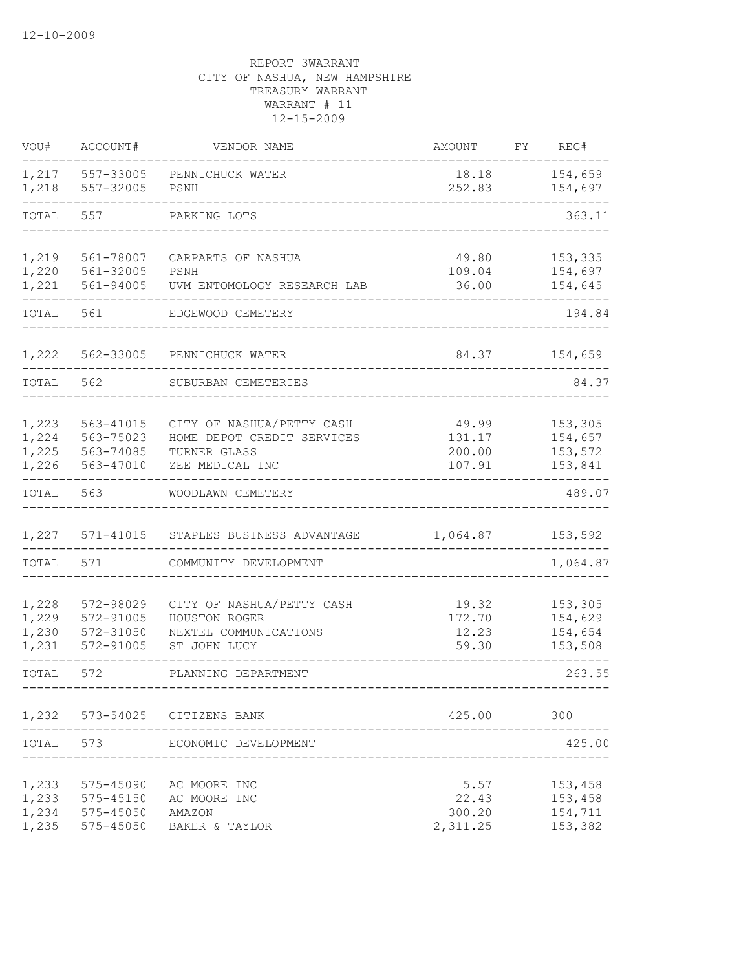| VOU#                             | ACCOUNT#                                         | VENDOR NAME                                                                                | <b>AMOUNT</b>                       | FΥ | REG#                                     |
|----------------------------------|--------------------------------------------------|--------------------------------------------------------------------------------------------|-------------------------------------|----|------------------------------------------|
| 1,217<br>1,218                   | 557-33005<br>557-32005                           | PENNICHUCK WATER<br>PSNH                                                                   | 18.18<br>252.83                     |    | 154,659<br>154,697                       |
| TOTAL                            | 557                                              | PARKING LOTS                                                                               |                                     |    | 363.11                                   |
| 1,219<br>1,220<br>1,221          | 561-78007<br>561-32005<br>561-94005              | CARPARTS OF NASHUA<br>PSNH<br>UVM ENTOMOLOGY RESEARCH LAB                                  | 49.80<br>109.04<br>36.00            |    | 153,335<br>154,697<br>154,645            |
| TOTAL                            | 561                                              | EDGEWOOD CEMETERY                                                                          |                                     |    | 194.84                                   |
| 1,222                            | 562-33005                                        | PENNICHUCK WATER                                                                           | 84.37                               |    | 154,659                                  |
| TOTAL                            | 562                                              | SUBURBAN CEMETERIES                                                                        |                                     |    | 84.37                                    |
| 1,223<br>1,224<br>1,225<br>1,226 | 563-41015<br>563-75023<br>563-74085<br>563-47010 | CITY OF NASHUA/PETTY CASH<br>HOME DEPOT CREDIT SERVICES<br>TURNER GLASS<br>ZEE MEDICAL INC | 49.99<br>131.17<br>200.00<br>107.91 |    | 153,305<br>154,657<br>153,572<br>153,841 |
| TOTAL                            | 563                                              | WOODLAWN CEMETERY                                                                          |                                     |    | 489.07                                   |
| 1,227                            | 571-41015                                        | STAPLES BUSINESS ADVANTAGE                                                                 | 1,064.87                            |    | 153,592                                  |
| TOTAL                            | 571                                              | COMMUNITY DEVELOPMENT                                                                      |                                     |    | 1,064.87                                 |
| 1,228<br>1,229<br>1,230<br>1,231 | 572-98029<br>572-91005<br>572-31050<br>572-91005 | CITY OF NASHUA/PETTY CASH<br>HOUSTON ROGER<br>NEXTEL COMMUNICATIONS<br>ST JOHN LUCY        | 19.32<br>172.70<br>12.23<br>59.30   |    | 153,305<br>154,629<br>154,654<br>153,508 |
| TOTAL                            | 572                                              | PLANNING DEPARTMENT                                                                        |                                     |    | 263.55                                   |
|                                  |                                                  | 1,232 573-54025 CITIZENS BANK                                                              | 425.00                              |    | 300                                      |
| TOTAL                            | 573                                              | ECONOMIC DEVELOPMENT                                                                       |                                     |    | 425.00                                   |
| 1,233<br>1,233<br>1,234<br>1,235 | 575-45090<br>575-45150<br>575-45050<br>575-45050 | AC MOORE INC<br>AC MOORE INC<br>AMAZON<br>BAKER & TAYLOR                                   | 5.57<br>22.43<br>300.20<br>2,311.25 |    | 153,458<br>153,458<br>154,711<br>153,382 |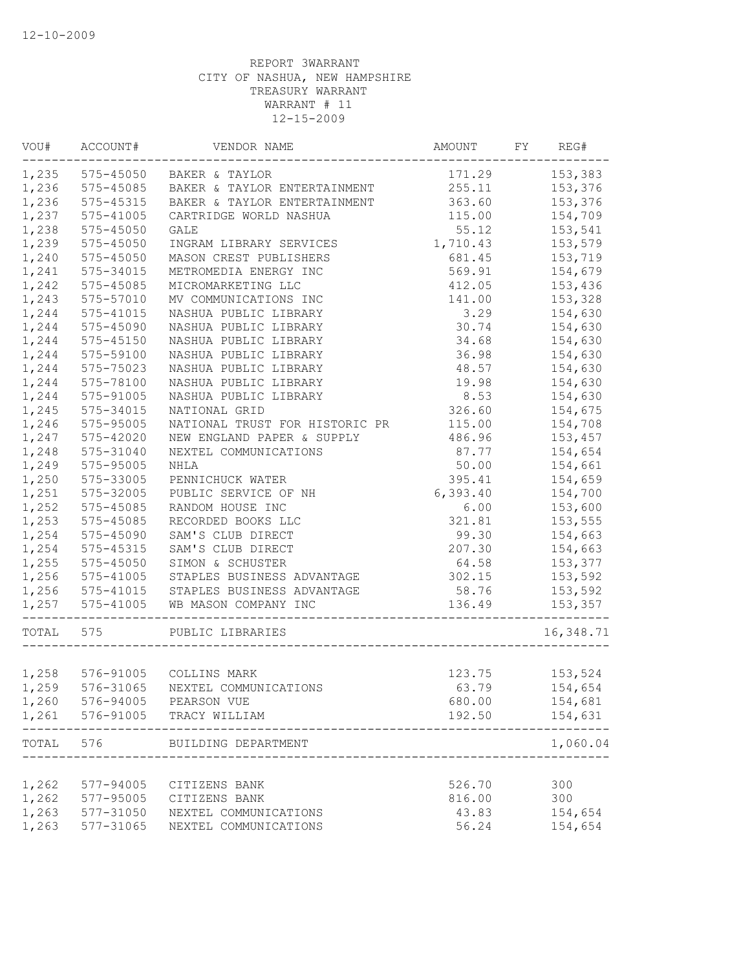| VOU#  | ACCOUNT#        | VENDOR NAME                     | AMOUNT FY REG#  |           |
|-------|-----------------|---------------------------------|-----------------|-----------|
|       | 1,235 575-45050 | BAKER & TAYLOR                  | 171.29          | 153,383   |
| 1,236 | 575-45085       | BAKER & TAYLOR ENTERTAINMENT    | 255.11          | 153,376   |
| 1,236 | $575 - 45315$   | BAKER & TAYLOR ENTERTAINMENT    | 363.60          | 153,376   |
| 1,237 | 575-41005       | CARTRIDGE WORLD NASHUA          | 115.00          | 154,709   |
| 1,238 | 575-45050       | GALE                            | 55.12           | 153,541   |
| 1,239 | 575-45050       | INGRAM LIBRARY SERVICES         | 1,710.43        | 153,579   |
| 1,240 | $575 - 45050$   | MASON CREST PUBLISHERS          | 681.45          | 153,719   |
| 1,241 | 575-34015       | METROMEDIA ENERGY INC           | 569.91          | 154,679   |
| 1,242 | 575-45085       | MICROMARKETING LLC              | 412.05          | 153,436   |
| 1,243 | 575-57010       | MV COMMUNICATIONS INC           | 141.00          | 153,328   |
| 1,244 | 575-41015       | NASHUA PUBLIC LIBRARY           | 3.29            | 154,630   |
| 1,244 | 575-45090       | NASHUA PUBLIC LIBRARY           | 30.74           | 154,630   |
| 1,244 | 575-45150       | NASHUA PUBLIC LIBRARY           | 34.68           | 154,630   |
| 1,244 | 575-59100       | NASHUA PUBLIC LIBRARY           | 36.98           | 154,630   |
| 1,244 | 575-75023       | NASHUA PUBLIC LIBRARY           | 48.57           | 154,630   |
| 1,244 | 575-78100       | NASHUA PUBLIC LIBRARY           | 19.98           | 154,630   |
| 1,244 | 575-91005       | NASHUA PUBLIC LIBRARY           | 8.53            | 154,630   |
| 1,245 | 575-34015       | NATIONAL GRID                   | 326.60          | 154,675   |
| 1,246 | 575-95005       | NATIONAL TRUST FOR HISTORIC PR  | 115.00          | 154,708   |
| 1,247 | 575-42020       | NEW ENGLAND PAPER & SUPPLY      | 486.96          | 153,457   |
| 1,248 | 575-31040       | NEXTEL COMMUNICATIONS           | 87.77           | 154,654   |
| 1,249 | 575-95005       | <b>NHLA</b>                     | 50.00           | 154,661   |
| 1,250 | 575-33005       | PENNICHUCK WATER                | 395.41          | 154,659   |
| 1,251 | 575-32005       | PUBLIC SERVICE OF NH            | 6, 393.40       | 154,700   |
| 1,252 | 575-45085       | RANDOM HOUSE INC                | 6.00            | 153,600   |
| 1,253 | 575-45085       | RECORDED BOOKS LLC              | 321.81          | 153,555   |
| 1,254 | 575-45090       | SAM'S CLUB DIRECT               | 99.30           | 154,663   |
| 1,254 | 575-45315       | SAM'S CLUB DIRECT               | 207.30          | 154,663   |
| 1,255 | 575-45050       | SIMON & SCHUSTER                |                 | 153,377   |
| 1,256 | 575-41005       | STAPLES BUSINESS ADVANTAGE      | 64.58<br>302.15 | 153,592   |
|       |                 | STAPLES BUSINESS ADVANTAGE      |                 |           |
| 1,256 | 575-41015       |                                 | 58.76           | 153,592   |
| 1,257 | 575-41005       | WB MASON COMPANY INC            | 136.49          | 153,357   |
| TOTAL | 575             | PUBLIC LIBRARIES                |                 | 16,348.71 |
|       |                 |                                 |                 |           |
|       |                 | 1,258 576-91005 COLLINS MARK    | 123.75          | 153,524   |
| 1,259 |                 | 576-31065 NEXTEL COMMUNICATIONS | 63.79           | 154,654   |
| 1,260 |                 | 576-94005 PEARSON VUE           | 680.00          | 154,681   |
| 1,261 | 576-91005       | TRACY WILLIAM                   | 192.50          | 154,631   |
| TOTAL | 576             | BUILDING DEPARTMENT             |                 | 1,060.04  |
|       |                 |                                 |                 |           |
| 1,262 | 577-94005       | CITIZENS BANK                   | 526.70          | 300       |
| 1,262 | 577-95005       | CITIZENS BANK                   | 816.00          | 300       |
| 1,263 | 577-31050       | NEXTEL COMMUNICATIONS           | 43.83           | 154,654   |
| 1,263 | 577-31065       | NEXTEL COMMUNICATIONS           | 56.24           | 154,654   |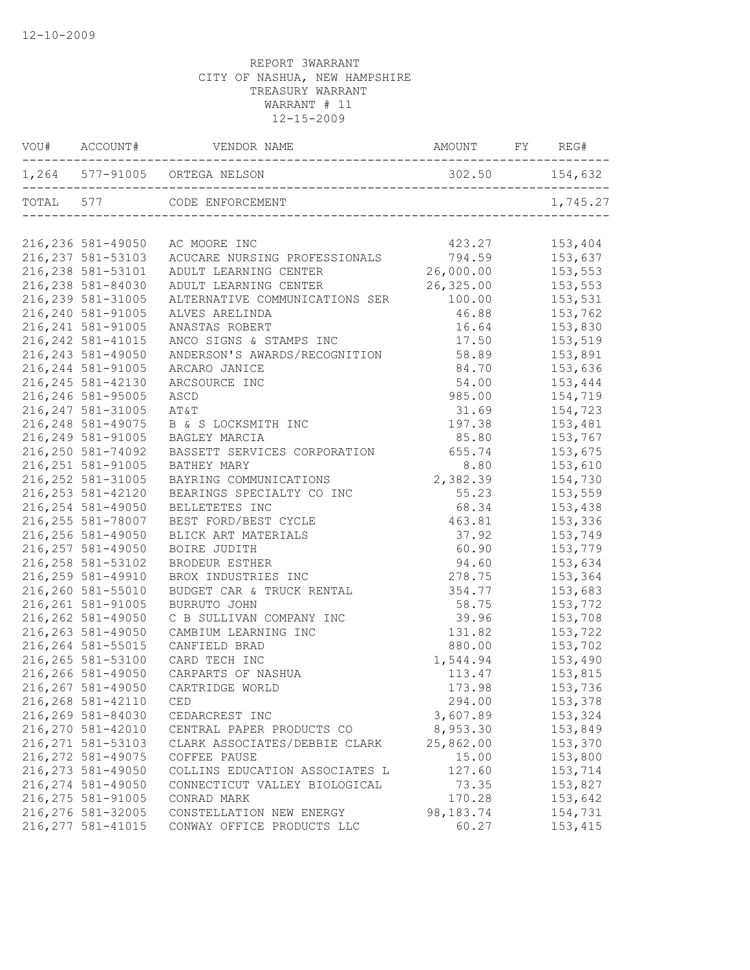| VOU# ACCOUNT#      |                                     |           |          |
|--------------------|-------------------------------------|-----------|----------|
|                    | 1,264 577-91005 ORTEGA NELSON       |           |          |
|                    | TOTAL 577 CODE ENFORCEMENT          |           | 1,745.27 |
| 216,236 581-49050  | AC MOORE INC                        | 423.27    | 153,404  |
| 216, 237 581-53103 | ACUCARE NURSING PROFESSIONALS       | 794.59    | 153,637  |
| 216, 238 581-53101 | ADULT LEARNING CENTER               | 26,000.00 | 153,553  |
| 216,238 581-84030  | ADULT LEARNING CENTER               | 26,325.00 | 153,553  |
| 216, 239 581-31005 | ALTERNATIVE COMMUNICATIONS SER      | 100.00    | 153,531  |
| 216,240 581-91005  | ALVES ARELINDA                      | 46.88     | 153,762  |
| 216, 241 581-91005 | ANASTAS ROBERT                      | 16.64     | 153,830  |
| 216, 242 581-41015 | ANCO SIGNS & STAMPS INC             | 17.50     | 153,519  |
| 216, 243 581-49050 | ANDERSON'S AWARDS/RECOGNITION       | 58.89     | 153,891  |
| 216, 244 581-91005 | ARCARO JANICE                       | 84.70     | 153,636  |
| 216, 245 581-42130 | ARCSOURCE INC                       | 54.00     | 153,444  |
| 216,246 581-95005  | ASCD                                | 985.00    | 154,719  |
| 216, 247 581-31005 | AT&T                                | 31.69     | 154,723  |
| 216, 248 581-49075 | B & S LOCKSMITH INC                 | 197.38    | 153,481  |
| 216, 249 581-91005 | BAGLEY MARCIA                       | 85.80     | 153,767  |
| 216,250 581-74092  | BASSETT SERVICES CORPORATION 655.74 |           | 153,675  |
| 216, 251 581-91005 | BATHEY MARY                         | 8.80      | 153,610  |
| 216, 252 581-31005 | BAYRING COMMUNICATIONS              | 2,382.39  | 154,730  |
| 216, 253 581-42120 | BEARINGS SPECIALTY CO INC           | 55.23     | 153,559  |
| 216, 254 581-49050 | BELLETETES INC                      | 68.34     | 153,438  |
| 216, 255 581-78007 | BEST FORD/BEST CYCLE                | 463.81    | 153,336  |
| 216,256 581-49050  | BLICK ART MATERIALS                 | 37.92     | 153,749  |
| 216, 257 581-49050 | BOIRE JUDITH                        | 60.90     | 153,779  |
| 216, 258 581-53102 | BRODEUR ESTHER                      | 94.60     | 153,634  |
| 216,259 581-49910  | BROX INDUSTRIES INC                 | 278.75    | 153,364  |
| 216,260 581-55010  | BUDGET CAR & TRUCK RENTAL           | 354.77    | 153,683  |
| 216, 261 581-91005 | BURRUTO JOHN                        | 58.75     | 153,772  |
| 216, 262 581-49050 | C B SULLIVAN COMPANY INC            | 39.96     | 153,708  |
| 216, 263 581-49050 | CAMBIUM LEARNING INC                | 131.82    | 153,722  |
| 216, 264 581-55015 | CANFIELD BRAD                       | 880.00    | 153,702  |
| 216, 265 581-53100 | CARD TECH INC                       | 1,544.94  | 153,490  |
| 216,266 581-49050  | CARPARTS OF NASHUA                  | 113.47    | 153,815  |
| 216, 267 581-49050 | CARTRIDGE WORLD                     | 173.98    | 153,736  |
| 216,268 581-42110  | CED                                 | 294.00    | 153,378  |
| 216,269 581-84030  | CEDARCREST INC                      | 3,607.89  | 153,324  |
| 216,270 581-42010  | CENTRAL PAPER PRODUCTS CO           | 8,953.30  | 153,849  |
| 216, 271 581-53103 | CLARK ASSOCIATES/DEBBIE CLARK       | 25,862.00 | 153,370  |
| 216, 272 581-49075 | COFFEE PAUSE                        | 15.00     | 153,800  |
| 216, 273 581-49050 | COLLINS EDUCATION ASSOCIATES L      | 127.60    | 153,714  |
| 216, 274 581-49050 | CONNECTICUT VALLEY BIOLOGICAL       | 73.35     | 153,827  |
| 216, 275 581-91005 | CONRAD MARK                         | 170.28    | 153,642  |
| 216,276 581-32005  | CONSTELLATION NEW ENERGY            | 98,183.74 | 154,731  |
| 216, 277 581-41015 | CONWAY OFFICE PRODUCTS LLC          | 60.27     | 153,415  |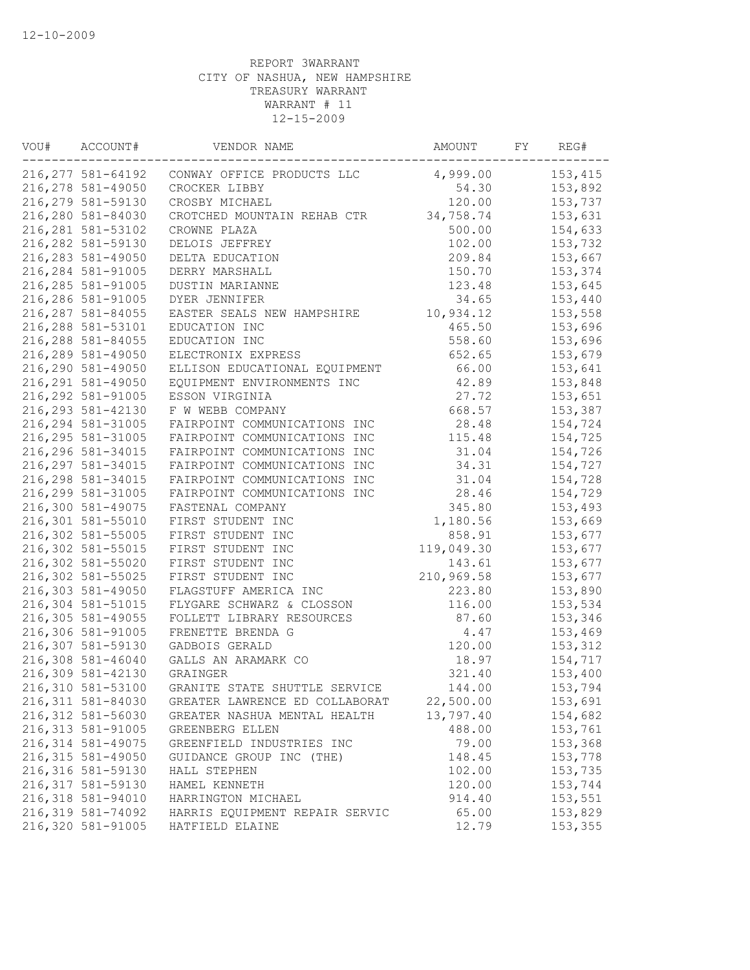| 216,277 581-64192<br>4,999.00<br>153,415<br>CONWAY OFFICE PRODUCTS LLC<br>153,892<br>216,278 581-49050<br>CROCKER LIBBY<br>54.30<br>216,279 581-59130<br>120.00<br>153,737<br>CROSBY MICHAEL<br>216,280 581-84030<br>34,758.74<br>153,631<br>CROTCHED MOUNTAIN REHAB CTR<br>216, 281 581-53102<br>500.00<br>154,633<br>CROWNE PLAZA<br>216,282 581-59130<br>102.00<br>153,732<br>DELOIS JEFFREY<br>216, 283 581-49050<br>209.84<br>153,667<br>DELTA EDUCATION<br>216, 284 581-91005<br>153,374<br>DERRY MARSHALL<br>150.70<br>216, 285 581-91005<br><b>DUSTIN MARIANNE</b><br>123.48<br>153,645<br>216,286 581-91005<br>153,440<br>DYER JENNIFER<br>34.65<br>216, 287 581-84055<br>EASTER SEALS NEW HAMPSHIRE<br>153,558<br>10,934.12<br>216,288 581-53101<br>153,696<br>EDUCATION INC<br>465.50<br>216,288 581-84055<br>EDUCATION INC<br>558.60<br>153,696<br>216,289 581-49050<br>652.65<br>ELECTRONIX EXPRESS<br>153,679<br>216,290 581-49050<br>66.00<br>153,641<br>ELLISON EDUCATIONAL EQUIPMENT<br>216, 291 581-49050<br>EQUIPMENT ENVIRONMENTS INC<br>42.89<br>153,848<br>27.72<br>216, 292 581-91005<br>153,651<br>ESSON VIRGINIA<br>216, 293 581-42130<br>F W WEBB COMPANY<br>668.57<br>153,387<br>216, 294 581-31005<br>28.48<br>FAIRPOINT COMMUNICATIONS INC<br>154,724<br>216, 295 581-31005<br>FAIRPOINT COMMUNICATIONS INC<br>115.48<br>154,725<br>216,296 581-34015<br>31.04<br>FAIRPOINT COMMUNICATIONS INC<br>154,726<br>34.31<br>216, 297 581-34015<br>FAIRPOINT COMMUNICATIONS INC<br>154,727 |
|------------------------------------------------------------------------------------------------------------------------------------------------------------------------------------------------------------------------------------------------------------------------------------------------------------------------------------------------------------------------------------------------------------------------------------------------------------------------------------------------------------------------------------------------------------------------------------------------------------------------------------------------------------------------------------------------------------------------------------------------------------------------------------------------------------------------------------------------------------------------------------------------------------------------------------------------------------------------------------------------------------------------------------------------------------------------------------------------------------------------------------------------------------------------------------------------------------------------------------------------------------------------------------------------------------------------------------------------------------------------------------------------------------------------------------------------------------------------------------------------------------------|
|                                                                                                                                                                                                                                                                                                                                                                                                                                                                                                                                                                                                                                                                                                                                                                                                                                                                                                                                                                                                                                                                                                                                                                                                                                                                                                                                                                                                                                                                                                                  |
|                                                                                                                                                                                                                                                                                                                                                                                                                                                                                                                                                                                                                                                                                                                                                                                                                                                                                                                                                                                                                                                                                                                                                                                                                                                                                                                                                                                                                                                                                                                  |
|                                                                                                                                                                                                                                                                                                                                                                                                                                                                                                                                                                                                                                                                                                                                                                                                                                                                                                                                                                                                                                                                                                                                                                                                                                                                                                                                                                                                                                                                                                                  |
|                                                                                                                                                                                                                                                                                                                                                                                                                                                                                                                                                                                                                                                                                                                                                                                                                                                                                                                                                                                                                                                                                                                                                                                                                                                                                                                                                                                                                                                                                                                  |
|                                                                                                                                                                                                                                                                                                                                                                                                                                                                                                                                                                                                                                                                                                                                                                                                                                                                                                                                                                                                                                                                                                                                                                                                                                                                                                                                                                                                                                                                                                                  |
|                                                                                                                                                                                                                                                                                                                                                                                                                                                                                                                                                                                                                                                                                                                                                                                                                                                                                                                                                                                                                                                                                                                                                                                                                                                                                                                                                                                                                                                                                                                  |
|                                                                                                                                                                                                                                                                                                                                                                                                                                                                                                                                                                                                                                                                                                                                                                                                                                                                                                                                                                                                                                                                                                                                                                                                                                                                                                                                                                                                                                                                                                                  |
|                                                                                                                                                                                                                                                                                                                                                                                                                                                                                                                                                                                                                                                                                                                                                                                                                                                                                                                                                                                                                                                                                                                                                                                                                                                                                                                                                                                                                                                                                                                  |
|                                                                                                                                                                                                                                                                                                                                                                                                                                                                                                                                                                                                                                                                                                                                                                                                                                                                                                                                                                                                                                                                                                                                                                                                                                                                                                                                                                                                                                                                                                                  |
|                                                                                                                                                                                                                                                                                                                                                                                                                                                                                                                                                                                                                                                                                                                                                                                                                                                                                                                                                                                                                                                                                                                                                                                                                                                                                                                                                                                                                                                                                                                  |
|                                                                                                                                                                                                                                                                                                                                                                                                                                                                                                                                                                                                                                                                                                                                                                                                                                                                                                                                                                                                                                                                                                                                                                                                                                                                                                                                                                                                                                                                                                                  |
|                                                                                                                                                                                                                                                                                                                                                                                                                                                                                                                                                                                                                                                                                                                                                                                                                                                                                                                                                                                                                                                                                                                                                                                                                                                                                                                                                                                                                                                                                                                  |
|                                                                                                                                                                                                                                                                                                                                                                                                                                                                                                                                                                                                                                                                                                                                                                                                                                                                                                                                                                                                                                                                                                                                                                                                                                                                                                                                                                                                                                                                                                                  |
|                                                                                                                                                                                                                                                                                                                                                                                                                                                                                                                                                                                                                                                                                                                                                                                                                                                                                                                                                                                                                                                                                                                                                                                                                                                                                                                                                                                                                                                                                                                  |
|                                                                                                                                                                                                                                                                                                                                                                                                                                                                                                                                                                                                                                                                                                                                                                                                                                                                                                                                                                                                                                                                                                                                                                                                                                                                                                                                                                                                                                                                                                                  |
|                                                                                                                                                                                                                                                                                                                                                                                                                                                                                                                                                                                                                                                                                                                                                                                                                                                                                                                                                                                                                                                                                                                                                                                                                                                                                                                                                                                                                                                                                                                  |
|                                                                                                                                                                                                                                                                                                                                                                                                                                                                                                                                                                                                                                                                                                                                                                                                                                                                                                                                                                                                                                                                                                                                                                                                                                                                                                                                                                                                                                                                                                                  |
|                                                                                                                                                                                                                                                                                                                                                                                                                                                                                                                                                                                                                                                                                                                                                                                                                                                                                                                                                                                                                                                                                                                                                                                                                                                                                                                                                                                                                                                                                                                  |
|                                                                                                                                                                                                                                                                                                                                                                                                                                                                                                                                                                                                                                                                                                                                                                                                                                                                                                                                                                                                                                                                                                                                                                                                                                                                                                                                                                                                                                                                                                                  |
|                                                                                                                                                                                                                                                                                                                                                                                                                                                                                                                                                                                                                                                                                                                                                                                                                                                                                                                                                                                                                                                                                                                                                                                                                                                                                                                                                                                                                                                                                                                  |
|                                                                                                                                                                                                                                                                                                                                                                                                                                                                                                                                                                                                                                                                                                                                                                                                                                                                                                                                                                                                                                                                                                                                                                                                                                                                                                                                                                                                                                                                                                                  |
|                                                                                                                                                                                                                                                                                                                                                                                                                                                                                                                                                                                                                                                                                                                                                                                                                                                                                                                                                                                                                                                                                                                                                                                                                                                                                                                                                                                                                                                                                                                  |
| 216,298 581-34015<br>FAIRPOINT COMMUNICATIONS INC<br>31.04<br>154,728                                                                                                                                                                                                                                                                                                                                                                                                                                                                                                                                                                                                                                                                                                                                                                                                                                                                                                                                                                                                                                                                                                                                                                                                                                                                                                                                                                                                                                            |
| 216,299 581-31005<br>FAIRPOINT COMMUNICATIONS INC<br>28.46<br>154,729                                                                                                                                                                                                                                                                                                                                                                                                                                                                                                                                                                                                                                                                                                                                                                                                                                                                                                                                                                                                                                                                                                                                                                                                                                                                                                                                                                                                                                            |
| 216,300 581-49075<br>345.80<br>153,493<br>FASTENAL COMPANY                                                                                                                                                                                                                                                                                                                                                                                                                                                                                                                                                                                                                                                                                                                                                                                                                                                                                                                                                                                                                                                                                                                                                                                                                                                                                                                                                                                                                                                       |
| 216,301 581-55010<br>1,180.56<br>FIRST STUDENT INC<br>153,669                                                                                                                                                                                                                                                                                                                                                                                                                                                                                                                                                                                                                                                                                                                                                                                                                                                                                                                                                                                                                                                                                                                                                                                                                                                                                                                                                                                                                                                    |
| 216,302 581-55005<br>FIRST STUDENT INC<br>858.91<br>153,677                                                                                                                                                                                                                                                                                                                                                                                                                                                                                                                                                                                                                                                                                                                                                                                                                                                                                                                                                                                                                                                                                                                                                                                                                                                                                                                                                                                                                                                      |
| 216,302 581-55015<br>FIRST STUDENT INC<br>119,049.30<br>153,677                                                                                                                                                                                                                                                                                                                                                                                                                                                                                                                                                                                                                                                                                                                                                                                                                                                                                                                                                                                                                                                                                                                                                                                                                                                                                                                                                                                                                                                  |
| 216,302 581-55020<br>FIRST STUDENT INC<br>153,677<br>143.61                                                                                                                                                                                                                                                                                                                                                                                                                                                                                                                                                                                                                                                                                                                                                                                                                                                                                                                                                                                                                                                                                                                                                                                                                                                                                                                                                                                                                                                      |
| 216,302 581-55025<br>210,969.58<br>153,677<br>FIRST STUDENT INC                                                                                                                                                                                                                                                                                                                                                                                                                                                                                                                                                                                                                                                                                                                                                                                                                                                                                                                                                                                                                                                                                                                                                                                                                                                                                                                                                                                                                                                  |
| 216,303 581-49050<br>153,890<br>FLAGSTUFF AMERICA INC<br>223.80                                                                                                                                                                                                                                                                                                                                                                                                                                                                                                                                                                                                                                                                                                                                                                                                                                                                                                                                                                                                                                                                                                                                                                                                                                                                                                                                                                                                                                                  |
| 216,304 581-51015<br>FLYGARE SCHWARZ & CLOSSON<br>116.00<br>153,534                                                                                                                                                                                                                                                                                                                                                                                                                                                                                                                                                                                                                                                                                                                                                                                                                                                                                                                                                                                                                                                                                                                                                                                                                                                                                                                                                                                                                                              |
| 216,305 581-49055<br>FOLLETT LIBRARY RESOURCES<br>153,346<br>87.60                                                                                                                                                                                                                                                                                                                                                                                                                                                                                                                                                                                                                                                                                                                                                                                                                                                                                                                                                                                                                                                                                                                                                                                                                                                                                                                                                                                                                                               |
| 216,306 581-91005<br>FRENETTE BRENDA G<br>4.47<br>153,469                                                                                                                                                                                                                                                                                                                                                                                                                                                                                                                                                                                                                                                                                                                                                                                                                                                                                                                                                                                                                                                                                                                                                                                                                                                                                                                                                                                                                                                        |
| 216,307 581-59130<br>GADBOIS GERALD<br>120.00<br>153,312                                                                                                                                                                                                                                                                                                                                                                                                                                                                                                                                                                                                                                                                                                                                                                                                                                                                                                                                                                                                                                                                                                                                                                                                                                                                                                                                                                                                                                                         |
| 216,308 581-46040<br>GALLS AN ARAMARK CO<br>18.97<br>154,717                                                                                                                                                                                                                                                                                                                                                                                                                                                                                                                                                                                                                                                                                                                                                                                                                                                                                                                                                                                                                                                                                                                                                                                                                                                                                                                                                                                                                                                     |
| 216,309 581-42130<br>GRAINGER<br>321.40<br>153,400                                                                                                                                                                                                                                                                                                                                                                                                                                                                                                                                                                                                                                                                                                                                                                                                                                                                                                                                                                                                                                                                                                                                                                                                                                                                                                                                                                                                                                                               |
| 216,310 581-53100<br>144.00<br>153,794<br>GRANITE STATE SHUTTLE SERVICE                                                                                                                                                                                                                                                                                                                                                                                                                                                                                                                                                                                                                                                                                                                                                                                                                                                                                                                                                                                                                                                                                                                                                                                                                                                                                                                                                                                                                                          |
| 22,500.00<br>216,311 581-84030<br>GREATER LAWRENCE ED COLLABORAT<br>153,691                                                                                                                                                                                                                                                                                                                                                                                                                                                                                                                                                                                                                                                                                                                                                                                                                                                                                                                                                                                                                                                                                                                                                                                                                                                                                                                                                                                                                                      |
| 216,312 581-56030<br>13,797.40<br>154,682<br>GREATER NASHUA MENTAL HEALTH                                                                                                                                                                                                                                                                                                                                                                                                                                                                                                                                                                                                                                                                                                                                                                                                                                                                                                                                                                                                                                                                                                                                                                                                                                                                                                                                                                                                                                        |
| 216, 313 581-91005<br>488.00<br>153,761<br>GREENBERG ELLEN                                                                                                                                                                                                                                                                                                                                                                                                                                                                                                                                                                                                                                                                                                                                                                                                                                                                                                                                                                                                                                                                                                                                                                                                                                                                                                                                                                                                                                                       |
| 216, 314 581-49075<br>153,368<br>79.00<br>GREENFIELD INDUSTRIES INC                                                                                                                                                                                                                                                                                                                                                                                                                                                                                                                                                                                                                                                                                                                                                                                                                                                                                                                                                                                                                                                                                                                                                                                                                                                                                                                                                                                                                                              |
| 216, 315 581-49050<br>148.45<br>153,778<br>GUIDANCE GROUP INC (THE)                                                                                                                                                                                                                                                                                                                                                                                                                                                                                                                                                                                                                                                                                                                                                                                                                                                                                                                                                                                                                                                                                                                                                                                                                                                                                                                                                                                                                                              |
| 216, 316 581-59130<br>HALL STEPHEN<br>102.00<br>153,735                                                                                                                                                                                                                                                                                                                                                                                                                                                                                                                                                                                                                                                                                                                                                                                                                                                                                                                                                                                                                                                                                                                                                                                                                                                                                                                                                                                                                                                          |
| 216,317 581-59130<br>120.00<br>153,744<br>HAMEL KENNETH                                                                                                                                                                                                                                                                                                                                                                                                                                                                                                                                                                                                                                                                                                                                                                                                                                                                                                                                                                                                                                                                                                                                                                                                                                                                                                                                                                                                                                                          |
| 216,318 581-94010<br>914.40<br>153,551<br>HARRINGTON MICHAEL                                                                                                                                                                                                                                                                                                                                                                                                                                                                                                                                                                                                                                                                                                                                                                                                                                                                                                                                                                                                                                                                                                                                                                                                                                                                                                                                                                                                                                                     |
| 216,319 581-74092<br>65.00<br>153,829<br>HARRIS EOUIPMENT REPAIR SERVIC                                                                                                                                                                                                                                                                                                                                                                                                                                                                                                                                                                                                                                                                                                                                                                                                                                                                                                                                                                                                                                                                                                                                                                                                                                                                                                                                                                                                                                          |
| 216,320 581-91005<br>153,355<br>HATFIELD ELAINE<br>12.79                                                                                                                                                                                                                                                                                                                                                                                                                                                                                                                                                                                                                                                                                                                                                                                                                                                                                                                                                                                                                                                                                                                                                                                                                                                                                                                                                                                                                                                         |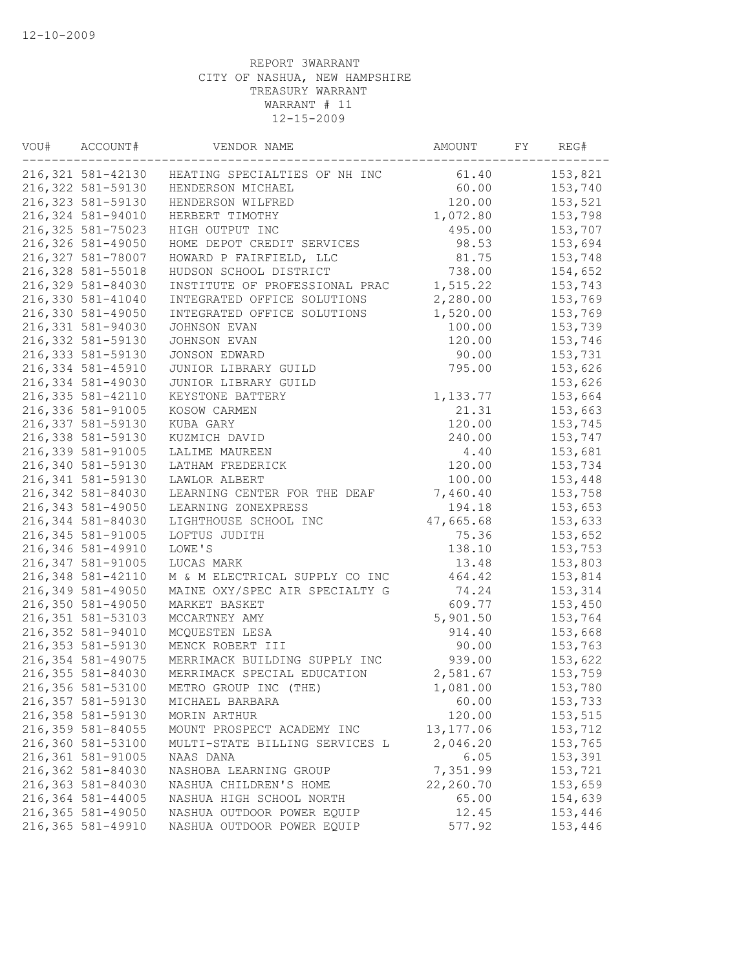| VOU# | ACCOUNT#           | VENDOR NAME                                     | AMOUNT     | FY | REG#    |
|------|--------------------|-------------------------------------------------|------------|----|---------|
|      |                    | 216,321 581-42130 HEATING SPECIALTIES OF NH INC | 61.40      |    | 153,821 |
|      | 216,322 581-59130  | HENDERSON MICHAEL                               | 60.00      |    | 153,740 |
|      | 216, 323 581-59130 | HENDERSON WILFRED                               | 120.00     |    | 153,521 |
|      | 216,324 581-94010  | HERBERT TIMOTHY                                 | 1,072.80   |    | 153,798 |
|      | 216, 325 581-75023 | HIGH OUTPUT INC                                 | 495.00     |    | 153,707 |
|      | 216,326 581-49050  | HOME DEPOT CREDIT SERVICES                      | 98.53      |    | 153,694 |
|      | 216,327 581-78007  | HOWARD P FAIRFIELD, LLC                         | 81.75      |    | 153,748 |
|      | 216,328 581-55018  | HUDSON SCHOOL DISTRICT                          | 738.00     |    | 154,652 |
|      | 216,329 581-84030  | INSTITUTE OF PROFESSIONAL PRAC                  | 1,515.22   |    | 153,743 |
|      | 216,330 581-41040  | INTEGRATED OFFICE SOLUTIONS                     | 2,280.00   |    | 153,769 |
|      | 216,330 581-49050  | INTEGRATED OFFICE SOLUTIONS                     | 1,520.00   |    | 153,769 |
|      | 216,331 581-94030  | JOHNSON EVAN                                    | 100.00     |    | 153,739 |
|      | 216,332 581-59130  | JOHNSON EVAN                                    | 120.00     |    | 153,746 |
|      | 216, 333 581-59130 | JONSON EDWARD                                   | 90.00      |    | 153,731 |
|      | 216, 334 581-45910 | JUNIOR LIBRARY GUILD                            | 795.00     |    | 153,626 |
|      | 216,334 581-49030  | JUNIOR LIBRARY GUILD                            |            |    | 153,626 |
|      | 216, 335 581-42110 | KEYSTONE BATTERY                                | 1,133.77   |    | 153,664 |
|      | 216,336 581-91005  | KOSOW CARMEN                                    | 21.31      |    | 153,663 |
|      | 216, 337 581-59130 | KUBA GARY                                       | 120.00     |    | 153,745 |
|      | 216,338 581-59130  | KUZMICH DAVID                                   | 240.00     |    | 153,747 |
|      | 216,339 581-91005  | LALIME MAUREEN                                  | 4.40       |    | 153,681 |
|      | 216,340 581-59130  | LATHAM FREDERICK                                | 120.00     |    | 153,734 |
|      | 216, 341 581-59130 | LAWLOR ALBERT                                   | 100.00     |    | 153,448 |
|      | 216,342 581-84030  | LEARNING CENTER FOR THE DEAF                    | 7,460.40   |    | 153,758 |
|      | 216, 343 581-49050 | LEARNING ZONEXPRESS                             | 194.18     |    | 153,653 |
|      | 216,344 581-84030  | LIGHTHOUSE SCHOOL INC                           | 47,665.68  |    | 153,633 |
|      | 216, 345 581-91005 | LOFTUS JUDITH                                   | 75.36      |    | 153,652 |
|      | 216,346 581-49910  | LOWE'S                                          | 138.10     |    | 153,753 |
|      | 216, 347 581-91005 | LUCAS MARK                                      |            |    | 153,803 |
|      |                    |                                                 | 13.48      |    |         |
|      | 216, 348 581-42110 | M & M ELECTRICAL SUPPLY CO INC                  | 464.42     |    | 153,814 |
|      | 216,349 581-49050  | MAINE OXY/SPEC AIR SPECIALTY G                  | 74.24      |    | 153,314 |
|      | 216,350 581-49050  | MARKET BASKET                                   | 609.77     |    | 153,450 |
|      | 216, 351 581-53103 | MCCARTNEY AMY                                   | 5,901.50   |    | 153,764 |
|      | 216,352 581-94010  | MCQUESTEN LESA                                  | 914.40     |    | 153,668 |
|      | 216, 353 581-59130 | MENCK ROBERT III                                | 90.00      |    | 153,763 |
|      | 216,354 581-49075  | MERRIMACK BUILDING SUPPLY INC                   | 939.00     |    | 153,622 |
|      | 216,355 581-84030  | MERRIMACK SPECIAL EDUCATION                     | 2,581.67   |    | 153,759 |
|      | 216,356 581-53100  | METRO GROUP INC (THE)                           | 1,081.00   |    | 153,780 |
|      | 216,357 581-59130  | MICHAEL BARBARA                                 | 60.00      |    | 153,733 |
|      | 216,358 581-59130  | MORIN ARTHUR                                    | 120.00     |    | 153,515 |
|      | 216,359 581-84055  | MOUNT PROSPECT ACADEMY INC                      | 13, 177.06 |    | 153,712 |
|      | 216,360 581-53100  | MULTI-STATE BILLING SERVICES L                  | 2,046.20   |    | 153,765 |
|      | 216,361 581-91005  | NAAS DANA                                       | 6.05       |    | 153,391 |
|      | 216,362 581-84030  | NASHOBA LEARNING GROUP                          | 7,351.99   |    | 153,721 |
|      | 216,363 581-84030  | NASHUA CHILDREN'S HOME                          | 22,260.70  |    | 153,659 |
|      | 216,364 581-44005  | NASHUA HIGH SCHOOL NORTH                        | 65.00      |    | 154,639 |
|      | 216,365 581-49050  | NASHUA OUTDOOR POWER EQUIP                      | 12.45      |    | 153,446 |
|      | 216,365 581-49910  | NASHUA OUTDOOR POWER EQUIP                      | 577.92     |    | 153,446 |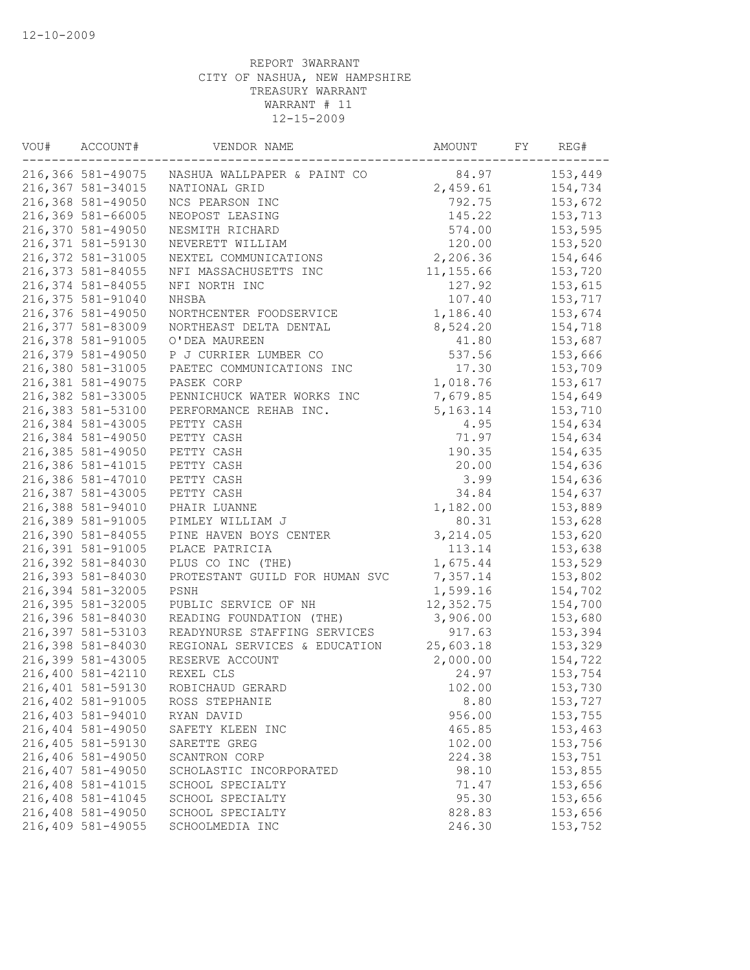| VOU# | ACCOUNT#           | VENDOR NAME                    | AMOUNT     | FY | REG#    |
|------|--------------------|--------------------------------|------------|----|---------|
|      | 216,366 581-49075  | NASHUA WALLPAPER & PAINT CO    | 84.97      |    | 153,449 |
|      | 216,367 581-34015  | NATIONAL GRID                  | 2,459.61   |    | 154,734 |
|      | 216,368 581-49050  | NCS PEARSON INC                | 792.75     |    | 153,672 |
|      | 216,369 581-66005  | NEOPOST LEASING                | 145.22     |    | 153,713 |
|      | 216,370 581-49050  | NESMITH RICHARD                | 574.00     |    | 153,595 |
|      | 216, 371 581-59130 | NEVERETT WILLIAM               | 120.00     |    | 153,520 |
|      | 216,372 581-31005  | NEXTEL COMMUNICATIONS          | 2,206.36   |    | 154,646 |
|      | 216, 373 581-84055 | NFI MASSACHUSETTS INC          | 11, 155.66 |    | 153,720 |
|      | 216,374 581-84055  | NFI NORTH INC                  | 127.92     |    | 153,615 |
|      | 216,375 581-91040  | NHSBA                          | 107.40     |    | 153,717 |
|      | 216,376 581-49050  | NORTHCENTER FOODSERVICE        | 1,186.40   |    | 153,674 |
|      | 216,377 581-83009  | NORTHEAST DELTA DENTAL         | 8,524.20   |    | 154,718 |
|      | 216,378 581-91005  | O'DEA MAUREEN                  | 41.80      |    | 153,687 |
|      | 216,379 581-49050  | P J CURRIER LUMBER CO          | 537.56     |    | 153,666 |
|      | 216,380 581-31005  | PAETEC COMMUNICATIONS INC      | 17.30      |    | 153,709 |
|      | 216,381 581-49075  | PASEK CORP                     | 1,018.76   |    | 153,617 |
|      | 216,382 581-33005  | PENNICHUCK WATER WORKS INC     | 7,679.85   |    | 154,649 |
|      | 216,383 581-53100  | PERFORMANCE REHAB INC.         | 5, 163. 14 |    | 153,710 |
|      | 216,384 581-43005  | PETTY CASH                     | 4.95       |    | 154,634 |
|      | 216,384 581-49050  | PETTY CASH                     | 71.97      |    | 154,634 |
|      | 216,385 581-49050  | PETTY CASH                     | 190.35     |    | 154,635 |
|      | 216,386 581-41015  | PETTY CASH                     | 20.00      |    | 154,636 |
|      | 216,386 581-47010  | PETTY CASH                     | 3.99       |    | 154,636 |
|      | 216,387 581-43005  | PETTY CASH                     | 34.84      |    | 154,637 |
|      | 216,388 581-94010  | PHAIR LUANNE                   | 1,182.00   |    | 153,889 |
|      | 216,389 581-91005  | PIMLEY WILLIAM J               | 80.31      |    | 153,628 |
|      | 216,390 581-84055  | PINE HAVEN BOYS CENTER         | 3,214.05   |    | 153,620 |
|      | 216,391 581-91005  | PLACE PATRICIA                 | 113.14     |    | 153,638 |
|      | 216,392 581-84030  | PLUS CO INC (THE)              | 1,675.44   |    | 153,529 |
|      | 216,393 581-84030  | PROTESTANT GUILD FOR HUMAN SVC | 7,357.14   |    | 153,802 |
|      | 216,394 581-32005  | PSNH                           | 1,599.16   |    | 154,702 |
|      | 216,395 581-32005  | PUBLIC SERVICE OF NH           | 12,352.75  |    | 154,700 |
|      | 216,396 581-84030  | READING FOUNDATION (THE)       | 3,906.00   |    | 153,680 |
|      | 216,397 581-53103  | READYNURSE STAFFING SERVICES   | 917.63     |    | 153,394 |
|      | 216,398 581-84030  | REGIONAL SERVICES & EDUCATION  | 25,603.18  |    | 153,329 |
|      | 216,399 581-43005  | RESERVE ACCOUNT                | 2,000.00   |    | 154,722 |
|      | 216,400 581-42110  | REXEL CLS                      | 24.97      |    | 153,754 |
|      | 216,401 581-59130  | ROBICHAUD GERARD               | 102.00     |    | 153,730 |
|      | 216,402 581-91005  | ROSS STEPHANIE                 | 8.80       |    | 153,727 |
|      | 216,403 581-94010  | RYAN DAVID                     | 956.00     |    | 153,755 |
|      | 216,404 581-49050  | SAFETY KLEEN INC               | 465.85     |    | 153,463 |
|      | 216,405 581-59130  | SARETTE GREG                   | 102.00     |    | 153,756 |
|      | 216,406 581-49050  | SCANTRON CORP                  | 224.38     |    | 153,751 |
|      | 216,407 581-49050  | SCHOLASTIC INCORPORATED        | 98.10      |    | 153,855 |
|      | 216,408 581-41015  | SCHOOL SPECIALTY               | 71.47      |    | 153,656 |
|      | 216,408 581-41045  | SCHOOL SPECIALTY               | 95.30      |    | 153,656 |
|      | 216,408 581-49050  | SCHOOL SPECIALTY               | 828.83     |    | 153,656 |
|      | 216,409 581-49055  | SCHOOLMEDIA INC                | 246.30     |    | 153,752 |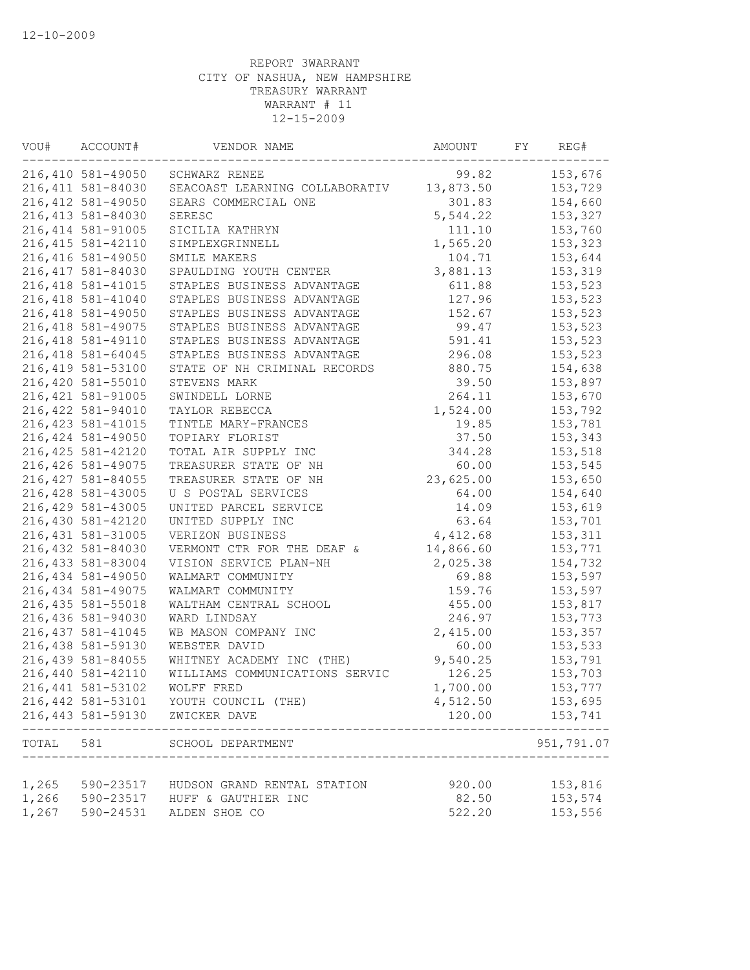| VOU#  | ACCOUNT#           | VENDOR NAME                    | AMOUNT    | FY | REG#       |
|-------|--------------------|--------------------------------|-----------|----|------------|
|       | 216,410 581-49050  | SCHWARZ RENEE                  | 99.82     |    | 153,676    |
|       | 216, 411 581-84030 | SEACOAST LEARNING COLLABORATIV | 13,873.50 |    | 153,729    |
|       | 216, 412 581-49050 | SEARS COMMERCIAL ONE           | 301.83    |    | 154,660    |
|       | 216, 413 581-84030 | SERESC                         | 5,544.22  |    | 153,327    |
|       | 216, 414 581-91005 | SICILIA KATHRYN                | 111.10    |    | 153,760    |
|       | 216, 415 581-42110 | SIMPLEXGRINNELL                | 1,565.20  |    | 153,323    |
|       | 216, 416 581-49050 | SMILE MAKERS                   | 104.71    |    | 153,644    |
|       | 216, 417 581-84030 | SPAULDING YOUTH CENTER         | 3,881.13  |    | 153,319    |
|       | 216, 418 581-41015 | STAPLES BUSINESS ADVANTAGE     | 611.88    |    | 153,523    |
|       | 216, 418 581-41040 | STAPLES BUSINESS ADVANTAGE     | 127.96    |    | 153,523    |
|       | 216, 418 581-49050 | STAPLES BUSINESS ADVANTAGE     | 152.67    |    | 153,523    |
|       | 216, 418 581-49075 | STAPLES BUSINESS ADVANTAGE     | 99.47     |    | 153,523    |
|       | 216, 418 581-49110 | STAPLES BUSINESS ADVANTAGE     | 591.41    |    | 153,523    |
|       | 216, 418 581-64045 | STAPLES BUSINESS ADVANTAGE     | 296.08    |    | 153,523    |
|       | 216, 419 581-53100 | STATE OF NH CRIMINAL RECORDS   | 880.75    |    | 154,638    |
|       | 216,420 581-55010  | STEVENS MARK                   | 39.50     |    | 153,897    |
|       | 216, 421 581-91005 | SWINDELL LORNE                 | 264.11    |    | 153,670    |
|       | 216,422 581-94010  | TAYLOR REBECCA                 | 1,524.00  |    | 153,792    |
|       | 216, 423 581-41015 | TINTLE MARY-FRANCES            | 19.85     |    | 153,781    |
|       | 216, 424 581-49050 | TOPIARY FLORIST                | 37.50     |    | 153,343    |
|       | 216, 425 581-42120 | TOTAL AIR SUPPLY INC           | 344.28    |    | 153,518    |
|       | 216, 426 581-49075 | TREASURER STATE OF NH          | 60.00     |    | 153,545    |
|       | 216, 427 581-84055 | TREASURER STATE OF NH          | 23,625.00 |    | 153,650    |
|       | 216, 428 581-43005 | U S POSTAL SERVICES            | 64.00     |    | 154,640    |
|       | 216, 429 581-43005 | UNITED PARCEL SERVICE          | 14.09     |    | 153,619    |
|       | 216,430 581-42120  | UNITED SUPPLY INC              | 63.64     |    | 153,701    |
|       | 216, 431 581-31005 | VERIZON BUSINESS               | 4,412.68  |    | 153,311    |
|       | 216,432 581-84030  | VERMONT CTR FOR THE DEAF &     | 14,866.60 |    | 153,771    |
|       | 216, 433 581-83004 | VISION SERVICE PLAN-NH         | 2,025.38  |    | 154,732    |
|       | 216,434 581-49050  | WALMART COMMUNITY              | 69.88     |    | 153,597    |
|       | 216, 434 581-49075 | WALMART COMMUNITY              | 159.76    |    | 153,597    |
|       | 216, 435 581-55018 | WALTHAM CENTRAL SCHOOL         | 455.00    |    | 153,817    |
|       | 216,436 581-94030  | WARD LINDSAY                   | 246.97    |    | 153,773    |
|       | 216, 437 581-41045 | WB MASON COMPANY INC           | 2,415.00  |    | 153,357    |
|       | 216,438 581-59130  | WEBSTER DAVID                  | 60.00     |    | 153,533    |
|       | 216, 439 581-84055 | WHITNEY ACADEMY INC (THE)      | 9,540.25  |    | 153,791    |
|       | 216,440 581-42110  | WILLIAMS COMMUNICATIONS SERVIC | 126.25    |    | 153,703    |
|       | 216,441 581-53102  | WOLFF FRED                     | 1,700.00  |    | 153,777    |
|       | 216,442 581-53101  | YOUTH COUNCIL (THE)            | 4,512.50  |    | 153,695    |
|       | 216, 443 581-59130 | ZWICKER DAVE                   | 120.00    |    | 153,741    |
|       |                    |                                |           |    | --------   |
| TOTAL | 581                | SCHOOL DEPARTMENT              |           |    | 951,791.07 |
| 1,265 | 590-23517          | HUDSON GRAND RENTAL STATION    | 920.00    |    | 153,816    |
| 1,266 |                    | 590-23517 HUFF & GAUTHIER INC  | 82.50     |    | 153,574    |
| 1,267 | 590-24531          | ALDEN SHOE CO                  | 522.20    |    | 153,556    |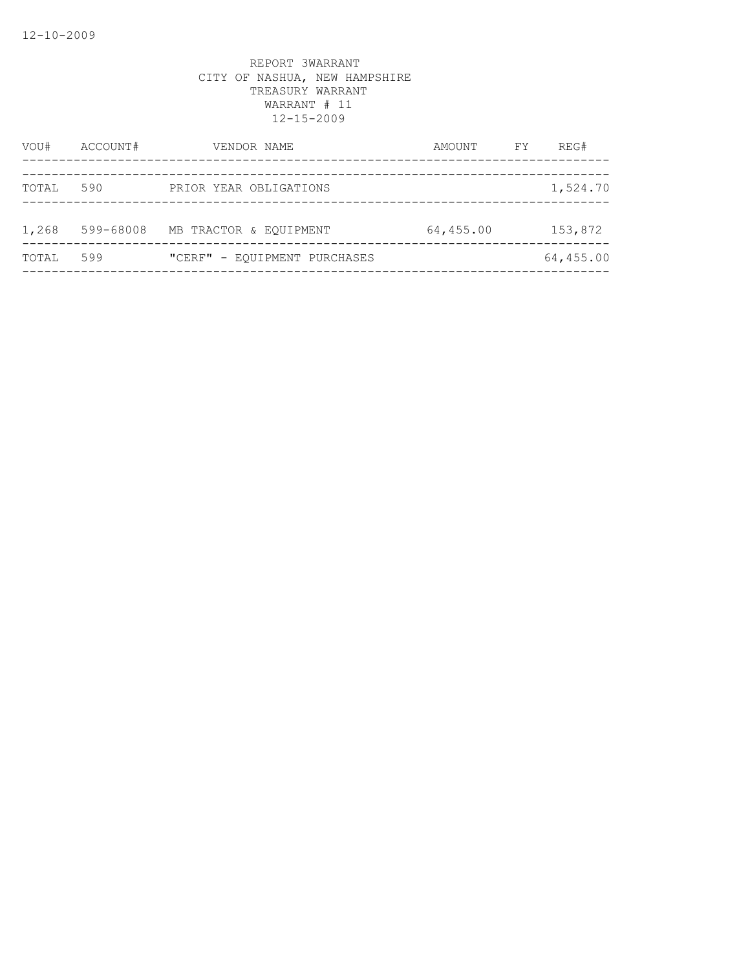| 590<br>TOTAL<br>PRIOR YEAR OBLIGATIONS<br>1,268<br>599-68008<br>64,455.00<br>MB TRACTOR & EQUIPMENT | VOU#  | ACCOUNT# | VENDOR NAME                  | AMOUNT | FY | REG#      |
|-----------------------------------------------------------------------------------------------------|-------|----------|------------------------------|--------|----|-----------|
|                                                                                                     |       |          |                              |        |    | 1,524.70  |
|                                                                                                     |       |          |                              |        |    | 153,872   |
|                                                                                                     | TOTAL | 599      | "CERF" - EOUIPMENT PURCHASES |        |    | 64,455.00 |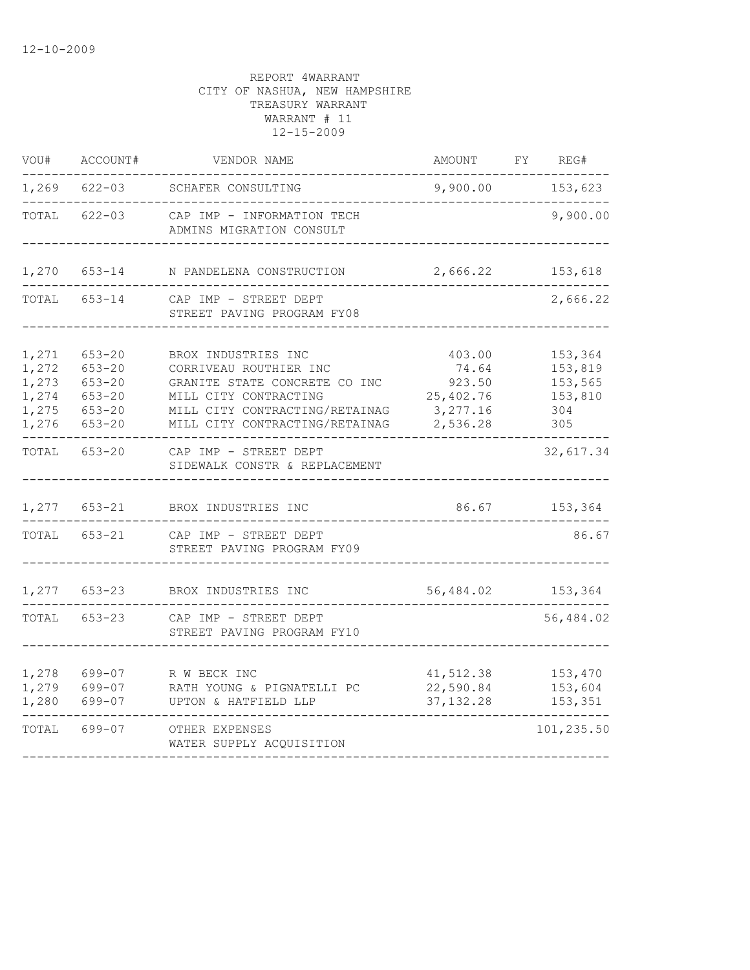| VOU#                                               | ACCOUNT#                                                                         | VENDOR NAME                                                                                                                                                                 | AMOUNT                                                         | FY | REG#                                                   |
|----------------------------------------------------|----------------------------------------------------------------------------------|-----------------------------------------------------------------------------------------------------------------------------------------------------------------------------|----------------------------------------------------------------|----|--------------------------------------------------------|
| 1,269                                              | $622 - 03$                                                                       | SCHAFER CONSULTING                                                                                                                                                          | 9,900.00                                                       |    | 153,623                                                |
| TOTAL                                              | $622 - 03$                                                                       | CAP IMP - INFORMATION TECH<br>ADMINS MIGRATION CONSULT                                                                                                                      |                                                                |    | 9,900.00                                               |
| 1,270                                              | $653 - 14$                                                                       | N PANDELENA CONSTRUCTION                                                                                                                                                    | 2,666.22                                                       |    | 153,618                                                |
| TOTAL                                              | $653 - 14$                                                                       | CAP IMP - STREET DEPT<br>STREET PAVING PROGRAM FY08                                                                                                                         |                                                                |    | 2,666.22                                               |
| 1,271<br>1,272<br>1,273<br>1,274<br>1,275<br>1,276 | $653 - 20$<br>$653 - 20$<br>$653 - 20$<br>$653 - 20$<br>$653 - 20$<br>$653 - 20$ | BROX INDUSTRIES INC<br>CORRIVEAU ROUTHIER INC<br>GRANITE STATE CONCRETE CO INC<br>MILL CITY CONTRACTING<br>MILL CITY CONTRACTING/RETAINAG<br>MILL CITY CONTRACTING/RETAINAG | 403.00<br>74.64<br>923.50<br>25,402.76<br>3,277.16<br>2,536.28 |    | 153,364<br>153,819<br>153,565<br>153,810<br>304<br>305 |
| TOTAL                                              | $653 - 20$                                                                       | CAP IMP - STREET DEPT<br>SIDEWALK CONSTR & REPLACEMENT                                                                                                                      |                                                                |    | 32,617.34                                              |
| 1,277                                              | $653 - 21$                                                                       | BROX INDUSTRIES INC                                                                                                                                                         | 86.67                                                          |    | 153,364                                                |
| TOTAL                                              | $653 - 21$                                                                       | CAP IMP - STREET DEPT<br>STREET PAVING PROGRAM FY09                                                                                                                         |                                                                |    | 86.67                                                  |
| 1,277                                              | $653 - 23$                                                                       | BROX INDUSTRIES INC                                                                                                                                                         | 56,484.02                                                      |    | 153,364                                                |
| TOTAL                                              | $653 - 23$                                                                       | CAP IMP - STREET DEPT<br>STREET PAVING PROGRAM FY10                                                                                                                         |                                                                |    | 56,484.02                                              |
| 1,278<br>1,279<br>1,280                            | 699-07<br>699-07<br>699-07                                                       | R W BECK INC<br>RATH YOUNG & PIGNATELLI PC<br>UPTON & HATFIELD LLP                                                                                                          | 41,512.38<br>22,590.84<br>37, 132.28                           |    | 153,470<br>153,604<br>153,351                          |
| TOTAL                                              | 699-07                                                                           | OTHER EXPENSES<br>WATER SUPPLY ACQUISITION                                                                                                                                  |                                                                |    | 101,235.50                                             |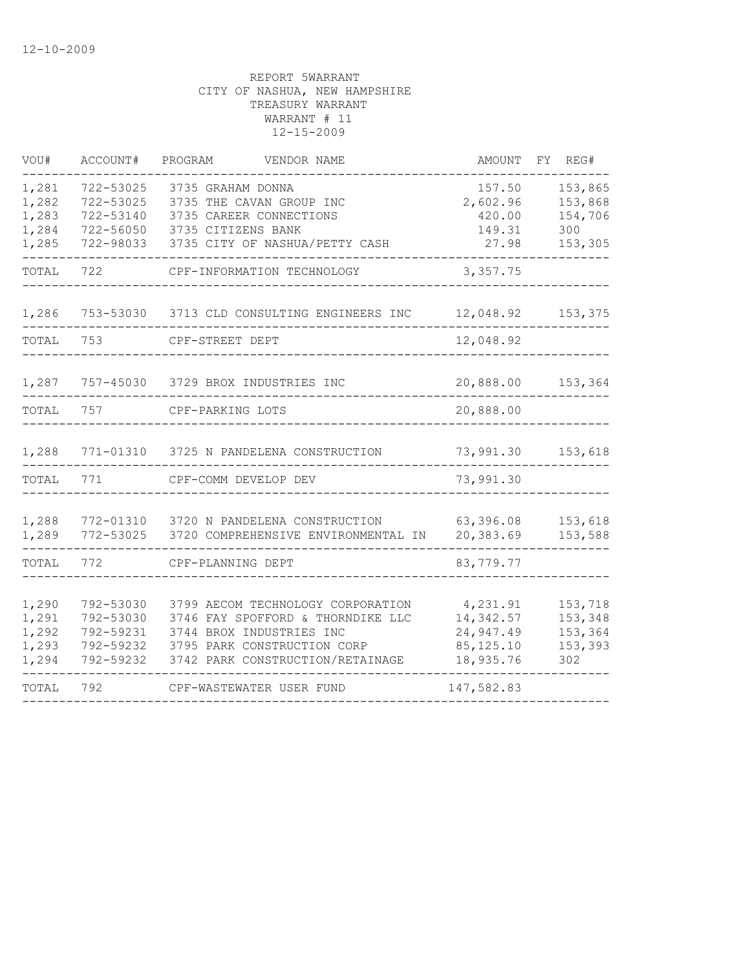| VOU#                                      | ACCOUNT#                                                      | PROGRAM<br>VENDOR NAME                                                                                                                                                | AMOUNT                                                        | FΥ<br>REG#                                      |
|-------------------------------------------|---------------------------------------------------------------|-----------------------------------------------------------------------------------------------------------------------------------------------------------------------|---------------------------------------------------------------|-------------------------------------------------|
| 1,281<br>1,282<br>1,283<br>1,284<br>1,285 | 722-53025<br>722-53025<br>722-53140<br>722-56050<br>722-98033 | 3735 GRAHAM DONNA<br>3735 THE CAVAN GROUP INC<br>3735 CAREER CONNECTIONS<br>3735 CITIZENS BANK<br>3735 CITY OF NASHUA/PETTY CASH                                      | 157.50<br>2,602.96<br>420.00<br>149.31<br>27.98               | 153,865<br>153,868<br>154,706<br>300<br>153,305 |
| TOTAL                                     | 722                                                           | CPF-INFORMATION TECHNOLOGY                                                                                                                                            | 3,357.75                                                      |                                                 |
| 1,286                                     | 753-53030                                                     | 3713 CLD CONSULTING ENGINEERS INC                                                                                                                                     | 12,048.92                                                     | 153,375                                         |
| TOTAL                                     | 753                                                           | CPF-STREET DEPT                                                                                                                                                       | 12,048.92                                                     |                                                 |
| 1,287                                     | 757-45030                                                     | 3729 BROX INDUSTRIES INC                                                                                                                                              | 20,888.00                                                     | 153,364                                         |
| TOTAL                                     | 757                                                           | CPF-PARKING LOTS                                                                                                                                                      | 20,888.00                                                     |                                                 |
| 1,288                                     | 771-01310                                                     | 3725 N PANDELENA CONSTRUCTION                                                                                                                                         | 73,991.30                                                     | 153,618                                         |
| TOTAL                                     | 771                                                           | CPF-COMM DEVELOP DEV                                                                                                                                                  | 73,991.30                                                     |                                                 |
| 1,288<br>1,289                            | 772-01310<br>772-53025                                        | 3720 N PANDELENA CONSTRUCTION<br>3720 COMPREHENSIVE ENVIRONMENTAL IN                                                                                                  | 63,396.08<br>20,383.69                                        | 153,618<br>153,588                              |
| TOTAL                                     | 772                                                           | CPF-PLANNING DEPT                                                                                                                                                     | 83,779.77                                                     |                                                 |
| 1,290<br>1,291<br>1,292<br>1,293<br>1,294 | 792-53030<br>792-53030<br>792-59231<br>792-59232<br>792-59232 | 3799 AECOM TECHNOLOGY CORPORATION<br>3746 FAY SPOFFORD & THORNDIKE LLC<br>3744 BROX INDUSTRIES INC<br>3795 PARK CONSTRUCTION CORP<br>3742 PARK CONSTRUCTION/RETAINAGE | 4,231.91<br>14,342.57<br>24,947.49<br>85, 125.10<br>18,935.76 | 153,718<br>153,348<br>153,364<br>153,393<br>302 |
| TOTAL                                     | 792                                                           | CPF-WASTEWATER USER FUND                                                                                                                                              | 147,582.83                                                    |                                                 |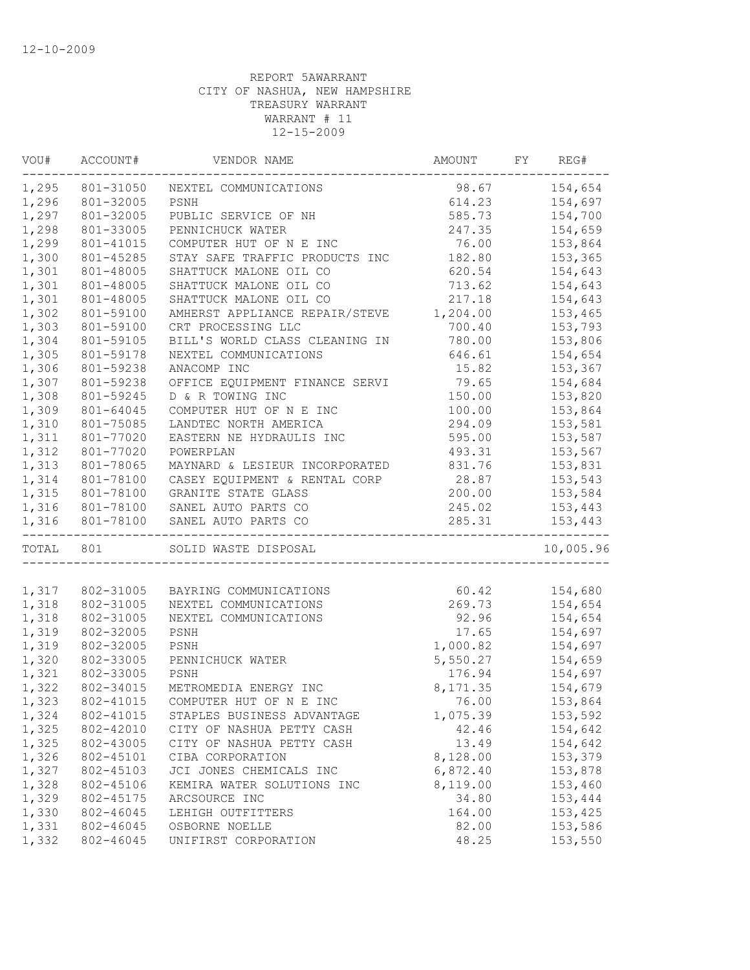| 154,654<br>801-31050<br>98.67<br>NEXTEL COMMUNICATIONS<br>PSNH<br>154,697<br>801-32005<br>614.23<br>801-32005<br>PUBLIC SERVICE OF NH<br>585.73<br>154,700<br>801-33005<br>PENNICHUCK WATER<br>247.35<br>154,659<br>801-41015<br>COMPUTER HUT OF N E INC<br>76.00<br>153,864<br>801-45285<br>STAY SAFE TRAFFIC PRODUCTS INC<br>182.80<br>153,365<br>SHATTUCK MALONE OIL CO<br>620.54<br>801-48005<br>154,643<br>801-48005<br>SHATTUCK MALONE OIL CO<br>713.62<br>154,643<br>801-48005<br>SHATTUCK MALONE OIL CO<br>217.18<br>154,643<br>801-59100<br>AMHERST APPLIANCE REPAIR/STEVE<br>1,204.00<br>153,465<br>801-59100<br>CRT PROCESSING LLC<br>700.40<br>153,793<br>1,304<br>BILL'S WORLD CLASS CLEANING IN<br>153,806<br>801-59105<br>780.00<br>1,305<br>801-59178<br>NEXTEL COMMUNICATIONS<br>646.61<br>154,654<br>1,306<br>801-59238<br>ANACOMP INC<br>15.82<br>153,367<br>1,307<br>801-59238<br>79.65<br>154,684<br>OFFICE EQUIPMENT FINANCE SERVI<br>1,308<br>801-59245<br>D & R TOWING INC<br>150.00<br>153,820<br>1,309<br>100.00<br>153,864<br>801-64045<br>COMPUTER HUT OF N E INC<br>1,310<br>LANDTEC NORTH AMERICA<br>294.09<br>153,581<br>801-75085<br>1,311<br>EASTERN NE HYDRAULIS INC<br>595.00<br>153,587<br>801-77020<br>1,312<br>153,567<br>801-77020<br>POWERPLAN<br>493.31<br>1,313<br>831.76<br>801-78065<br>MAYNARD & LESIEUR INCORPORATED<br>153,831<br>1,314<br>28.87<br>801-78100<br>CASEY EQUIPMENT & RENTAL CORP<br>153,543<br>1,315<br>801-78100<br>GRANITE STATE GLASS<br>200.00<br>153,584<br>1,316<br>SANEL AUTO PARTS CO<br>245.02<br>801-78100<br>153,443<br>1,316<br>801-78100<br>285.31<br>153,443<br>SANEL AUTO PARTS CO<br>------------<br>-------------<br>TOTAL 801<br>SOLID WASTE DISPOSAL<br>154,680<br>802-31005<br>60.42<br>BAYRING COMMUNICATIONS<br>1,318<br>802-31005<br>269.73<br>154,654<br>NEXTEL COMMUNICATIONS<br>92.96<br>154,654<br>802-31005<br>NEXTEL COMMUNICATIONS<br>802-32005<br>17.65<br>154,697<br>PSNH<br>802-32005<br>1,000.82<br>154,697<br>PSNH<br>802-33005<br>5,550.27<br>PENNICHUCK WATER<br>154,659<br>802-33005<br>PSNH<br>176.94<br>154,697<br>802-34015<br>METROMEDIA ENERGY INC<br>8, 171.35<br>154,679<br>802-41015<br>76.00<br>153,864<br>COMPUTER HUT OF N E INC<br>153,592<br>1,324<br>802-41015<br>STAPLES BUSINESS ADVANTAGE<br>1,075.39<br>1,325<br>802-42010<br>CITY OF NASHUA PETTY CASH<br>42.46<br>154,642<br>1,325<br>802-43005<br>13.49<br>154,642<br>CITY OF NASHUA PETTY CASH<br>1,326<br>802-45101<br>8,128.00<br>153,379<br>CIBA CORPORATION<br>1,327<br>6,872.40<br>802-45103<br>JCI JONES CHEMICALS INC<br>153,878<br>1,328<br>8,119.00<br>802-45106<br>KEMIRA WATER SOLUTIONS INC<br>153,460<br>1,329<br>802-45175<br>ARCSOURCE INC<br>34.80<br>153,444<br>1,330<br>802-46045<br>164.00<br>153,425<br>LEHIGH OUTFITTERS<br>1,331<br>802-46045<br>153,586<br>OSBORNE NOELLE<br>82.00<br>1,332<br>802-46045<br>UNIFIRST CORPORATION<br>48.25<br>153,550 | VOU#  | ACCOUNT# | VENDOR NAME | AMOUNT | FY | REG#      |
|------------------------------------------------------------------------------------------------------------------------------------------------------------------------------------------------------------------------------------------------------------------------------------------------------------------------------------------------------------------------------------------------------------------------------------------------------------------------------------------------------------------------------------------------------------------------------------------------------------------------------------------------------------------------------------------------------------------------------------------------------------------------------------------------------------------------------------------------------------------------------------------------------------------------------------------------------------------------------------------------------------------------------------------------------------------------------------------------------------------------------------------------------------------------------------------------------------------------------------------------------------------------------------------------------------------------------------------------------------------------------------------------------------------------------------------------------------------------------------------------------------------------------------------------------------------------------------------------------------------------------------------------------------------------------------------------------------------------------------------------------------------------------------------------------------------------------------------------------------------------------------------------------------------------------------------------------------------------------------------------------------------------------------------------------------------------------------------------------------------------------------------------------------------------------------------------------------------------------------------------------------------------------------------------------------------------------------------------------------------------------------------------------------------------------------------------------------------------------------------------------------------------------------------------------------------------------------------------------------------------------------------------------------------------------------------------------------------------------------------------------------------------------------------------------------------------------------------------------------------------------------------------------------------------------------------------------|-------|----------|-------------|--------|----|-----------|
|                                                                                                                                                                                                                                                                                                                                                                                                                                                                                                                                                                                                                                                                                                                                                                                                                                                                                                                                                                                                                                                                                                                                                                                                                                                                                                                                                                                                                                                                                                                                                                                                                                                                                                                                                                                                                                                                                                                                                                                                                                                                                                                                                                                                                                                                                                                                                                                                                                                                                                                                                                                                                                                                                                                                                                                                                                                                                                                                                      | 1,295 |          |             |        |    |           |
|                                                                                                                                                                                                                                                                                                                                                                                                                                                                                                                                                                                                                                                                                                                                                                                                                                                                                                                                                                                                                                                                                                                                                                                                                                                                                                                                                                                                                                                                                                                                                                                                                                                                                                                                                                                                                                                                                                                                                                                                                                                                                                                                                                                                                                                                                                                                                                                                                                                                                                                                                                                                                                                                                                                                                                                                                                                                                                                                                      | 1,296 |          |             |        |    |           |
|                                                                                                                                                                                                                                                                                                                                                                                                                                                                                                                                                                                                                                                                                                                                                                                                                                                                                                                                                                                                                                                                                                                                                                                                                                                                                                                                                                                                                                                                                                                                                                                                                                                                                                                                                                                                                                                                                                                                                                                                                                                                                                                                                                                                                                                                                                                                                                                                                                                                                                                                                                                                                                                                                                                                                                                                                                                                                                                                                      | 1,297 |          |             |        |    |           |
|                                                                                                                                                                                                                                                                                                                                                                                                                                                                                                                                                                                                                                                                                                                                                                                                                                                                                                                                                                                                                                                                                                                                                                                                                                                                                                                                                                                                                                                                                                                                                                                                                                                                                                                                                                                                                                                                                                                                                                                                                                                                                                                                                                                                                                                                                                                                                                                                                                                                                                                                                                                                                                                                                                                                                                                                                                                                                                                                                      | 1,298 |          |             |        |    |           |
|                                                                                                                                                                                                                                                                                                                                                                                                                                                                                                                                                                                                                                                                                                                                                                                                                                                                                                                                                                                                                                                                                                                                                                                                                                                                                                                                                                                                                                                                                                                                                                                                                                                                                                                                                                                                                                                                                                                                                                                                                                                                                                                                                                                                                                                                                                                                                                                                                                                                                                                                                                                                                                                                                                                                                                                                                                                                                                                                                      | 1,299 |          |             |        |    |           |
|                                                                                                                                                                                                                                                                                                                                                                                                                                                                                                                                                                                                                                                                                                                                                                                                                                                                                                                                                                                                                                                                                                                                                                                                                                                                                                                                                                                                                                                                                                                                                                                                                                                                                                                                                                                                                                                                                                                                                                                                                                                                                                                                                                                                                                                                                                                                                                                                                                                                                                                                                                                                                                                                                                                                                                                                                                                                                                                                                      | 1,300 |          |             |        |    |           |
|                                                                                                                                                                                                                                                                                                                                                                                                                                                                                                                                                                                                                                                                                                                                                                                                                                                                                                                                                                                                                                                                                                                                                                                                                                                                                                                                                                                                                                                                                                                                                                                                                                                                                                                                                                                                                                                                                                                                                                                                                                                                                                                                                                                                                                                                                                                                                                                                                                                                                                                                                                                                                                                                                                                                                                                                                                                                                                                                                      | 1,301 |          |             |        |    |           |
|                                                                                                                                                                                                                                                                                                                                                                                                                                                                                                                                                                                                                                                                                                                                                                                                                                                                                                                                                                                                                                                                                                                                                                                                                                                                                                                                                                                                                                                                                                                                                                                                                                                                                                                                                                                                                                                                                                                                                                                                                                                                                                                                                                                                                                                                                                                                                                                                                                                                                                                                                                                                                                                                                                                                                                                                                                                                                                                                                      | 1,301 |          |             |        |    |           |
|                                                                                                                                                                                                                                                                                                                                                                                                                                                                                                                                                                                                                                                                                                                                                                                                                                                                                                                                                                                                                                                                                                                                                                                                                                                                                                                                                                                                                                                                                                                                                                                                                                                                                                                                                                                                                                                                                                                                                                                                                                                                                                                                                                                                                                                                                                                                                                                                                                                                                                                                                                                                                                                                                                                                                                                                                                                                                                                                                      | 1,301 |          |             |        |    |           |
|                                                                                                                                                                                                                                                                                                                                                                                                                                                                                                                                                                                                                                                                                                                                                                                                                                                                                                                                                                                                                                                                                                                                                                                                                                                                                                                                                                                                                                                                                                                                                                                                                                                                                                                                                                                                                                                                                                                                                                                                                                                                                                                                                                                                                                                                                                                                                                                                                                                                                                                                                                                                                                                                                                                                                                                                                                                                                                                                                      | 1,302 |          |             |        |    |           |
|                                                                                                                                                                                                                                                                                                                                                                                                                                                                                                                                                                                                                                                                                                                                                                                                                                                                                                                                                                                                                                                                                                                                                                                                                                                                                                                                                                                                                                                                                                                                                                                                                                                                                                                                                                                                                                                                                                                                                                                                                                                                                                                                                                                                                                                                                                                                                                                                                                                                                                                                                                                                                                                                                                                                                                                                                                                                                                                                                      | 1,303 |          |             |        |    |           |
|                                                                                                                                                                                                                                                                                                                                                                                                                                                                                                                                                                                                                                                                                                                                                                                                                                                                                                                                                                                                                                                                                                                                                                                                                                                                                                                                                                                                                                                                                                                                                                                                                                                                                                                                                                                                                                                                                                                                                                                                                                                                                                                                                                                                                                                                                                                                                                                                                                                                                                                                                                                                                                                                                                                                                                                                                                                                                                                                                      |       |          |             |        |    |           |
|                                                                                                                                                                                                                                                                                                                                                                                                                                                                                                                                                                                                                                                                                                                                                                                                                                                                                                                                                                                                                                                                                                                                                                                                                                                                                                                                                                                                                                                                                                                                                                                                                                                                                                                                                                                                                                                                                                                                                                                                                                                                                                                                                                                                                                                                                                                                                                                                                                                                                                                                                                                                                                                                                                                                                                                                                                                                                                                                                      |       |          |             |        |    |           |
|                                                                                                                                                                                                                                                                                                                                                                                                                                                                                                                                                                                                                                                                                                                                                                                                                                                                                                                                                                                                                                                                                                                                                                                                                                                                                                                                                                                                                                                                                                                                                                                                                                                                                                                                                                                                                                                                                                                                                                                                                                                                                                                                                                                                                                                                                                                                                                                                                                                                                                                                                                                                                                                                                                                                                                                                                                                                                                                                                      |       |          |             |        |    |           |
|                                                                                                                                                                                                                                                                                                                                                                                                                                                                                                                                                                                                                                                                                                                                                                                                                                                                                                                                                                                                                                                                                                                                                                                                                                                                                                                                                                                                                                                                                                                                                                                                                                                                                                                                                                                                                                                                                                                                                                                                                                                                                                                                                                                                                                                                                                                                                                                                                                                                                                                                                                                                                                                                                                                                                                                                                                                                                                                                                      |       |          |             |        |    |           |
|                                                                                                                                                                                                                                                                                                                                                                                                                                                                                                                                                                                                                                                                                                                                                                                                                                                                                                                                                                                                                                                                                                                                                                                                                                                                                                                                                                                                                                                                                                                                                                                                                                                                                                                                                                                                                                                                                                                                                                                                                                                                                                                                                                                                                                                                                                                                                                                                                                                                                                                                                                                                                                                                                                                                                                                                                                                                                                                                                      |       |          |             |        |    |           |
|                                                                                                                                                                                                                                                                                                                                                                                                                                                                                                                                                                                                                                                                                                                                                                                                                                                                                                                                                                                                                                                                                                                                                                                                                                                                                                                                                                                                                                                                                                                                                                                                                                                                                                                                                                                                                                                                                                                                                                                                                                                                                                                                                                                                                                                                                                                                                                                                                                                                                                                                                                                                                                                                                                                                                                                                                                                                                                                                                      |       |          |             |        |    |           |
|                                                                                                                                                                                                                                                                                                                                                                                                                                                                                                                                                                                                                                                                                                                                                                                                                                                                                                                                                                                                                                                                                                                                                                                                                                                                                                                                                                                                                                                                                                                                                                                                                                                                                                                                                                                                                                                                                                                                                                                                                                                                                                                                                                                                                                                                                                                                                                                                                                                                                                                                                                                                                                                                                                                                                                                                                                                                                                                                                      |       |          |             |        |    |           |
|                                                                                                                                                                                                                                                                                                                                                                                                                                                                                                                                                                                                                                                                                                                                                                                                                                                                                                                                                                                                                                                                                                                                                                                                                                                                                                                                                                                                                                                                                                                                                                                                                                                                                                                                                                                                                                                                                                                                                                                                                                                                                                                                                                                                                                                                                                                                                                                                                                                                                                                                                                                                                                                                                                                                                                                                                                                                                                                                                      |       |          |             |        |    |           |
|                                                                                                                                                                                                                                                                                                                                                                                                                                                                                                                                                                                                                                                                                                                                                                                                                                                                                                                                                                                                                                                                                                                                                                                                                                                                                                                                                                                                                                                                                                                                                                                                                                                                                                                                                                                                                                                                                                                                                                                                                                                                                                                                                                                                                                                                                                                                                                                                                                                                                                                                                                                                                                                                                                                                                                                                                                                                                                                                                      |       |          |             |        |    |           |
|                                                                                                                                                                                                                                                                                                                                                                                                                                                                                                                                                                                                                                                                                                                                                                                                                                                                                                                                                                                                                                                                                                                                                                                                                                                                                                                                                                                                                                                                                                                                                                                                                                                                                                                                                                                                                                                                                                                                                                                                                                                                                                                                                                                                                                                                                                                                                                                                                                                                                                                                                                                                                                                                                                                                                                                                                                                                                                                                                      |       |          |             |        |    |           |
|                                                                                                                                                                                                                                                                                                                                                                                                                                                                                                                                                                                                                                                                                                                                                                                                                                                                                                                                                                                                                                                                                                                                                                                                                                                                                                                                                                                                                                                                                                                                                                                                                                                                                                                                                                                                                                                                                                                                                                                                                                                                                                                                                                                                                                                                                                                                                                                                                                                                                                                                                                                                                                                                                                                                                                                                                                                                                                                                                      |       |          |             |        |    |           |
|                                                                                                                                                                                                                                                                                                                                                                                                                                                                                                                                                                                                                                                                                                                                                                                                                                                                                                                                                                                                                                                                                                                                                                                                                                                                                                                                                                                                                                                                                                                                                                                                                                                                                                                                                                                                                                                                                                                                                                                                                                                                                                                                                                                                                                                                                                                                                                                                                                                                                                                                                                                                                                                                                                                                                                                                                                                                                                                                                      |       |          |             |        |    |           |
|                                                                                                                                                                                                                                                                                                                                                                                                                                                                                                                                                                                                                                                                                                                                                                                                                                                                                                                                                                                                                                                                                                                                                                                                                                                                                                                                                                                                                                                                                                                                                                                                                                                                                                                                                                                                                                                                                                                                                                                                                                                                                                                                                                                                                                                                                                                                                                                                                                                                                                                                                                                                                                                                                                                                                                                                                                                                                                                                                      |       |          |             |        |    |           |
|                                                                                                                                                                                                                                                                                                                                                                                                                                                                                                                                                                                                                                                                                                                                                                                                                                                                                                                                                                                                                                                                                                                                                                                                                                                                                                                                                                                                                                                                                                                                                                                                                                                                                                                                                                                                                                                                                                                                                                                                                                                                                                                                                                                                                                                                                                                                                                                                                                                                                                                                                                                                                                                                                                                                                                                                                                                                                                                                                      |       |          |             |        |    |           |
|                                                                                                                                                                                                                                                                                                                                                                                                                                                                                                                                                                                                                                                                                                                                                                                                                                                                                                                                                                                                                                                                                                                                                                                                                                                                                                                                                                                                                                                                                                                                                                                                                                                                                                                                                                                                                                                                                                                                                                                                                                                                                                                                                                                                                                                                                                                                                                                                                                                                                                                                                                                                                                                                                                                                                                                                                                                                                                                                                      |       |          |             |        |    | 10,005.96 |
|                                                                                                                                                                                                                                                                                                                                                                                                                                                                                                                                                                                                                                                                                                                                                                                                                                                                                                                                                                                                                                                                                                                                                                                                                                                                                                                                                                                                                                                                                                                                                                                                                                                                                                                                                                                                                                                                                                                                                                                                                                                                                                                                                                                                                                                                                                                                                                                                                                                                                                                                                                                                                                                                                                                                                                                                                                                                                                                                                      |       |          |             |        |    |           |
|                                                                                                                                                                                                                                                                                                                                                                                                                                                                                                                                                                                                                                                                                                                                                                                                                                                                                                                                                                                                                                                                                                                                                                                                                                                                                                                                                                                                                                                                                                                                                                                                                                                                                                                                                                                                                                                                                                                                                                                                                                                                                                                                                                                                                                                                                                                                                                                                                                                                                                                                                                                                                                                                                                                                                                                                                                                                                                                                                      | 1,317 |          |             |        |    |           |
|                                                                                                                                                                                                                                                                                                                                                                                                                                                                                                                                                                                                                                                                                                                                                                                                                                                                                                                                                                                                                                                                                                                                                                                                                                                                                                                                                                                                                                                                                                                                                                                                                                                                                                                                                                                                                                                                                                                                                                                                                                                                                                                                                                                                                                                                                                                                                                                                                                                                                                                                                                                                                                                                                                                                                                                                                                                                                                                                                      |       |          |             |        |    |           |
|                                                                                                                                                                                                                                                                                                                                                                                                                                                                                                                                                                                                                                                                                                                                                                                                                                                                                                                                                                                                                                                                                                                                                                                                                                                                                                                                                                                                                                                                                                                                                                                                                                                                                                                                                                                                                                                                                                                                                                                                                                                                                                                                                                                                                                                                                                                                                                                                                                                                                                                                                                                                                                                                                                                                                                                                                                                                                                                                                      | 1,318 |          |             |        |    |           |
|                                                                                                                                                                                                                                                                                                                                                                                                                                                                                                                                                                                                                                                                                                                                                                                                                                                                                                                                                                                                                                                                                                                                                                                                                                                                                                                                                                                                                                                                                                                                                                                                                                                                                                                                                                                                                                                                                                                                                                                                                                                                                                                                                                                                                                                                                                                                                                                                                                                                                                                                                                                                                                                                                                                                                                                                                                                                                                                                                      | 1,319 |          |             |        |    |           |
|                                                                                                                                                                                                                                                                                                                                                                                                                                                                                                                                                                                                                                                                                                                                                                                                                                                                                                                                                                                                                                                                                                                                                                                                                                                                                                                                                                                                                                                                                                                                                                                                                                                                                                                                                                                                                                                                                                                                                                                                                                                                                                                                                                                                                                                                                                                                                                                                                                                                                                                                                                                                                                                                                                                                                                                                                                                                                                                                                      | 1,319 |          |             |        |    |           |
|                                                                                                                                                                                                                                                                                                                                                                                                                                                                                                                                                                                                                                                                                                                                                                                                                                                                                                                                                                                                                                                                                                                                                                                                                                                                                                                                                                                                                                                                                                                                                                                                                                                                                                                                                                                                                                                                                                                                                                                                                                                                                                                                                                                                                                                                                                                                                                                                                                                                                                                                                                                                                                                                                                                                                                                                                                                                                                                                                      | 1,320 |          |             |        |    |           |
|                                                                                                                                                                                                                                                                                                                                                                                                                                                                                                                                                                                                                                                                                                                                                                                                                                                                                                                                                                                                                                                                                                                                                                                                                                                                                                                                                                                                                                                                                                                                                                                                                                                                                                                                                                                                                                                                                                                                                                                                                                                                                                                                                                                                                                                                                                                                                                                                                                                                                                                                                                                                                                                                                                                                                                                                                                                                                                                                                      | 1,321 |          |             |        |    |           |
|                                                                                                                                                                                                                                                                                                                                                                                                                                                                                                                                                                                                                                                                                                                                                                                                                                                                                                                                                                                                                                                                                                                                                                                                                                                                                                                                                                                                                                                                                                                                                                                                                                                                                                                                                                                                                                                                                                                                                                                                                                                                                                                                                                                                                                                                                                                                                                                                                                                                                                                                                                                                                                                                                                                                                                                                                                                                                                                                                      | 1,322 |          |             |        |    |           |
|                                                                                                                                                                                                                                                                                                                                                                                                                                                                                                                                                                                                                                                                                                                                                                                                                                                                                                                                                                                                                                                                                                                                                                                                                                                                                                                                                                                                                                                                                                                                                                                                                                                                                                                                                                                                                                                                                                                                                                                                                                                                                                                                                                                                                                                                                                                                                                                                                                                                                                                                                                                                                                                                                                                                                                                                                                                                                                                                                      | 1,323 |          |             |        |    |           |
|                                                                                                                                                                                                                                                                                                                                                                                                                                                                                                                                                                                                                                                                                                                                                                                                                                                                                                                                                                                                                                                                                                                                                                                                                                                                                                                                                                                                                                                                                                                                                                                                                                                                                                                                                                                                                                                                                                                                                                                                                                                                                                                                                                                                                                                                                                                                                                                                                                                                                                                                                                                                                                                                                                                                                                                                                                                                                                                                                      |       |          |             |        |    |           |
|                                                                                                                                                                                                                                                                                                                                                                                                                                                                                                                                                                                                                                                                                                                                                                                                                                                                                                                                                                                                                                                                                                                                                                                                                                                                                                                                                                                                                                                                                                                                                                                                                                                                                                                                                                                                                                                                                                                                                                                                                                                                                                                                                                                                                                                                                                                                                                                                                                                                                                                                                                                                                                                                                                                                                                                                                                                                                                                                                      |       |          |             |        |    |           |
|                                                                                                                                                                                                                                                                                                                                                                                                                                                                                                                                                                                                                                                                                                                                                                                                                                                                                                                                                                                                                                                                                                                                                                                                                                                                                                                                                                                                                                                                                                                                                                                                                                                                                                                                                                                                                                                                                                                                                                                                                                                                                                                                                                                                                                                                                                                                                                                                                                                                                                                                                                                                                                                                                                                                                                                                                                                                                                                                                      |       |          |             |        |    |           |
|                                                                                                                                                                                                                                                                                                                                                                                                                                                                                                                                                                                                                                                                                                                                                                                                                                                                                                                                                                                                                                                                                                                                                                                                                                                                                                                                                                                                                                                                                                                                                                                                                                                                                                                                                                                                                                                                                                                                                                                                                                                                                                                                                                                                                                                                                                                                                                                                                                                                                                                                                                                                                                                                                                                                                                                                                                                                                                                                                      |       |          |             |        |    |           |
|                                                                                                                                                                                                                                                                                                                                                                                                                                                                                                                                                                                                                                                                                                                                                                                                                                                                                                                                                                                                                                                                                                                                                                                                                                                                                                                                                                                                                                                                                                                                                                                                                                                                                                                                                                                                                                                                                                                                                                                                                                                                                                                                                                                                                                                                                                                                                                                                                                                                                                                                                                                                                                                                                                                                                                                                                                                                                                                                                      |       |          |             |        |    |           |
|                                                                                                                                                                                                                                                                                                                                                                                                                                                                                                                                                                                                                                                                                                                                                                                                                                                                                                                                                                                                                                                                                                                                                                                                                                                                                                                                                                                                                                                                                                                                                                                                                                                                                                                                                                                                                                                                                                                                                                                                                                                                                                                                                                                                                                                                                                                                                                                                                                                                                                                                                                                                                                                                                                                                                                                                                                                                                                                                                      |       |          |             |        |    |           |
|                                                                                                                                                                                                                                                                                                                                                                                                                                                                                                                                                                                                                                                                                                                                                                                                                                                                                                                                                                                                                                                                                                                                                                                                                                                                                                                                                                                                                                                                                                                                                                                                                                                                                                                                                                                                                                                                                                                                                                                                                                                                                                                                                                                                                                                                                                                                                                                                                                                                                                                                                                                                                                                                                                                                                                                                                                                                                                                                                      |       |          |             |        |    |           |
|                                                                                                                                                                                                                                                                                                                                                                                                                                                                                                                                                                                                                                                                                                                                                                                                                                                                                                                                                                                                                                                                                                                                                                                                                                                                                                                                                                                                                                                                                                                                                                                                                                                                                                                                                                                                                                                                                                                                                                                                                                                                                                                                                                                                                                                                                                                                                                                                                                                                                                                                                                                                                                                                                                                                                                                                                                                                                                                                                      |       |          |             |        |    |           |
|                                                                                                                                                                                                                                                                                                                                                                                                                                                                                                                                                                                                                                                                                                                                                                                                                                                                                                                                                                                                                                                                                                                                                                                                                                                                                                                                                                                                                                                                                                                                                                                                                                                                                                                                                                                                                                                                                                                                                                                                                                                                                                                                                                                                                                                                                                                                                                                                                                                                                                                                                                                                                                                                                                                                                                                                                                                                                                                                                      |       |          |             |        |    |           |
|                                                                                                                                                                                                                                                                                                                                                                                                                                                                                                                                                                                                                                                                                                                                                                                                                                                                                                                                                                                                                                                                                                                                                                                                                                                                                                                                                                                                                                                                                                                                                                                                                                                                                                                                                                                                                                                                                                                                                                                                                                                                                                                                                                                                                                                                                                                                                                                                                                                                                                                                                                                                                                                                                                                                                                                                                                                                                                                                                      |       |          |             |        |    |           |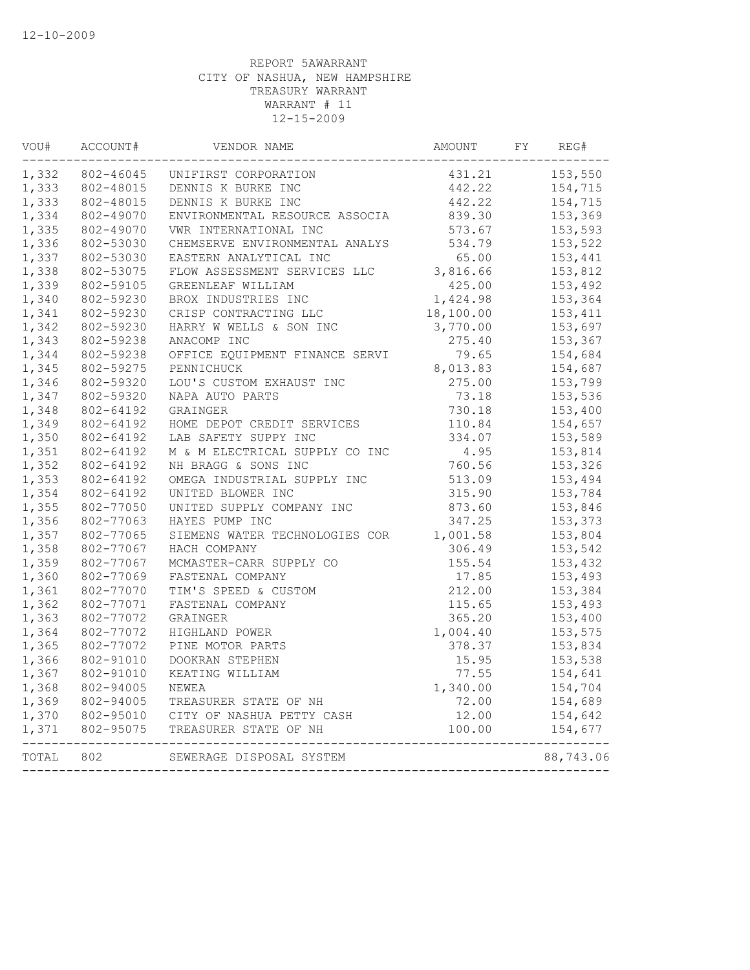| VOU#      | ACCOUNT#  | VENDOR NAME                               | AMOUNT    | FY | REG#      |
|-----------|-----------|-------------------------------------------|-----------|----|-----------|
| 1,332     |           | 802-46045 UNIFIRST CORPORATION            | 431.21    |    | 153,550   |
| 1,333     |           | 802-48015 DENNIS K BURKE INC              | 442.22    |    | 154,715   |
| 1,333     | 802-48015 | DENNIS K BURKE INC                        | 442.22    |    | 154,715   |
| 1,334     | 802-49070 | ENVIRONMENTAL RESOURCE ASSOCIA            | 839.30    |    | 153,369   |
| 1,335     | 802-49070 | VWR INTERNATIONAL INC                     | 573.67    |    | 153,593   |
| 1,336     | 802-53030 | CHEMSERVE ENVIRONMENTAL ANALYS            | 534.79    |    | 153,522   |
| 1,337     | 802-53030 | EASTERN ANALYTICAL INC                    | 65.00     |    | 153,441   |
| 1,338     | 802-53075 | FLOW ASSESSMENT SERVICES LLC              | 3,816.66  |    | 153,812   |
| 1,339     | 802-59105 | GREENLEAF WILLIAM                         | 425.00    |    | 153,492   |
| 1,340     | 802-59230 | BROX INDUSTRIES INC                       | 1,424.98  |    | 153,364   |
| 1,341     | 802-59230 | CRISP CONTRACTING LLC                     | 18,100.00 |    | 153,411   |
| 1,342     | 802-59230 | HARRY W WELLS & SON INC                   | 3,770.00  |    | 153,697   |
| 1,343     | 802-59238 | ANACOMP INC                               | 275.40    |    | 153,367   |
| 1,344     | 802-59238 | OFFICE EQUIPMENT FINANCE SERVI            | 79.65     |    | 154,684   |
| 1,345     | 802-59275 | PENNICHUCK                                | 8,013.83  |    | 154,687   |
| 1,346     | 802-59320 | LOU'S CUSTOM EXHAUST INC                  | 275.00    |    | 153,799   |
| 1,347     | 802-59320 | NAPA AUTO PARTS                           | 73.18     |    | 153,536   |
| 1,348     | 802-64192 | GRAINGER                                  | 730.18    |    | 153,400   |
| 1,349     | 802-64192 | HOME DEPOT CREDIT SERVICES                | 110.84    |    | 154,657   |
| 1,350     | 802-64192 | LAB SAFETY SUPPY INC                      | 334.07    |    | 153,589   |
| 1,351     | 802-64192 | M & M ELECTRICAL SUPPLY CO INC            | 4.95      |    | 153,814   |
| 1,352     | 802-64192 | NH BRAGG & SONS INC                       | 760.56    |    | 153,326   |
| 1,353     | 802-64192 | OMEGA INDUSTRIAL SUPPLY INC               | 513.09    |    | 153,494   |
| 1,354     | 802-64192 | UNITED BLOWER INC                         | 315.90    |    | 153,784   |
| 1,355     | 802-77050 | UNITED SUPPLY COMPANY INC                 | 873.60    |    | 153,846   |
| 1,356     | 802-77063 | HAYES PUMP INC                            | 347.25    |    | 153,373   |
| 1,357     | 802-77065 | SIEMENS WATER TECHNOLOGIES COR            | 1,001.58  |    | 153,804   |
| 1,358     | 802-77067 | HACH COMPANY                              | 306.49    |    | 153,542   |
| 1,359     | 802-77067 | MCMASTER-CARR SUPPLY CO                   | 155.54    |    | 153,432   |
| 1,360     | 802-77069 | FASTENAL COMPANY                          | 17.85     |    | 153,493   |
| 1,361     | 802-77070 | TIM'S SPEED & CUSTOM                      | 212.00    |    | 153,384   |
| 1,362     | 802-77071 | FASTENAL COMPANY                          | 115.65    |    | 153,493   |
| 1,363     | 802-77072 | GRAINGER                                  | 365.20    |    | 153,400   |
| 1,364     | 802-77072 | HIGHLAND POWER                            | 1,004.40  |    | 153,575   |
| 1,365     | 802-77072 | PINE MOTOR PARTS                          | 378.37    |    | 153,834   |
| 1,366     | 802-91010 | DOOKRAN STEPHEN                           | 15.95     |    | 153,538   |
| 1,367     | 802-91010 | KEATING WILLIAM                           | 77.55     |    | 154,641   |
| 1,368     | 802-94005 | NEWEA                                     | 1,340.00  |    | 154,704   |
| 1,369     | 802-94005 | TREASURER STATE OF NH                     | 72.00     |    | 154,689   |
|           |           | 1,370 802-95010 CITY OF NASHUA PETTY CASH | 12.00     |    | 154,642   |
|           |           | 1,371 802-95075 TREASURER STATE OF NH     | 100.00    |    | 154,677   |
| TOTAL 802 |           | SEWERAGE DISPOSAL SYSTEM                  |           |    | 88,743.06 |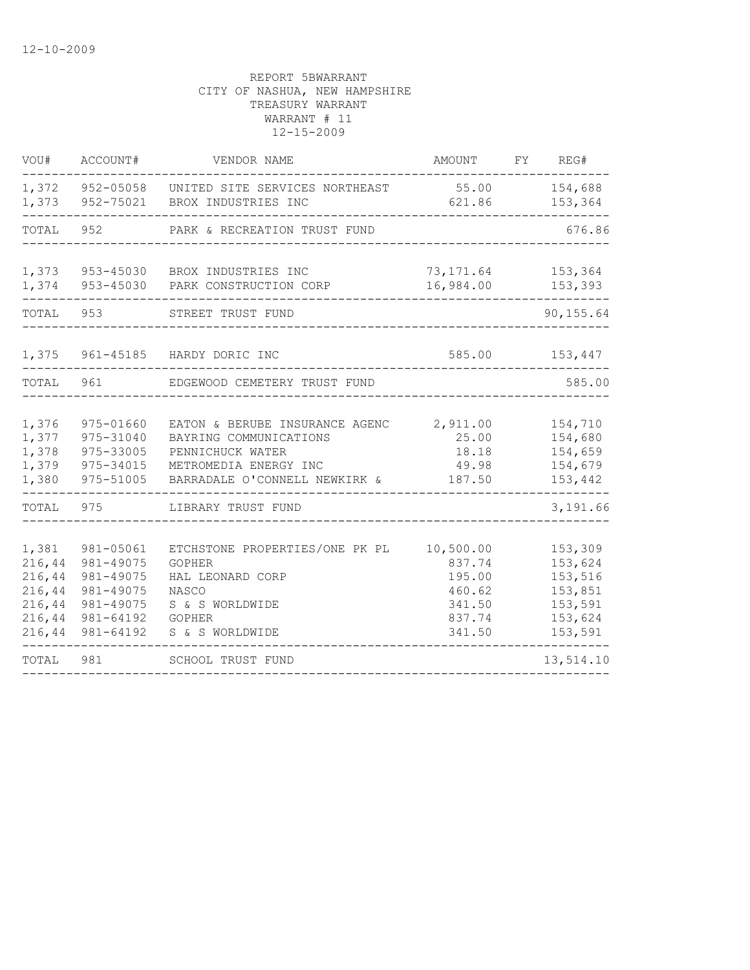| VOU#                                                                | ACCOUNT#                                                                                | VENDOR NAME                                                                                                                                | AMOUNT                                                                | FY | REG#                                                                      |
|---------------------------------------------------------------------|-----------------------------------------------------------------------------------------|--------------------------------------------------------------------------------------------------------------------------------------------|-----------------------------------------------------------------------|----|---------------------------------------------------------------------------|
| 1,372<br>1,373                                                      | 952-05058<br>952-75021                                                                  | UNITED SITE SERVICES NORTHEAST<br>BROX INDUSTRIES INC                                                                                      | 55.00<br>621.86                                                       |    | 154,688<br>153,364                                                        |
| TOTAL                                                               | 952                                                                                     | PARK & RECREATION TRUST FUND                                                                                                               |                                                                       |    | 676.86                                                                    |
| 1,373<br>1,374                                                      | 953-45030                                                                               | BROX INDUSTRIES INC<br>953-45030 PARK CONSTRUCTION CORP                                                                                    | 73,171.64<br>16,984.00                                                |    | 153,364<br>153,393                                                        |
| TOTAL 953                                                           |                                                                                         | STREET TRUST FUND                                                                                                                          |                                                                       |    | 90, 155.64                                                                |
| 1,375                                                               |                                                                                         | 961-45185 HARDY DORIC INC                                                                                                                  | 585.00                                                                |    | 153,447                                                                   |
| TOTAL                                                               | 961                                                                                     | EDGEWOOD CEMETERY TRUST FUND                                                                                                               |                                                                       |    | 585.00                                                                    |
| 1,376<br>1,377<br>1,378<br>1,379<br>1,380                           | 975-01660<br>975-31040<br>975-33005<br>975-34015<br>975-51005                           | EATON & BERUBE INSURANCE AGENC<br>BAYRING COMMUNICATIONS<br>PENNICHUCK WATER<br>METROMEDIA ENERGY INC<br>BARRADALE O'CONNELL NEWKIRK &     | 2,911.00<br>25.00<br>18.18<br>49.98<br>187.50                         |    | 154,710<br>154,680<br>154,659<br>154,679<br>153,442                       |
| TOTAL                                                               | 975                                                                                     | LIBRARY TRUST FUND                                                                                                                         |                                                                       |    | 3,191.66                                                                  |
| 1,381<br>216,44<br>216,44<br>216,44<br>216,44<br>216, 44<br>216, 44 | 981-05061<br>981-49075<br>981-49075<br>981-49075<br>981-49075<br>981-64192<br>981-64192 | ETCHSTONE PROPERTIES/ONE PK PL<br><b>GOPHER</b><br>HAL LEONARD CORP<br><b>NASCO</b><br>S & S WORLDWIDE<br><b>GOPHER</b><br>S & S WORLDWIDE | 10,500.00<br>837.74<br>195.00<br>460.62<br>341.50<br>837.74<br>341.50 |    | 153,309<br>153,624<br>153,516<br>153,851<br>153,591<br>153,624<br>153,591 |
| TOTAL                                                               | 981                                                                                     | SCHOOL TRUST FUND                                                                                                                          |                                                                       |    | 13,514.10                                                                 |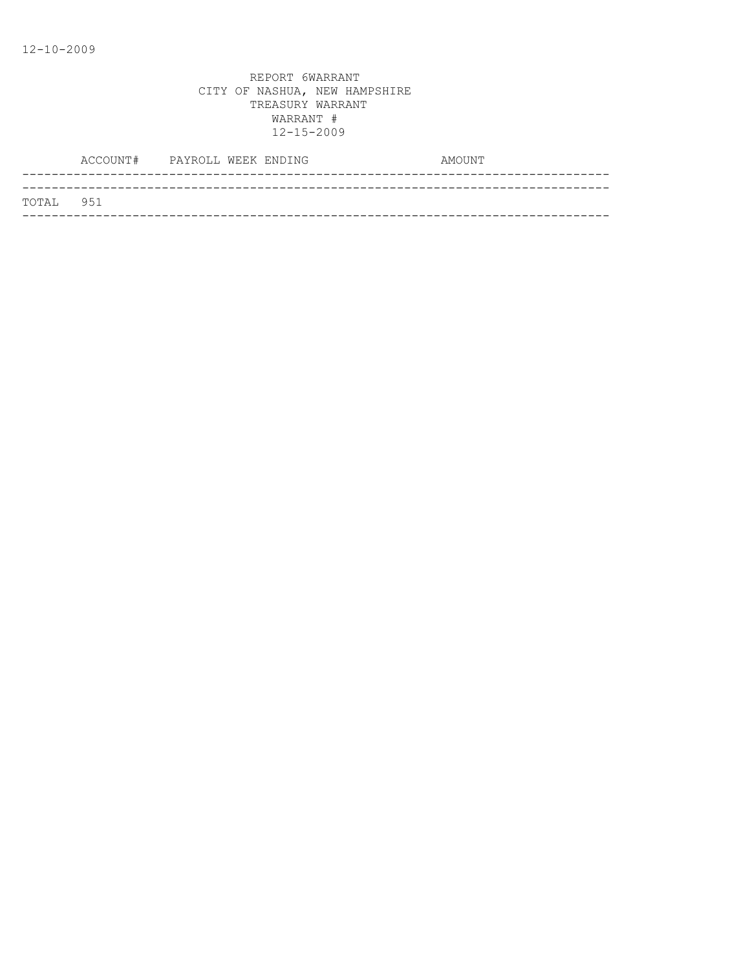|           | ACCOUNT# PAYROLL WEEK ENDING |  | AMOUNT |
|-----------|------------------------------|--|--------|
|           |                              |  |        |
| TOTAL 951 |                              |  |        |
|           |                              |  |        |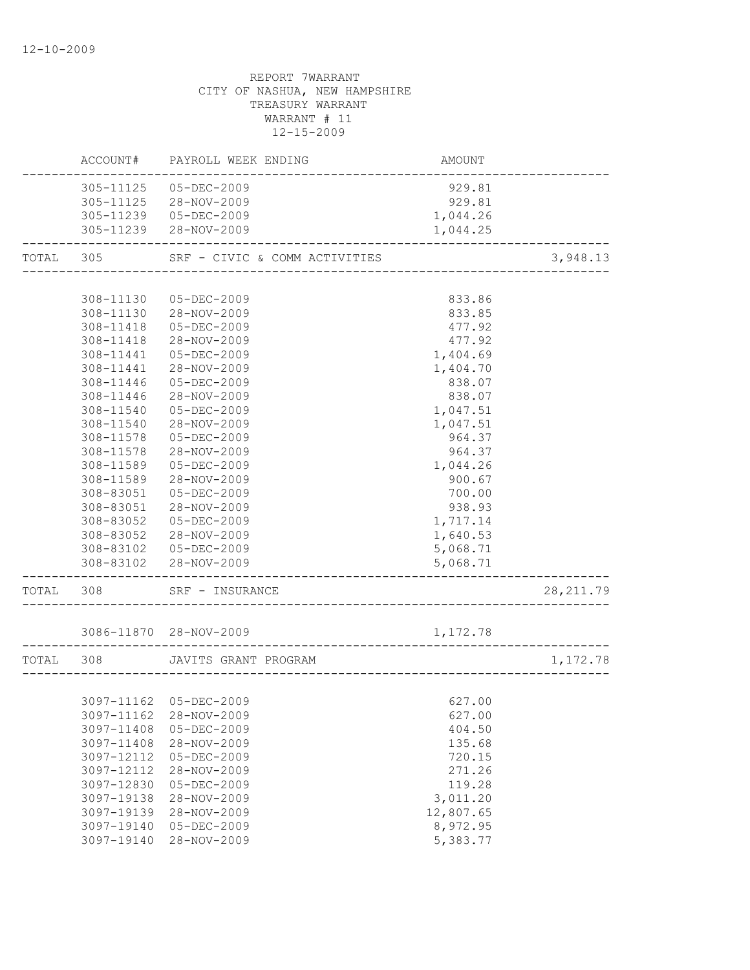|                  | ACCOUNT# PAYROLL WEEK ENDING                  | AMOUNT                       |            |
|------------------|-----------------------------------------------|------------------------------|------------|
|                  | 305-11125  05-DEC-2009                        | 929.81                       |            |
|                  | 305-11125 28-NOV-2009                         | 929.81                       |            |
|                  | 305-11239 05-DEC-2009                         | 1,044.26                     |            |
|                  | 305-11239 28-NOV-2009                         | 1,044.25                     |            |
|                  | TOTAL 305 SRF - CIVIC & COMM ACTIVITIES       |                              | 3,948.13   |
|                  |                                               |                              |            |
| 308-11130        | 05-DEC-2009                                   | 833.86                       |            |
|                  | 308-11130 28-NOV-2009                         | 833.85                       |            |
|                  | 308-11418  05-DEC-2009                        | 477.92                       |            |
| 308-11418        | 28-NOV-2009                                   | 477.92                       |            |
| 308-11441        | 05-DEC-2009                                   | 1,404.69                     |            |
| 308-11441        | 28-NOV-2009                                   | 1,404.70                     |            |
| 308-11446        | 05-DEC-2009                                   | 838.07                       |            |
| 308-11446        | 28-NOV-2009                                   | 838.07                       |            |
| 308-11540        | 05-DEC-2009                                   | 1,047.51                     |            |
| 308-11540        | 28-NOV-2009                                   | 1,047.51                     |            |
| 308-11578        | 05-DEC-2009                                   | 964.37                       |            |
| 308-11578        | 28-NOV-2009                                   | 964.37                       |            |
| 308-11589        | 05-DEC-2009                                   | 1,044.26                     |            |
| 308-11589        | 28-NOV-2009                                   | 900.67                       |            |
| 308-83051        | 05-DEC-2009                                   | 700.00                       |            |
| 308-83051        | 28-NOV-2009                                   | 938.93                       |            |
| 308-83052        | 05-DEC-2009                                   | 1,717.14                     |            |
| 308-83052        | 28-NOV-2009                                   | 1,640.53                     |            |
|                  | 308-83102  05-DEC-2009                        | 5,068.71                     |            |
|                  | 308-83102 28-NOV-2009                         | 5,068.71<br>________________ |            |
| ---------------- | TOTAL 308 SRF - INSURANCE                     |                              | 28, 211.79 |
|                  | 3086-11870 28-NOV-2009                        | 1,172.78                     |            |
|                  |                                               |                              |            |
| TOTAL 308        | JAVITS GRANT PROGRAM<br>_____________________ |                              | 1,172.78   |
|                  | 3097-11162 05-DEC-2009                        |                              |            |
| 3097-11162       | 28-NOV-2009                                   | 627.00<br>627.00             |            |
| 3097-11408       | $05 - DEC - 2009$                             | 404.50                       |            |
| 3097-11408       | 28-NOV-2009                                   | 135.68                       |            |
| 3097-12112       | 05-DEC-2009                                   | 720.15                       |            |
| 3097-12112       | 28-NOV-2009                                   | 271.26                       |            |
| 3097-12830       | $05 - DEC - 2009$                             |                              |            |
| 3097-19138       | 28-NOV-2009                                   | 119.28<br>3,011.20           |            |
| 3097-19139       | 28-NOV-2009                                   | 12,807.65                    |            |
| 3097-19140       | 05-DEC-2009                                   | 8,972.95                     |            |
| 3097-19140       | 28-NOV-2009                                   |                              |            |
|                  |                                               | 5,383.77                     |            |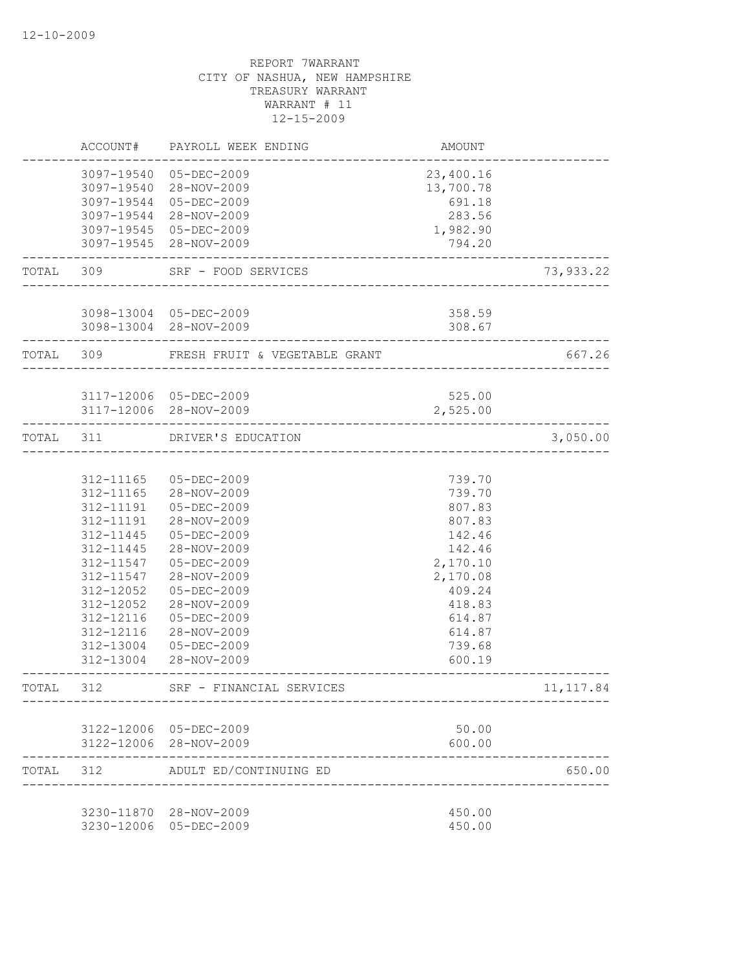|           |                        | ACCOUNT# PAYROLL WEEK ENDING                      | AMOUNT                 |            |
|-----------|------------------------|---------------------------------------------------|------------------------|------------|
|           |                        | 3097-19540 05-DEC-2009<br>3097-19540 28-NOV-2009  | 23,400.16<br>13,700.78 |            |
|           |                        | 3097-19544 05-DEC-2009                            | 691.18                 |            |
|           |                        | 3097-19544 28-NOV-2009                            | 283.56                 |            |
|           |                        | 3097-19545 05-DEC-2009<br>3097-19545 28-NOV-2009  | 1,982.90<br>794.20     |            |
|           |                        |                                                   |                        |            |
|           | TOTAL 309              | SRF - FOOD SERVICES<br>__________________________ |                        | 73,933.22  |
|           |                        | 3098-13004 05-DEC-2009                            | 358.59                 |            |
|           |                        | 3098-13004 28-NOV-2009                            | 308.67                 |            |
|           | TOTAL 309              | FRESH FRUIT & VEGETABLE GRANT                     |                        | 667.26     |
|           |                        | 3117-12006 05-DEC-2009                            | 525.00                 |            |
|           |                        | 3117-12006 28-NOV-2009                            | 2,525.00               |            |
| TOTAL 311 |                        | DRIVER'S EDUCATION                                |                        | 3,050.00   |
|           |                        |                                                   |                        |            |
|           |                        | 312-11165 05-DEC-2009                             | 739.70                 |            |
|           | 312-11165              | 28-NOV-2009                                       | 739.70                 |            |
|           | 312-11191              | 05-DEC-2009                                       | 807.83                 |            |
|           | 312-11191              | 28-NOV-2009                                       | 807.83                 |            |
|           | 312-11445              | 05-DEC-2009                                       | 142.46                 |            |
|           | 312-11445              | 28-NOV-2009                                       | 142.46                 |            |
|           | 312-11547              | $05 - DEC - 2009$                                 | 2,170.10               |            |
|           | 312-11547<br>312-12052 | 28-NOV-2009<br>05-DEC-2009                        | 2,170.08               |            |
|           | 312-12052              | 28-NOV-2009                                       | 409.24<br>418.83       |            |
|           | 312-12116              | $05 - DEC - 2009$                                 | 614.87                 |            |
|           | 312-12116              | 28-NOV-2009                                       | 614.87                 |            |
|           | 312-13004              | 05-DEC-2009                                       | 739.68                 |            |
|           |                        | 312-13004 28-NOV-2009                             | 600.19                 |            |
| TOTAL     | 312                    | SRF - FINANCIAL SERVICES                          |                        | 11, 117.84 |
|           |                        |                                                   |                        |            |
|           |                        | 3122-12006 05-DEC-2009<br>3122-12006 28-NOV-2009  | 50.00<br>600.00        |            |
| TOTAL     | 312                    | ADULT ED/CONTINUING ED                            |                        | 650.00     |
|           |                        | 3230-11870 28-NOV-2009                            | 450.00                 |            |
|           |                        | 3230-12006 05-DEC-2009                            | 450.00                 |            |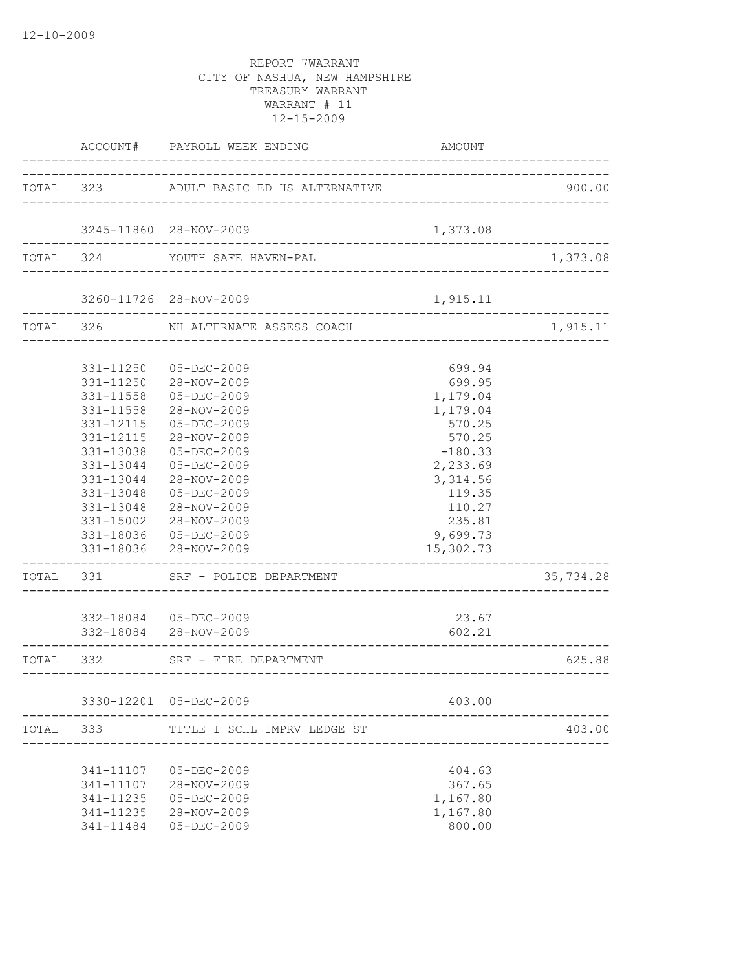|           |                                                                                                      | ACCOUNT# PAYROLL WEEK ENDING                                                                                                                                                                                                                                                     | AMOUNT                                                                                                                                                   |           |
|-----------|------------------------------------------------------------------------------------------------------|----------------------------------------------------------------------------------------------------------------------------------------------------------------------------------------------------------------------------------------------------------------------------------|----------------------------------------------------------------------------------------------------------------------------------------------------------|-----------|
|           |                                                                                                      | TOTAL 323 ADULT BASIC ED HS ALTERNATIVE                                                                                                                                                                                                                                          |                                                                                                                                                          | 900.00    |
|           |                                                                                                      | 3245-11860 28-NOV-2009                                                                                                                                                                                                                                                           | 1,373.08                                                                                                                                                 |           |
|           | TOTAL 324                                                                                            | YOUTH SAFE HAVEN-PAL                                                                                                                                                                                                                                                             |                                                                                                                                                          | 1,373.08  |
|           |                                                                                                      | 3260-11726 28-NOV-2009                                                                                                                                                                                                                                                           | 1,915.11                                                                                                                                                 |           |
|           |                                                                                                      | TOTAL 326 NH ALTERNATE ASSESS COACH                                                                                                                                                                                                                                              |                                                                                                                                                          | 1,915.11  |
|           | 331-11558<br>331-11558<br>331-12115<br>331-12115<br>331-13038<br>331-13044<br>331-13048<br>331-13048 | 331-11250 05-DEC-2009<br>331-11250 28-NOV-2009<br>05-DEC-2009<br>28-NOV-2009<br>$05 - DEC - 2009$<br>28-NOV-2009<br>05-DEC-2009<br>331-13044 05-DEC-2009<br>28-NOV-2009<br>05-DEC-2009<br>28-NOV-2009<br>331-15002 28-NOV-2009<br>331-18036 05-DEC-2009<br>331-18036 28-NOV-2009 | 699.94<br>699.95<br>1,179.04<br>1,179.04<br>570.25<br>570.25<br>$-180.33$<br>2,233.69<br>3,314.56<br>119.35<br>110.27<br>235.81<br>9,699.73<br>15,302.73 |           |
|           |                                                                                                      | TOTAL 331 SRF - POLICE DEPARTMENT                                                                                                                                                                                                                                                |                                                                                                                                                          | 35,734.28 |
|           |                                                                                                      | 332-18084  05-DEC-2009<br>332-18084 28-NOV-2009                                                                                                                                                                                                                                  | 23.67<br>602.21                                                                                                                                          |           |
| TOTAL 332 |                                                                                                      | SRF - FIRE DEPARTMENT                                                                                                                                                                                                                                                            | ------------------------------------                                                                                                                     | 625.88    |
|           |                                                                                                      | 3330-12201 05-DEC-2009                                                                                                                                                                                                                                                           | 403.00                                                                                                                                                   |           |
| TOTAL     | 333                                                                                                  | TITLE I SCHL IMPRV LEDGE ST                                                                                                                                                                                                                                                      |                                                                                                                                                          | 403.00    |
|           | 341-11107<br>341-11107<br>341-11235<br>341-11235<br>341-11484                                        | 05-DEC-2009<br>28-NOV-2009<br>$05 - DEC - 2009$<br>28-NOV-2009<br>$05 - DEC - 2009$                                                                                                                                                                                              | 404.63<br>367.65<br>1,167.80<br>1,167.80<br>800.00                                                                                                       |           |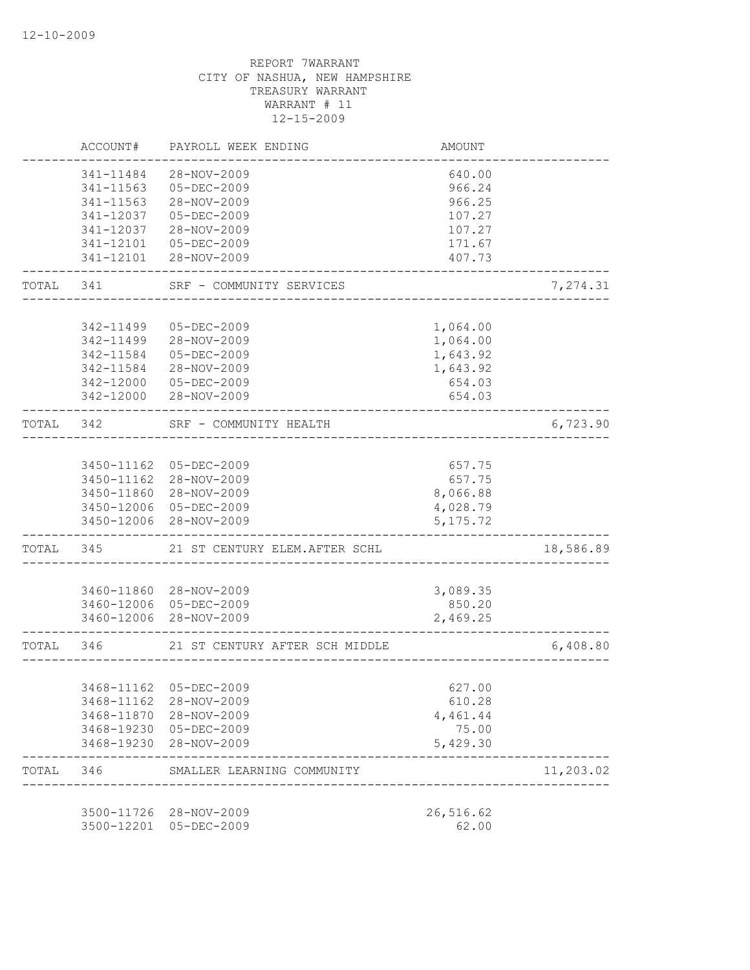|           | ACCOUNT#   | PAYROLL WEEK ENDING                              | AMOUNT                               |           |
|-----------|------------|--------------------------------------------------|--------------------------------------|-----------|
|           | 341-11484  | 28-NOV-2009                                      | 640.00                               |           |
|           | 341-11563  | $05 - DEC - 2009$                                | 966.24                               |           |
|           | 341-11563  | 28-NOV-2009                                      | 966.25                               |           |
|           | 341-12037  | $05 - DEC - 2009$                                | 107.27                               |           |
|           | 341-12037  | 28-NOV-2009                                      | 107.27                               |           |
|           | 341-12101  | 05-DEC-2009                                      | 171.67                               |           |
|           | 341-12101  | 28-NOV-2009                                      | 407.73                               |           |
| TOTAL     | 341 \      | SRF - COMMUNITY SERVICES                         |                                      | 7,274.31  |
|           |            |                                                  |                                      |           |
|           | 342-11499  | 05-DEC-2009                                      | 1,064.00                             |           |
|           | 342-11499  | 28-NOV-2009                                      | 1,064.00                             |           |
|           | 342-11584  | 05-DEC-2009                                      | 1,643.92                             |           |
|           | 342-11584  | 28-NOV-2009                                      | 1,643.92                             |           |
|           |            | 342-12000 05-DEC-2009                            | 654.03                               |           |
|           |            | 342-12000 28-NOV-2009                            | 654.03                               |           |
| TOTAL     | 342        | SRF - COMMUNITY HEALTH                           | ____________________________________ | 6,723.90  |
|           |            |                                                  |                                      |           |
|           |            | 3450-11162 05-DEC-2009                           | 657.75                               |           |
|           |            | 3450-11162 28-NOV-2009                           | 657.75                               |           |
|           |            | 3450-11860 28-NOV-2009                           | 8,066.88                             |           |
|           |            | 3450-12006 05-DEC-2009<br>3450-12006 28-NOV-2009 | 4,028.79<br>5, 175.72                |           |
| TOTAL     |            | 345 21 ST CENTURY ELEM. AFTER SCHL               |                                      | 18,586.89 |
|           |            |                                                  |                                      |           |
|           |            | 3460-11860 28-NOV-2009                           | 3,089.35                             |           |
|           |            | 3460-12006 05-DEC-2009                           | 850.20                               |           |
|           |            | 3460-12006 28-NOV-2009                           | 2,469.25                             |           |
| TOTAL 346 |            | 21 ST CENTURY AFTER SCH MIDDLE                   |                                      | 6,408.80  |
|           |            |                                                  |                                      |           |
|           |            | 3468-11162 05-DEC-2009                           | 627.00                               |           |
|           | 3468-11162 | 28-NOV-2009                                      | 610.28                               |           |
|           | 3468-11870 | 28-NOV-2009                                      | 4,461.44                             |           |
|           | 3468-19230 | 3468-19230 05-DEC-2009<br>28-NOV-2009            | 75.00<br>5,429.30                    |           |
| TOTAL     | 346        | SMALLER LEARNING COMMUNITY                       |                                      | 11,203.02 |
|           |            |                                                  |                                      |           |
|           | 3500-11726 | 28-NOV-2009                                      | 26,516.62                            |           |
|           | 3500-12201 | $05 - DEC - 2009$                                | 62.00                                |           |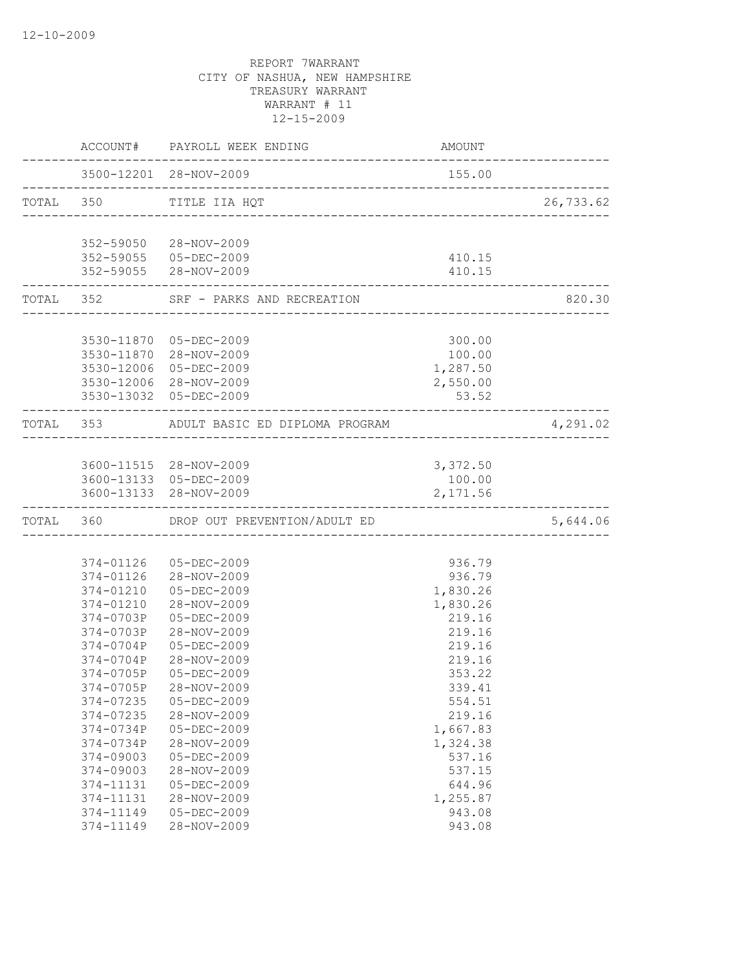|                    | ACCOUNT# PAYROLL WEEK ENDING                                                   | AMOUNT   |           |
|--------------------|--------------------------------------------------------------------------------|----------|-----------|
|                    | 3500-12201 28-NOV-2009                                                         | 155.00   |           |
|                    | TOTAL 350 TITLE IIA HQT<br>--------------------------------------              |          | 26,733.62 |
|                    |                                                                                |          |           |
|                    | 352-59050 28-NOV-2009                                                          |          |           |
|                    | 352-59055 05-DEC-2009                                                          | 410.15   |           |
| ------------------ | 352-59055 28-NOV-2009                                                          | 410.15   |           |
|                    | TOTAL 352 SRF - PARKS AND RECREATION<br>-----------------------------          |          | 820.30    |
|                    |                                                                                |          |           |
|                    | 3530-11870 05-DEC-2009                                                         | 300.00   |           |
|                    | 3530-11870 28-NOV-2009                                                         | 100.00   |           |
|                    | 3530-12006 05-DEC-2009                                                         | 1,287.50 |           |
|                    | 3530-12006 28-NOV-2009                                                         | 2,550.00 |           |
|                    | 3530-13032 05-DEC-2009                                                         | 53.52    |           |
|                    | TOTAL 353 ADULT BASIC ED DIPLOMA PROGRAM<br>---------------------------------- |          | 4,291.02  |
|                    |                                                                                |          |           |
|                    | 3600-11515 28-NOV-2009                                                         | 3,372.50 |           |
|                    | 3600-13133 05-DEC-2009                                                         | 100.00   |           |
|                    | 3600-13133 28-NOV-2009                                                         | 2,171.56 |           |
|                    | TOTAL 360 DROP OUT PREVENTION/ADULT ED                                         |          | 5,644.06  |
|                    |                                                                                |          |           |
| 374-01126          | 05-DEC-2009                                                                    | 936.79   |           |
| 374-01126          | 28-NOV-2009                                                                    | 936.79   |           |
| 374-01210          | 05-DEC-2009                                                                    | 1,830.26 |           |
| 374-01210          | 28-NOV-2009                                                                    | 1,830.26 |           |
| 374-0703P          | 05-DEC-2009                                                                    | 219.16   |           |
| $374 - 0703P$      | 28-NOV-2009                                                                    | 219.16   |           |
| 374-0704P          | 05-DEC-2009                                                                    | 219.16   |           |
| 374-0704P          | 28-NOV-2009                                                                    | 219.16   |           |
| 374-0705P          | $05 - DEC - 2009$                                                              | 353.22   |           |
| 374-0705P          | 28-NOV-2009                                                                    | 339.41   |           |
| 374-07235          | $05 - DEC - 2009$                                                              | 554.51   |           |
| 374-07235          | 28-NOV-2009                                                                    | 219.16   |           |
| 374-0734P          | 05-DEC-2009                                                                    | 1,667.83 |           |
| 374-0734P          | 28-NOV-2009                                                                    | 1,324.38 |           |
| 374-09003          | 05-DEC-2009                                                                    | 537.16   |           |
| 374-09003          | 28-NOV-2009                                                                    | 537.15   |           |
| 374-11131          | $05 - DEC - 2009$                                                              | 644.96   |           |
| 374-11131          | 28-NOV-2009                                                                    | 1,255.87 |           |
| 374-11149          | 05-DEC-2009                                                                    | 943.08   |           |
| 374-11149          | 28-NOV-2009                                                                    | 943.08   |           |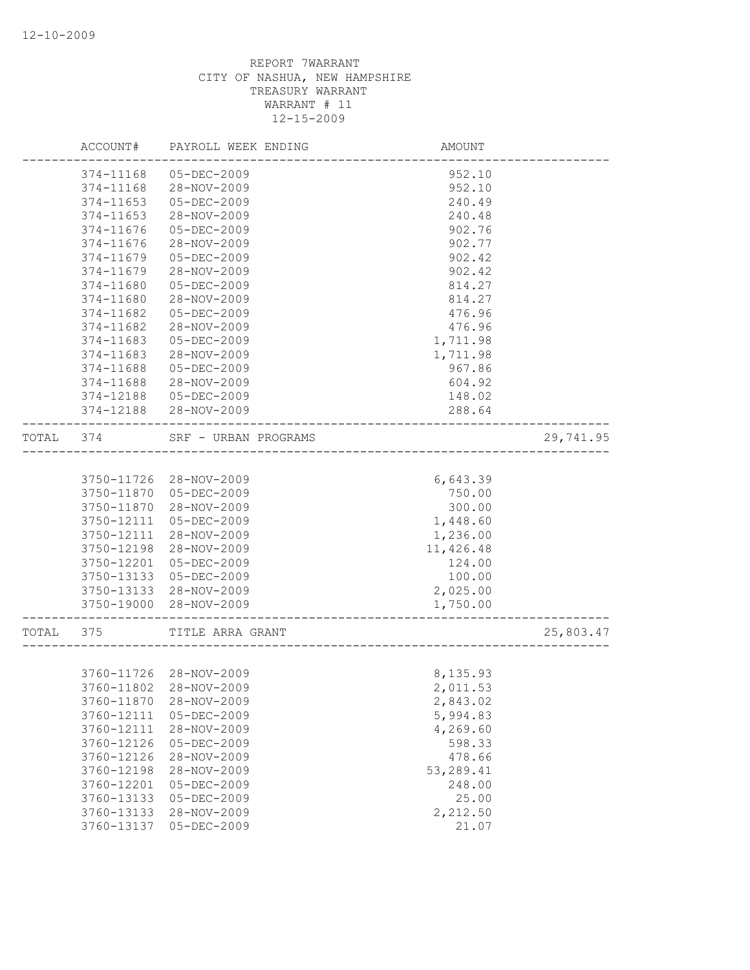|       | ACCOUNT#   | PAYROLL WEEK ENDING    | AMOUNT                 |           |
|-------|------------|------------------------|------------------------|-----------|
|       | 374-11168  | 05-DEC-2009            | 952.10                 |           |
|       | 374-11168  | 28-NOV-2009            | 952.10                 |           |
|       | 374-11653  | 05-DEC-2009            | 240.49                 |           |
|       | 374-11653  | 28-NOV-2009            | 240.48                 |           |
|       | 374-11676  | 05-DEC-2009            | 902.76                 |           |
|       | 374-11676  | 28-NOV-2009            | 902.77                 |           |
|       | 374-11679  | 05-DEC-2009            | 902.42                 |           |
|       | 374-11679  | 28-NOV-2009            | 902.42                 |           |
|       | 374-11680  | $05 - DEC - 2009$      | 814.27                 |           |
|       | 374-11680  | 28-NOV-2009            | 814.27                 |           |
|       | 374-11682  | 05-DEC-2009            | 476.96                 |           |
|       | 374-11682  | 28-NOV-2009            | 476.96                 |           |
|       | 374-11683  | 05-DEC-2009            | 1,711.98               |           |
|       | 374-11683  | 28-NOV-2009            | 1,711.98               |           |
|       | 374-11688  | $05 - DEC - 2009$      | 967.86                 |           |
|       | 374-11688  | 28-NOV-2009            | 604.92                 |           |
|       | 374-12188  | 05-DEC-2009            | 148.02                 |           |
|       | 374-12188  | 28-NOV-2009            | 288.64                 |           |
| TOTAL | 374        | SRF - URBAN PROGRAMS   | ---------------------- | 29,741.95 |
|       |            |                        |                        |           |
|       | 3750-11726 | 28-NOV-2009            | 6,643.39               |           |
|       | 3750-11870 | 05-DEC-2009            | 750.00                 |           |
|       | 3750-11870 | 28-NOV-2009            | 300.00                 |           |
|       | 3750-12111 | 05-DEC-2009            | 1,448.60               |           |
|       | 3750-12111 | 28-NOV-2009            | 1,236.00               |           |
|       | 3750-12198 | 28-NOV-2009            | 11,426.48              |           |
|       | 3750-12201 | 05-DEC-2009            | 124.00                 |           |
|       | 3750-13133 | 05-DEC-2009            | 100.00                 |           |
|       | 3750-13133 | 28-NOV-2009            | 2,025.00               |           |
|       | 3750-19000 | 28-NOV-2009            | 1,750.00               |           |
| TOTAL | 375        | TITLE ARRA GRANT       |                        | 25,803.47 |
|       |            |                        |                        |           |
|       |            | 3760-11726 28-NOV-2009 | 8,135.93               |           |
|       |            | 3760-11802 28-NOV-2009 | 2,011.53               |           |
|       | 3760-11870 | 28-NOV-2009            | 2,843.02               |           |
|       | 3760-12111 | $05 - DEC - 2009$      | 5,994.83               |           |
|       | 3760-12111 | 28-NOV-2009            | 4,269.60               |           |
|       | 3760-12126 | $05 - DEC - 2009$      | 598.33                 |           |
|       | 3760-12126 | 28-NOV-2009            | 478.66                 |           |
|       | 3760-12198 | 28-NOV-2009            | 53,289.41              |           |
|       | 3760-12201 | $05 - DEC - 2009$      | 248.00                 |           |
|       | 3760-13133 | 05-DEC-2009            | 25.00                  |           |
|       | 3760-13133 | 28-NOV-2009            | 2,212.50               |           |
|       | 3760-13137 | 05-DEC-2009            | 21.07                  |           |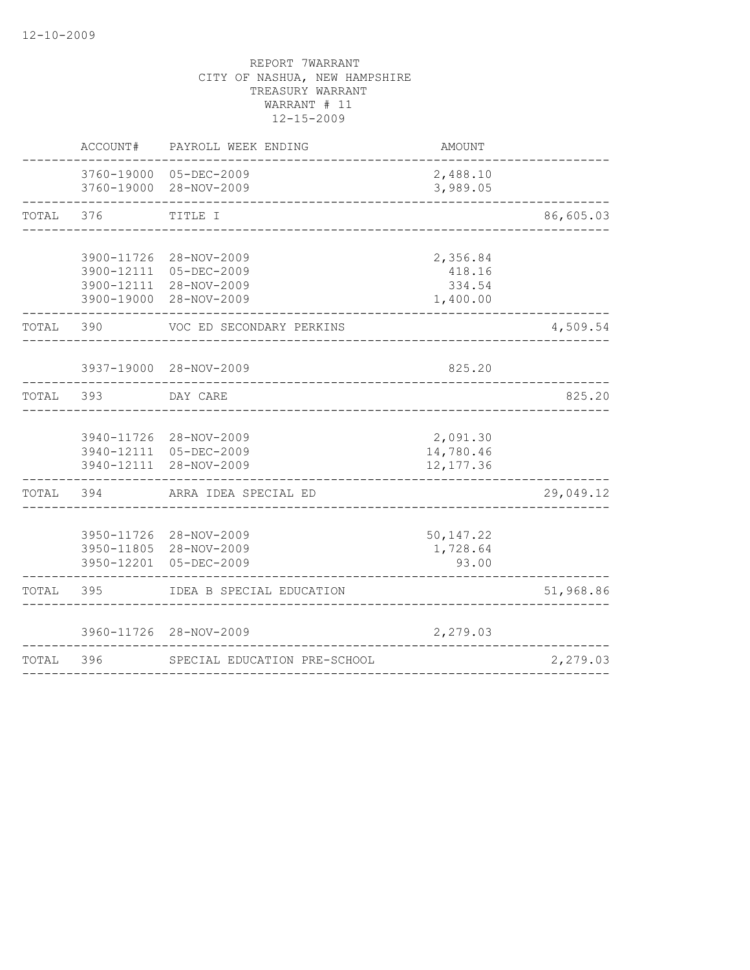|       | ACCOUNT#   | PAYROLL WEEK ENDING                                                                       | AMOUNT                                   |           |
|-------|------------|-------------------------------------------------------------------------------------------|------------------------------------------|-----------|
|       |            | 3760-19000 05-DEC-2009<br>3760-19000 28-NOV-2009                                          | 2,488.10<br>3,989.05                     |           |
| TOTAL | 376        | TITLE I                                                                                   |                                          | 86,605.03 |
|       | 3900-11726 | 28-NOV-2009<br>3900-12111 05-DEC-2009<br>3900-12111 28-NOV-2009<br>3900-19000 28-NOV-2009 | 2,356.84<br>418.16<br>334.54<br>1,400.00 |           |
| TOTAL | 390        | VOC ED SECONDARY PERKINS                                                                  |                                          | 4,509.54  |
|       |            | 3937-19000 28-NOV-2009                                                                    | 825.20                                   |           |
| TOTAL | 393        | DAY CARE                                                                                  |                                          | 825.20    |
|       |            | 3940-11726 28-NOV-2009<br>3940-12111 05-DEC-2009<br>3940-12111 28-NOV-2009                | 2,091.30<br>14,780.46<br>12, 177.36      |           |
| TOTAL | 394        | ARRA IDEA SPECIAL ED                                                                      |                                          | 29,049.12 |
|       |            | 3950-11726 28-NOV-2009<br>3950-11805 28-NOV-2009<br>3950-12201 05-DEC-2009                | 50, 147.22<br>1,728.64<br>93.00          |           |
| TOTAL | 395        | IDEA B SPECIAL EDUCATION                                                                  |                                          | 51,968.86 |
|       |            | 3960-11726 28-NOV-2009                                                                    | 2,279.03                                 |           |
| TOTAL | 396        | SPECIAL EDUCATION PRE-SCHOOL                                                              |                                          | 2,279.03  |
|       |            |                                                                                           |                                          |           |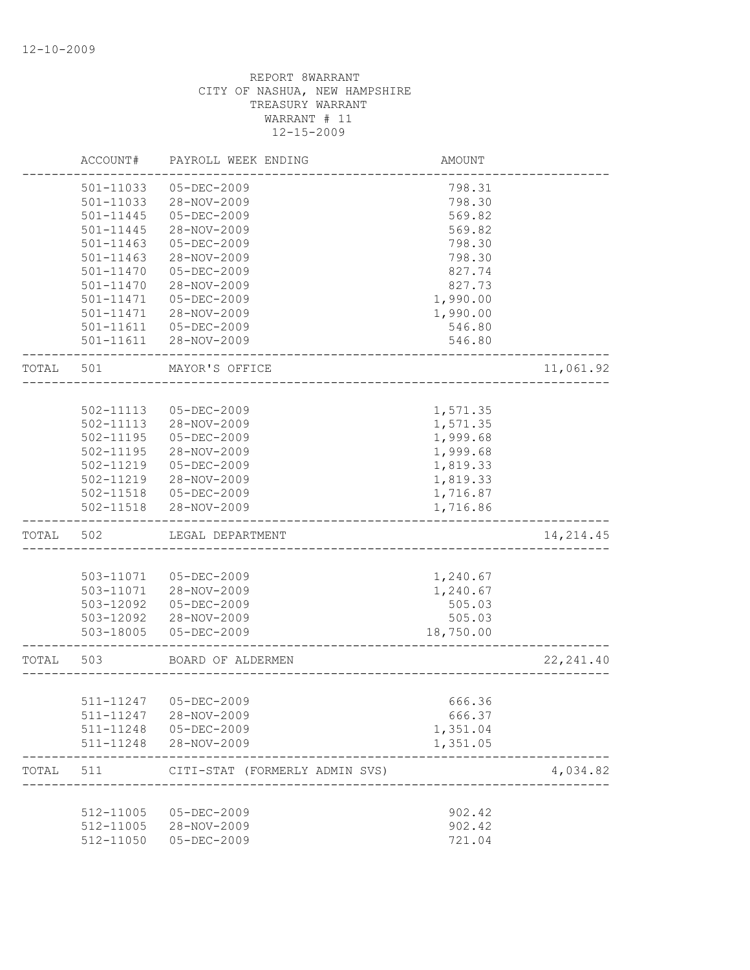|       | ACCOUNT#      | PAYROLL WEEK ENDING                         | AMOUNT           |            |
|-------|---------------|---------------------------------------------|------------------|------------|
|       | 501-11033     | 05-DEC-2009                                 | 798.31           |            |
|       | 501-11033     | 28-NOV-2009                                 | 798.30           |            |
|       | 501-11445     | $05 - DEC - 2009$                           | 569.82           |            |
|       | 501-11445     | 28-NOV-2009                                 | 569.82           |            |
|       | 501-11463     | $05 - DEC - 2009$                           | 798.30           |            |
|       | $501 - 11463$ | 28-NOV-2009                                 | 798.30           |            |
|       | 501-11470     | 05-DEC-2009                                 | 827.74           |            |
|       | 501-11470     | 28-NOV-2009                                 | 827.73           |            |
|       | 501-11471     | 05-DEC-2009                                 | 1,990.00         |            |
|       | 501-11471     | 28-NOV-2009                                 | 1,990.00         |            |
|       | 501-11611     | 05-DEC-2009                                 | 546.80           |            |
|       | $501 - 11611$ | 28-NOV-2009                                 | 546.80           |            |
| TOTAL | 501           | MAYOR'S OFFICE                              |                  | 11,061.92  |
|       |               |                                             |                  |            |
|       | 502-11113     | 05-DEC-2009                                 | 1,571.35         |            |
|       | 502-11113     | 28-NOV-2009                                 | 1,571.35         |            |
|       | $502 - 11195$ | 05-DEC-2009                                 | 1,999.68         |            |
|       | 502-11195     | 28-NOV-2009                                 | 1,999.68         |            |
|       | 502-11219     | $05 - DEC - 2009$                           | 1,819.33         |            |
|       | 502-11219     | 28-NOV-2009                                 | 1,819.33         |            |
|       | 502-11518     | 05-DEC-2009                                 | 1,716.87         |            |
|       | 502-11518     | 28-NOV-2009                                 | 1,716.86         |            |
| TOTAL | 502           | LEGAL DEPARTMENT                            |                  | 14, 214.45 |
|       |               |                                             |                  |            |
|       | 503-11071     | $05 - DEC - 2009$                           | 1,240.67         |            |
|       | 503-11071     | 28-NOV-2009                                 | 1,240.67         |            |
|       | 503-12092     | 05-DEC-2009                                 | 505.03           |            |
|       | 503-12092     | 28-NOV-2009                                 | 505.03           |            |
|       | 503-18005     | 05-DEC-2009                                 | 18,750.00        |            |
| TOTAL | 503           | BOARD OF ALDERMEN<br>---------------------- |                  | 22, 241.40 |
|       |               |                                             |                  |            |
|       | 511-11247     | 511-11247 05-DEC-2009<br>28-NOV-2009        | 666.36<br>666.37 |            |
|       |               | 511-11248  05-DEC-2009                      | 1,351.04         |            |
|       |               | 511-11248 28-NOV-2009                       | 1,351.05         |            |
| TOTAL | 511           | CITI-STAT (FORMERLY ADMIN SVS)              |                  | 4,034.82   |
|       |               |                                             |                  |            |
|       | 512-11005     | 05-DEC-2009                                 | 902.42           |            |
|       |               | 512-11005 28-NOV-2009                       | 902.42           |            |
|       | 512-11050     | $05 - DEC - 2009$                           | 721.04           |            |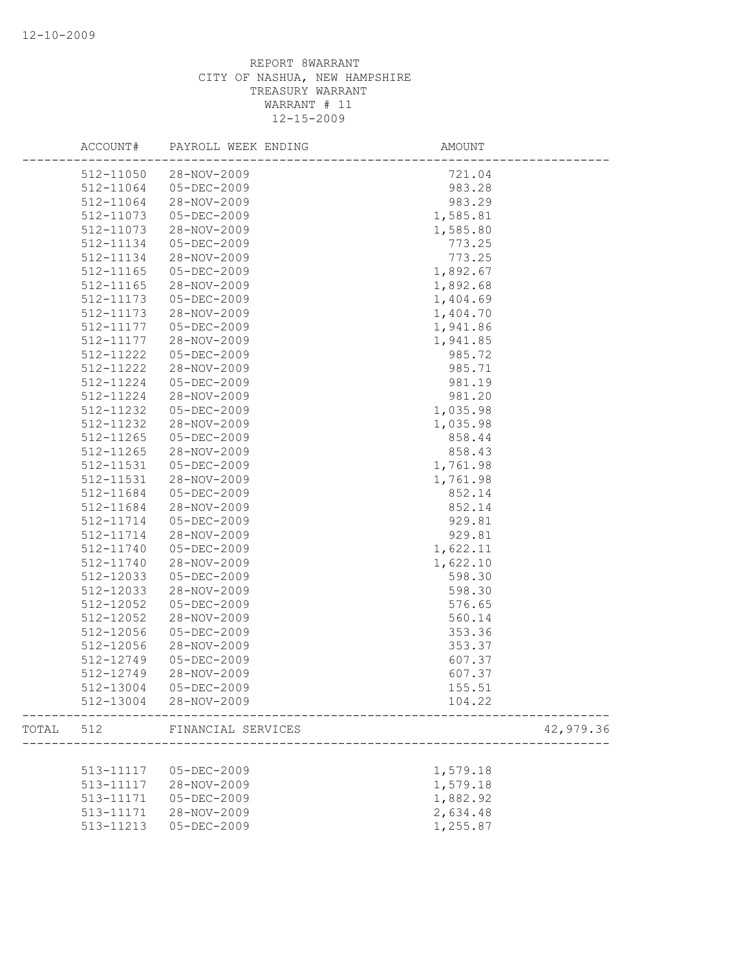|       | ACCOUNT#  | PAYROLL WEEK ENDING | AMOUNT    |
|-------|-----------|---------------------|-----------|
|       | 512-11050 | 28-NOV-2009         | 721.04    |
|       | 512-11064 | 05-DEC-2009         | 983.28    |
|       | 512-11064 | 28-NOV-2009         | 983.29    |
|       | 512-11073 | 05-DEC-2009         | 1,585.81  |
|       | 512-11073 | 28-NOV-2009         | 1,585.80  |
|       | 512-11134 | $05 - DEC - 2009$   | 773.25    |
|       | 512-11134 | 28-NOV-2009         | 773.25    |
|       | 512-11165 | 05-DEC-2009         | 1,892.67  |
|       | 512-11165 | 28-NOV-2009         | 1,892.68  |
|       | 512-11173 | $05 - DEC - 2009$   | 1,404.69  |
|       | 512-11173 | 28-NOV-2009         | 1,404.70  |
|       | 512-11177 | $05 - DEC - 2009$   | 1,941.86  |
|       | 512-11177 | 28-NOV-2009         | 1,941.85  |
|       | 512-11222 | $05 - DEC - 2009$   | 985.72    |
|       | 512-11222 | 28-NOV-2009         | 985.71    |
|       | 512-11224 | 05-DEC-2009         | 981.19    |
|       | 512-11224 | 28-NOV-2009         | 981.20    |
|       | 512-11232 | 05-DEC-2009         | 1,035.98  |
|       | 512-11232 | 28-NOV-2009         | 1,035.98  |
|       | 512-11265 | $05 - DEC - 2009$   | 858.44    |
|       | 512-11265 | 28-NOV-2009         | 858.43    |
|       | 512-11531 | 05-DEC-2009         | 1,761.98  |
|       | 512-11531 | 28-NOV-2009         | 1,761.98  |
|       | 512-11684 | $05 - DEC - 2009$   | 852.14    |
|       | 512-11684 | 28-NOV-2009         | 852.14    |
|       | 512-11714 | 05-DEC-2009         | 929.81    |
|       | 512-11714 | 28-NOV-2009         | 929.81    |
|       | 512-11740 | 05-DEC-2009         | 1,622.11  |
|       | 512-11740 | 28-NOV-2009         | 1,622.10  |
|       | 512-12033 | $05 - DEC - 2009$   | 598.30    |
|       | 512-12033 | 28-NOV-2009         | 598.30    |
|       | 512-12052 | $05 - DEC - 2009$   | 576.65    |
|       | 512-12052 | 28-NOV-2009         | 560.14    |
|       | 512-12056 | 05-DEC-2009         | 353.36    |
|       | 512-12056 | 28-NOV-2009         | 353.37    |
|       | 512-12749 | 05-DEC-2009         | 607.37    |
|       | 512-12749 | 28-NOV-2009         | 607.37    |
|       | 512-13004 | 05-DEC-2009         | 155.51    |
|       | 512-13004 | 28-NOV-2009         | 104.22    |
| TOTAL | 512       | FINANCIAL SERVICES  | 42,979.36 |
|       |           |                     |           |
|       | 513-11117 | $05 - DEC - 2009$   | 1,579.18  |
|       | 513-11117 | 28-NOV-2009         | 1,579.18  |
|       | 513-11171 | 05-DEC-2009         | 1,882.92  |
|       | 513-11171 | 28-NOV-2009         | 2,634.48  |
|       | 513-11213 | $05 - DEC - 2009$   | 1,255.87  |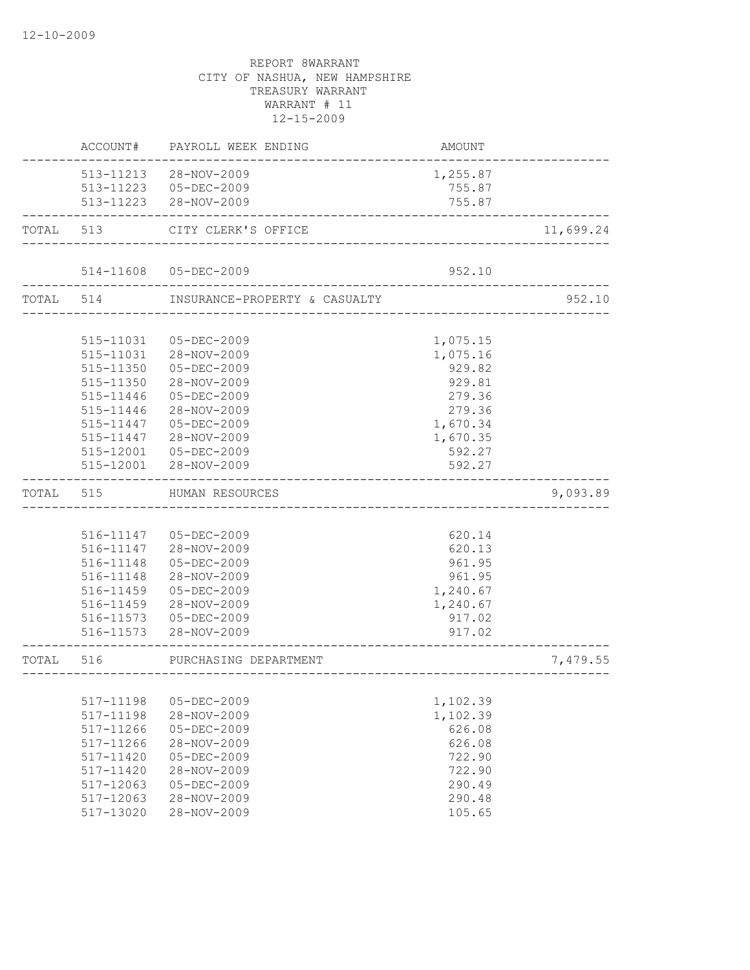|           | ACCOUNT#               | PAYROLL WEEK ENDING                                                     | AMOUNT                       |           |
|-----------|------------------------|-------------------------------------------------------------------------|------------------------------|-----------|
|           |                        | 513-11213 28-NOV-2009<br>513-11223 05-DEC-2009<br>513-11223 28-NOV-2009 | 1,255.87<br>755.87<br>755.87 |           |
|           |                        | TOTAL 513 CITY CLERK'S OFFICE                                           |                              | 11,699.24 |
|           |                        |                                                                         |                              |           |
|           |                        | 514-11608 05-DEC-2009                                                   | 952.10                       |           |
|           |                        | TOTAL 514 INSURANCE-PROPERTY & CASUALTY                                 |                              | 952.10    |
|           |                        |                                                                         |                              |           |
|           | 515-11031              | 05-DEC-2009                                                             | 1,075.15                     |           |
|           |                        | 515-11031 28-NOV-2009                                                   | 1,075.16                     |           |
|           | 515-11350              | 05-DEC-2009                                                             | 929.82                       |           |
|           | 515-11350              | 28-NOV-2009                                                             | 929.81                       |           |
|           | 515-11446              | 05-DEC-2009                                                             | 279.36                       |           |
|           | 515-11446              | 28-NOV-2009                                                             | 279.36                       |           |
|           | 515-11447              | 05-DEC-2009                                                             | 1,670.34                     |           |
|           | 515-11447              | 28-NOV-2009                                                             | 1,670.35                     |           |
|           |                        | 515-12001 05-DEC-2009                                                   | 592.27                       |           |
|           |                        | 515-12001 28-NOV-2009                                                   | 592.27                       |           |
|           |                        |                                                                         |                              |           |
| TOTAL     | 515                    | HUMAN RESOURCES                                                         |                              | 9,093.89  |
|           |                        |                                                                         |                              |           |
|           |                        |                                                                         |                              |           |
|           |                        | 516-11147 05-DEC-2009                                                   | 620.14                       |           |
|           |                        | 516-11147 28-NOV-2009                                                   | 620.13                       |           |
|           | 516-11148              | 05-DEC-2009                                                             | 961.95                       |           |
|           | 516-11148              | 28-NOV-2009                                                             | 961.95                       |           |
|           | 516-11459              | 05-DEC-2009                                                             | 1,240.67                     |           |
|           | 516-11459              | 28-NOV-2009                                                             | 1,240.67                     |           |
|           |                        | 516-11573  05-DEC-2009<br>516-11573 28-NOV-2009                         | 917.02<br>917.02             |           |
| TOTAL 516 |                        | PURCHASING DEPARTMENT                                                   |                              | 7,479.55  |
|           |                        | ___________________                                                     |                              |           |
|           |                        | $05 - DEC - 2009$                                                       |                              |           |
|           | 517-11198              |                                                                         | 1,102.39                     |           |
|           | 517-11198              | 28-NOV-2009                                                             | 1,102.39                     |           |
|           | 517-11266              | $05 - DEC - 2009$                                                       | 626.08                       |           |
|           | 517-11266              | 28-NOV-2009                                                             | 626.08                       |           |
|           | 517-11420              | $05 - DEC - 2009$                                                       | 722.90                       |           |
|           | 517-11420              | 28-NOV-2009                                                             | 722.90                       |           |
|           | 517-12063              | $05 - DEC - 2009$                                                       | 290.49                       |           |
|           | 517-12063<br>517-13020 | 28-NOV-2009<br>28-NOV-2009                                              | 290.48<br>105.65             |           |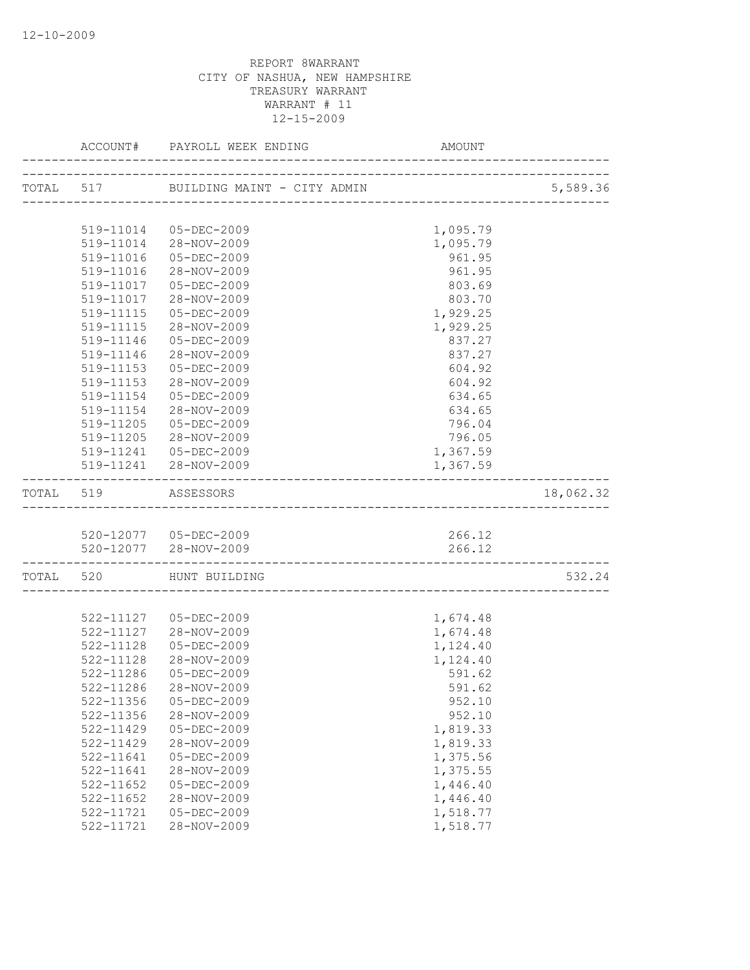|                        |                                                | AMOUNT             |           |
|------------------------|------------------------------------------------|--------------------|-----------|
|                        |                                                |                    | 5,589.36  |
|                        |                                                |                    |           |
|                        | 519-11014 05-DEC-2009                          | 1,095.79           |           |
|                        | 519-11014 28-NOV-2009                          | 1,095.79           |           |
|                        | 519-11016  05-DEC-2009                         | 961.95             |           |
| 519-11016              | 28-NOV-2009                                    | 961.95             |           |
| 519-11017              | 05-DEC-2009                                    | 803.69             |           |
| 519-11017              | 28-NOV-2009                                    | 803.70             |           |
|                        | 519-11115  05-DEC-2009                         | 1,929.25           |           |
|                        | 519-11115 28-NOV-2009                          | 1,929.25           |           |
| 519-11146              | 05-DEC-2009                                    | 837.27             |           |
| 519-11146              | 28-NOV-2009                                    | 837.27             |           |
| 519-11153              | 05-DEC-2009                                    | 604.92             |           |
| 519-11153              | 28-NOV-2009                                    | 604.92             |           |
| 519-11154              | 05-DEC-2009                                    | 634.65             |           |
| 519-11154              | 28-NOV-2009                                    | 634.65             |           |
| 519-11205              | $05 - DEC - 2009$                              | 796.04             |           |
|                        | 519-11205 28-NOV-2009                          | 796.05             |           |
|                        | 519-11241  05-DEC-2009                         | 1,367.59           |           |
|                        | 519-11241 28-NOV-2009                          | 1,367.59           |           |
| TOTAL 519 ASSESSORS    |                                                |                    | 18,062.32 |
|                        |                                                |                    |           |
|                        | 520-12077 05-DEC-2009<br>520-12077 28-NOV-2009 | 266.12<br>266.12   |           |
|                        | ---------------------------                    |                    |           |
|                        | TOTAL 520 HUNT BUILDING                        |                    | 532.24    |
|                        |                                                |                    |           |
|                        | 522-11127  05-DEC-2009                         | 1,674.48           |           |
|                        | 522-11127 28-NOV-2009                          | 1,674.48           |           |
| 522-11128              | 05-DEC-2009<br>28-NOV-2009                     | 1,124.40           |           |
| 522-11128<br>522-11286 | 05-DEC-2009                                    | 1,124.40<br>591.62 |           |
|                        |                                                | 591.62             |           |
| 522-11356              | 522-11286 28-NOV-2009<br>05-DEC-2009           |                    |           |
| 522-11356              | 28-NOV-2009                                    | 952.10<br>952.10   |           |
| 522-11429              | 05-DEC-2009                                    | 1,819.33           |           |
| 522-11429              | 28-NOV-2009                                    | 1,819.33           |           |
| 522-11641              | 05-DEC-2009                                    | 1,375.56           |           |
| 522-11641              | 28-NOV-2009                                    | 1,375.55           |           |
| 522-11652              | $05 - DEC - 2009$                              | 1,446.40           |           |
| $522 - 11652$          | 28-NOV-2009                                    | 1,446.40           |           |
| 522-11721              | $05 - DEC - 2009$                              | 1,518.77           |           |
| 522-11721              | 28-NOV-2009                                    | 1,518.77           |           |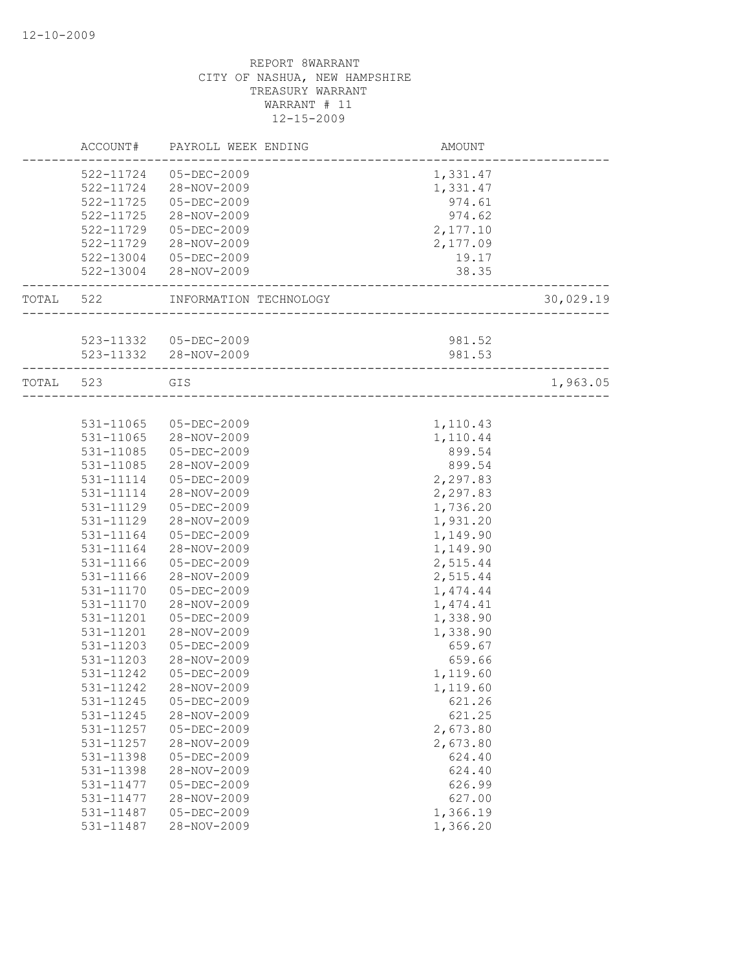|           | ACCOUNT#      | PAYROLL WEEK ENDING                      | AMOUNT            |           |
|-----------|---------------|------------------------------------------|-------------------|-----------|
|           | 522-11724     | 05-DEC-2009                              | 1,331.47          |           |
|           |               | 522-11724 28-NOV-2009                    | 1,331.47          |           |
|           | 522-11725     | 05-DEC-2009                              | 974.61            |           |
|           | 522-11725     | 28-NOV-2009                              | 974.62            |           |
|           | 522-11729     | 05-DEC-2009                              | 2,177.10          |           |
|           | 522-11729     | 28-NOV-2009                              | 2,177.09          |           |
|           | 522-13004     | 05-DEC-2009                              | 19.17             |           |
|           |               | 522-13004 28-NOV-2009                    | 38.35             |           |
| TOTAL 522 |               | INFORMATION TECHNOLOGY                   | ----------------- | 30,029.19 |
|           |               |                                          |                   |           |
|           |               | 523-11332  05-DEC-2009                   | 981.52            |           |
|           |               | 523-11332 28-NOV-2009                    | 981.53            |           |
| TOTAL 523 |               | GIS<br>_________________________________ |                   | 1,963.05  |
|           |               |                                          |                   |           |
|           | 531-11065     | 05-DEC-2009                              | 1,110.43          |           |
|           | 531-11065     | 28-NOV-2009                              | 1,110.44          |           |
|           | 531-11085     | 05-DEC-2009                              | 899.54            |           |
|           | 531-11085     | 28-NOV-2009                              | 899.54            |           |
|           | 531-11114     | 05-DEC-2009                              | 2,297.83          |           |
|           | 531-11114     | 28-NOV-2009                              | 2,297.83          |           |
|           | 531-11129     | 05-DEC-2009                              | 1,736.20          |           |
|           | 531-11129     | 28-NOV-2009                              | 1,931.20          |           |
|           | 531-11164     | 05-DEC-2009                              | 1,149.90          |           |
|           | 531-11164     | 28-NOV-2009                              | 1,149.90          |           |
|           | 531-11166     | 05-DEC-2009                              | 2,515.44          |           |
|           | 531-11166     | 28-NOV-2009                              | 2,515.44          |           |
|           | $531 - 11170$ | 05-DEC-2009                              | 1,474.44          |           |
|           | 531-11170     | 28-NOV-2009                              | 1,474.41          |           |
|           | 531-11201     | 05-DEC-2009                              | 1,338.90          |           |
|           | 531-11201     | 28-NOV-2009                              | 1,338.90          |           |
|           | 531-11203     | 05-DEC-2009                              | 659.67            |           |
|           | 531-11203     | 28-NOV-2009                              | 659.66            |           |
|           | 531-11242     | $05 - DEC - 2009$                        | 1,119.60          |           |
|           | 531-11242     | 28-NOV-2009                              | 1,119.60          |           |
|           | 531-11245     | $05 - DEC - 2009$                        | 621.26            |           |
|           | 531-11245     | 28-NOV-2009                              | 621.25            |           |
|           | 531-11257     | $05 - DEC - 2009$                        | 2,673.80          |           |
|           | 531-11257     | 28-NOV-2009                              | 2,673.80          |           |
|           | 531-11398     | $05 - DEC - 2009$                        | 624.40            |           |
|           | 531-11398     | $28 - NOV - 2009$                        | 624.40            |           |
|           | 531-11477     | $05 - DEC - 2009$                        | 626.99            |           |
|           | 531-11477     | 28-NOV-2009                              | 627.00            |           |
|           | 531-11487     | $05 - DEC - 2009$                        | 1,366.19          |           |
|           | 531-11487     | 28-NOV-2009                              | 1,366.20          |           |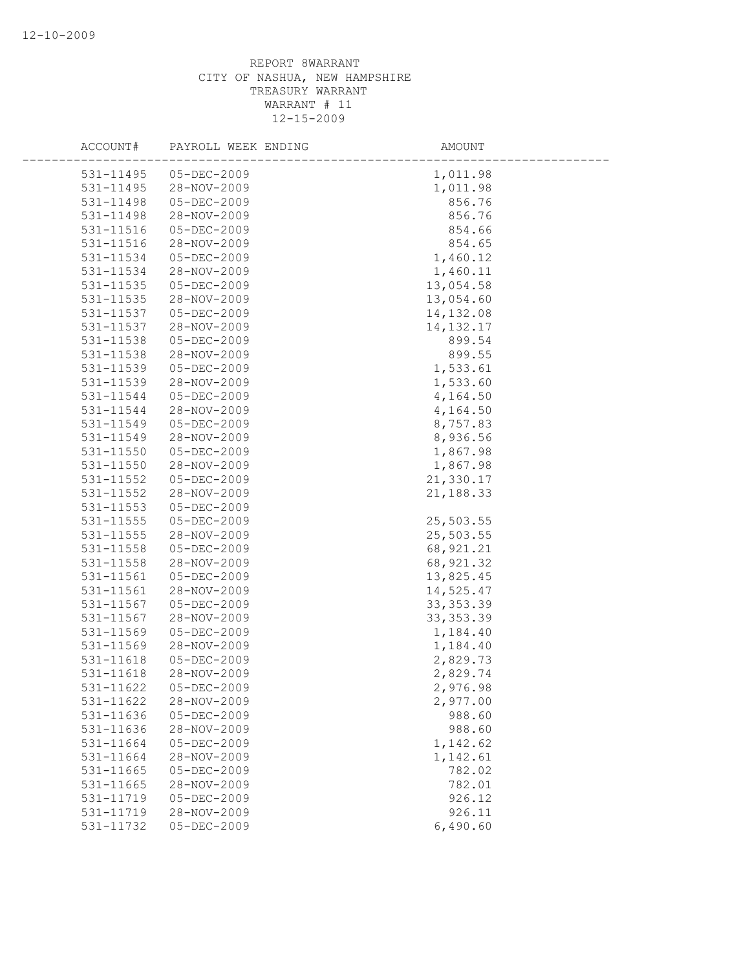| ACCOUNT#      | PAYROLL WEEK ENDING | AMOUNT      |  |
|---------------|---------------------|-------------|--|
| 531-11495     | 05-DEC-2009         | 1,011.98    |  |
| 531-11495     | 28-NOV-2009         | 1,011.98    |  |
| 531-11498     | 05-DEC-2009         | 856.76      |  |
| 531-11498     | 28-NOV-2009         | 856.76      |  |
| 531-11516     | 05-DEC-2009         | 854.66      |  |
| 531-11516     | 28-NOV-2009         | 854.65      |  |
| 531-11534     | 05-DEC-2009         | 1,460.12    |  |
| 531-11534     | 28-NOV-2009         | 1,460.11    |  |
| 531-11535     | 05-DEC-2009         | 13,054.58   |  |
| 531-11535     | 28-NOV-2009         | 13,054.60   |  |
| 531-11537     | 05-DEC-2009         | 14, 132.08  |  |
| 531-11537     | 28-NOV-2009         | 14, 132. 17 |  |
| 531-11538     | 05-DEC-2009         | 899.54      |  |
| 531-11538     | 28-NOV-2009         | 899.55      |  |
| 531-11539     | 05-DEC-2009         | 1,533.61    |  |
| 531-11539     | 28-NOV-2009         | 1,533.60    |  |
| 531-11544     | 05-DEC-2009         | 4,164.50    |  |
| 531-11544     | 28-NOV-2009         | 4,164.50    |  |
| 531-11549     | 05-DEC-2009         | 8,757.83    |  |
| 531-11549     | 28-NOV-2009         | 8,936.56    |  |
| 531-11550     | 05-DEC-2009         | 1,867.98    |  |
| 531-11550     | 28-NOV-2009         | 1,867.98    |  |
| 531-11552     | 05-DEC-2009         | 21,330.17   |  |
| 531-11552     | 28-NOV-2009         | 21,188.33   |  |
| $531 - 11553$ | 05-DEC-2009         |             |  |
| 531-11555     | 05-DEC-2009         | 25,503.55   |  |
| 531-11555     | 28-NOV-2009         | 25,503.55   |  |
| 531-11558     | 05-DEC-2009         | 68, 921.21  |  |
| 531-11558     | 28-NOV-2009         | 68, 921.32  |  |
| 531-11561     | 05-DEC-2009         | 13,825.45   |  |
| 531-11561     | 28-NOV-2009         | 14,525.47   |  |
| 531-11567     | 05-DEC-2009         | 33, 353.39  |  |
| 531-11567     | 28-NOV-2009         | 33, 353.39  |  |
| 531-11569     | 05-DEC-2009         | 1,184.40    |  |
| 531-11569     | 28-NOV-2009         | 1,184.40    |  |
| 531-11618     | 05-DEC-2009         | 2,829.73    |  |
| 531-11618     | 28-NOV-2009         | 2,829.74    |  |
| 531-11622     | $05 - DEC - 2009$   | 2,976.98    |  |
| 531-11622     | 28-NOV-2009         | 2,977.00    |  |
| 531-11636     | 05-DEC-2009         | 988.60      |  |
| 531-11636     | 28-NOV-2009         | 988.60      |  |
| 531-11664     | 05-DEC-2009         | 1,142.62    |  |
| 531-11664     | 28-NOV-2009         | 1,142.61    |  |
| 531-11665     | $05 - DEC - 2009$   | 782.02      |  |
| 531-11665     | 28-NOV-2009         | 782.01      |  |
| 531-11719     | 05-DEC-2009         | 926.12      |  |
| 531-11719     | 28-NOV-2009         | 926.11      |  |
| 531-11732     | 05-DEC-2009         | 6,490.60    |  |
|               |                     |             |  |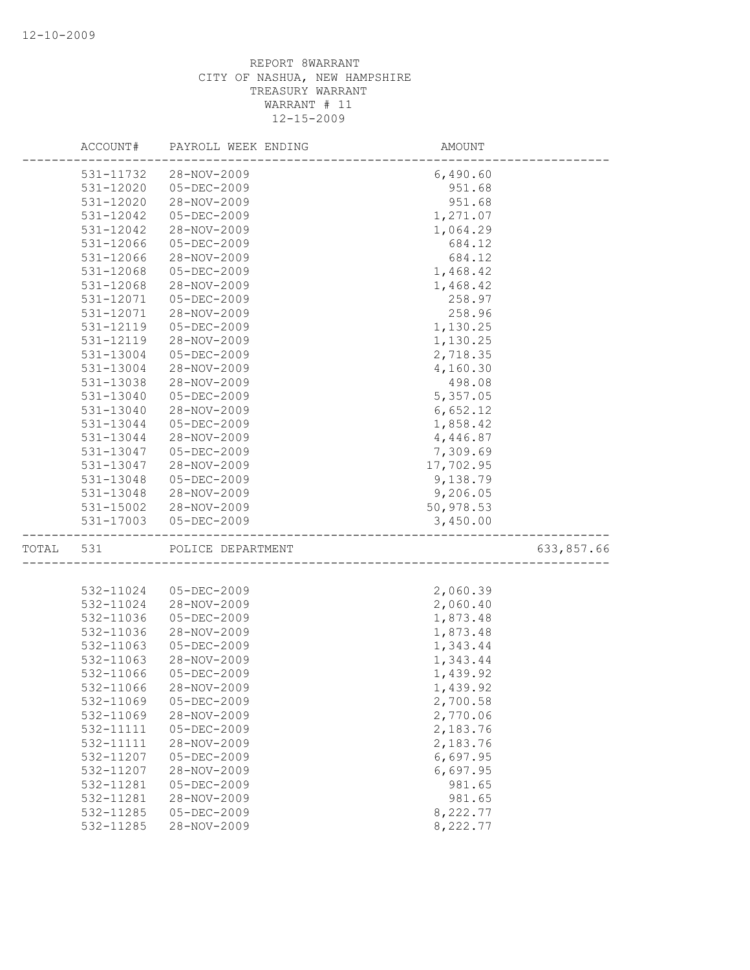|       | ACCOUNT#      | PAYROLL WEEK ENDING | AMOUNT    |            |
|-------|---------------|---------------------|-----------|------------|
|       | 531-11732     | 28-NOV-2009         | 6,490.60  |            |
|       | 531-12020     | $05 - DEC - 2009$   | 951.68    |            |
|       | 531-12020     | 28-NOV-2009         | 951.68    |            |
|       | 531-12042     | 05-DEC-2009         | 1,271.07  |            |
|       | 531-12042     | 28-NOV-2009         | 1,064.29  |            |
|       | 531-12066     | 05-DEC-2009         | 684.12    |            |
|       | 531-12066     | 28-NOV-2009         | 684.12    |            |
|       | 531-12068     | 05-DEC-2009         | 1,468.42  |            |
|       | 531-12068     | 28-NOV-2009         | 1,468.42  |            |
|       | 531-12071     | 05-DEC-2009         | 258.97    |            |
|       | 531-12071     | 28-NOV-2009         | 258.96    |            |
|       | 531-12119     | 05-DEC-2009         | 1,130.25  |            |
|       | 531-12119     | 28-NOV-2009         | 1,130.25  |            |
|       | 531-13004     | 05-DEC-2009         | 2,718.35  |            |
|       | 531-13004     | 28-NOV-2009         | 4,160.30  |            |
|       | 531-13038     | 28-NOV-2009         | 498.08    |            |
|       | 531-13040     | 05-DEC-2009         | 5,357.05  |            |
|       | $531 - 13040$ | 28-NOV-2009         | 6,652.12  |            |
|       | 531-13044     | 05-DEC-2009         | 1,858.42  |            |
|       | 531-13044     | 28-NOV-2009         | 4,446.87  |            |
|       | 531-13047     | 05-DEC-2009         | 7,309.69  |            |
|       | 531-13047     | 28-NOV-2009         | 17,702.95 |            |
|       | 531-13048     | $05 - DEC - 2009$   | 9,138.79  |            |
|       | 531-13048     | 28-NOV-2009         | 9,206.05  |            |
|       | 531-15002     | 28-NOV-2009         | 50,978.53 |            |
|       | 531-17003     | $05 - DEC - 2009$   | 3,450.00  |            |
| TOTAL | 531           | POLICE DEPARTMENT   |           | 633,857.66 |
|       |               |                     |           |            |
|       | 532-11024     | 05-DEC-2009         | 2,060.39  |            |
|       | 532-11024     | 28-NOV-2009         | 2,060.40  |            |
|       | 532-11036     | $05 - DEC - 2009$   | 1,873.48  |            |
|       | 532-11036     | 28-NOV-2009         | 1,873.48  |            |
|       | 532-11063     | 05-DEC-2009         | 1,343.44  |            |
|       | 532-11063     | 28-NOV-2009         | 1,343.44  |            |
|       | 532-11066     | 05-DEC-2009         | 1,439.92  |            |
|       | 532-11066     | 28-NOV-2009         | 1,439.92  |            |
|       | 532-11069     | $05 - DEC - 2009$   | 2,700.58  |            |
|       | 532-11069     | 28-NOV-2009         | 2,770.06  |            |
|       | 532-11111     | 05-DEC-2009         | 2,183.76  |            |
|       | 532-11111     | 28-NOV-2009         | 2,183.76  |            |
|       | 532-11207     | 05-DEC-2009         | 6,697.95  |            |
|       | 532-11207     | 28-NOV-2009         | 6,697.95  |            |
|       | 532-11281     | 05-DEC-2009         | 981.65    |            |
|       | 532-11281     | 28-NOV-2009         | 981.65    |            |
|       | 532-11285     | $05 - DEC - 2009$   | 8,222.77  |            |
|       | 532-11285     | 28-NOV-2009         | 8,222.77  |            |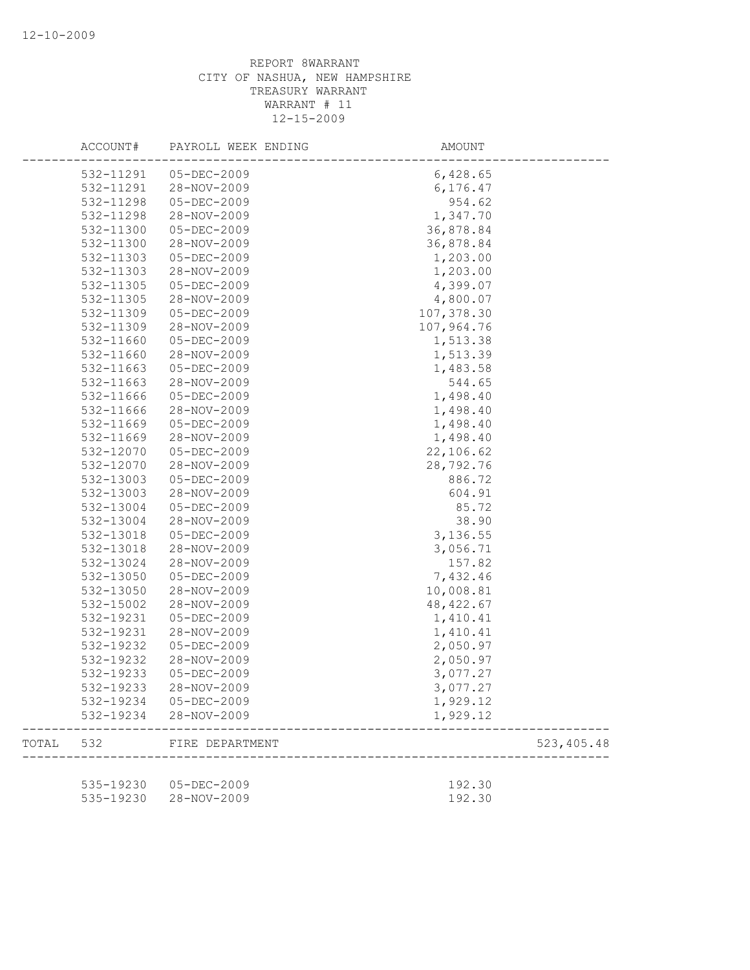|       | ACCOUNT#  | PAYROLL WEEK ENDING   | AMOUNT     |             |
|-------|-----------|-----------------------|------------|-------------|
|       | 532-11291 | 05-DEC-2009           | 6,428.65   |             |
|       | 532-11291 | 28-NOV-2009           | 6,176.47   |             |
|       | 532-11298 | $05 - DEC - 2009$     | 954.62     |             |
|       | 532-11298 | 28-NOV-2009           | 1,347.70   |             |
|       | 532-11300 | $05 - DEC - 2009$     | 36,878.84  |             |
|       | 532-11300 | 28-NOV-2009           | 36,878.84  |             |
|       | 532-11303 | $05 - DEC - 2009$     | 1,203.00   |             |
|       | 532-11303 | 28-NOV-2009           | 1,203.00   |             |
|       | 532-11305 | 05-DEC-2009           | 4,399.07   |             |
|       | 532-11305 | 28-NOV-2009           | 4,800.07   |             |
|       | 532-11309 | 05-DEC-2009           | 107,378.30 |             |
|       | 532-11309 | 28-NOV-2009           | 107,964.76 |             |
|       | 532-11660 | $05 - DEC - 2009$     | 1,513.38   |             |
|       | 532-11660 | 28-NOV-2009           | 1,513.39   |             |
|       | 532-11663 | $05 - DEC - 2009$     | 1,483.58   |             |
|       | 532-11663 | 28-NOV-2009           | 544.65     |             |
|       | 532-11666 | 05-DEC-2009           | 1,498.40   |             |
|       | 532-11666 | 28-NOV-2009           | 1,498.40   |             |
|       | 532-11669 | $05 - DEC - 2009$     | 1,498.40   |             |
|       | 532-11669 | 28-NOV-2009           | 1,498.40   |             |
|       | 532-12070 | $05 - DEC - 2009$     | 22,106.62  |             |
|       | 532-12070 | 28-NOV-2009           | 28,792.76  |             |
|       | 532-13003 | 05-DEC-2009           | 886.72     |             |
|       | 532-13003 | 28-NOV-2009           | 604.91     |             |
|       | 532-13004 | $05 - DEC - 2009$     | 85.72      |             |
|       | 532-13004 | 28-NOV-2009           | 38.90      |             |
|       | 532-13018 | $05 - DEC - 2009$     | 3,136.55   |             |
|       | 532-13018 | 28-NOV-2009           | 3,056.71   |             |
|       | 532-13024 | 28-NOV-2009           | 157.82     |             |
|       | 532-13050 | $05 - DEC - 2009$     | 7,432.46   |             |
|       | 532-13050 | 28-NOV-2009           | 10,008.81  |             |
|       | 532-15002 | 28-NOV-2009           | 48, 422.67 |             |
|       | 532-19231 | 05-DEC-2009           | 1,410.41   |             |
|       | 532-19231 | 28-NOV-2009           | 1,410.41   |             |
|       | 532-19232 | 05-DEC-2009           | 2,050.97   |             |
|       | 532-19232 | 28-NOV-2009           | 2,050.97   |             |
|       | 532-19233 | $05 - DEC - 2009$     | 3,077.27   |             |
|       | 532-19233 | 28-NOV-2009           | 3,077.27   |             |
|       | 532-19234 | 05-DEC-2009           | 1,929.12   |             |
|       | 532-19234 | 28-NOV-2009           | 1,929.12   |             |
| TOTAL | 532       | FIRE DEPARTMENT       |            | 523, 405.48 |
|       |           |                       |            |             |
|       |           | 535-19230 05-DEC-2009 | 192.30     |             |
|       | 535-19230 | 28-NOV-2009           | 192.30     |             |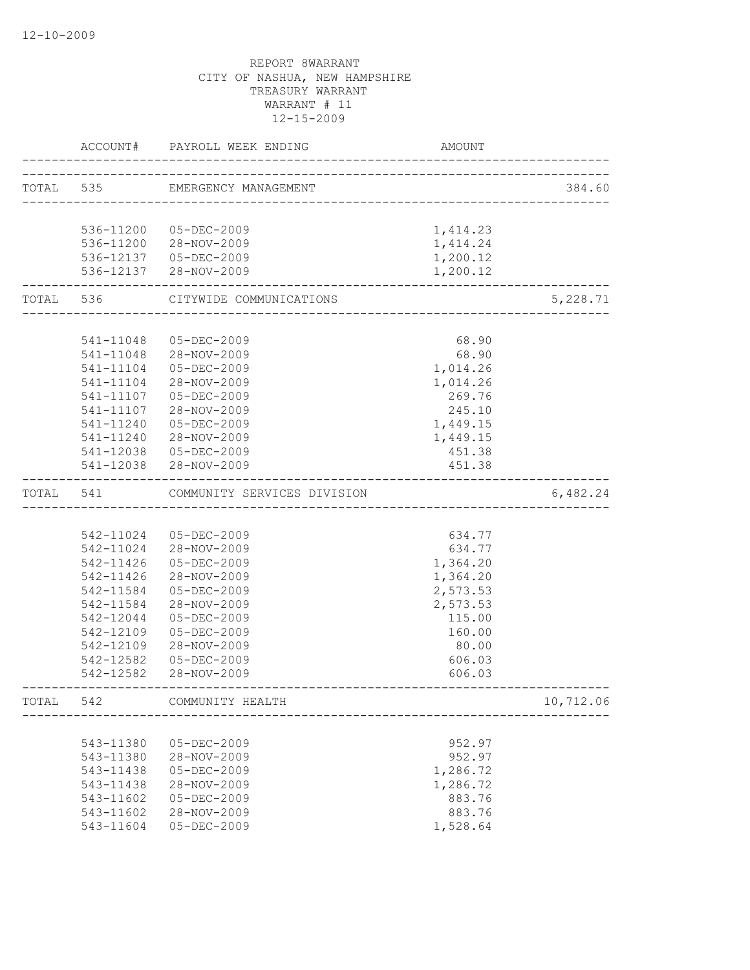|           | ACCOUNT#               | PAYROLL WEEK ENDING         | AMOUNT   |           |
|-----------|------------------------|-----------------------------|----------|-----------|
| TOTAL 535 |                        | EMERGENCY MANAGEMENT        |          | 384.60    |
|           |                        |                             |          |           |
|           |                        | 536-11200 05-DEC-2009       | 1,414.23 |           |
|           |                        | 536-11200 28-NOV-2009       | 1,414.24 |           |
|           |                        | 536-12137  05-DEC-2009      | 1,200.12 |           |
|           |                        | 536-12137 28-NOV-2009       | 1,200.12 |           |
| TOTAL 536 | ---------------------- | CITYWIDE COMMUNICATIONS     |          | 5,228.71  |
|           |                        |                             |          |           |
|           | 541-11048              | 05-DEC-2009                 | 68.90    |           |
|           | 541-11048              | 28-NOV-2009                 | 68.90    |           |
|           | 541-11104              | $05 - DEC - 2009$           | 1,014.26 |           |
|           | $541 - 11104$          | 28-NOV-2009                 | 1,014.26 |           |
|           | 541-11107              | 05-DEC-2009                 | 269.76   |           |
|           | 541-11107              | 28-NOV-2009                 | 245.10   |           |
|           | $541 - 11240$          | 05-DEC-2009                 | 1,449.15 |           |
|           | 541-11240              | 28-NOV-2009                 | 1,449.15 |           |
|           |                        | 541-12038 05-DEC-2009       | 451.38   |           |
|           |                        | 541-12038 28-NOV-2009       | 451.38   |           |
| TOTAL     | 541                    | COMMUNITY SERVICES DIVISION |          | 6,482.24  |
|           |                        |                             |          |           |
|           |                        | 542-11024 05-DEC-2009       | 634.77   |           |
|           |                        | 542-11024 28-NOV-2009       | 634.77   |           |
|           | 542-11426              | 05-DEC-2009                 | 1,364.20 |           |
|           | 542-11426              | 28-NOV-2009                 | 1,364.20 |           |
|           | 542-11584              | 05-DEC-2009                 | 2,573.53 |           |
|           | 542-11584              | 28-NOV-2009                 | 2,573.53 |           |
|           | 542-12044              | 05-DEC-2009                 | 115.00   |           |
|           | 542-12109              | 05-DEC-2009                 | 160.00   |           |
|           | 542-12109              | 28-NOV-2009                 | 80.00    |           |
|           | 542-12582              | 05-DEC-2009                 | 606.03   |           |
|           |                        | 542-12582 28-NOV-2009       | 606.03   |           |
| TOTAL     | 542                    | COMMUNITY HEALTH            |          | 10,712.06 |
|           |                        |                             |          |           |
|           | 543-11380              | $05 - DEC - 2009$           | 952.97   |           |
|           | 543-11380              | 28-NOV-2009                 | 952.97   |           |
|           | 543-11438              | $05 - DEC - 2009$           | 1,286.72 |           |
|           | 543-11438              | 28-NOV-2009                 | 1,286.72 |           |
|           | 543-11602              | $05 - DEC - 2009$           | 883.76   |           |
|           | 543-11602              | 28-NOV-2009                 | 883.76   |           |
|           | 543-11604              | 05-DEC-2009                 | 1,528.64 |           |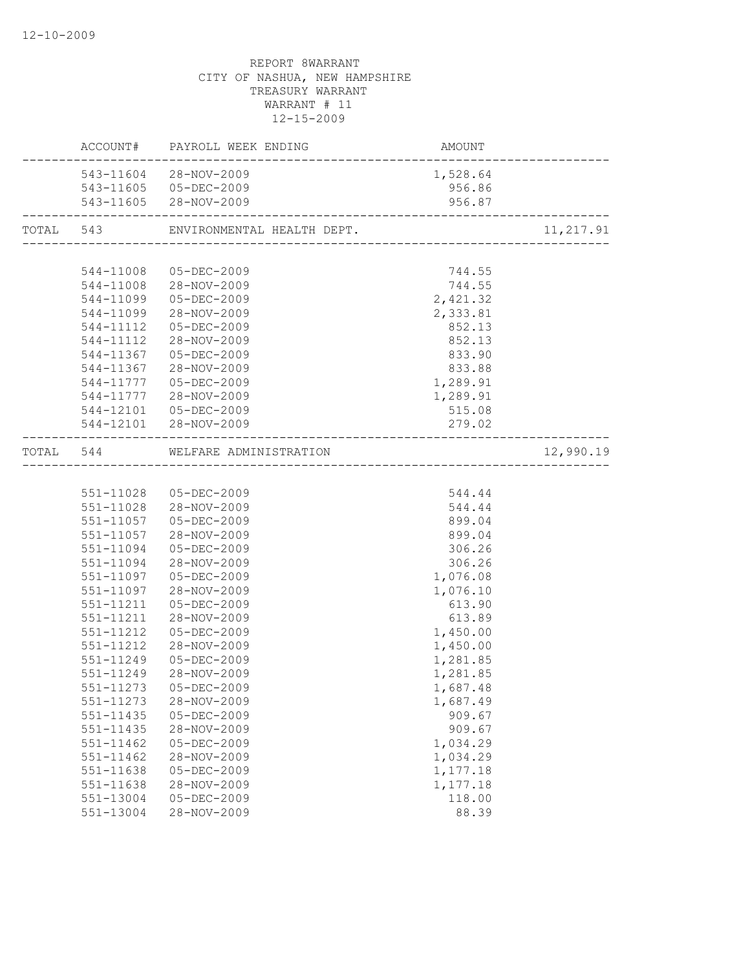|               | ACCOUNT# PAYROLL WEEK ENDING         | AMOUNT<br>------------------------ |            |
|---------------|--------------------------------------|------------------------------------|------------|
|               | 543-11604 28-NOV-2009                | 1,528.64                           |            |
|               | 543-11605 05-DEC-2009                | 956.86                             |            |
|               | 543-11605 28-NOV-2009                | 956.87                             |            |
|               | TOTAL 543 ENVIRONMENTAL HEALTH DEPT. |                                    | 11, 217.91 |
|               |                                      |                                    |            |
|               | 544-11008 05-DEC-2009                | 744.55                             |            |
|               | 544-11008 28-NOV-2009                | 744.55                             |            |
|               | 544-11099  05-DEC-2009               | 2,421.32                           |            |
|               | 544-11099 28-NOV-2009                | 2,333.81                           |            |
|               | 544-11112  05-DEC-2009               | 852.13                             |            |
|               | 544-11112 28-NOV-2009                | 852.13                             |            |
|               | 544-11367 05-DEC-2009                | 833.90                             |            |
| 544-11367     | 28-NOV-2009                          | 833.88                             |            |
| 544-11777     | 05-DEC-2009                          | 1,289.91                           |            |
|               | 544-11777 28-NOV-2009                | 1,289.91                           |            |
|               | 544-12101  05-DEC-2009               | 515.08                             |            |
|               | 544-12101 28-NOV-2009                | 279.02                             |            |
|               | TOTAL 544 WELFARE ADMINISTRATION     |                                    | 12,990.19  |
|               |                                      |                                    |            |
|               | 551-11028 05-DEC-2009                | 544.44                             |            |
|               | 551-11028 28-NOV-2009                | 544.44                             |            |
|               | 551-11057 05-DEC-2009                | 899.04                             |            |
| 551-11057     | 28-NOV-2009                          | 899.04                             |            |
| 551-11094     | 05-DEC-2009                          | 306.26                             |            |
| 551-11094     | 28-NOV-2009                          | 306.26                             |            |
| 551-11097     | 05-DEC-2009                          | 1,076.08                           |            |
|               | 551-11097 28-NOV-2009                | 1,076.10                           |            |
| 551-11211     | 05-DEC-2009                          | 613.90                             |            |
| 551-11211     | 28-NOV-2009                          | 613.89                             |            |
| 551-11212     | $05 - DEC - 2009$                    | 1,450.00                           |            |
| 551-11212     | 28-NOV-2009                          | 1,450.00                           |            |
| 551-11249     | 05-DEC-2009                          | 1,281.85                           |            |
| 551-11249     | 28-NOV-2009                          | 1,281.85                           |            |
|               | 551-11273  05-DEC-2009               | 1,687.48                           |            |
| 551-11273     | 28-NOV-2009                          | 1,687.49                           |            |
| $551 - 11435$ | $05 - DEC - 2009$                    | 909.67                             |            |
| 551-11435     | 28-NOV-2009                          | 909.67                             |            |
| $551 - 11462$ | $05 - DEC - 2009$                    | 1,034.29                           |            |
| $551 - 11462$ | 28-NOV-2009                          | 1,034.29                           |            |
| 551-11638     | $05 - DEC - 2009$                    | 1,177.18                           |            |
| 551-11638     | 28-NOV-2009                          | 1,177.18                           |            |
| 551-13004     | $05 - DEC - 2009$                    | 118.00                             |            |
| 551-13004     | 28-NOV-2009                          | 88.39                              |            |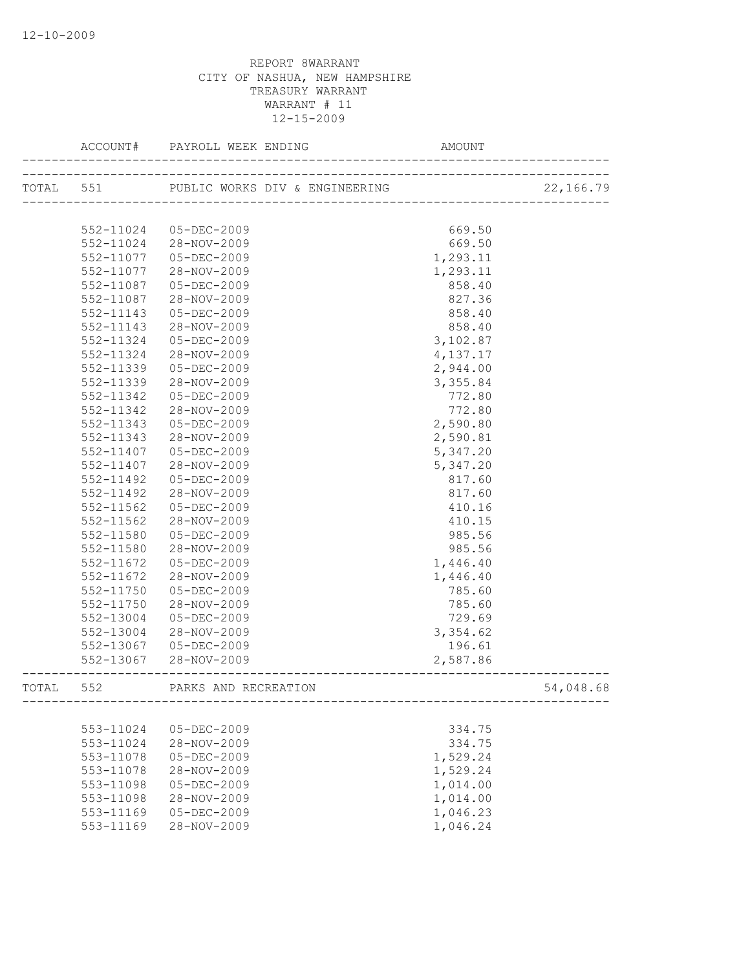|       | ACCOUNT#      | PAYROLL WEEK ENDING                      | AMOUNT            |           |
|-------|---------------|------------------------------------------|-------------------|-----------|
|       |               | TOTAL 551 PUBLIC WORKS DIV & ENGINEERING |                   | 22,166.79 |
|       |               |                                          | ----------------- |           |
|       | 552-11024     | 05-DEC-2009                              | 669.50            |           |
|       | 552-11024     | 28-NOV-2009                              | 669.50            |           |
|       | 552-11077     | 05-DEC-2009                              | 1,293.11          |           |
|       | 552-11077     | 28-NOV-2009                              | 1,293.11          |           |
|       | 552-11087     | $05 - DEC - 2009$                        | 858.40            |           |
|       | 552-11087     | 28-NOV-2009                              | 827.36            |           |
|       | 552-11143     | 05-DEC-2009                              | 858.40            |           |
|       | 552-11143     | 28-NOV-2009                              | 858.40            |           |
|       | 552-11324     | 05-DEC-2009                              | 3,102.87          |           |
|       | 552-11324     | 28-NOV-2009                              | 4,137.17          |           |
|       | 552-11339     | 05-DEC-2009                              | 2,944.00          |           |
|       | 552-11339     | 28-NOV-2009                              | 3,355.84          |           |
|       | 552-11342     | 05-DEC-2009                              | 772.80            |           |
|       | 552-11342     | 28-NOV-2009                              | 772.80            |           |
|       | 552-11343     | $05 - DEC - 2009$                        | 2,590.80          |           |
|       | $552 - 11343$ | 28-NOV-2009                              | 2,590.81          |           |
|       | $552 - 11407$ | $05 - DEC - 2009$                        | 5,347.20          |           |
|       | 552-11407     | 28-NOV-2009                              | 5,347.20          |           |
|       | 552-11492     | $05 - DEC - 2009$                        | 817.60            |           |
|       | 552-11492     | 28-NOV-2009                              | 817.60            |           |
|       | 552-11562     | 05-DEC-2009                              | 410.16            |           |
|       | 552-11562     | 28-NOV-2009                              | 410.15            |           |
|       | 552-11580     | 05-DEC-2009                              | 985.56            |           |
|       | 552-11580     | 28-NOV-2009                              | 985.56            |           |
|       | 552-11672     | $05 - DEC - 2009$                        | 1,446.40          |           |
|       | 552-11672     | 28-NOV-2009                              | 1,446.40          |           |
|       | $552 - 11750$ | 05-DEC-2009                              | 785.60            |           |
|       | 552-11750     | 28-NOV-2009                              | 785.60            |           |
|       | 552-13004     | 05-DEC-2009                              | 729.69            |           |
|       | 552-13004     | 28-NOV-2009                              | 3,354.62          |           |
|       | 552-13067     | $05 - DEC - 2009$                        | 196.61            |           |
|       | 552-13067     | 28-NOV-2009                              | 2,587.86          |           |
| TOTAL | 552           | PARKS AND RECREATION                     |                   | 54,048.68 |
|       |               |                                          |                   |           |
|       | 553-11024     | 05-DEC-2009                              | 334.75            |           |
|       | 553-11024     | 28-NOV-2009                              | 334.75            |           |
|       | 553-11078     | $05 - DEC - 2009$                        | 1,529.24          |           |
|       | 553-11078     | 28-NOV-2009                              | 1,529.24          |           |
|       | 553-11098     | $05 - DEC - 2009$                        | 1,014.00          |           |
|       | 553-11098     | 28-NOV-2009                              | 1,014.00          |           |
|       | 553-11169     | $05 - DEC - 2009$                        | 1,046.23          |           |
|       | 553-11169     | 28-NOV-2009                              | 1,046.24          |           |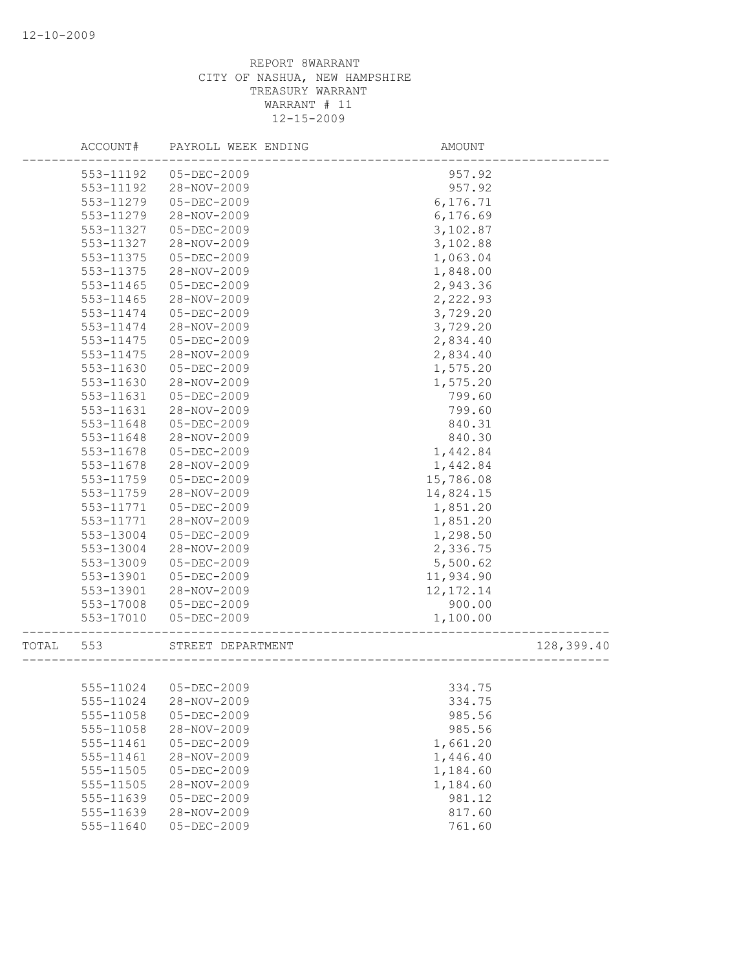|       | ACCOUNT#  | PAYROLL WEEK ENDING   | AMOUNT      |            |
|-------|-----------|-----------------------|-------------|------------|
|       | 553-11192 | 05-DEC-2009           | 957.92      |            |
|       | 553-11192 | 28-NOV-2009           | 957.92      |            |
|       | 553-11279 | $05 - DEC - 2009$     | 6,176.71    |            |
|       | 553-11279 | 28-NOV-2009           | 6,176.69    |            |
|       | 553-11327 | 05-DEC-2009           | 3,102.87    |            |
|       | 553-11327 | 28-NOV-2009           | 3,102.88    |            |
|       | 553-11375 | $05 - DEC - 2009$     | 1,063.04    |            |
|       | 553-11375 | 28-NOV-2009           | 1,848.00    |            |
|       | 553-11465 | 05-DEC-2009           | 2,943.36    |            |
|       | 553-11465 | 28-NOV-2009           | 2,222.93    |            |
|       | 553-11474 | $05 - DEC - 2009$     | 3,729.20    |            |
|       | 553-11474 | 28-NOV-2009           | 3,729.20    |            |
|       | 553-11475 | $05 - DEC - 2009$     | 2,834.40    |            |
|       | 553-11475 | 28-NOV-2009           | 2,834.40    |            |
|       | 553-11630 | $05 - DEC - 2009$     | 1,575.20    |            |
|       | 553-11630 | 28-NOV-2009           | 1,575.20    |            |
|       | 553-11631 | $05 - DEC - 2009$     | 799.60      |            |
|       | 553-11631 | 28-NOV-2009           | 799.60      |            |
|       | 553-11648 | $05 - DEC - 2009$     | 840.31      |            |
|       | 553-11648 | 28-NOV-2009           | 840.30      |            |
|       | 553-11678 | $05 - DEC - 2009$     | 1,442.84    |            |
|       | 553-11678 | 28-NOV-2009           | 1,442.84    |            |
|       | 553-11759 | 05-DEC-2009           | 15,786.08   |            |
|       | 553-11759 | 28-NOV-2009           | 14,824.15   |            |
|       | 553-11771 | $05 - DEC - 2009$     | 1,851.20    |            |
|       | 553-11771 | 28-NOV-2009           | 1,851.20    |            |
|       | 553-13004 | 05-DEC-2009           | 1,298.50    |            |
|       | 553-13004 | 28-NOV-2009           | 2,336.75    |            |
|       | 553-13009 | $05 - DEC - 2009$     | 5,500.62    |            |
|       | 553-13901 | $05 - DEC - 2009$     | 11,934.90   |            |
|       | 553-13901 | 28-NOV-2009           | 12, 172. 14 |            |
|       | 553-17008 | 05-DEC-2009           | 900.00      |            |
|       | 553-17010 | 05-DEC-2009           | 1,100.00    |            |
| TOTAL | 553       | STREET DEPARTMENT     |             | 128,399.40 |
|       |           | 555-11024 05-DEC-2009 | 334.75      |            |
|       | 555-11024 | 28-NOV-2009           | 334.75      |            |
|       | 555-11058 | 05-DEC-2009           | 985.56      |            |
|       | 555-11058 | 28-NOV-2009           | 985.56      |            |
|       | 555-11461 | $05 - DEC - 2009$     | 1,661.20    |            |
|       | 555-11461 | 28-NOV-2009           | 1,446.40    |            |
|       | 555-11505 | $05 - DEC - 2009$     | 1,184.60    |            |
|       | 555-11505 | 28-NOV-2009           | 1,184.60    |            |
|       | 555-11639 | 05-DEC-2009           | 981.12      |            |
|       | 555-11639 | 28-NOV-2009           | 817.60      |            |
|       | 555-11640 | 05-DEC-2009           | 761.60      |            |
|       |           |                       |             |            |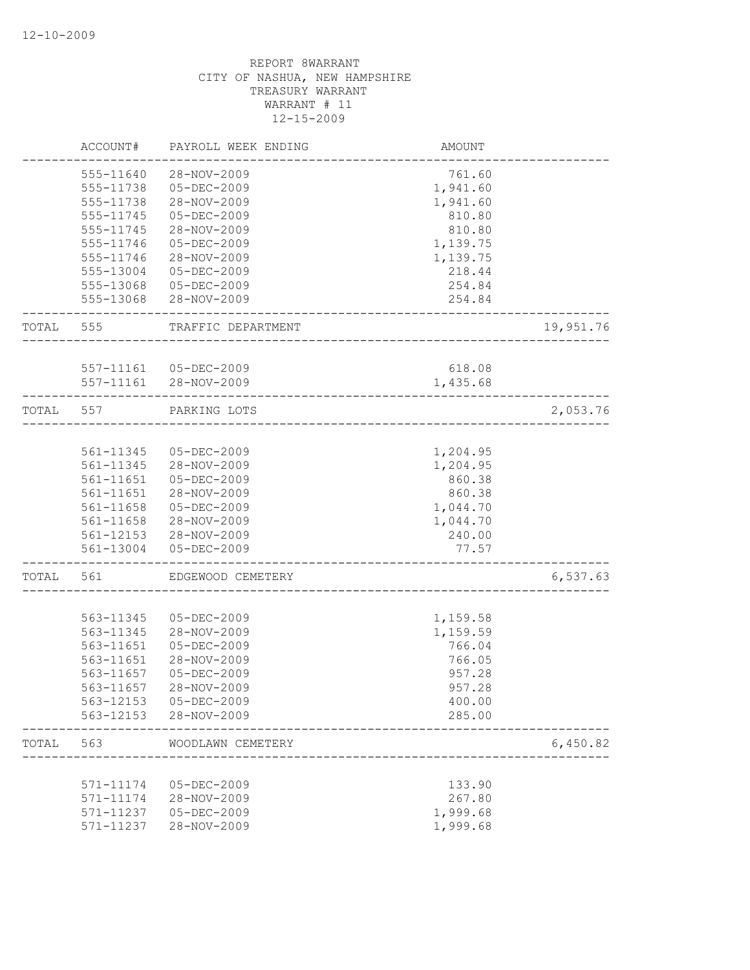|       | ACCOUNT#  | PAYROLL WEEK ENDING              | AMOUNT                   |           |
|-------|-----------|----------------------------------|--------------------------|-----------|
|       | 555-11640 | 28-NOV-2009                      | 761.60                   |           |
|       | 555-11738 | $05 - DEC - 2009$                | 1,941.60                 |           |
|       | 555-11738 | 28-NOV-2009                      | 1,941.60                 |           |
|       | 555-11745 | $05 - DEC - 2009$                | 810.80                   |           |
|       | 555-11745 | 28-NOV-2009                      | 810.80                   |           |
|       | 555-11746 | $05 - DEC - 2009$                | 1,139.75                 |           |
|       | 555-11746 | 28-NOV-2009                      | 1,139.75                 |           |
|       | 555-13004 | $05 - DEC - 2009$                | 218.44                   |           |
|       | 555-13068 | 05-DEC-2009                      | 254.84                   |           |
|       | 555-13068 | 28-NOV-2009                      | 254.84                   |           |
| TOTAL | 555       | TRAFFIC DEPARTMENT               |                          | 19,951.76 |
|       |           | 557-11161 05-DEC-2009            | 618.08                   |           |
|       | 557-11161 | 28-NOV-2009                      | 1,435.68                 |           |
| TOTAL | 557       | PARKING LOTS                     |                          | 2,053.76  |
|       |           |                                  | ________________________ |           |
|       | 561-11345 | 05-DEC-2009                      | 1,204.95                 |           |
|       | 561-11345 | 28-NOV-2009                      | 1,204.95                 |           |
|       | 561-11651 | 05-DEC-2009                      | 860.38                   |           |
|       | 561-11651 | 28-NOV-2009                      | 860.38                   |           |
|       | 561-11658 | 05-DEC-2009                      | 1,044.70                 |           |
|       | 561-11658 | 28-NOV-2009                      | 1,044.70                 |           |
|       |           | 561-12153 28-NOV-2009            | 240.00                   |           |
|       | 561-13004 | $05 - DEC - 2009$                | 77.57                    |           |
| TOTAL | 561       | EDGEWOOD CEMETERY                |                          | 6,537.63  |
|       |           |                                  |                          |           |
|       | 563-11345 | $05 - DEC - 2009$                | 1,159.58                 |           |
|       | 563-11345 | 28-NOV-2009                      | 1,159.59                 |           |
|       | 563-11651 | $05 - DEC - 2009$                | 766.04                   |           |
|       | 563-11651 | 28-NOV-2009                      | 766.05                   |           |
|       | 563-11657 | 05-DEC-2009                      | 957.28                   |           |
|       | 563-11657 | 28-NOV-2009                      | 957.28                   |           |
|       | 563-12153 | 05-DEC-2009                      | 400.00                   |           |
|       | 563-12153 | 28-NOV-2009                      | 285.00                   |           |
| TOTAL | 563       | WOODLAWN CEMETERY                |                          | 6,450.82  |
|       | 571-11174 |                                  |                          |           |
|       |           | 05-DEC-2009                      | 133.90                   |           |
|       | 571-11174 | 28-NOV-2009<br>$05 - DEC - 2009$ | 267.80                   |           |
|       | 571-11237 |                                  | 1,999.68                 |           |
|       | 571-11237 | 28-NOV-2009                      | 1,999.68                 |           |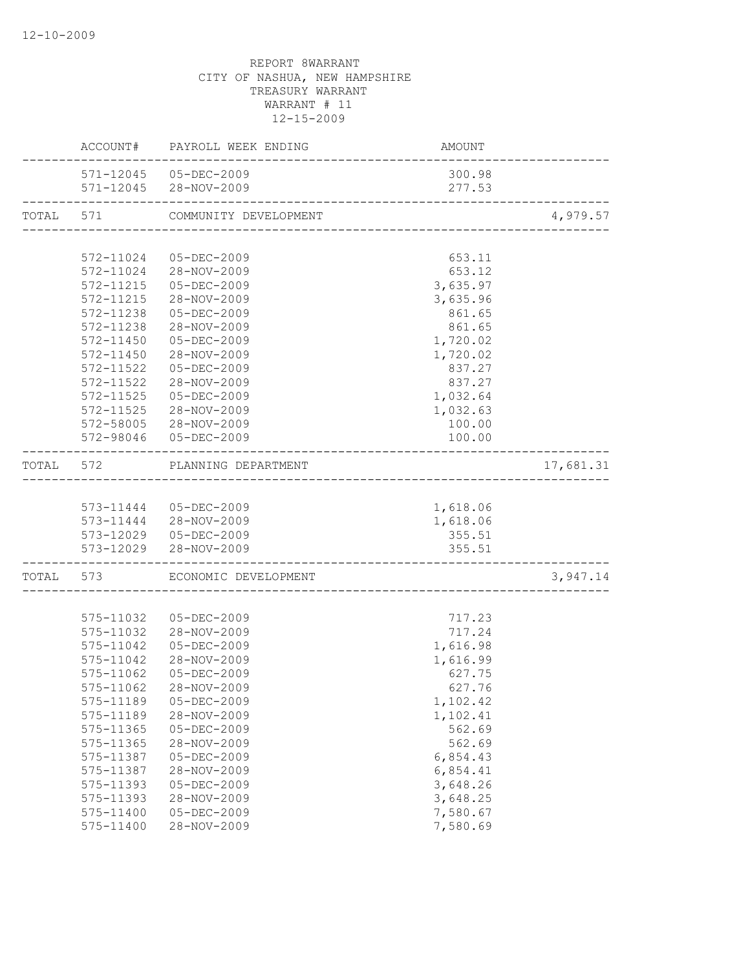| 571-12045 05-DEC-2009<br>300.98<br>571-12045 28-NOV-2009<br>277.53<br>TOTAL 571 COMMUNITY DEVELOPMENT<br>572-11024 05-DEC-2009<br>653.11<br>572-11024 28-NOV-2009<br>653.12<br>3,635.97<br>572-11215 05-DEC-2009<br>572-11215 28-NOV-2009<br>3,635.96<br>572-11238 05-DEC-2009<br>861.65<br>572-11238 28-NOV-2009<br>861.65<br>572-11450 05-DEC-2009<br>1,720.02<br>28-NOV-2009<br>572-11450<br>1,720.02<br>572-11522<br>05-DEC-2009<br>837.27<br>572-11522<br>28-NOV-2009<br>837.27<br>572-11525<br>05-DEC-2009<br>1,032.64<br>28-NOV-2009<br>1,032.63<br>572-11525<br>572-58005 28-NOV-2009<br>100.00<br>572-98046 05-DEC-2009<br>100.00<br>TOTAL 572 PLANNING DEPARTMENT<br>1,618.06<br>573-11444 05-DEC-2009<br>573-11444 28-NOV-2009<br>1,618.06<br>573-12029 05-DEC-2009<br>355.51<br>573-12029 28-NOV-2009<br>355.51<br>___________________<br>TOTAL 573 ECONOMIC DEVELOPMENT<br>575-11032  05-DEC-2009<br>717.23<br>575-11032 28-NOV-2009<br>717.24<br>575-11042  05-DEC-2009<br>1,616.98<br>28-NOV-2009<br>1,616.99<br>575-11042<br>627.75<br>575-11062<br>05-DEC-2009<br>575-11062<br>28-NOV-2009<br>627.76<br>575-11189<br>$05 - DEC - 2009$<br>1,102.42<br>28-NOV-2009<br>575-11189<br>1,102.41<br>562.69<br>$575 - 11365$<br>$05 - DEC - 2009$<br>575-11365<br>28-NOV-2009<br>562.69<br>05-DEC-2009<br>6,854.43<br>575-11387<br>28-NOV-2009<br>6,854.41<br>575-11387<br>3,648.26<br>575-11393<br>$05 - DEC - 2009$<br>3,648.25<br>28-NOV-2009<br>575-11393<br>7,580.67<br>$05 - DEC - 2009$<br>575-11400 |  |           | ACCOUNT# PAYROLL WEEK ENDING | <b>AMOUNT</b> |           |
|-----------------------------------------------------------------------------------------------------------------------------------------------------------------------------------------------------------------------------------------------------------------------------------------------------------------------------------------------------------------------------------------------------------------------------------------------------------------------------------------------------------------------------------------------------------------------------------------------------------------------------------------------------------------------------------------------------------------------------------------------------------------------------------------------------------------------------------------------------------------------------------------------------------------------------------------------------------------------------------------------------------------------------------------------------------------------------------------------------------------------------------------------------------------------------------------------------------------------------------------------------------------------------------------------------------------------------------------------------------------------------------------------------------------------------------------------------------------------------------------------------------------------|--|-----------|------------------------------|---------------|-----------|
|                                                                                                                                                                                                                                                                                                                                                                                                                                                                                                                                                                                                                                                                                                                                                                                                                                                                                                                                                                                                                                                                                                                                                                                                                                                                                                                                                                                                                                                                                                                       |  |           |                              |               |           |
|                                                                                                                                                                                                                                                                                                                                                                                                                                                                                                                                                                                                                                                                                                                                                                                                                                                                                                                                                                                                                                                                                                                                                                                                                                                                                                                                                                                                                                                                                                                       |  |           |                              |               |           |
|                                                                                                                                                                                                                                                                                                                                                                                                                                                                                                                                                                                                                                                                                                                                                                                                                                                                                                                                                                                                                                                                                                                                                                                                                                                                                                                                                                                                                                                                                                                       |  |           |                              |               | 4,979.57  |
|                                                                                                                                                                                                                                                                                                                                                                                                                                                                                                                                                                                                                                                                                                                                                                                                                                                                                                                                                                                                                                                                                                                                                                                                                                                                                                                                                                                                                                                                                                                       |  |           |                              |               |           |
|                                                                                                                                                                                                                                                                                                                                                                                                                                                                                                                                                                                                                                                                                                                                                                                                                                                                                                                                                                                                                                                                                                                                                                                                                                                                                                                                                                                                                                                                                                                       |  |           |                              |               |           |
|                                                                                                                                                                                                                                                                                                                                                                                                                                                                                                                                                                                                                                                                                                                                                                                                                                                                                                                                                                                                                                                                                                                                                                                                                                                                                                                                                                                                                                                                                                                       |  |           |                              |               |           |
|                                                                                                                                                                                                                                                                                                                                                                                                                                                                                                                                                                                                                                                                                                                                                                                                                                                                                                                                                                                                                                                                                                                                                                                                                                                                                                                                                                                                                                                                                                                       |  |           |                              |               |           |
|                                                                                                                                                                                                                                                                                                                                                                                                                                                                                                                                                                                                                                                                                                                                                                                                                                                                                                                                                                                                                                                                                                                                                                                                                                                                                                                                                                                                                                                                                                                       |  |           |                              |               |           |
|                                                                                                                                                                                                                                                                                                                                                                                                                                                                                                                                                                                                                                                                                                                                                                                                                                                                                                                                                                                                                                                                                                                                                                                                                                                                                                                                                                                                                                                                                                                       |  |           |                              |               |           |
|                                                                                                                                                                                                                                                                                                                                                                                                                                                                                                                                                                                                                                                                                                                                                                                                                                                                                                                                                                                                                                                                                                                                                                                                                                                                                                                                                                                                                                                                                                                       |  |           |                              |               |           |
|                                                                                                                                                                                                                                                                                                                                                                                                                                                                                                                                                                                                                                                                                                                                                                                                                                                                                                                                                                                                                                                                                                                                                                                                                                                                                                                                                                                                                                                                                                                       |  |           |                              |               |           |
|                                                                                                                                                                                                                                                                                                                                                                                                                                                                                                                                                                                                                                                                                                                                                                                                                                                                                                                                                                                                                                                                                                                                                                                                                                                                                                                                                                                                                                                                                                                       |  |           |                              |               |           |
|                                                                                                                                                                                                                                                                                                                                                                                                                                                                                                                                                                                                                                                                                                                                                                                                                                                                                                                                                                                                                                                                                                                                                                                                                                                                                                                                                                                                                                                                                                                       |  |           |                              |               |           |
|                                                                                                                                                                                                                                                                                                                                                                                                                                                                                                                                                                                                                                                                                                                                                                                                                                                                                                                                                                                                                                                                                                                                                                                                                                                                                                                                                                                                                                                                                                                       |  |           |                              |               |           |
|                                                                                                                                                                                                                                                                                                                                                                                                                                                                                                                                                                                                                                                                                                                                                                                                                                                                                                                                                                                                                                                                                                                                                                                                                                                                                                                                                                                                                                                                                                                       |  |           |                              |               |           |
|                                                                                                                                                                                                                                                                                                                                                                                                                                                                                                                                                                                                                                                                                                                                                                                                                                                                                                                                                                                                                                                                                                                                                                                                                                                                                                                                                                                                                                                                                                                       |  |           |                              |               |           |
|                                                                                                                                                                                                                                                                                                                                                                                                                                                                                                                                                                                                                                                                                                                                                                                                                                                                                                                                                                                                                                                                                                                                                                                                                                                                                                                                                                                                                                                                                                                       |  |           |                              |               |           |
|                                                                                                                                                                                                                                                                                                                                                                                                                                                                                                                                                                                                                                                                                                                                                                                                                                                                                                                                                                                                                                                                                                                                                                                                                                                                                                                                                                                                                                                                                                                       |  |           |                              |               |           |
|                                                                                                                                                                                                                                                                                                                                                                                                                                                                                                                                                                                                                                                                                                                                                                                                                                                                                                                                                                                                                                                                                                                                                                                                                                                                                                                                                                                                                                                                                                                       |  |           |                              |               | 17,681.31 |
|                                                                                                                                                                                                                                                                                                                                                                                                                                                                                                                                                                                                                                                                                                                                                                                                                                                                                                                                                                                                                                                                                                                                                                                                                                                                                                                                                                                                                                                                                                                       |  |           |                              |               |           |
|                                                                                                                                                                                                                                                                                                                                                                                                                                                                                                                                                                                                                                                                                                                                                                                                                                                                                                                                                                                                                                                                                                                                                                                                                                                                                                                                                                                                                                                                                                                       |  |           |                              |               |           |
|                                                                                                                                                                                                                                                                                                                                                                                                                                                                                                                                                                                                                                                                                                                                                                                                                                                                                                                                                                                                                                                                                                                                                                                                                                                                                                                                                                                                                                                                                                                       |  |           |                              |               |           |
|                                                                                                                                                                                                                                                                                                                                                                                                                                                                                                                                                                                                                                                                                                                                                                                                                                                                                                                                                                                                                                                                                                                                                                                                                                                                                                                                                                                                                                                                                                                       |  |           |                              |               |           |
|                                                                                                                                                                                                                                                                                                                                                                                                                                                                                                                                                                                                                                                                                                                                                                                                                                                                                                                                                                                                                                                                                                                                                                                                                                                                                                                                                                                                                                                                                                                       |  |           |                              |               |           |
|                                                                                                                                                                                                                                                                                                                                                                                                                                                                                                                                                                                                                                                                                                                                                                                                                                                                                                                                                                                                                                                                                                                                                                                                                                                                                                                                                                                                                                                                                                                       |  |           |                              |               | 3,947.14  |
|                                                                                                                                                                                                                                                                                                                                                                                                                                                                                                                                                                                                                                                                                                                                                                                                                                                                                                                                                                                                                                                                                                                                                                                                                                                                                                                                                                                                                                                                                                                       |  |           |                              |               |           |
|                                                                                                                                                                                                                                                                                                                                                                                                                                                                                                                                                                                                                                                                                                                                                                                                                                                                                                                                                                                                                                                                                                                                                                                                                                                                                                                                                                                                                                                                                                                       |  |           |                              |               |           |
|                                                                                                                                                                                                                                                                                                                                                                                                                                                                                                                                                                                                                                                                                                                                                                                                                                                                                                                                                                                                                                                                                                                                                                                                                                                                                                                                                                                                                                                                                                                       |  |           |                              |               |           |
|                                                                                                                                                                                                                                                                                                                                                                                                                                                                                                                                                                                                                                                                                                                                                                                                                                                                                                                                                                                                                                                                                                                                                                                                                                                                                                                                                                                                                                                                                                                       |  |           |                              |               |           |
|                                                                                                                                                                                                                                                                                                                                                                                                                                                                                                                                                                                                                                                                                                                                                                                                                                                                                                                                                                                                                                                                                                                                                                                                                                                                                                                                                                                                                                                                                                                       |  |           |                              |               |           |
|                                                                                                                                                                                                                                                                                                                                                                                                                                                                                                                                                                                                                                                                                                                                                                                                                                                                                                                                                                                                                                                                                                                                                                                                                                                                                                                                                                                                                                                                                                                       |  |           |                              |               |           |
|                                                                                                                                                                                                                                                                                                                                                                                                                                                                                                                                                                                                                                                                                                                                                                                                                                                                                                                                                                                                                                                                                                                                                                                                                                                                                                                                                                                                                                                                                                                       |  |           |                              |               |           |
|                                                                                                                                                                                                                                                                                                                                                                                                                                                                                                                                                                                                                                                                                                                                                                                                                                                                                                                                                                                                                                                                                                                                                                                                                                                                                                                                                                                                                                                                                                                       |  |           |                              |               |           |
|                                                                                                                                                                                                                                                                                                                                                                                                                                                                                                                                                                                                                                                                                                                                                                                                                                                                                                                                                                                                                                                                                                                                                                                                                                                                                                                                                                                                                                                                                                                       |  |           |                              |               |           |
|                                                                                                                                                                                                                                                                                                                                                                                                                                                                                                                                                                                                                                                                                                                                                                                                                                                                                                                                                                                                                                                                                                                                                                                                                                                                                                                                                                                                                                                                                                                       |  |           |                              |               |           |
|                                                                                                                                                                                                                                                                                                                                                                                                                                                                                                                                                                                                                                                                                                                                                                                                                                                                                                                                                                                                                                                                                                                                                                                                                                                                                                                                                                                                                                                                                                                       |  |           |                              |               |           |
|                                                                                                                                                                                                                                                                                                                                                                                                                                                                                                                                                                                                                                                                                                                                                                                                                                                                                                                                                                                                                                                                                                                                                                                                                                                                                                                                                                                                                                                                                                                       |  |           |                              |               |           |
|                                                                                                                                                                                                                                                                                                                                                                                                                                                                                                                                                                                                                                                                                                                                                                                                                                                                                                                                                                                                                                                                                                                                                                                                                                                                                                                                                                                                                                                                                                                       |  |           |                              |               |           |
|                                                                                                                                                                                                                                                                                                                                                                                                                                                                                                                                                                                                                                                                                                                                                                                                                                                                                                                                                                                                                                                                                                                                                                                                                                                                                                                                                                                                                                                                                                                       |  |           |                              |               |           |
|                                                                                                                                                                                                                                                                                                                                                                                                                                                                                                                                                                                                                                                                                                                                                                                                                                                                                                                                                                                                                                                                                                                                                                                                                                                                                                                                                                                                                                                                                                                       |  |           |                              |               |           |
|                                                                                                                                                                                                                                                                                                                                                                                                                                                                                                                                                                                                                                                                                                                                                                                                                                                                                                                                                                                                                                                                                                                                                                                                                                                                                                                                                                                                                                                                                                                       |  | 575-11400 | 28-NOV-2009                  | 7,580.69      |           |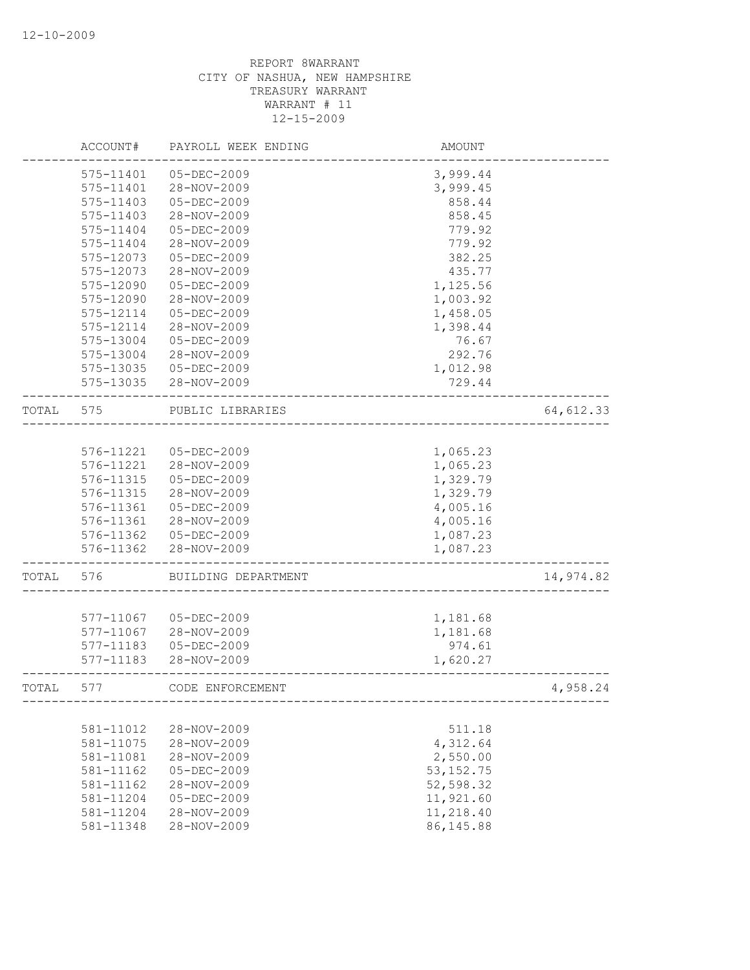|       | ACCOUNT#  | PAYROLL WEEK ENDING | AMOUNT     |            |
|-------|-----------|---------------------|------------|------------|
|       | 575-11401 | 05-DEC-2009         | 3,999.44   |            |
|       | 575-11401 | 28-NOV-2009         | 3,999.45   |            |
|       | 575-11403 | $05 - DEC - 2009$   | 858.44     |            |
|       | 575-11403 | 28-NOV-2009         | 858.45     |            |
|       | 575-11404 | $05 - DEC - 2009$   | 779.92     |            |
|       | 575-11404 | 28-NOV-2009         | 779.92     |            |
|       | 575-12073 | $05 - DEC - 2009$   | 382.25     |            |
|       | 575-12073 | 28-NOV-2009         | 435.77     |            |
|       | 575-12090 | $05 - DEC - 2009$   | 1,125.56   |            |
|       | 575-12090 | 28-NOV-2009         | 1,003.92   |            |
|       | 575-12114 | $05 - DEC - 2009$   | 1,458.05   |            |
|       | 575-12114 | 28-NOV-2009         | 1,398.44   |            |
|       | 575-13004 | 05-DEC-2009         | 76.67      |            |
|       | 575-13004 | 28-NOV-2009         | 292.76     |            |
|       | 575-13035 | 05-DEC-2009         | 1,012.98   |            |
|       | 575-13035 | 28-NOV-2009         | 729.44     |            |
|       |           |                     |            |            |
| TOTAL | 575       | PUBLIC LIBRARIES    |            | 64, 612.33 |
|       |           |                     |            |            |
|       | 576-11221 | 05-DEC-2009         | 1,065.23   |            |
|       | 576-11221 | 28-NOV-2009         | 1,065.23   |            |
|       | 576-11315 | 05-DEC-2009         | 1,329.79   |            |
|       | 576-11315 | 28-NOV-2009         | 1,329.79   |            |
|       | 576-11361 | $05 - DEC - 2009$   | 4,005.16   |            |
|       | 576-11361 | 28-NOV-2009         | 4,005.16   |            |
|       | 576-11362 | 05-DEC-2009         | 1,087.23   |            |
|       | 576-11362 | 28-NOV-2009         | 1,087.23   |            |
| TOTAL | 576       | BUILDING DEPARTMENT |            | 14,974.82  |
|       |           |                     |            |            |
|       | 577-11067 | 05-DEC-2009         | 1,181.68   |            |
|       | 577-11067 | 28-NOV-2009         | 1,181.68   |            |
|       | 577-11183 | $05 - DEC - 2009$   | 974.61     |            |
|       | 577-11183 | 28-NOV-2009         | 1,620.27   |            |
| TOTAL | 577       | CODE ENFORCEMENT    |            | 4,958.24   |
|       |           |                     |            |            |
|       | 581-11012 | 28-NOV-2009         | 511.18     |            |
|       | 581-11075 | 28-NOV-2009         | 4,312.64   |            |
|       | 581-11081 | 28-NOV-2009         | 2,550.00   |            |
|       | 581-11162 | $05 - DEC - 2009$   | 53, 152.75 |            |
|       | 581-11162 | 28-NOV-2009         | 52,598.32  |            |
|       | 581-11204 | $05 - DEC - 2009$   | 11,921.60  |            |
|       | 581-11204 | 28-NOV-2009         | 11,218.40  |            |
|       | 581-11348 | 28-NOV-2009         | 86, 145.88 |            |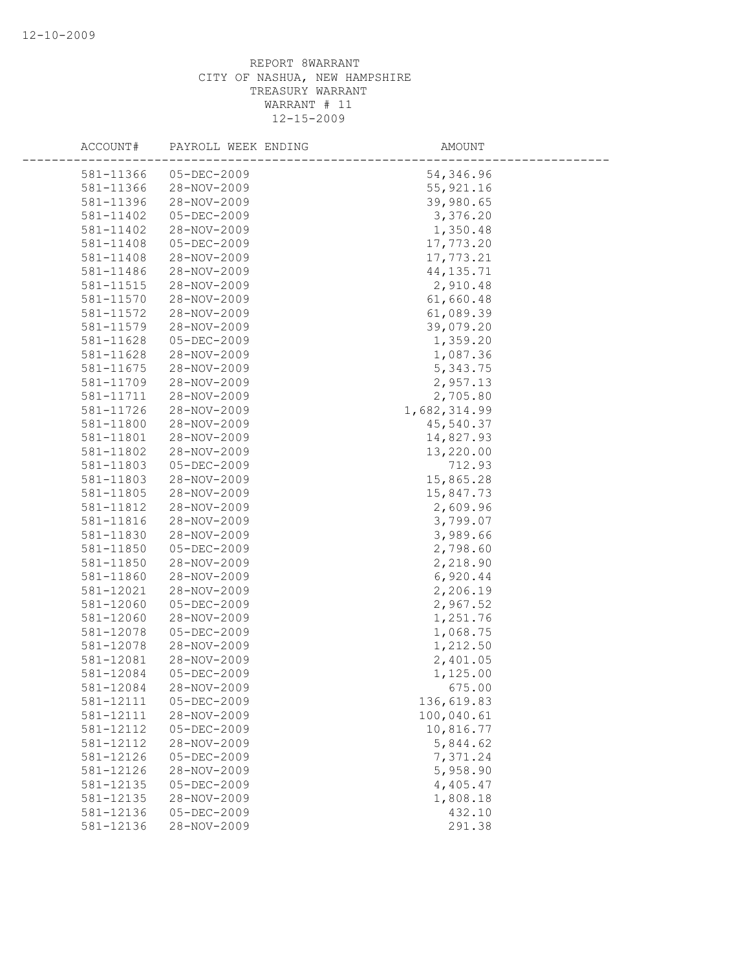| ACCOUNT#  | PAYROLL WEEK ENDING | AMOUNT       |  |
|-----------|---------------------|--------------|--|
| 581-11366 | 05-DEC-2009         | 54,346.96    |  |
| 581-11366 | 28-NOV-2009         | 55, 921.16   |  |
| 581-11396 | 28-NOV-2009         | 39,980.65    |  |
| 581-11402 | $05 - DEC - 2009$   | 3,376.20     |  |
| 581-11402 | 28-NOV-2009         | 1,350.48     |  |
| 581-11408 | $05 - DEC - 2009$   | 17,773.20    |  |
| 581-11408 | 28-NOV-2009         | 17,773.21    |  |
| 581-11486 | 28-NOV-2009         | 44, 135.71   |  |
| 581-11515 | 28-NOV-2009         | 2,910.48     |  |
| 581-11570 | 28-NOV-2009         | 61,660.48    |  |
| 581-11572 | 28-NOV-2009         | 61,089.39    |  |
| 581-11579 | 28-NOV-2009         | 39,079.20    |  |
| 581-11628 | $05 - DEC - 2009$   | 1,359.20     |  |
| 581-11628 | 28-NOV-2009         | 1,087.36     |  |
| 581-11675 | 28-NOV-2009         | 5,343.75     |  |
| 581-11709 | 28-NOV-2009         | 2,957.13     |  |
| 581-11711 | 28-NOV-2009         | 2,705.80     |  |
| 581-11726 | 28-NOV-2009         | 1,682,314.99 |  |
| 581-11800 | 28-NOV-2009         | 45,540.37    |  |
| 581-11801 | 28-NOV-2009         | 14,827.93    |  |
| 581-11802 | 28-NOV-2009         | 13,220.00    |  |
| 581-11803 | 05-DEC-2009         | 712.93       |  |
| 581-11803 | 28-NOV-2009         | 15,865.28    |  |
| 581-11805 | 28-NOV-2009         | 15,847.73    |  |
| 581-11812 | 28-NOV-2009         | 2,609.96     |  |
| 581-11816 | 28-NOV-2009         | 3,799.07     |  |
| 581-11830 | 28-NOV-2009         | 3,989.66     |  |
| 581-11850 | 05-DEC-2009         | 2,798.60     |  |
| 581-11850 | 28-NOV-2009         | 2,218.90     |  |
| 581-11860 | 28-NOV-2009         | 6,920.44     |  |
| 581-12021 | 28-NOV-2009         | 2,206.19     |  |
| 581-12060 | 05-DEC-2009         | 2,967.52     |  |
| 581-12060 | 28-NOV-2009         | 1,251.76     |  |
| 581-12078 | 05-DEC-2009         | 1,068.75     |  |
| 581-12078 | 28-NOV-2009         | 1,212.50     |  |
| 581-12081 | 28-NOV-2009         | 2,401.05     |  |
| 581-12084 | $05 - DEC - 2009$   | 1,125.00     |  |
| 581-12084 | 28-NOV-2009         | 675.00       |  |
| 581-12111 | 05-DEC-2009         | 136,619.83   |  |
| 581-12111 | 28-NOV-2009         | 100,040.61   |  |
| 581-12112 | $05 - DEC - 2009$   | 10,816.77    |  |
| 581-12112 | 28-NOV-2009         | 5,844.62     |  |
| 581-12126 | 05-DEC-2009         | 7,371.24     |  |
| 581-12126 | 28-NOV-2009         | 5,958.90     |  |
| 581-12135 | 05-DEC-2009         | 4,405.47     |  |
| 581-12135 | 28-NOV-2009         | 1,808.18     |  |
| 581-12136 | 05-DEC-2009         | 432.10       |  |
| 581-12136 | 28-NOV-2009         | 291.38       |  |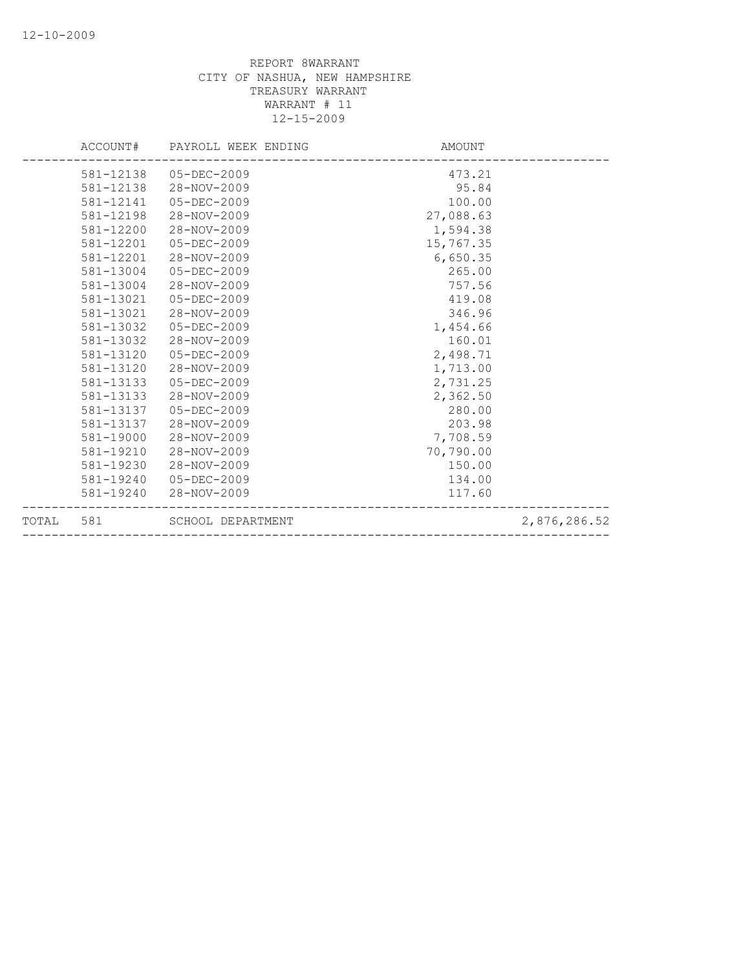|       | ACCOUNT#  | PAYROLL WEEK ENDING | AMOUNT    |              |
|-------|-----------|---------------------|-----------|--------------|
|       | 581-12138 | 05-DEC-2009         | 473.21    |              |
|       | 581-12138 | 28-NOV-2009         | 95.84     |              |
|       | 581-12141 | 05-DEC-2009         | 100.00    |              |
|       | 581-12198 | 28-NOV-2009         | 27,088.63 |              |
|       | 581-12200 | 28-NOV-2009         | 1,594.38  |              |
|       | 581-12201 | $05 - DEC - 2009$   | 15,767.35 |              |
|       | 581-12201 | 28-NOV-2009         | 6,650.35  |              |
|       | 581-13004 | $05 - DEC - 2009$   | 265.00    |              |
|       | 581-13004 | 28-NOV-2009         | 757.56    |              |
|       | 581-13021 | $05 - DEC - 2009$   | 419.08    |              |
|       | 581-13021 | 28-NOV-2009         | 346.96    |              |
|       | 581-13032 | $05 - DEC - 2009$   | 1,454.66  |              |
|       | 581-13032 | 28-NOV-2009         | 160.01    |              |
|       | 581-13120 | 05-DEC-2009         | 2,498.71  |              |
|       | 581-13120 | 28-NOV-2009         | 1,713.00  |              |
|       | 581-13133 | $05 - DEC - 2009$   | 2,731.25  |              |
|       | 581-13133 | 28-NOV-2009         | 2,362.50  |              |
|       | 581-13137 | $05 - DEC - 2009$   | 280.00    |              |
|       | 581-13137 | 28-NOV-2009         | 203.98    |              |
|       | 581-19000 | 28-NOV-2009         | 7,708.59  |              |
|       | 581-19210 | 28-NOV-2009         | 70,790.00 |              |
|       | 581-19230 | 28-NOV-2009         | 150.00    |              |
|       | 581-19240 | 05-DEC-2009         | 134.00    |              |
|       | 581-19240 | 28-NOV-2009         | 117.60    |              |
| TOTAL | 581       | SCHOOL DEPARTMENT   |           | 2,876,286.52 |
|       |           |                     |           |              |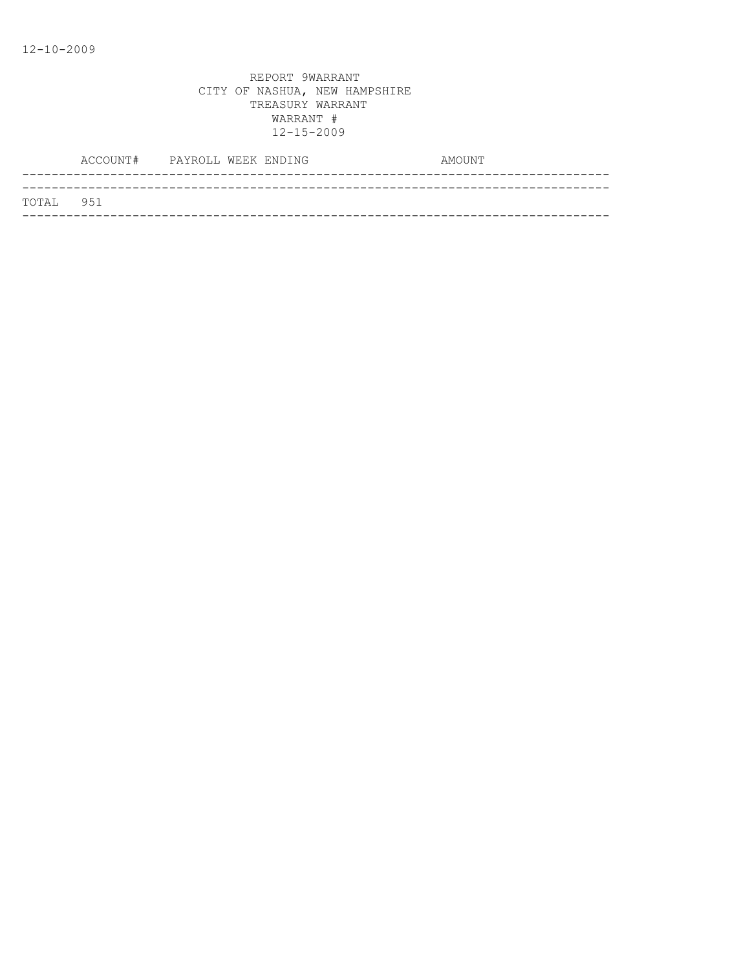|           | ACCOUNT# PAYROLL WEEK ENDING |  | AMOUNT |
|-----------|------------------------------|--|--------|
|           |                              |  |        |
| TOTAL 951 |                              |  |        |
|           |                              |  |        |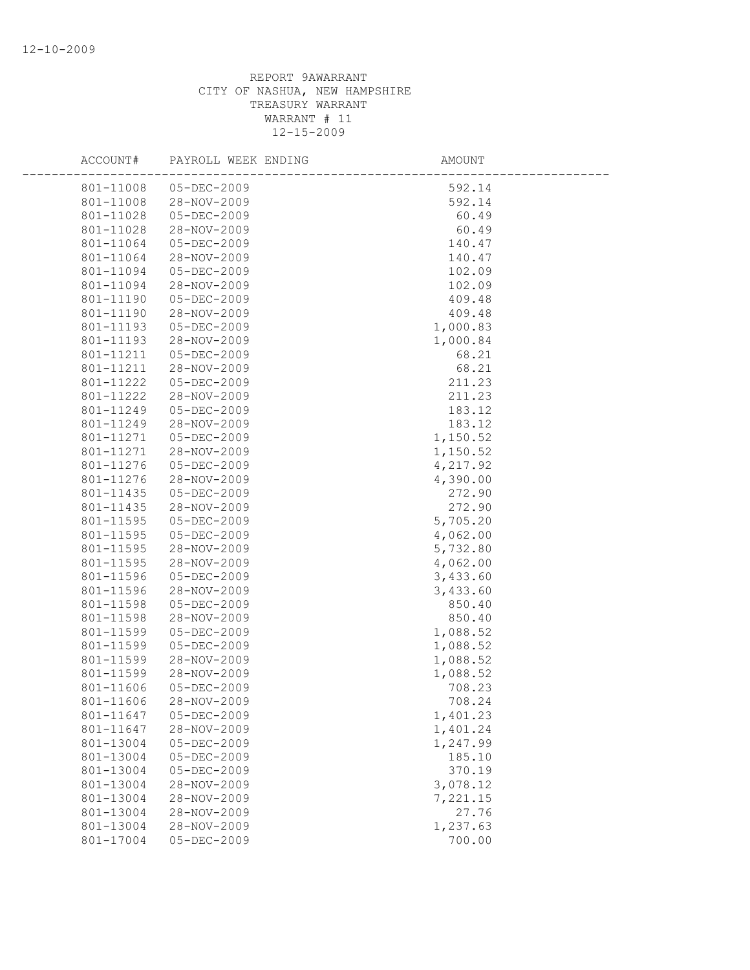| ACCOUNT#               | PAYROLL WEEK ENDING        | AMOUNT             |
|------------------------|----------------------------|--------------------|
| 801-11008              | 05-DEC-2009                | 592.14             |
| 801-11008              | 28-NOV-2009                | 592.14             |
| 801-11028              | 05-DEC-2009                | 60.49              |
| 801-11028              | 28-NOV-2009                | 60.49              |
| 801-11064              | 05-DEC-2009                | 140.47             |
| 801-11064              | 28-NOV-2009                | 140.47             |
| 801-11094              | 05-DEC-2009                | 102.09             |
| 801-11094              | 28-NOV-2009                | 102.09             |
| 801-11190              | 05-DEC-2009                | 409.48             |
| 801-11190              | 28-NOV-2009                | 409.48             |
| 801-11193              | 05-DEC-2009                | 1,000.83           |
| 801-11193              | 28-NOV-2009                | 1,000.84           |
| 801-11211              | 05-DEC-2009                | 68.21              |
| 801-11211              | 28-NOV-2009                | 68.21              |
| 801-11222              | 05-DEC-2009                | 211.23             |
| 801-11222              | 28-NOV-2009                | 211.23             |
| 801-11249              | 05-DEC-2009                | 183.12             |
| 801-11249              | 28-NOV-2009                | 183.12             |
| 801-11271              | 05-DEC-2009                | 1,150.52           |
| 801-11271              | 28-NOV-2009                | 1,150.52           |
| 801-11276              | 05-DEC-2009                | 4,217.92           |
| 801-11276              | 28-NOV-2009                | 4,390.00           |
| 801-11435              | 05-DEC-2009                | 272.90             |
| 801-11435              | 28-NOV-2009                | 272.90             |
| 801-11595              | 05-DEC-2009                | 5,705.20           |
| 801-11595              | 05-DEC-2009                | 4,062.00           |
| 801-11595              | 28-NOV-2009                | 5,732.80           |
| 801-11595              | 28-NOV-2009                | 4,062.00           |
| 801-11596              | 05-DEC-2009                | 3,433.60           |
| 801-11596              | 28-NOV-2009                | 3,433.60           |
| 801-11598<br>801-11598 | 05-DEC-2009                | 850.40             |
| 801-11599              | 28-NOV-2009                | 850.40<br>1,088.52 |
| 801-11599              | 05-DEC-2009<br>05-DEC-2009 | 1,088.52           |
| 801-11599              | 28-NOV-2009                | 1,088.52           |
| 801-11599              | 28-NOV-2009                | 1,088.52           |
| 801-11606              | 05-DEC-2009                | 708.23             |
| 801-11606              | 28-NOV-2009                | 708.24             |
| 801-11647              | $05 - DEC - 2009$          | 1,401.23           |
| 801-11647              | 28-NOV-2009                | 1,401.24           |
| 801-13004              | 05-DEC-2009                | 1,247.99           |
| 801-13004              | $05 - DEC - 2009$          | 185.10             |
| 801-13004              | $05 - DEC - 2009$          | 370.19             |
| 801-13004              | 28-NOV-2009                | 3,078.12           |
| 801-13004              | 28-NOV-2009                | 7,221.15           |
| 801-13004              | 28-NOV-2009                | 27.76              |
| 801-13004              | 28-NOV-2009                | 1,237.63           |
| 801-17004              | 05-DEC-2009                | 700.00             |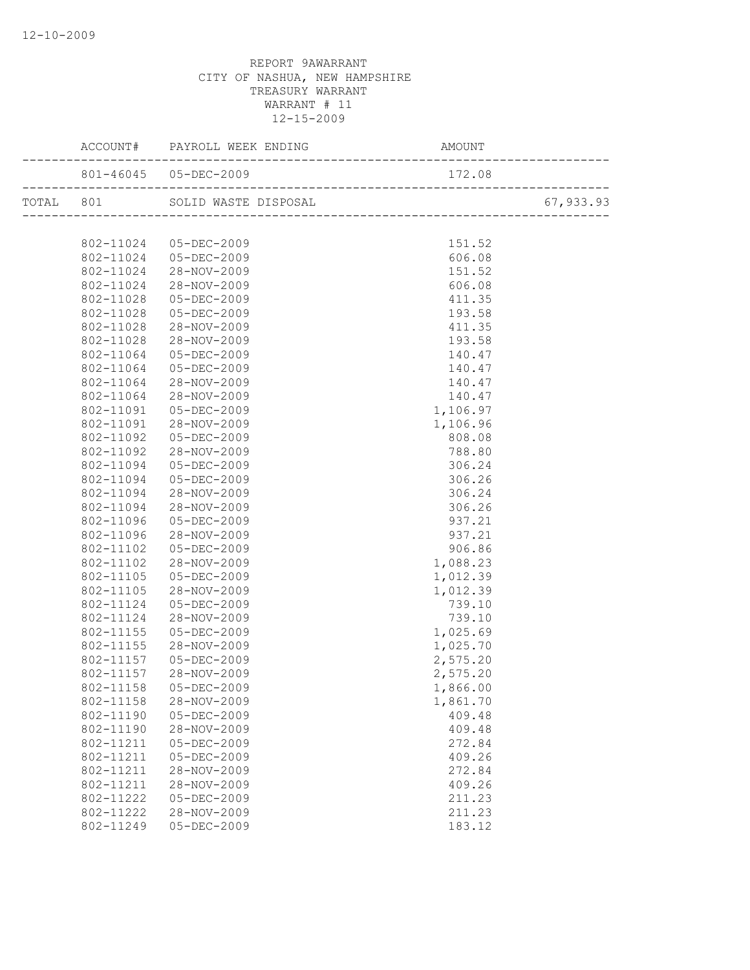|           | ACCOUNT# PAYROLL WEEK ENDING |          |           |
|-----------|------------------------------|----------|-----------|
|           | 801-46045 05-DEC-2009        | 172.08   |           |
|           |                              |          | 67,933.93 |
|           |                              |          |           |
|           | 802-11024 05-DEC-2009        | 151.52   |           |
|           | 802-11024 05-DEC-2009        | 606.08   |           |
| 802-11024 | 28-NOV-2009                  | 151.52   |           |
| 802-11024 | 28-NOV-2009                  | 606.08   |           |
| 802-11028 | 05-DEC-2009                  | 411.35   |           |
| 802-11028 | 05-DEC-2009                  | 193.58   |           |
| 802-11028 | 28-NOV-2009                  | 411.35   |           |
| 802-11028 | 28-NOV-2009                  | 193.58   |           |
| 802-11064 | 05-DEC-2009                  | 140.47   |           |
| 802-11064 | 05-DEC-2009                  | 140.47   |           |
| 802-11064 | 28-NOV-2009                  | 140.47   |           |
| 802-11064 | 28-NOV-2009                  | 140.47   |           |
| 802-11091 | 05-DEC-2009                  | 1,106.97 |           |
| 802-11091 | 28-NOV-2009                  | 1,106.96 |           |
| 802-11092 | 05-DEC-2009                  | 808.08   |           |
| 802-11092 | 28-NOV-2009                  | 788.80   |           |
| 802-11094 | 05-DEC-2009                  | 306.24   |           |
| 802-11094 | 05-DEC-2009                  | 306.26   |           |
| 802-11094 | 28-NOV-2009                  | 306.24   |           |
| 802-11094 | 28-NOV-2009                  | 306.26   |           |
| 802-11096 | $05 - DEC - 2009$            | 937.21   |           |
| 802-11096 | 28-NOV-2009                  | 937.21   |           |
| 802-11102 | 05-DEC-2009                  | 906.86   |           |
| 802-11102 | 28-NOV-2009                  | 1,088.23 |           |
| 802-11105 | 05-DEC-2009                  | 1,012.39 |           |
| 802-11105 | 28-NOV-2009                  | 1,012.39 |           |
| 802-11124 | 05-DEC-2009                  | 739.10   |           |
| 802-11124 | 28-NOV-2009                  | 739.10   |           |
| 802-11155 | 05-DEC-2009                  | 1,025.69 |           |
| 802-11155 | 28-NOV-2009                  | 1,025.70 |           |
| 802-11157 | 05-DEC-2009                  | 2,575.20 |           |
| 802-11157 | 28-NOV-2009                  | 2,575.20 |           |
|           | 802-11158  05-DEC-2009       | 1,866.00 |           |
| 802-11158 | 28-NOV-2009                  | 1,861.70 |           |
| 802-11190 | $05 - DEC - 2009$            | 409.48   |           |
| 802-11190 | 28-NOV-2009                  | 409.48   |           |
| 802-11211 | 05-DEC-2009                  | 272.84   |           |
| 802-11211 | 05-DEC-2009                  | 409.26   |           |
| 802-11211 | $28 - NOV - 2009$            | 272.84   |           |
| 802-11211 | 28-NOV-2009                  | 409.26   |           |
| 802-11222 | 05-DEC-2009                  | 211.23   |           |
| 802-11222 | 28-NOV-2009                  | 211.23   |           |
| 802-11249 | $05 - DEC - 2009$            | 183.12   |           |